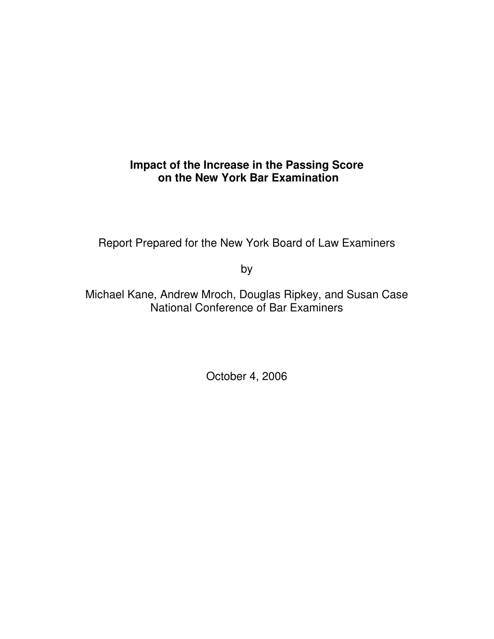# **Impact of the Increase in the Passing Score on the New York Bar Examination**

Report Prepared for the New York Board of Law Examiners

by

Michael Kane, Andrew Mroch, Douglas Ripkey, and Susan Case National Conference of Bar Examiners

October 4, 2006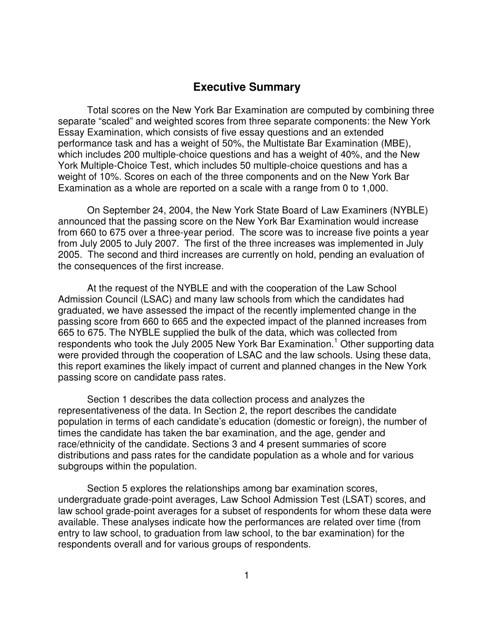# **Executive Summary**

Total scores on the New York Bar Examination are computed by combining three separate "scaled" and weighted scores from three separate components: the New York Essay Examination, which consists of five essay questions and an extended performance task and has a weight of 50%, the Multistate Bar Examination (MBE), which includes 200 multiple-choice questions and has a weight of 40%, and the New York Multiple-Choice Test, which includes 50 multiple-choice questions and has a weight of 10%. Scores on each of the three components and on the New York Bar Examination as a whole are reported on a scale with a range from 0 to 1,000.

On September 24, 2004, the New York State Board of Law Examiners (NYBLE) announced that the passing score on the New York Bar Examination would increase from 660 to 675 over a three-year period. The score was to increase five points a year from July 2005 to July 2007. The first of the three increases was implemented in July 2005. The second and third increases are currently on hold, pending an evaluation of the consequences of the first increase.

At the request of the NYBLE and with the cooperation of the Law School Admission Council (LSAC) and many law schools from which the candidates had graduated, we have assessed the impact of the recently implemented change in the passing score from 660 to 665 and the expected impact of the planned increases from 665 to 675. The NYBLE supplied the bulk of the data, which was collected from respondents who took the July 2005 New York Bar Examination.<sup>1</sup> Other supporting data were provided through the cooperation of LSAC and the law schools. Using these data, this report examines the likely impact of current and planned changes in the New York passing score on candidate pass rates.

Section 1 describes the data collection process and analyzes the representativeness of the data. In Section 2, the report describes the candidate population in terms of each candidate's education (domestic or foreign), the number of times the candidate has taken the bar examination, and the age, gender and race/ethnicity of the candidate. Sections 3 and 4 present summaries of score distributions and pass rates for the candidate population as a whole and for various subgroups within the population.

Section 5 explores the relationships among bar examination scores, undergraduate grade-point averages, Law School Admission Test (LSAT) scores, and law school grade-point averages for a subset of respondents for whom these data were available. These analyses indicate how the performances are related over time (from entry to law school, to graduation from law school, to the bar examination) for the respondents overall and for various groups of respondents.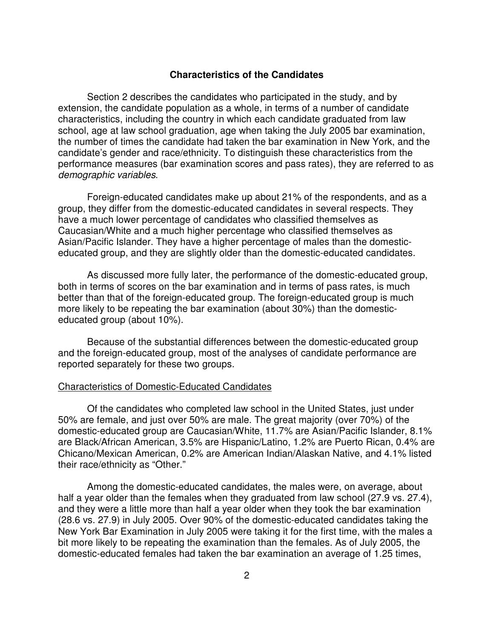#### **Characteristics of the Candidates**

Section 2 describes the candidates who participated in the study, and by extension, the candidate population as a whole, in terms of a number of candidate characteristics, including the country in which each candidate graduated from law school, age at law school graduation, age when taking the July 2005 bar examination, the number of times the candidate had taken the bar examination in New York, and the candidate's gender and race/ethnicity. To distinguish these characteristics from the performance measures (bar examination scores and pass rates), they are referred to as *demographic variables*.

Foreign-educated candidates make up about 21% of the respondents, and as a group, they differ from the domestic-educated candidates in several respects. They have a much lower percentage of candidates who classified themselves as Caucasian/White and a much higher percentage who classified themselves as Asian/Pacific Islander. They have a higher percentage of males than the domesticeducated group, and they are slightly older than the domestic-educated candidates.

As discussed more fully later, the performance of the domestic-educated group, both in terms of scores on the bar examination and in terms of pass rates, is much better than that of the foreign-educated group. The foreign-educated group is much more likely to be repeating the bar examination (about 30%) than the domesticeducated group (about 10%).

Because of the substantial differences between the domestic-educated group and the foreign-educated group, most of the analyses of candidate performance are reported separately for these two groups.

#### Characteristics of Domestic-Educated Candidates

Of the candidates who completed law school in the United States, just under 50% are female, and just over 50% are male. The great majority (over 70%) of the domestic-educated group are Caucasian/White, 11.7% are Asian/Pacific Islander, 8.1% are Black/African American, 3.5% are Hispanic/Latino, 1.2% are Puerto Rican, 0.4% are Chicano/Mexican American, 0.2% are American Indian/Alaskan Native, and 4.1% listed their race/ethnicity as "Other."

Among the domestic-educated candidates, the males were, on average, about half a year older than the females when they graduated from law school (27.9 vs. 27.4), and they were a little more than half a year older when they took the bar examination (28.6 vs. 27.9) in July 2005. Over 90% of the domestic-educated candidates taking the New York Bar Examination in July 2005 were taking it for the first time, with the males a bit more likely to be repeating the examination than the females. As of July 2005, the domestic-educated females had taken the bar examination an average of 1.25 times,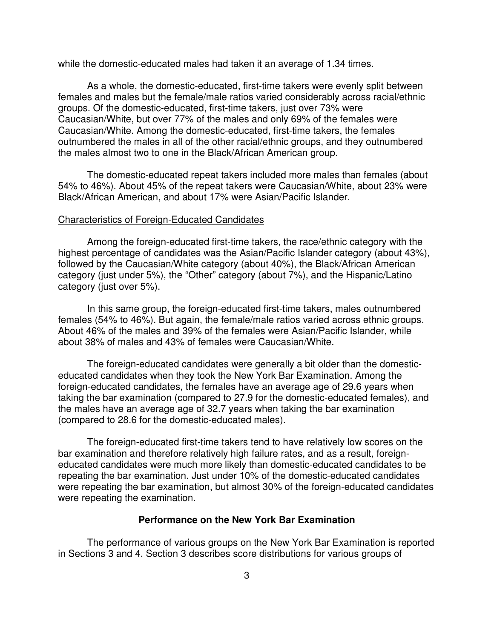while the domestic-educated males had taken it an average of 1.34 times.

As a whole, the domestic-educated, first-time takers were evenly split between females and males but the female/male ratios varied considerably across racial/ethnic groups. Of the domestic-educated, first-time takers, just over 73% were Caucasian/White, but over 77% of the males and only 69% of the females were Caucasian/White. Among the domestic-educated, first-time takers, the females outnumbered the males in all of the other racial/ethnic groups, and they outnumbered the males almost two to one in the Black/African American group.

The domestic-educated repeat takers included more males than females (about 54% to 46%). About 45% of the repeat takers were Caucasian/White, about 23% were Black/African American, and about 17% were Asian/Pacific Islander.

#### Characteristics of Foreign-Educated Candidates

Among the foreign-educated first-time takers, the race/ethnic category with the highest percentage of candidates was the Asian/Pacific Islander category (about 43%), followed by the Caucasian/White category (about 40%), the Black/African American category (just under 5%), the "Other" category (about 7%), and the Hispanic/Latino category (just over 5%).

In this same group, the foreign-educated first-time takers, males outnumbered females (54% to 46%). But again, the female/male ratios varied across ethnic groups. About 46% of the males and 39% of the females were Asian/Pacific Islander, while about 38% of males and 43% of females were Caucasian/White.

The foreign-educated candidates were generally a bit older than the domesticeducated candidates when they took the New York Bar Examination. Among the foreign-educated candidates, the females have an average age of 29.6 years when taking the bar examination (compared to 27.9 for the domestic-educated females), and the males have an average age of 32.7 years when taking the bar examination (compared to 28.6 for the domestic-educated males).

The foreign-educated first-time takers tend to have relatively low scores on the bar examination and therefore relatively high failure rates, and as a result, foreigneducated candidates were much more likely than domestic-educated candidates to be repeating the bar examination. Just under 10% of the domestic-educated candidates were repeating the bar examination, but almost 30% of the foreign-educated candidates were repeating the examination.

#### **Performance on the New York Bar Examination**

The performance of various groups on the New York Bar Examination is reported in Sections 3 and 4. Section 3 describes score distributions for various groups of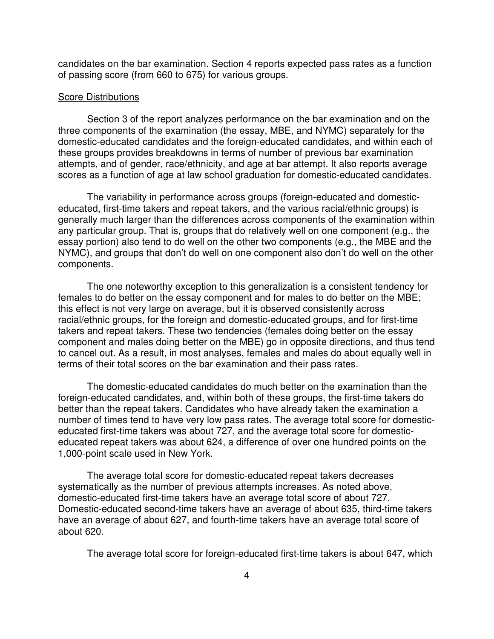candidates on the bar examination. Section 4 reports expected pass rates as a function of passing score (from 660 to 675) for various groups.

#### Score Distributions

Section 3 of the report analyzes performance on the bar examination and on the three components of the examination (the essay, MBE, and NYMC) separately for the domestic-educated candidates and the foreign-educated candidates, and within each of these groups provides breakdowns in terms of number of previous bar examination attempts, and of gender, race/ethnicity, and age at bar attempt. It also reports average scores as a function of age at law school graduation for domestic-educated candidates.

The variability in performance across groups (foreign-educated and domesticeducated, first-time takers and repeat takers, and the various racial/ethnic groups) is generally much larger than the differences across components of the examination within any particular group. That is, groups that do relatively well on one component (e.g., the essay portion) also tend to do well on the other two components (e.g., the MBE and the NYMC), and groups that don't do well on one component also don't do well on the other components.

The one noteworthy exception to this generalization is a consistent tendency for females to do better on the essay component and for males to do better on the MBE; this effect is not very large on average, but it is observed consistently across racial/ethnic groups, for the foreign and domestic-educated groups, and for first-time takers and repeat takers. These two tendencies (females doing better on the essay component and males doing better on the MBE) go in opposite directions, and thus tend to cancel out. As a result, in most analyses, females and males do about equally well in terms of their total scores on the bar examination and their pass rates.

The domestic-educated candidates do much better on the examination than the foreign-educated candidates, and, within both of these groups, the first-time takers do better than the repeat takers. Candidates who have already taken the examination a number of times tend to have very low pass rates. The average total score for domesticeducated first-time takers was about 727, and the average total score for domesticeducated repeat takers was about 624, a difference of over one hundred points on the 1,000-point scale used in New York.

The average total score for domestic-educated repeat takers decreases systematically as the number of previous attempts increases. As noted above, domestic-educated first-time takers have an average total score of about 727. Domestic-educated second-time takers have an average of about 635, third-time takers have an average of about 627, and fourth-time takers have an average total score of about 620.

The average total score for foreign-educated first-time takers is about 647, which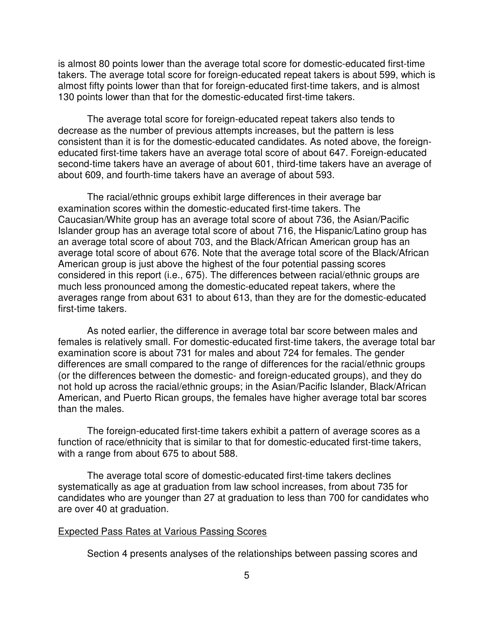is almost 80 points lower than the average total score for domestic-educated first-time takers. The average total score for foreign-educated repeat takers is about 599, which is almost fifty points lower than that for foreign-educated first-time takers, and is almost 130 points lower than that for the domestic-educated first-time takers.

The average total score for foreign-educated repeat takers also tends to decrease as the number of previous attempts increases, but the pattern is less consistent than it is for the domestic-educated candidates. As noted above, the foreigneducated first-time takers have an average total score of about 647. Foreign-educated second-time takers have an average of about 601, third-time takers have an average of about 609, and fourth-time takers have an average of about 593.

The racial/ethnic groups exhibit large differences in their average bar examination scores within the domestic-educated first-time takers. The Caucasian/White group has an average total score of about 736, the Asian/Pacific Islander group has an average total score of about 716, the Hispanic/Latino group has an average total score of about 703, and the Black/African American group has an average total score of about 676. Note that the average total score of the Black/African American group is just above the highest of the four potential passing scores considered in this report (i.e., 675). The differences between racial/ethnic groups are much less pronounced among the domestic-educated repeat takers, where the averages range from about 631 to about 613, than they are for the domestic-educated first-time takers.

As noted earlier, the difference in average total bar score between males and females is relatively small. For domestic-educated first-time takers, the average total bar examination score is about 731 for males and about 724 for females. The gender differences are small compared to the range of differences for the racial/ethnic groups (or the differences between the domestic- and foreign-educated groups), and they do not hold up across the racial/ethnic groups; in the Asian/Pacific Islander, Black/African American, and Puerto Rican groups, the females have higher average total bar scores than the males.

The foreign-educated first-time takers exhibit a pattern of average scores as a function of race/ethnicity that is similar to that for domestic-educated first-time takers, with a range from about 675 to about 588.

The average total score of domestic-educated first-time takers declines systematically as age at graduation from law school increases, from about 735 for candidates who are younger than 27 at graduation to less than 700 for candidates who are over 40 at graduation.

#### Expected Pass Rates at Various Passing Scores

Section 4 presents analyses of the relationships between passing scores and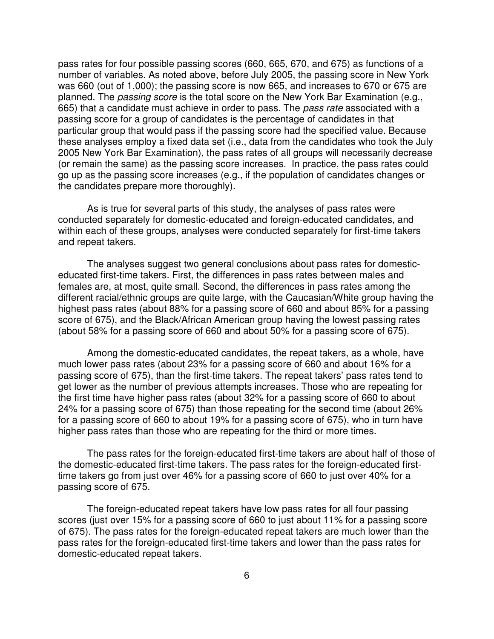pass rates for four possible passing scores (660, 665, 670, and 675) as functions of a number of variables. As noted above, before July 2005, the passing score in New York was 660 (out of 1,000); the passing score is now 665, and increases to 670 or 675 are planned. The *passing score* is the total score on the New York Bar Examination (e.g., 665) that a candidate must achieve in order to pass. The *pass rate* associated with a passing score for a group of candidates is the percentage of candidates in that particular group that would pass if the passing score had the specified value. Because these analyses employ a fixed data set (i.e., data from the candidates who took the July 2005 New York Bar Examination), the pass rates of all groups will necessarily decrease (or remain the same) as the passing score increases. In practice, the pass rates could go up as the passing score increases (e.g., if the population of candidates changes or the candidates prepare more thoroughly).

As is true for several parts of this study, the analyses of pass rates were conducted separately for domestic-educated and foreign-educated candidates, and within each of these groups, analyses were conducted separately for first-time takers and repeat takers.

The analyses suggest two general conclusions about pass rates for domesticeducated first-time takers. First, the differences in pass rates between males and females are, at most, quite small. Second, the differences in pass rates among the different racial/ethnic groups are quite large, with the Caucasian/White group having the highest pass rates (about 88% for a passing score of 660 and about 85% for a passing score of 675), and the Black/African American group having the lowest passing rates (about 58% for a passing score of 660 and about 50% for a passing score of 675).

Among the domestic-educated candidates, the repeat takers, as a whole, have much lower pass rates (about 23% for a passing score of 660 and about 16% for a passing score of 675), than the first-time takers. The repeat takers' pass rates tend to get lower as the number of previous attempts increases. Those who are repeating for the first time have higher pass rates (about 32% for a passing score of 660 to about 24% for a passing score of 675) than those repeating for the second time (about 26% for a passing score of 660 to about 19% for a passing score of 675), who in turn have higher pass rates than those who are repeating for the third or more times.

The pass rates for the foreign-educated first-time takers are about half of those of the domestic-educated first-time takers. The pass rates for the foreign-educated firsttime takers go from just over 46% for a passing score of 660 to just over 40% for a passing score of 675.

The foreign-educated repeat takers have low pass rates for all four passing scores (just over 15% for a passing score of 660 to just about 11% for a passing score of 675). The pass rates for the foreign-educated repeat takers are much lower than the pass rates for the foreign-educated first-time takers and lower than the pass rates for domestic-educated repeat takers.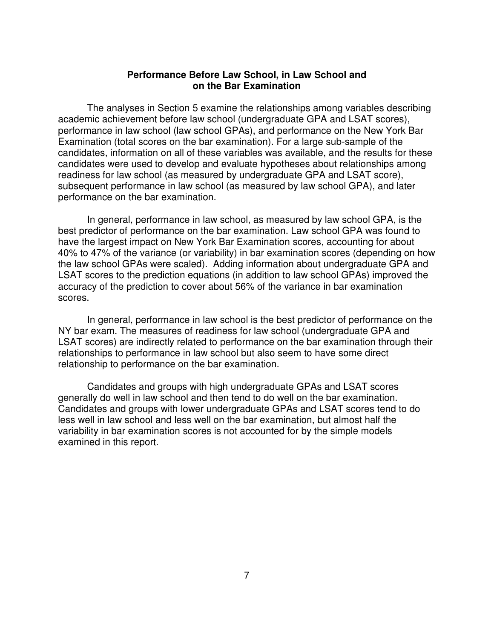## **Performance Before Law School, in Law School and on the Bar Examination**

The analyses in Section 5 examine the relationships among variables describing academic achievement before law school (undergraduate GPA and LSAT scores), performance in law school (law school GPAs), and performance on the New York Bar Examination (total scores on the bar examination). For a large sub-sample of the candidates, information on all of these variables was available, and the results for these candidates were used to develop and evaluate hypotheses about relationships among readiness for law school (as measured by undergraduate GPA and LSAT score), subsequent performance in law school (as measured by law school GPA), and later performance on the bar examination.

In general, performance in law school, as measured by law school GPA, is the best predictor of performance on the bar examination. Law school GPA was found to have the largest impact on New York Bar Examination scores, accounting for about 40% to 47% of the variance (or variability) in bar examination scores (depending on how the law school GPAs were scaled). Adding information about undergraduate GPA and LSAT scores to the prediction equations (in addition to law school GPAs) improved the accuracy of the prediction to cover about 56% of the variance in bar examination scores.

In general, performance in law school is the best predictor of performance on the NY bar exam. The measures of readiness for law school (undergraduate GPA and LSAT scores) are indirectly related to performance on the bar examination through their relationships to performance in law school but also seem to have some direct relationship to performance on the bar examination.

Candidates and groups with high undergraduate GPAs and LSAT scores generally do well in law school and then tend to do well on the bar examination. Candidates and groups with lower undergraduate GPAs and LSAT scores tend to do less well in law school and less well on the bar examination, but almost half the variability in bar examination scores is not accounted for by the simple models examined in this report.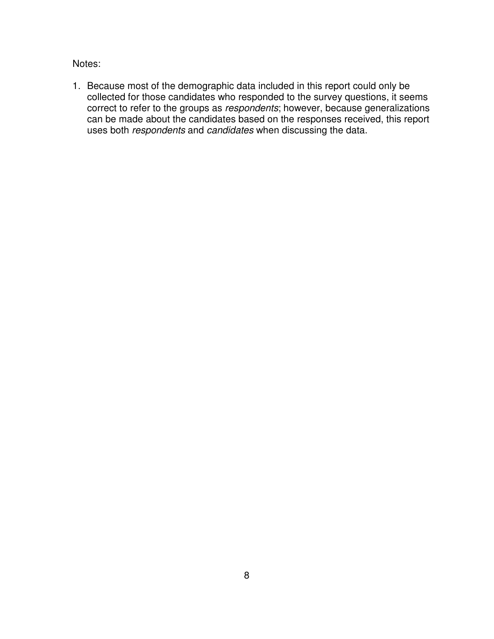Notes:

1. Because most of the demographic data included in this report could only be collected for those candidates who responded to the survey questions, it seems correct to refer to the groups as *respondents*; however, because generalizations can be made about the candidates based on the responses received, this report uses both *respondents* and *candidates* when discussing the data.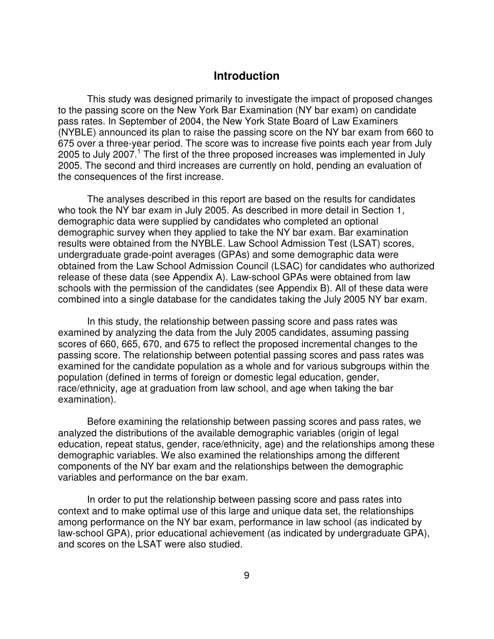# **Introduction**

This study was designed primarily to investigate the impact of proposed changes to the passing score on the New York Bar Examination (NY bar exam) on candidate pass rates. In September of 2004, the New York State Board of Law Examiners (NYBLE) announced its plan to raise the passing score on the NY bar exam from 660 to 675 over a three-year period. The score was to increase five points each year from July 2005 to July 2007.<sup>1</sup> The first of the three proposed increases was implemented in July 2005. The second and third increases are currently on hold, pending an evaluation of the consequences of the first increase.

The analyses described in this report are based on the results for candidates who took the NY bar exam in July 2005. As described in more detail in Section 1, demographic data were supplied by candidates who completed an optional demographic survey when they applied to take the NY bar exam. Bar examination results were obtained from the NYBLE. Law School Admission Test (LSAT) scores, undergraduate grade-point averages (GPAs) and some demographic data were obtained from the Law School Admission Council (LSAC) for candidates who authorized release of these data (see Appendix A). Law-school GPAs were obtained from law schools with the permission of the candidates (see Appendix B). All of these data were combined into a single database for the candidates taking the July 2005 NY bar exam.

In this study, the relationship between passing score and pass rates was examined by analyzing the data from the July 2005 candidates, assuming passing scores of 660, 665, 670, and 675 to reflect the proposed incremental changes to the passing score. The relationship between potential passing scores and pass rates was examined for the candidate population as a whole and for various subgroups within the population (defined in terms of foreign or domestic legal education, gender, race/ethnicity, age at graduation from law school, and age when taking the bar examination).

Before examining the relationship between passing scores and pass rates, we analyzed the distributions of the available demographic variables (origin of legal education, repeat status, gender, race/ethnicity, age) and the relationships among these demographic variables. We also examined the relationships among the different components of the NY bar exam and the relationships between the demographic variables and performance on the bar exam.

In order to put the relationship between passing score and pass rates into context and to make optimal use of this large and unique data set, the relationships among performance on the NY bar exam, performance in law school (as indicated by law-school GPA), prior educational achievement (as indicated by undergraduate GPA), and scores on the LSAT were also studied.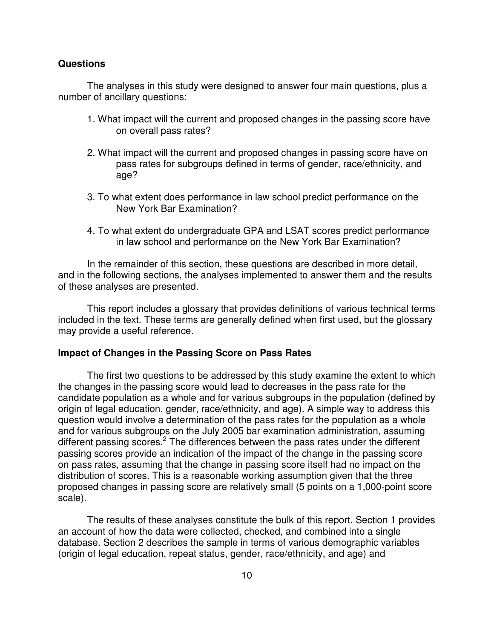## **Questions**

The analyses in this study were designed to answer four main questions, plus a number of ancillary questions:

- 1. What impact will the current and proposed changes in the passing score have on overall pass rates?
- 2. What impact will the current and proposed changes in passing score have on pass rates for subgroups defined in terms of gender, race/ethnicity, and age?
- 3. To what extent does performance in law school predict performance on the New York Bar Examination?
- 4. To what extent do undergraduate GPA and LSAT scores predict performance in law school and performance on the New York Bar Examination?

In the remainder of this section, these questions are described in more detail, and in the following sections, the analyses implemented to answer them and the results of these analyses are presented.

This report includes a glossary that provides definitions of various technical terms included in the text. These terms are generally defined when first used, but the glossary may provide a useful reference.

## **Impact of Changes in the Passing Score on Pass Rates**

The first two questions to be addressed by this study examine the extent to which the changes in the passing score would lead to decreases in the pass rate for the candidate population as a whole and for various subgroups in the population (defined by origin of legal education, gender, race/ethnicity, and age). A simple way to address this question would involve a determination of the pass rates for the population as a whole and for various subgroups on the July 2005 bar examination administration, assuming different passing scores.<sup>2</sup> The differences between the pass rates under the different passing scores provide an indication of the impact of the change in the passing score on pass rates, assuming that the change in passing score itself had no impact on the distribution of scores. This is a reasonable working assumption given that the three proposed changes in passing score are relatively small (5 points on a 1,000-point score scale).

The results of these analyses constitute the bulk of this report. Section 1 provides an account of how the data were collected, checked, and combined into a single database. Section 2 describes the sample in terms of various demographic variables (origin of legal education, repeat status, gender, race/ethnicity, and age) and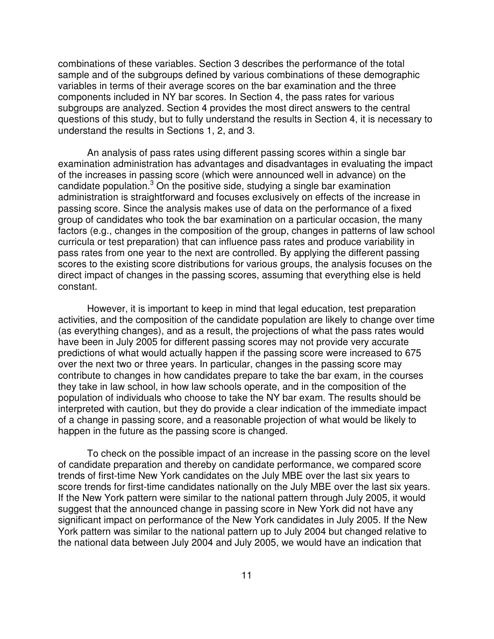combinations of these variables. Section 3 describes the performance of the total sample and of the subgroups defined by various combinations of these demographic variables in terms of their average scores on the bar examination and the three components included in NY bar scores. In Section 4, the pass rates for various subgroups are analyzed. Section 4 provides the most direct answers to the central questions of this study, but to fully understand the results in Section 4, it is necessary to understand the results in Sections 1, 2, and 3.

An analysis of pass rates using different passing scores within a single bar examination administration has advantages and disadvantages in evaluating the impact of the increases in passing score (which were announced well in advance) on the candidate population.<sup>3</sup> On the positive side, studying a single bar examination administration is straightforward and focuses exclusively on effects of the increase in passing score. Since the analysis makes use of data on the performance of a fixed group of candidates who took the bar examination on a particular occasion, the many factors (e.g., changes in the composition of the group, changes in patterns of law school curricula or test preparation) that can influence pass rates and produce variability in pass rates from one year to the next are controlled. By applying the different passing scores to the existing score distributions for various groups, the analysis focuses on the direct impact of changes in the passing scores, assuming that everything else is held constant.

However, it is important to keep in mind that legal education, test preparation activities, and the composition of the candidate population are likely to change over time (as everything changes), and as a result, the projections of what the pass rates would have been in July 2005 for different passing scores may not provide very accurate predictions of what would actually happen if the passing score were increased to 675 over the next two or three years. In particular, changes in the passing score may contribute to changes in how candidates prepare to take the bar exam, in the courses they take in law school, in how law schools operate, and in the composition of the population of individuals who choose to take the NY bar exam. The results should be interpreted with caution, but they do provide a clear indication of the immediate impact of a change in passing score, and a reasonable projection of what would be likely to happen in the future as the passing score is changed.

To check on the possible impact of an increase in the passing score on the level of candidate preparation and thereby on candidate performance, we compared score trends of first-time New York candidates on the July MBE over the last six years to score trends for first-time candidates nationally on the July MBE over the last six years. If the New York pattern were similar to the national pattern through July 2005, it would suggest that the announced change in passing score in New York did not have any significant impact on performance of the New York candidates in July 2005. If the New York pattern was similar to the national pattern up to July 2004 but changed relative to the national data between July 2004 and July 2005, we would have an indication that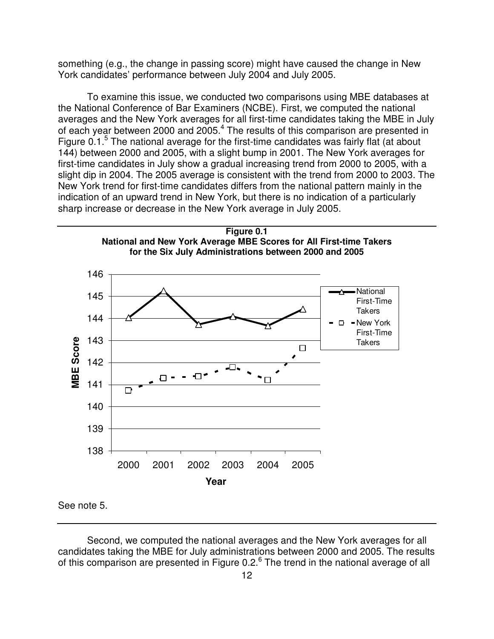something (e.g., the change in passing score) might have caused the change in New York candidates' performance between July 2004 and July 2005.

To examine this issue, we conducted two comparisons using MBE databases at the National Conference of Bar Examiners (NCBE). First, we computed the national averages and the New York averages for all first-time candidates taking the MBE in July of each year between 2000 and 2005.<sup>4</sup> The results of this comparison are presented in Figure 0.1.<sup>5</sup> The national average for the first-time candidates was fairly flat (at about 144) between 2000 and 2005, with a slight bump in 2001. The New York averages for first-time candidates in July show a gradual increasing trend from 2000 to 2005, with a slight dip in 2004. The 2005 average is consistent with the trend from 2000 to 2003. The New York trend for first-time candidates differs from the national pattern mainly in the indication of an upward trend in New York, but there is no indication of a particularly sharp increase or decrease in the New York average in July 2005.



Second, we computed the national averages and the New York averages for all candidates taking the MBE for July administrations between 2000 and 2005. The results of this comparison are presented in Figure 0.2.<sup>6</sup> The trend in the national average of all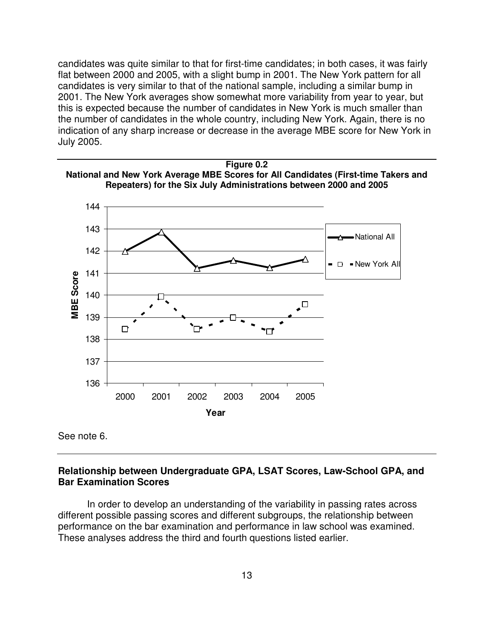candidates was quite similar to that for first-time candidates; in both cases, it was fairly flat between 2000 and 2005, with a slight bump in 2001. The New York pattern for all candidates is very similar to that of the national sample, including a similar bump in 2001. The New York averages show somewhat more variability from year to year, but this is expected because the number of candidates in New York is much smaller than the number of candidates in the whole country, including New York. Again, there is no indication of any sharp increase or decrease in the average MBE score for New York in July 2005.



See note 6.

# **Relationship between Undergraduate GPA, LSAT Scores, Law-School GPA, and Bar Examination Scores**

In order to develop an understanding of the variability in passing rates across different possible passing scores and different subgroups, the relationship between performance on the bar examination and performance in law school was examined. These analyses address the third and fourth questions listed earlier.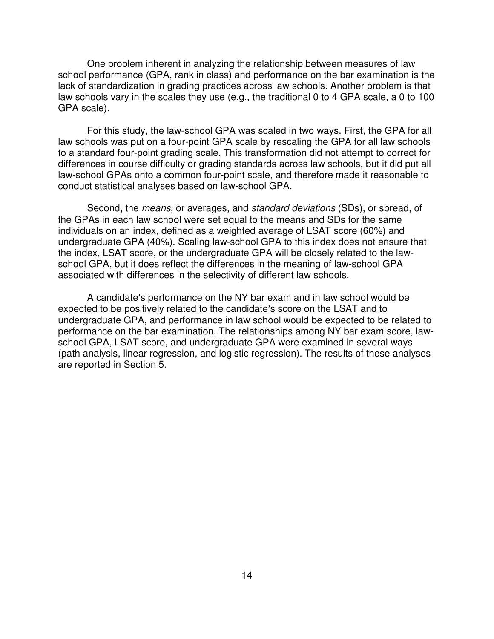One problem inherent in analyzing the relationship between measures of law school performance (GPA, rank in class) and performance on the bar examination is the lack of standardization in grading practices across law schools. Another problem is that law schools vary in the scales they use (e.g., the traditional 0 to 4 GPA scale, a 0 to 100 GPA scale).

For this study, the law-school GPA was scaled in two ways. First, the GPA for all law schools was put on a four-point GPA scale by rescaling the GPA for all law schools to a standard four-point grading scale. This transformation did not attempt to correct for differences in course difficulty or grading standards across law schools, but it did put all law-school GPAs onto a common four-point scale, and therefore made it reasonable to conduct statistical analyses based on law-school GPA.

Second, the *means*, or averages, and *standard deviations* (SDs), or spread, of the GPAs in each law school were set equal to the means and SDs for the same individuals on an index, defined as a weighted average of LSAT score (60%) and undergraduate GPA (40%). Scaling law-school GPA to this index does not ensure that the index, LSAT score, or the undergraduate GPA will be closely related to the lawschool GPA, but it does reflect the differences in the meaning of law-school GPA associated with differences in the selectivity of different law schools.

A candidate's performance on the NY bar exam and in law school would be expected to be positively related to the candidate's score on the LSAT and to undergraduate GPA, and performance in law school would be expected to be related to performance on the bar examination. The relationships among NY bar exam score, lawschool GPA, LSAT score, and undergraduate GPA were examined in several ways (path analysis, linear regression, and logistic regression). The results of these analyses are reported in Section 5.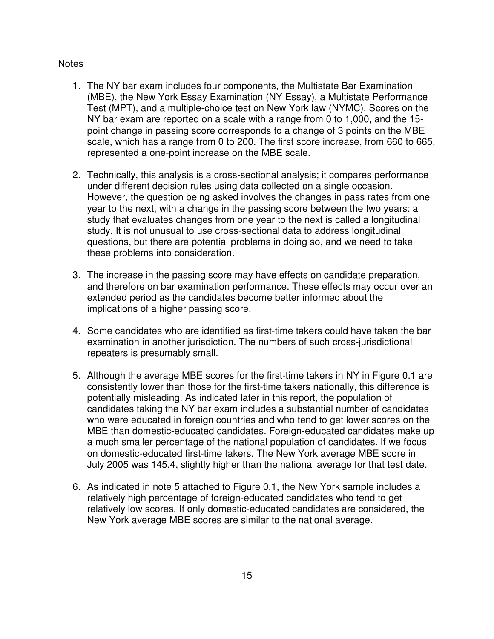# **Notes**

- 1. The NY bar exam includes four components, the Multistate Bar Examination (MBE), the New York Essay Examination (NY Essay), a Multistate Performance Test (MPT), and a multiple-choice test on New York law (NYMC). Scores on the NY bar exam are reported on a scale with a range from 0 to 1,000, and the 15 point change in passing score corresponds to a change of 3 points on the MBE scale, which has a range from 0 to 200. The first score increase, from 660 to 665, represented a one-point increase on the MBE scale.
- 2. Technically, this analysis is a cross-sectional analysis; it compares performance under different decision rules using data collected on a single occasion. However, the question being asked involves the changes in pass rates from one year to the next, with a change in the passing score between the two years; a study that evaluates changes from one year to the next is called a longitudinal study. It is not unusual to use cross-sectional data to address longitudinal questions, but there are potential problems in doing so, and we need to take these problems into consideration.
- 3. The increase in the passing score may have effects on candidate preparation, and therefore on bar examination performance. These effects may occur over an extended period as the candidates become better informed about the implications of a higher passing score.
- 4. Some candidates who are identified as first-time takers could have taken the bar examination in another jurisdiction. The numbers of such cross-jurisdictional repeaters is presumably small.
- 5. Although the average MBE scores for the first-time takers in NY in Figure 0.1 are consistently lower than those for the first-time takers nationally, this difference is potentially misleading. As indicated later in this report, the population of candidates taking the NY bar exam includes a substantial number of candidates who were educated in foreign countries and who tend to get lower scores on the MBE than domestic-educated candidates. Foreign-educated candidates make up a much smaller percentage of the national population of candidates. If we focus on domestic-educated first-time takers. The New York average MBE score in July 2005 was 145.4, slightly higher than the national average for that test date.
- 6. As indicated in note 5 attached to Figure 0.1, the New York sample includes a relatively high percentage of foreign-educated candidates who tend to get relatively low scores. If only domestic-educated candidates are considered, the New York average MBE scores are similar to the national average.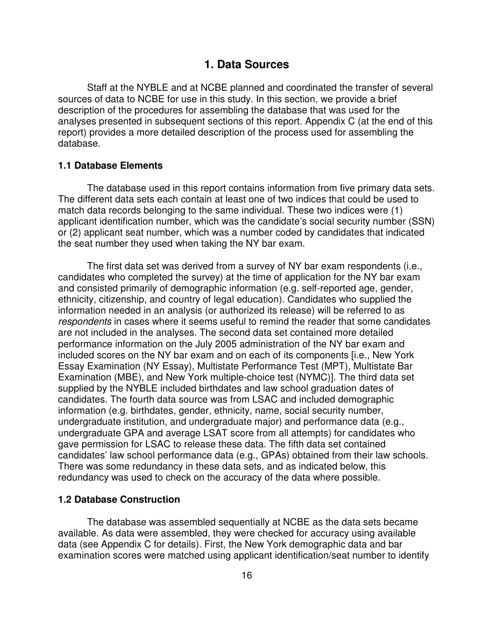# **1. Data Sources**

Staff at the NYBLE and at NCBE planned and coordinated the transfer of several sources of data to NCBE for use in this study. In this section, we provide a brief description of the procedures for assembling the database that was used for the analyses presented in subsequent sections of this report. Appendix C (at the end of this report) provides a more detailed description of the process used for assembling the database.

# **1.1 Database Elements**

The database used in this report contains information from five primary data sets. The different data sets each contain at least one of two indices that could be used to match data records belonging to the same individual. These two indices were (1) applicant identification number, which was the candidate's social security number (SSN) or (2) applicant seat number, which was a number coded by candidates that indicated the seat number they used when taking the NY bar exam.

The first data set was derived from a survey of NY bar exam respondents (i.e., candidates who completed the survey) at the time of application for the NY bar exam and consisted primarily of demographic information (e.g. self-reported age, gender, ethnicity, citizenship, and country of legal education). Candidates who supplied the information needed in an analysis (or authorized its release) will be referred to as *respondents* in cases where it seems useful to remind the reader that some candidates are not included in the analyses. The second data set contained more detailed performance information on the July 2005 administration of the NY bar exam and included scores on the NY bar exam and on each of its components [i.e., New York Essay Examination (NY Essay), Multistate Performance Test (MPT), Multistate Bar Examination (MBE), and New York multiple-choice test (NYMC)]. The third data set supplied by the NYBLE included birthdates and law school graduation dates of candidates. The fourth data source was from LSAC and included demographic information (e.g. birthdates, gender, ethnicity, name, social security number, undergraduate institution, and undergraduate major) and performance data (e.g., undergraduate GPA and average LSAT score from all attempts) for candidates who gave permission for LSAC to release these data. The fifth data set contained candidates' law school performance data (e.g., GPAs) obtained from their law schools. There was some redundancy in these data sets, and as indicated below, this redundancy was used to check on the accuracy of the data where possible.

## **1.2 Database Construction**

The database was assembled sequentially at NCBE as the data sets became available. As data were assembled, they were checked for accuracy using available data (see Appendix C for details). First, the New York demographic data and bar examination scores were matched using applicant identification/seat number to identify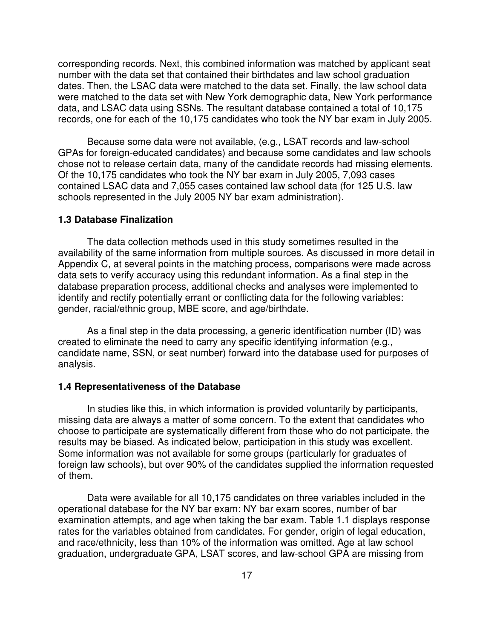corresponding records. Next, this combined information was matched by applicant seat number with the data set that contained their birthdates and law school graduation dates. Then, the LSAC data were matched to the data set. Finally, the law school data were matched to the data set with New York demographic data, New York performance data, and LSAC data using SSNs. The resultant database contained a total of 10,175 records, one for each of the 10,175 candidates who took the NY bar exam in July 2005.

Because some data were not available, (e.g., LSAT records and law-school GPAs for foreign-educated candidates) and because some candidates and law schools chose not to release certain data, many of the candidate records had missing elements. Of the 10,175 candidates who took the NY bar exam in July 2005, 7,093 cases contained LSAC data and 7,055 cases contained law school data (for 125 U.S. law schools represented in the July 2005 NY bar exam administration).

#### **1.3 Database Finalization**

The data collection methods used in this study sometimes resulted in the availability of the same information from multiple sources. As discussed in more detail in Appendix C, at several points in the matching process, comparisons were made across data sets to verify accuracy using this redundant information. As a final step in the database preparation process, additional checks and analyses were implemented to identify and rectify potentially errant or conflicting data for the following variables: gender, racial/ethnic group, MBE score, and age/birthdate.

As a final step in the data processing, a generic identification number (ID) was created to eliminate the need to carry any specific identifying information (e.g., candidate name, SSN, or seat number) forward into the database used for purposes of analysis.

### **1.4 Representativeness of the Database**

In studies like this, in which information is provided voluntarily by participants, missing data are always a matter of some concern. To the extent that candidates who choose to participate are systematically different from those who do not participate, the results may be biased. As indicated below, participation in this study was excellent. Some information was not available for some groups (particularly for graduates of foreign law schools), but over 90% of the candidates supplied the information requested of them.

Data were available for all 10,175 candidates on three variables included in the operational database for the NY bar exam: NY bar exam scores, number of bar examination attempts, and age when taking the bar exam. Table 1.1 displays response rates for the variables obtained from candidates. For gender, origin of legal education, and race/ethnicity, less than 10% of the information was omitted. Age at law school graduation, undergraduate GPA, LSAT scores, and law-school GPA are missing from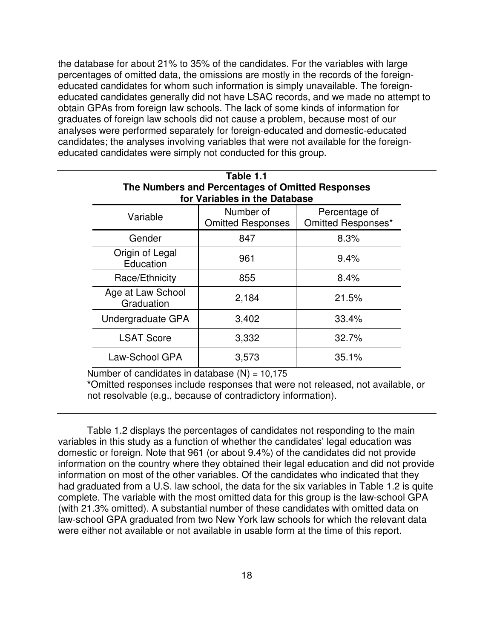the database for about 21% to 35% of the candidates. For the variables with large percentages of omitted data, the omissions are mostly in the records of the foreigneducated candidates for whom such information is simply unavailable. The foreigneducated candidates generally did not have LSAC records, and we made no attempt to obtain GPAs from foreign law schools. The lack of some kinds of information for graduates of foreign law schools did not cause a problem, because most of our analyses were performed separately for foreign-educated and domestic-educated candidates; the analyses involving variables that were not available for the foreigneducated candidates were simply not conducted for this group.

| Table 1.1<br>The Numbers and Percentages of Omitted Responses<br>for Variables in the Database |                                       |                                     |  |  |  |
|------------------------------------------------------------------------------------------------|---------------------------------------|-------------------------------------|--|--|--|
| Variable                                                                                       | Number of<br><b>Omitted Responses</b> | Percentage of<br>Omitted Responses* |  |  |  |
| Gender                                                                                         | 847                                   | 8.3%                                |  |  |  |
| Origin of Legal<br>Education                                                                   | 961                                   | 9.4%                                |  |  |  |
| Race/Ethnicity                                                                                 | 855                                   | 8.4%                                |  |  |  |
| Age at Law School<br>Graduation                                                                | 2,184                                 | 21.5%                               |  |  |  |
| Undergraduate GPA                                                                              | 3,402                                 | 33.4%                               |  |  |  |
| <b>LSAT Score</b>                                                                              | 3,332                                 | 32.7%                               |  |  |  |
| Law-School GPA                                                                                 | 3,573                                 | 35.1%                               |  |  |  |

Number of candidates in database  $(N) = 10,175$ 

**\***Omitted responses include responses that were not released, not available, or not resolvable (e.g., because of contradictory information).

Table 1.2 displays the percentages of candidates not responding to the main variables in this study as a function of whether the candidates' legal education was domestic or foreign. Note that 961 (or about 9.4%) of the candidates did not provide information on the country where they obtained their legal education and did not provide information on most of the other variables. Of the candidates who indicated that they had graduated from a U.S. law school, the data for the six variables in Table 1.2 is quite complete. The variable with the most omitted data for this group is the law-school GPA (with 21.3% omitted). A substantial number of these candidates with omitted data on law-school GPA graduated from two New York law schools for which the relevant data were either not available or not available in usable form at the time of this report.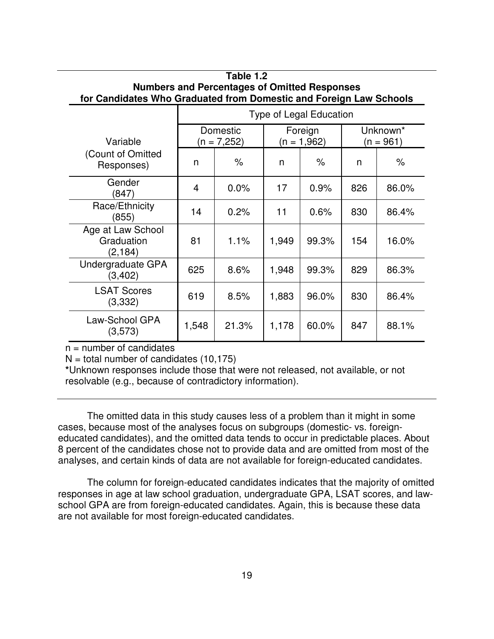| <b>Numbers and Percentages of Omitted Responses</b><br>for Candidates Who Graduated from Domestic and Foreign Law Schools |       |                         |                                                   |       |     |       |
|---------------------------------------------------------------------------------------------------------------------------|-------|-------------------------|---------------------------------------------------|-------|-----|-------|
|                                                                                                                           |       | Type of Legal Education |                                                   |       |     |       |
| Variable                                                                                                                  |       | Domestic<br>(n = 7,252) | Unknown*<br>Foreign<br>$(n = 1,962)$<br>(n = 961) |       |     |       |
| (Count of Omitted<br>Responses)                                                                                           | n     | $\%$                    | n                                                 | $\%$  | n   | $\%$  |
| Gender<br>(847)                                                                                                           | 4     | 0.0%                    | 17                                                | 0.9%  | 826 | 86.0% |
| Race/Ethnicity<br>(855)                                                                                                   | 14    | 0.2%                    | 11                                                | 0.6%  | 830 | 86.4% |
| Age at Law School<br>Graduation<br>(2, 184)                                                                               | 81    | 1.1%                    | 1,949                                             | 99.3% | 154 | 16.0% |
| Undergraduate GPA<br>(3, 402)                                                                                             | 625   | 8.6%                    | 1,948                                             | 99.3% | 829 | 86.3% |
| <b>LSAT Scores</b><br>(3,332)                                                                                             | 619   | 8.5%                    | 1,883                                             | 96.0% | 830 | 86.4% |
| Law-School GPA<br>(3,573)                                                                                                 | 1,548 | 21.3%                   | 1,178                                             | 60.0% | 847 | 88.1% |

# **Table 1.2**

 $n =$  number of candidates

 $N =$  total number of candidates (10,175)

**\***Unknown responses include those that were not released, not available, or not resolvable (e.g., because of contradictory information).

The omitted data in this study causes less of a problem than it might in some cases, because most of the analyses focus on subgroups (domestic- vs. foreigneducated candidates), and the omitted data tends to occur in predictable places. About 8 percent of the candidates chose not to provide data and are omitted from most of the analyses, and certain kinds of data are not available for foreign-educated candidates.

The column for foreign-educated candidates indicates that the majority of omitted responses in age at law school graduation, undergraduate GPA, LSAT scores, and lawschool GPA are from foreign-educated candidates. Again, this is because these data are not available for most foreign-educated candidates.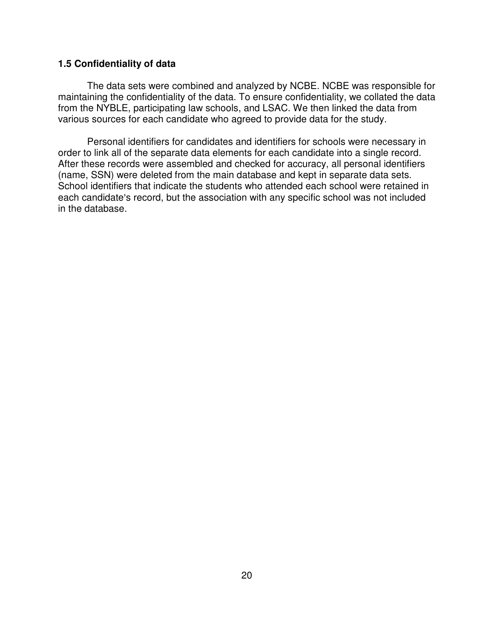## **1.5 Confidentiality of data**

The data sets were combined and analyzed by NCBE. NCBE was responsible for maintaining the confidentiality of the data. To ensure confidentiality, we collated the data from the NYBLE, participating law schools, and LSAC. We then linked the data from various sources for each candidate who agreed to provide data for the study.

Personal identifiers for candidates and identifiers for schools were necessary in order to link all of the separate data elements for each candidate into a single record. After these records were assembled and checked for accuracy, all personal identifiers (name, SSN) were deleted from the main database and kept in separate data sets. School identifiers that indicate the students who attended each school were retained in each candidate's record, but the association with any specific school was not included in the database.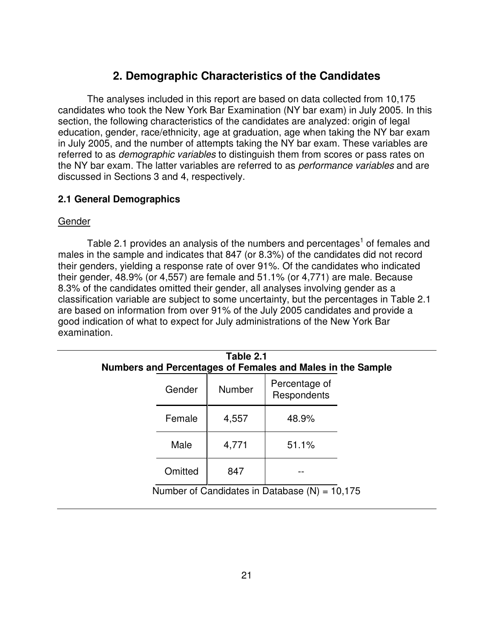# **2. Demographic Characteristics of the Candidates**

The analyses included in this report are based on data collected from 10,175 candidates who took the New York Bar Examination (NY bar exam) in July 2005. In this section, the following characteristics of the candidates are analyzed: origin of legal education, gender, race/ethnicity, age at graduation, age when taking the NY bar exam in July 2005, and the number of attempts taking the NY bar exam. These variables are referred to as *demographic variables* to distinguish them from scores or pass rates on the NY bar exam. The latter variables are referred to as *performance variables* and are discussed in Sections 3 and 4, respectively.

# **2.1 General Demographics**

# Gender

Table 2.1 provides an analysis of the numbers and percentages<sup>1</sup> of females and males in the sample and indicates that 847 (or 8.3%) of the candidates did not record their genders, yielding a response rate of over 91%. Of the candidates who indicated their gender, 48.9% (or 4,557) are female and 51.1% (or 4,771) are male. Because 8.3% of the candidates omitted their gender, all analyses involving gender as a classification variable are subject to some uncertainty, but the percentages in Table 2.1 are based on information from over 91% of the July 2005 candidates and provide a good indication of what to expect for July administrations of the New York Bar examination.

| Table 2.1<br>Numbers and Percentages of Females and Males in the Sample |         |               |                              |  |  |
|-------------------------------------------------------------------------|---------|---------------|------------------------------|--|--|
|                                                                         | Gender  | <b>Number</b> | Percentage of<br>Respondents |  |  |
|                                                                         | Female  | 4,557         | 48.9%                        |  |  |
|                                                                         | Male    | 4,771         | 51.1%                        |  |  |
|                                                                         | Omitted | 847           |                              |  |  |
| Number of Candidates in Database $(N) = 10,175$                         |         |               |                              |  |  |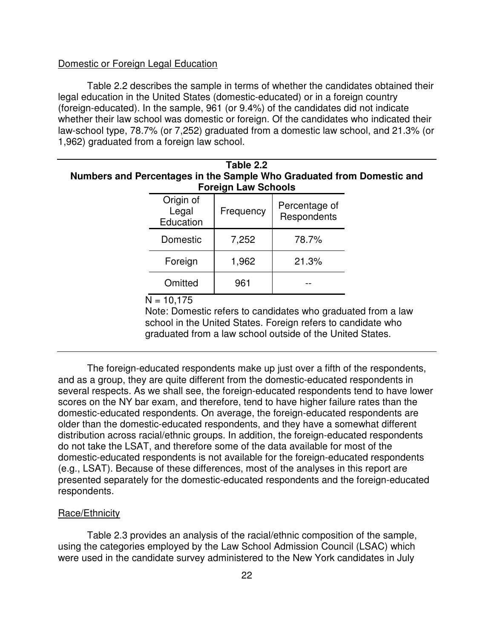#### Domestic or Foreign Legal Education

Table 2.2 describes the sample in terms of whether the candidates obtained their legal education in the United States (domestic-educated) or in a foreign country (foreign-educated). In the sample, 961 (or 9.4%) of the candidates did not indicate whether their law school was domestic or foreign. Of the candidates who indicated their law-school type, 78.7% (or 7,252) graduated from a domestic law school, and 21.3% (or 1,962) graduated from a foreign law school.

| Table 2.2                                                             |
|-----------------------------------------------------------------------|
| Numbers and Percentages in the Sample Who Graduated from Domestic and |
| <b>Foreign Law Schools</b>                                            |
|                                                                       |

| Origin of<br>Legal<br>Education | Frequency | Percentage of<br>Respondents |
|---------------------------------|-----------|------------------------------|
| Domestic                        | 7,252     | 78.7%                        |
| Foreign                         | 1,962     | 21.3%                        |
| Omitted                         | 961       |                              |

 $N = 10.175$ 

Note: Domestic refers to candidates who graduated from a law school in the United States. Foreign refers to candidate who graduated from a law school outside of the United States.

The foreign-educated respondents make up just over a fifth of the respondents, and as a group, they are quite different from the domestic-educated respondents in several respects. As we shall see, the foreign-educated respondents tend to have lower scores on the NY bar exam, and therefore, tend to have higher failure rates than the domestic-educated respondents. On average, the foreign-educated respondents are older than the domestic-educated respondents, and they have a somewhat different distribution across racial/ethnic groups. In addition, the foreign-educated respondents do not take the LSAT, and therefore some of the data available for most of the domestic-educated respondents is not available for the foreign-educated respondents (e.g., LSAT). Because of these differences, most of the analyses in this report are presented separately for the domestic-educated respondents and the foreign-educated respondents.

#### Race/Ethnicity

Table 2.3 provides an analysis of the racial/ethnic composition of the sample, using the categories employed by the Law School Admission Council (LSAC) which were used in the candidate survey administered to the New York candidates in July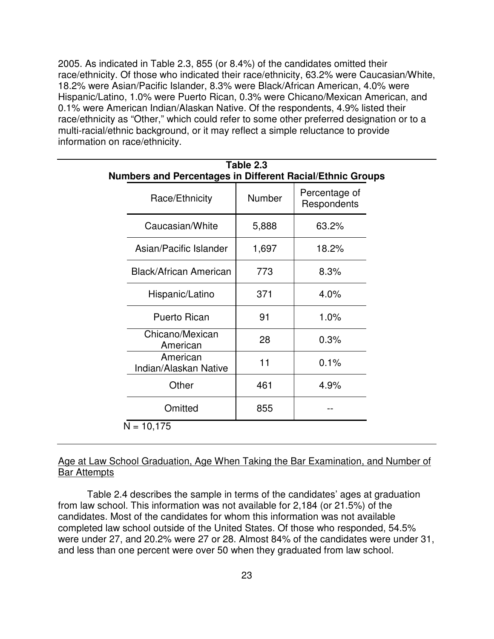2005. As indicated in Table 2.3, 855 (or 8.4%) of the candidates omitted their race/ethnicity. Of those who indicated their race/ethnicity, 63.2% were Caucasian/White, 18.2% were Asian/Pacific Islander, 8.3% were Black/African American, 4.0% were Hispanic/Latino, 1.0% were Puerto Rican, 0.3% were Chicano/Mexican American, and 0.1% were American Indian/Alaskan Native. Of the respondents, 4.9% listed their race/ethnicity as "Other," which could refer to some other preferred designation or to a multi-racial/ethnic background, or it may reflect a simple reluctance to provide information on race/ethnicity.

| Table 2.3<br>Numbers and Percentages in Different Racial/Ethnic Groups |                              |  |  |  |  |
|------------------------------------------------------------------------|------------------------------|--|--|--|--|
| Number                                                                 | Percentage of<br>Respondents |  |  |  |  |
| 5,888                                                                  | 63.2%                        |  |  |  |  |
| 1,697                                                                  | 18.2%                        |  |  |  |  |
| 773                                                                    | 8.3%                         |  |  |  |  |
| 371                                                                    | 4.0%                         |  |  |  |  |
| 91                                                                     | 1.0%                         |  |  |  |  |
| 28                                                                     | 0.3%                         |  |  |  |  |
| 11                                                                     | 0.1%                         |  |  |  |  |
| 461                                                                    | 4.9%                         |  |  |  |  |
| 855                                                                    |                              |  |  |  |  |
|                                                                        |                              |  |  |  |  |

Age at Law School Graduation, Age When Taking the Bar Examination, and Number of **Bar Attempts** 

Table 2.4 describes the sample in terms of the candidates' ages at graduation from law school. This information was not available for 2,184 (or 21.5%) of the candidates. Most of the candidates for whom this information was not available completed law school outside of the United States. Of those who responded, 54.5% were under 27, and 20.2% were 27 or 28. Almost 84% of the candidates were under 31, and less than one percent were over 50 when they graduated from law school.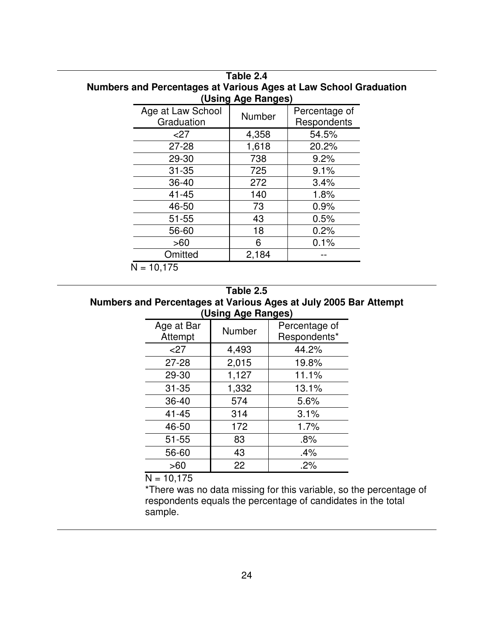| (Using Age Ranges)              |               |                              |  |  |
|---------------------------------|---------------|------------------------------|--|--|
| Age at Law School<br>Graduation | <b>Number</b> | Percentage of<br>Respondents |  |  |
| $<$ 27                          | 4,358         | 54.5%                        |  |  |
| $27 - 28$                       | 1,618         | 20.2%                        |  |  |
| 29-30                           | 738           | 9.2%                         |  |  |
| $31 - 35$                       | 725           | 9.1%                         |  |  |
| $36 - 40$                       | 272           | 3.4%                         |  |  |
| $41 - 45$                       | 140           | 1.8%                         |  |  |
| 46-50                           | 73            | 0.9%                         |  |  |
| $51 - 55$                       | 43            | 0.5%                         |  |  |
| 56-60                           | 18            | 0.2%                         |  |  |
| >60                             | 6             | 0.1%                         |  |  |
| Omitted                         | 2,184         |                              |  |  |

# **Table 2.4 Numbers and Percentages at Various Ages at Law School Graduation**

 $N = 10,175$ 

# **Table 2.5 Numbers and Percentages at Various Ages at July 2005 Bar Attempt (Using Age Ranges)**

|                       | פי<br>◛ |                               |  |  |
|-----------------------|---------|-------------------------------|--|--|
| Age at Bar<br>Attempt | Number  | Percentage of<br>Respondents* |  |  |
| 27                    | 4,493   | 44.2%                         |  |  |
| $27 - 28$             | 2,015   | 19.8%                         |  |  |
| 29-30                 | 1,127   | 11.1%                         |  |  |
| $31 - 35$             | 1,332   | 13.1%                         |  |  |
| 36-40                 | 574     | 5.6%                          |  |  |
| $41 - 45$             | 314     | 3.1%                          |  |  |
| 46-50                 | 172     | 1.7%                          |  |  |
| $51 - 55$             | 83      | .8%                           |  |  |
| 56-60                 | 43      | .4%                           |  |  |
| >60                   | 22      | .2%                           |  |  |

 $N = 10,175$ 

\*There was no data missing for this variable, so the percentage of respondents equals the percentage of candidates in the total sample.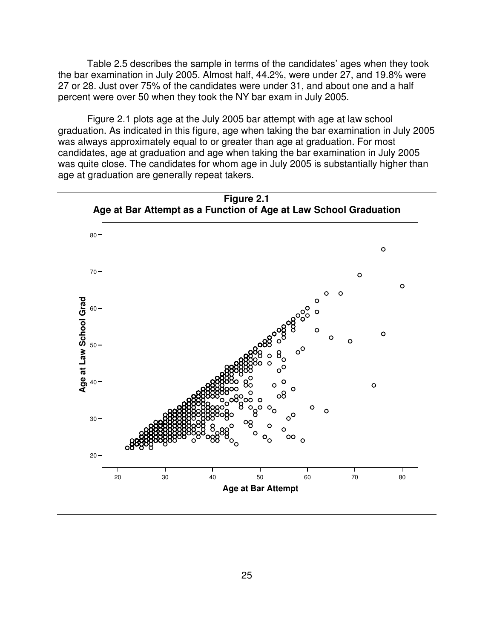Table 2.5 describes the sample in terms of the candidates' ages when they took the bar examination in July 2005. Almost half, 44.2%, were under 27, and 19.8% were 27 or 28. Just over 75% of the candidates were under 31, and about one and a half percent were over 50 when they took the NY bar exam in July 2005.

Figure 2.1 plots age at the July 2005 bar attempt with age at law school graduation. As indicated in this figure, age when taking the bar examination in July 2005 was always approximately equal to or greater than age at graduation. For most candidates, age at graduation and age when taking the bar examination in July 2005 was quite close. The candidates for whom age in July 2005 is substantially higher than age at graduation are generally repeat takers.

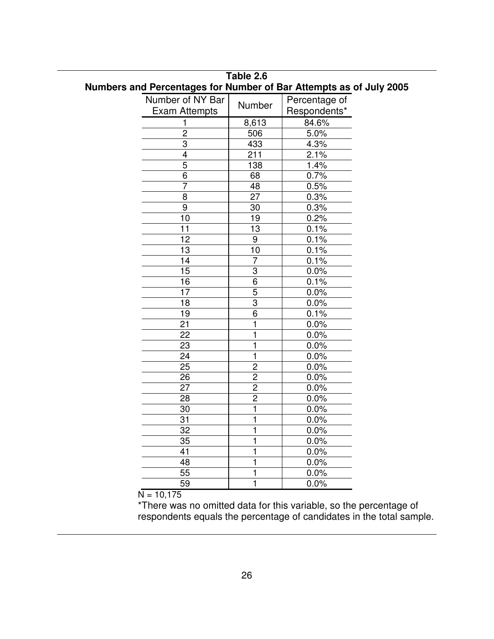|                      |                 | Numbers and Percentages for Number of Bar Attempts as of July 200 |
|----------------------|-----------------|-------------------------------------------------------------------|
| Number of NY Bar     | Number          | Percentage of                                                     |
| <b>Exam Attempts</b> |                 | Respondents*                                                      |
| $\mathbf{1}$         | 8,613           | 84.6%                                                             |
| $\overline{c}$       | 506             | 5.0%                                                              |
| $\overline{3}$       | 433             | 4.3%                                                              |
| 4                    | 211             | 2.1%                                                              |
| $\overline{5}$       | 138             | 1.4%                                                              |
| 6                    | 68              | 0.7%                                                              |
| $\overline{7}$       | $\overline{48}$ | 0.5%                                                              |
| $\overline{8}$       | $\overline{27}$ | 0.3%                                                              |
| $\overline{9}$       | $\overline{30}$ | 0.3%                                                              |
| 10                   | 19              | 0.2%                                                              |
| $\overline{11}$      | $\overline{13}$ | 0.1%                                                              |
| 12                   | 9               | 0.1%                                                              |
| $\overline{13}$      | 10              | 0.1%                                                              |
| 14                   | $\overline{7}$  | 0.1%                                                              |
| 15                   | 3               | $0.0\%$                                                           |
| 16                   | $\overline{6}$  | 0.1%                                                              |
| 17                   | 5               | $0.0\%$                                                           |
| 18                   | $\overline{3}$  | $0.0\%$                                                           |
| 19                   | $\overline{6}$  | 0.1%                                                              |
| 21                   | 1               | $0.0\%$                                                           |
| 22                   | 1               | $0.0\%$                                                           |
| 23                   | 1               | $0.0\%$                                                           |
| 24                   | 1               | 0.0%                                                              |
| $\overline{25}$      | $\overline{2}$  | 0.0%                                                              |
| 26                   | $\overline{2}$  | 0.0%                                                              |
| $\overline{27}$      | $\overline{2}$  | 0.0%                                                              |
| $\overline{28}$      | $\overline{2}$  | 0.0%                                                              |
| 30                   | 1               | 0.0%                                                              |
| $\overline{31}$      | 1               | $0.0\%$                                                           |
| 32                   | 1               | $0.0\%$                                                           |
| 35                   | 1               | $0.0\%$                                                           |
| 41                   | 1               | $0.0\%$                                                           |
| 48                   | 1               | $0.0\%$                                                           |
| 55                   | 1               | $0.0\%$                                                           |
| 59                   | 1               | 0.0%                                                              |
|                      |                 |                                                                   |

**Table 2.6 Numbers and Percentages for Number of Bar Attempts as of July 2005**

 $N = 10,175$ 

\*There was no omitted data for this variable, so the percentage of respondents equals the percentage of candidates in the total sample.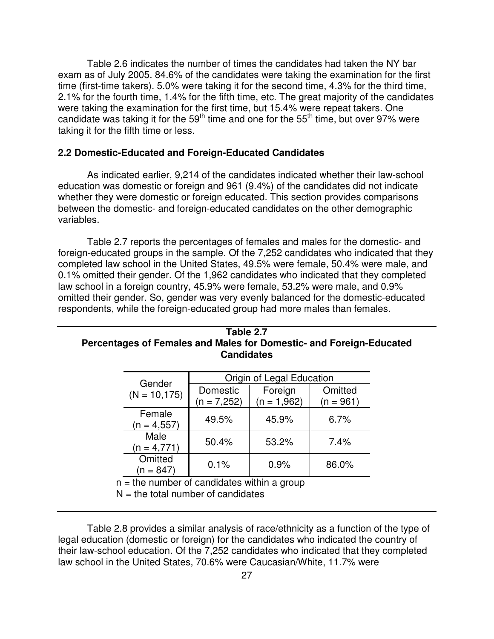Table 2.6 indicates the number of times the candidates had taken the NY bar exam as of July 2005. 84.6% of the candidates were taking the examination for the first time (first-time takers). 5.0% were taking it for the second time, 4.3% for the third time, 2.1% for the fourth time, 1.4% for the fifth time, etc. The great majority of the candidates were taking the examination for the first time, but 15.4% were repeat takers. One candidate was taking it for the 59<sup>th</sup> time and one for the 55<sup>th</sup> time, but over 97% were taking it for the fifth time or less.

# **2.2 Domestic-Educated and Foreign-Educated Candidates**

As indicated earlier, 9,214 of the candidates indicated whether their law-school education was domestic or foreign and 961 (9.4%) of the candidates did not indicate whether they were domestic or foreign educated. This section provides comparisons between the domestic- and foreign-educated candidates on the other demographic variables.

Table 2.7 reports the percentages of females and males for the domestic- and foreign-educated groups in the sample. Of the 7,252 candidates who indicated that they completed law school in the United States, 49.5% were female, 50.4% were male, and 0.1% omitted their gender. Of the 1,962 candidates who indicated that they completed law school in a foreign country, 45.9% were female, 53.2% were male, and 0.9% omitted their gender. So, gender was very evenly balanced for the domestic-educated respondents, while the foreign-educated group had more males than females.

| Table 2.7<br>Percentages of Females and Males for Domestic- and Foreign-Educated<br><b>Candidates</b> |                        |                                             |                           |  |  |
|-------------------------------------------------------------------------------------------------------|------------------------|---------------------------------------------|---------------------------|--|--|
|                                                                                                       |                        |                                             |                           |  |  |
| <b>Domestic</b><br>(n = 7,252)                                                                        | Foreign<br>(n = 1,962) | Omitted<br>(n = 961)                        |                           |  |  |
| 49.5%                                                                                                 | 45.9%                  | 6.7%                                        |                           |  |  |
| 50.4%                                                                                                 | 53.2%                  | 7.4%                                        |                           |  |  |
| 0.1%                                                                                                  | 0.9%                   | 86.0%                                       |                           |  |  |
|                                                                                                       |                        | $-$ the number of candidates within a group | Origin of Legal Education |  |  |

 $n =$  the number of candidates within a group

 $N =$  the total number of candidates

Table 2.8 provides a similar analysis of race/ethnicity as a function of the type of legal education (domestic or foreign) for the candidates who indicated the country of their law-school education. Of the 7,252 candidates who indicated that they completed law school in the United States, 70.6% were Caucasian/White, 11.7% were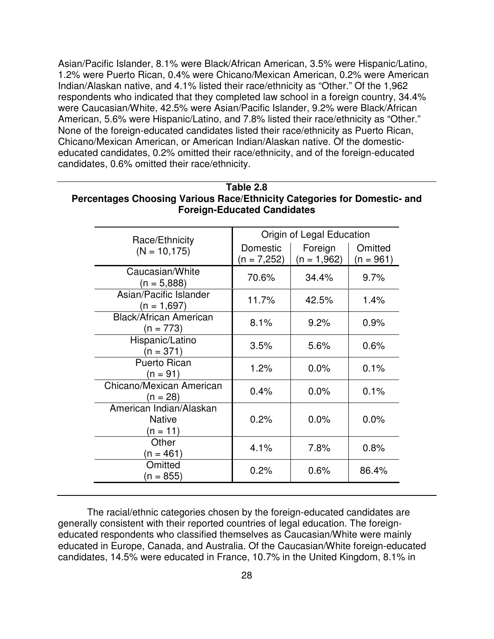Asian/Pacific Islander, 8.1% were Black/African American, 3.5% were Hispanic/Latino, 1.2% were Puerto Rican, 0.4% were Chicano/Mexican American, 0.2% were American Indian/Alaskan native, and 4.1% listed their race/ethnicity as "Other." Of the 1,962 respondents who indicated that they completed law school in a foreign country, 34.4% were Caucasian/White, 42.5% were Asian/Pacific Islander, 9.2% were Black/African American, 5.6% were Hispanic/Latino, and 7.8% listed their race/ethnicity as "Other." None of the foreign-educated candidates listed their race/ethnicity as Puerto Rican, Chicano/Mexican American, or American Indian/Alaskan native. Of the domesticeducated candidates, 0.2% omitted their race/ethnicity, and of the foreign-educated candidates, 0.6% omitted their race/ethnicity.

| Race/Ethnicity                                       | Origin of Legal Education |                          |                        |  |
|------------------------------------------------------|---------------------------|--------------------------|------------------------|--|
| $(N = 10, 175)$                                      | Domestic<br>$(n = 7,252)$ | Foreign<br>$(n = 1,962)$ | Omitted<br>$(n = 961)$ |  |
| Caucasian/White<br>$(n = 5,888)$                     | 70.6%                     | 34.4%                    | 9.7%                   |  |
| Asian/Pacific Islander<br>$(n = 1,697)$              | 11.7%                     | 42.5%                    | 1.4%                   |  |
| <b>Black/African American</b><br>$(n = 773)$         | 8.1%                      | 9.2%                     | 0.9%                   |  |
| Hispanic/Latino<br>$(n = 371)$                       | 3.5%                      | 5.6%                     | 0.6%                   |  |
| <b>Puerto Rican</b><br>(n = 91)                      | 1.2%                      | 0.0%                     | 0.1%                   |  |
| Chicano/Mexican American<br>(n = 28)                 | 0.4%                      | 0.0%                     | 0.1%                   |  |
| American Indian/Alaskan<br><b>Native</b><br>(n = 11) | 0.2%                      | 0.0%                     | 0.0%                   |  |
| Other<br>$(n = 461)$                                 | 4.1%                      | 7.8%                     | 0.8%                   |  |
| Omitted<br>(n = 855)                                 | 0.2%                      | 0.6%                     | 86.4%                  |  |

# **Table 2.8 Percentages Choosing Various Race/Ethnicity Categories for Domestic- and Foreign-Educated Candidates**

The racial/ethnic categories chosen by the foreign-educated candidates are generally consistent with their reported countries of legal education. The foreigneducated respondents who classified themselves as Caucasian/White were mainly educated in Europe, Canada, and Australia. Of the Caucasian/White foreign-educated candidates, 14.5% were educated in France, 10.7% in the United Kingdom, 8.1% in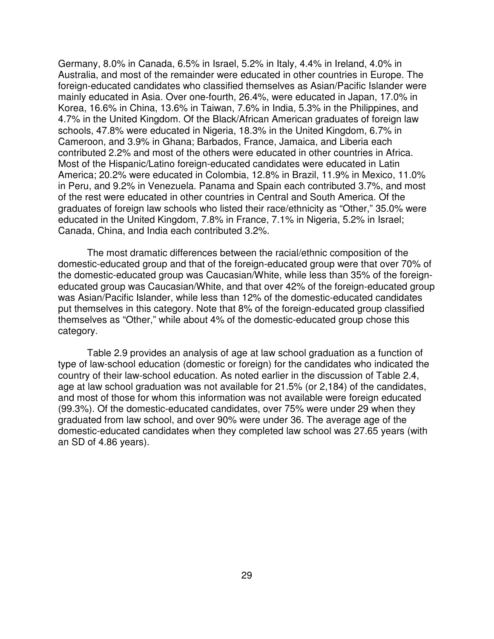Germany, 8.0% in Canada, 6.5% in Israel, 5.2% in Italy, 4.4% in Ireland, 4.0% in Australia, and most of the remainder were educated in other countries in Europe. The foreign-educated candidates who classified themselves as Asian/Pacific Islander were mainly educated in Asia. Over one-fourth, 26.4%, were educated in Japan, 17.0% in Korea, 16.6% in China, 13.6% in Taiwan, 7.6% in India, 5.3% in the Philippines, and 4.7% in the United Kingdom. Of the Black/African American graduates of foreign law schools, 47.8% were educated in Nigeria, 18.3% in the United Kingdom, 6.7% in Cameroon, and 3.9% in Ghana; Barbados, France, Jamaica, and Liberia each contributed 2.2% and most of the others were educated in other countries in Africa. Most of the Hispanic/Latino foreign-educated candidates were educated in Latin America; 20.2% were educated in Colombia, 12.8% in Brazil, 11.9% in Mexico, 11.0% in Peru, and 9.2% in Venezuela. Panama and Spain each contributed 3.7%, and most of the rest were educated in other countries in Central and South America. Of the graduates of foreign law schools who listed their race/ethnicity as "Other," 35.0% were educated in the United Kingdom, 7.8% in France, 7.1% in Nigeria, 5.2% in Israel; Canada, China, and India each contributed 3.2%.

The most dramatic differences between the racial/ethnic composition of the domestic-educated group and that of the foreign-educated group were that over 70% of the domestic-educated group was Caucasian/White, while less than 35% of the foreigneducated group was Caucasian/White, and that over 42% of the foreign-educated group was Asian/Pacific Islander, while less than 12% of the domestic-educated candidates put themselves in this category. Note that 8% of the foreign-educated group classified themselves as "Other," while about 4% of the domestic-educated group chose this category.

Table 2.9 provides an analysis of age at law school graduation as a function of type of law-school education (domestic or foreign) for the candidates who indicated the country of their law-school education. As noted earlier in the discussion of Table 2.4, age at law school graduation was not available for 21.5% (or 2,184) of the candidates, and most of those for whom this information was not available were foreign educated (99.3%). Of the domestic-educated candidates, over 75% were under 29 when they graduated from law school, and over 90% were under 36. The average age of the domestic-educated candidates when they completed law school was 27.65 years (with an SD of 4.86 years).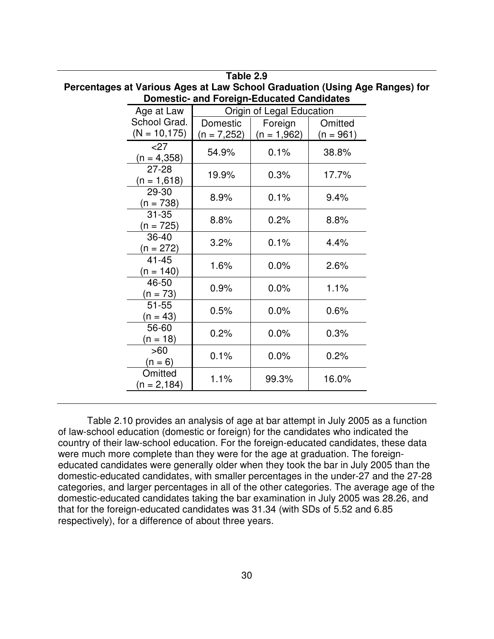| Percentages at Vanous Ages at Law School Graudation (Osing Age Hanges) for |                            |               |                           |           |  |  |
|----------------------------------------------------------------------------|----------------------------|---------------|---------------------------|-----------|--|--|
| <b>Domestic- and Foreign-Educated Candidates</b>                           |                            |               |                           |           |  |  |
|                                                                            | Age at Law                 |               | Origin of Legal Education |           |  |  |
|                                                                            | School Grad.               | Domestic      | Foreign                   | Omitted   |  |  |
|                                                                            | $(N = 10, 175)$            | $(n = 7,252)$ | $(n = 1,962)$             | (n = 961) |  |  |
|                                                                            | $<$ 27<br>$(n = 4,358)$    | 54.9%         | 0.1%                      | 38.8%     |  |  |
|                                                                            | $27 - 28$<br>$(n = 1,618)$ | 19.9%         | 0.3%                      | 17.7%     |  |  |
|                                                                            | 29-30<br>$(n = 738)$       | 8.9%          | 0.1%                      | 9.4%      |  |  |
|                                                                            | $31 - 35$<br>$(n = 725)$   | 8.8%          | 0.2%                      | 8.8%      |  |  |
|                                                                            | 36-40<br>(n = 272)         | 3.2%          | 0.1%                      | 4.4%      |  |  |
|                                                                            | 41-45<br>$(n = 140)$       | 1.6%          | 0.0%                      | 2.6%      |  |  |
|                                                                            | 46-50<br>$(n = 73)$        | 0.9%          | 0.0%                      | 1.1%      |  |  |
|                                                                            | $51 - 55$<br>$(n = 43)$    | 0.5%          | 0.0%                      | 0.6%      |  |  |
|                                                                            | 56-60<br>(n = 18)          | 0.2%          | 0.0%                      | 0.3%      |  |  |
|                                                                            | >60<br>$(n = 6)$           | 0.1%          | 0.0%                      | 0.2%      |  |  |
|                                                                            | Omitted<br>$(n = 2, 184)$  | 1.1%          | 99.3%                     | 16.0%     |  |  |
|                                                                            |                            |               |                           |           |  |  |

**Table 2.9 Percentages at Various Ages at Law School Graduation (Using Age Ranges) for**

Table 2.10 provides an analysis of age at bar attempt in July 2005 as a function of law-school education (domestic or foreign) for the candidates who indicated the country of their law-school education. For the foreign-educated candidates, these data were much more complete than they were for the age at graduation. The foreigneducated candidates were generally older when they took the bar in July 2005 than the domestic-educated candidates, with smaller percentages in the under-27 and the 27-28 categories, and larger percentages in all of the other categories. The average age of the domestic-educated candidates taking the bar examination in July 2005 was 28.26, and that for the foreign-educated candidates was 31.34 (with SDs of 5.52 and 6.85 respectively), for a difference of about three years.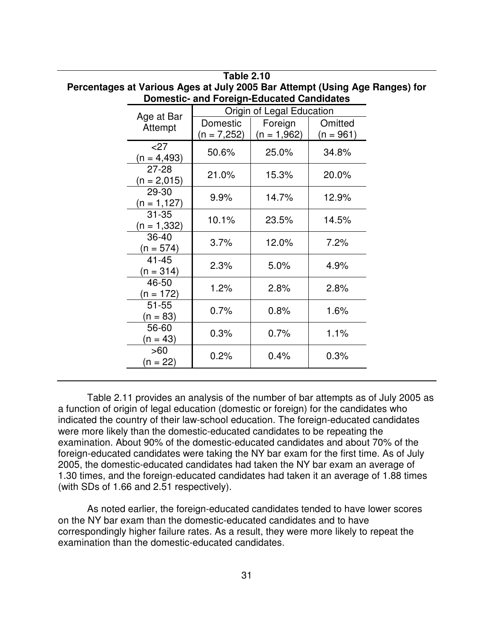| r crochiages at various Ages at oary 2000 Dar Attempt (Osing Age Hanges) for |                            |                           |               |             |  |
|------------------------------------------------------------------------------|----------------------------|---------------------------|---------------|-------------|--|
| <b>Domestic- and Foreign-Educated Candidates</b>                             |                            |                           |               |             |  |
|                                                                              | Age at Bar                 | Origin of Legal Education |               |             |  |
|                                                                              | Attempt                    | Domestic                  | Foreign       | Omitted     |  |
|                                                                              |                            | $(n = 7,252)$             | $(n = 1,962)$ | $(n = 961)$ |  |
|                                                                              | $<$ 27<br>$(n = 4, 493)$   | 50.6%                     | 25.0%         | 34.8%       |  |
|                                                                              | $27 - 28$<br>$(n = 2,015)$ | 21.0%                     | 15.3%         | 20.0%       |  |
|                                                                              | 29-30<br>$(n = 1, 127)$    | 9.9%                      | 14.7%         | 12.9%       |  |
|                                                                              | $31 - 35$<br>$(n = 1,332)$ | 10.1%                     | 23.5%         | 14.5%       |  |
|                                                                              | 36-40<br>(n = 574)         | 3.7%                      | 12.0%         | 7.2%        |  |
|                                                                              | $41 - 45$<br>(n = 314)     | 2.3%                      | 5.0%          | 4.9%        |  |
|                                                                              | 46-50<br>(n = 172)         | 1.2%                      | 2.8%          | 2.8%        |  |
|                                                                              | $51 - 55$<br>$n = 83$      | 0.7%                      | 0.8%          | 1.6%        |  |
|                                                                              | 56-60<br>$(n = 43)$        | 0.3%                      | 0.7%          | 1.1%        |  |
|                                                                              | >60<br>$(n = 22)$          | 0.2%                      | 0.4%          | 0.3%        |  |

# **Table 2.10 Percentages at Various Ages at July 2005 Bar Attempt (Using Age Ranges) for**

Table 2.11 provides an analysis of the number of bar attempts as of July 2005 as a function of origin of legal education (domestic or foreign) for the candidates who indicated the country of their law-school education. The foreign-educated candidates were more likely than the domestic-educated candidates to be repeating the examination. About 90% of the domestic-educated candidates and about 70% of the foreign-educated candidates were taking the NY bar exam for the first time. As of July 2005, the domestic-educated candidates had taken the NY bar exam an average of 1.30 times, and the foreign-educated candidates had taken it an average of 1.88 times (with SDs of 1.66 and 2.51 respectively).

As noted earlier, the foreign-educated candidates tended to have lower scores on the NY bar exam than the domestic-educated candidates and to have correspondingly higher failure rates. As a result, they were more likely to repeat the examination than the domestic-educated candidates.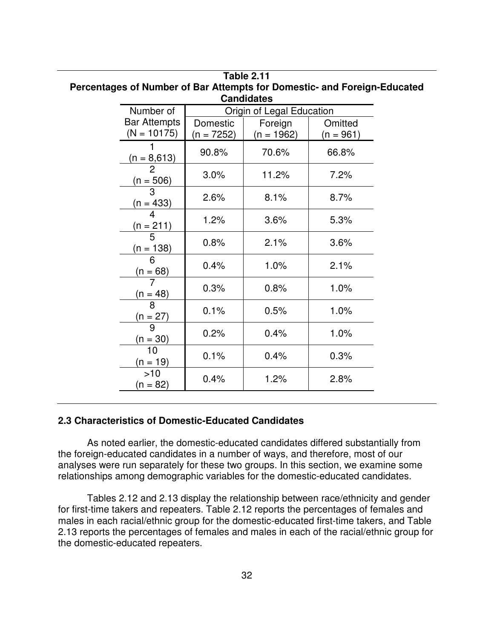| Number of                            | Origin of Legal Education |                         |                      |
|--------------------------------------|---------------------------|-------------------------|----------------------|
| <b>Bar Attempts</b><br>$(N = 10175)$ | Domestic<br>(n = 7252)    | Foreign<br>$(n = 1962)$ | Omitted<br>(n = 961) |
| $(n = 8,613)$                        | 90.8%                     | 70.6%                   | 66.8%                |
| $\overline{2}$<br>$(n = 506)$        | 3.0%                      | 11.2%                   | 7.2%                 |
| 3<br>(n = 433)                       | 2.6%                      | 8.1%                    | 8.7%                 |
| $\overline{4}$<br>(n = 211)          | 1.2%                      | 3.6%                    | 5.3%                 |
| $\overline{5}$<br>(n = 138)          | 0.8%                      | 2.1%                    | 3.6%                 |
| 6<br>$(n = 68)$                      | 0.4%                      | 1.0%                    | 2.1%                 |
| $(n = 48)$                           | 0.3%                      | 0.8%                    | 1.0%                 |
| 8<br>$(n = 27)$                      | 0.1%                      | 0.5%                    | 1.0%                 |
| 9<br>$(n = 30)$                      | 0.2%                      | 0.4%                    | 1.0%                 |
| 10<br>$(n = 19)$                     | 0.1%                      | 0.4%                    | 0.3%                 |
| >10<br>$(n = 82)$                    | 0.4%                      | 1.2%                    | 2.8%                 |

# **Table 2.11 Percentages of Number of Bar Attempts for Domestic- and Foreign-Educated**

#### **2.3 Characteristics of Domestic-Educated Candidates**

As noted earlier, the domestic-educated candidates differed substantially from the foreign-educated candidates in a number of ways, and therefore, most of our analyses were run separately for these two groups. In this section, we examine some relationships among demographic variables for the domestic-educated candidates.

Tables 2.12 and 2.13 display the relationship between race/ethnicity and gender for first-time takers and repeaters. Table 2.12 reports the percentages of females and males in each racial/ethnic group for the domestic-educated first-time takers, and Table 2.13 reports the percentages of females and males in each of the racial/ethnic group for the domestic-educated repeaters.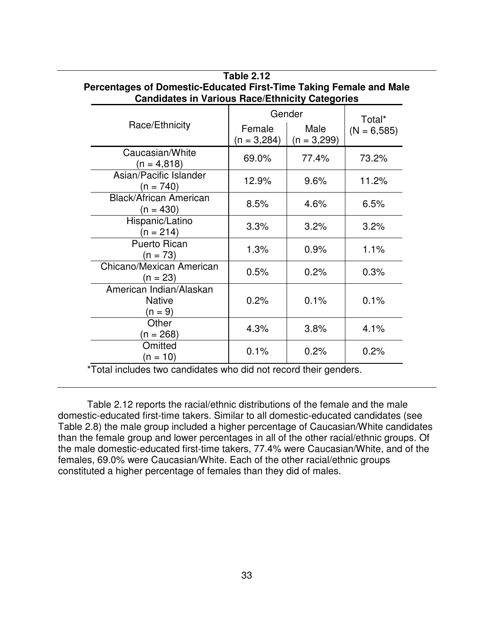|                                                       | Gender                  | Total*                |               |
|-------------------------------------------------------|-------------------------|-----------------------|---------------|
| Race/Ethnicity                                        | Female<br>$(n = 3,284)$ | Male<br>$(n = 3,299)$ | $(N = 6,585)$ |
|                                                       |                         |                       |               |
| Caucasian/White<br>$(n = 4.818)$                      | 69.0%                   | 77.4%                 | 73.2%         |
| Asian/Pacific Islander<br>$(n = 740)$                 | 12.9%                   | 9.6%                  | 11.2%         |
| <b>Black/African American</b><br>$(n = 430)$          | 8.5%                    | 4.6%                  | 6.5%          |
| Hispanic/Latino<br>$(n = 214)$                        | 3.3%                    | 3.2%                  | 3.2%          |
| <b>Puerto Rican</b><br>$(n = 73)$                     | 1.3%                    | 0.9%                  | 1.1%          |
| Chicano/Mexican American<br>$(n = 23)$                | 0.5%                    | 0.2%                  | 0.3%          |
| American Indian/Alaskan<br><b>Native</b><br>$(n = 9)$ | 0.2%                    | 0.1%                  | 0.1%          |
| Other<br>(n = 268)                                    | 4.3%                    | 3.8%                  | 4.1%          |
| Omitted<br>(n = 10)                                   | 0.1%                    | 0.2%                  | 0.2%          |
|                                                       |                         |                       |               |

**Table 2.12 Percentages of Domestic-Educated First-Time Taking Female and Male Candidates in Various Race/Ethnicity Categories**

\*Total includes two candidates who did not record their genders.

Table 2.12 reports the racial/ethnic distributions of the female and the male domestic-educated first-time takers. Similar to all domestic-educated candidates (see Table 2.8) the male group included a higher percentage of Caucasian/White candidates than the female group and lower percentages in all of the other racial/ethnic groups. Of the male domestic-educated first-time takers, 77.4% were Caucasian/White, and of the females, 69.0% were Caucasian/White. Each of the other racial/ethnic groups constituted a higher percentage of females than they did of males.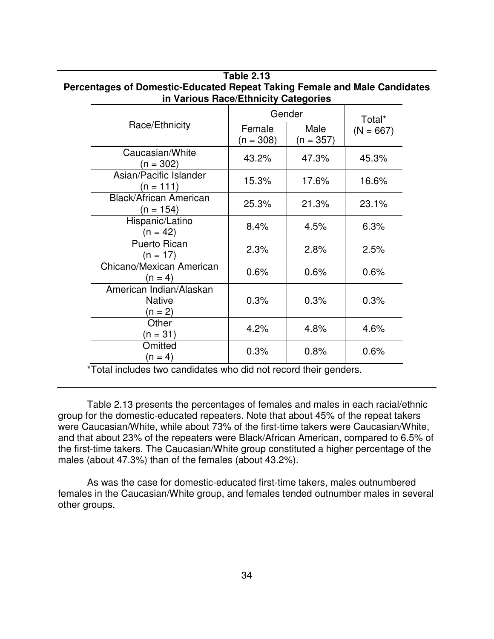| III validus nace/Editiicity Categories              |                       |                     |             |
|-----------------------------------------------------|-----------------------|---------------------|-------------|
|                                                     | Gender                | Total*              |             |
| Race/Ethnicity                                      | Female<br>$(n = 308)$ | Male<br>$(n = 357)$ | $(N = 667)$ |
| Caucasian/White<br>$(n = 302)$                      | 43.2%                 | 47.3%               | 45.3%       |
| Asian/Pacific Islander<br>$(n = 111)$               | 15.3%                 | 17.6%               | 16.6%       |
| <b>Black/African American</b><br>(n = 154)          | 25.3%                 | 21.3%               | 23.1%       |
| Hispanic/Latino<br>$(n = 42)$                       | 8.4%                  | 4.5%                | 6.3%        |
| <b>Puerto Rican</b><br>(n = 17)                     | 2.3%                  | 2.8%                | 2.5%        |
| Chicano/Mexican American<br>$(n = 4)$               | 0.6%                  | 0.6%                | 0.6%        |
| American Indian/Alaskan<br><b>Native</b><br>(n = 2) | 0.3%                  | 0.3%                | 0.3%        |
| Other<br>$(n = 31)$                                 | 4.2%                  | 4.8%                | 4.6%        |
| Omitted<br>$(n = 4)$                                | 0.3%                  | 0.8%                | 0.6%        |

# **Table 2.13 Percentages of Domestic-Educated Repeat Taking Female and Male Candidates in Various Race/Ethnicity Categories**

\*Total includes two candidates who did not record their genders.

Table 2.13 presents the percentages of females and males in each racial/ethnic group for the domestic-educated repeaters. Note that about 45% of the repeat takers were Caucasian/White, while about 73% of the first-time takers were Caucasian/White, and that about 23% of the repeaters were Black/African American, compared to 6.5% of the first-time takers. The Caucasian/White group constituted a higher percentage of the males (about 47.3%) than of the females (about 43.2%).

As was the case for domestic-educated first-time takers, males outnumbered females in the Caucasian/White group, and females tended outnumber males in several other groups.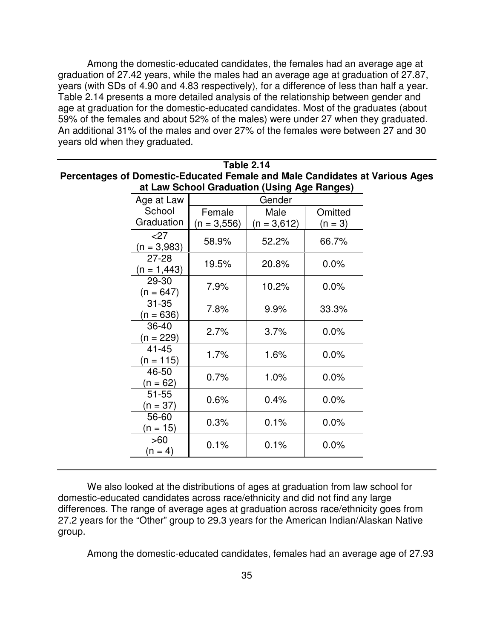Among the domestic-educated candidates, the females had an average age at graduation of 27.42 years, while the males had an average age at graduation of 27.87, years (with SDs of 4.90 and 4.83 respectively), for a difference of less than half a year. Table 2.14 presents a more detailed analysis of the relationship between gender and age at graduation for the domestic-educated candidates. Most of the graduates (about 59% of the females and about 52% of the males) were under 27 when they graduated. An additional 31% of the males and over 27% of the females were between 27 and 30 years old when they graduated.

| at Law School Graduation (Using Age Ranges) |               |               |           |  |  |
|---------------------------------------------|---------------|---------------|-----------|--|--|
| Age at Law                                  | Gender        |               |           |  |  |
| School                                      | Female        | Male          | Omitted   |  |  |
| Graduation                                  | $(n = 3,556)$ | $(n = 3,612)$ | $(n = 3)$ |  |  |
| $<$ 27<br>$(n = 3,983)$                     | 58.9%         | 52.2%         | 66.7%     |  |  |
| $27 - 28$<br>$(n = 1,443)$                  | 19.5%         | 20.8%         | 0.0%      |  |  |
| 29-30<br>$(n = 647)$                        | 7.9%          | 10.2%         | 0.0%      |  |  |
| $31 - 35$<br>$(n = 636)$                    | 7.8%          | 9.9%          | 33.3%     |  |  |
| 36-40<br>$(n = 229)$                        | 2.7%          | 3.7%          | 0.0%      |  |  |
| $41 - 45$<br>$(n = 115)$                    | 1.7%          | 1.6%          | 0.0%      |  |  |
| 46-50<br>$(n = 62)$                         | 0.7%          | 1.0%          | 0.0%      |  |  |
| $51 - 55$<br>$(n = 37)$                     | 0.6%          | 0.4%          | 0.0%      |  |  |
| 56-60<br>$(n = 15)$                         | 0.3%          | 0.1%          | 0.0%      |  |  |
| >60<br>$(n = 4)$                            | 0.1%          | 0.1%          | 0.0%      |  |  |
|                                             |               |               |           |  |  |

**Table 2.14 Percentages of Domestic-Educated Female and Male Candidates at Various Ages**

We also looked at the distributions of ages at graduation from law school for domestic-educated candidates across race/ethnicity and did not find any large differences. The range of average ages at graduation across race/ethnicity goes from 27.2 years for the "Other" group to 29.3 years for the American Indian/Alaskan Native group.

Among the domestic-educated candidates, females had an average age of 27.93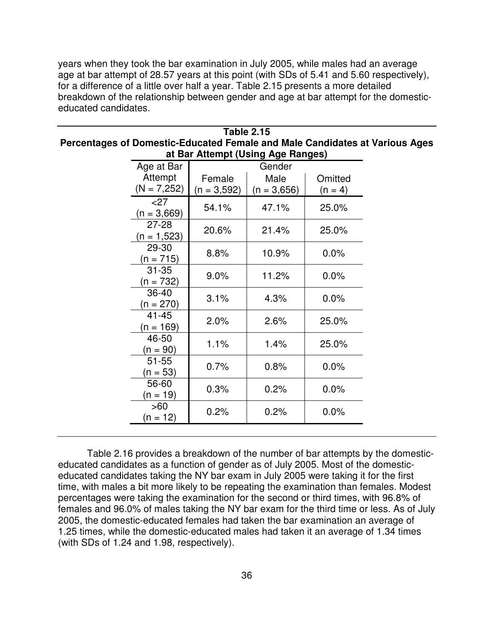years when they took the bar examination in July 2005, while males had an average age at bar attempt of 28.57 years at this point (with SDs of 5.41 and 5.60 respectively), for a difference of a little over half a year. Table 2.15 presents a more detailed breakdown of the relationship between gender and age at bar attempt for the domesticeducated candidates.

| at Bar Attempt (Using Age Ranges) |               |               |           |  |  |  |
|-----------------------------------|---------------|---------------|-----------|--|--|--|
| Age at Bar                        | Gender        |               |           |  |  |  |
| Attempt                           | Female        | Male          | Omitted   |  |  |  |
| $(N = 7,252)$                     | $(n = 3,592)$ | $(n = 3,656)$ | $(n = 4)$ |  |  |  |
| $<$ 27<br>$(n = 3,669)$           | 54.1%         | 47.1%         | 25.0%     |  |  |  |
| $27 - 28$<br>$(n = 1,523)$        | 20.6%         | 21.4%         | 25.0%     |  |  |  |
| 29-30<br>$(n = 715)$              | 8.8%          | 10.9%         | 0.0%      |  |  |  |
| $31 - 35$<br>$(n = 732)$          | $9.0\%$       | 11.2%         | 0.0%      |  |  |  |
| 36-40<br>$(n = 270)$              | 3.1%          | 4.3%          | 0.0%      |  |  |  |
| $41 - 45$<br>$(n = 169)$          | 2.0%          | 2.6%          | 25.0%     |  |  |  |
| 46-50<br>$(n = 90)$               | 1.1%          | 1.4%          | 25.0%     |  |  |  |
| $51 - 55$<br>$(n = 53)$           | 0.7%          | 0.8%          | $0.0\%$   |  |  |  |
| 56-60<br>$(n = 19)$               | 0.3%          | 0.2%          | 0.0%      |  |  |  |
| >60<br>(n = 12)                   | 0.2%          | 0.2%          | 0.0%      |  |  |  |

**Table 2.15 Percentages of Domestic-Educated Female and Male Candidates at Various Ages**

Table 2.16 provides a breakdown of the number of bar attempts by the domesticeducated candidates as a function of gender as of July 2005. Most of the domesticeducated candidates taking the NY bar exam in July 2005 were taking it for the first time, with males a bit more likely to be repeating the examination than females. Modest percentages were taking the examination for the second or third times, with 96.8% of females and 96.0% of males taking the NY bar exam for the third time or less. As of July 2005, the domestic-educated females had taken the bar examination an average of 1.25 times, while the domestic-educated males had taken it an average of 1.34 times (with SDs of 1.24 and 1.98, respectively).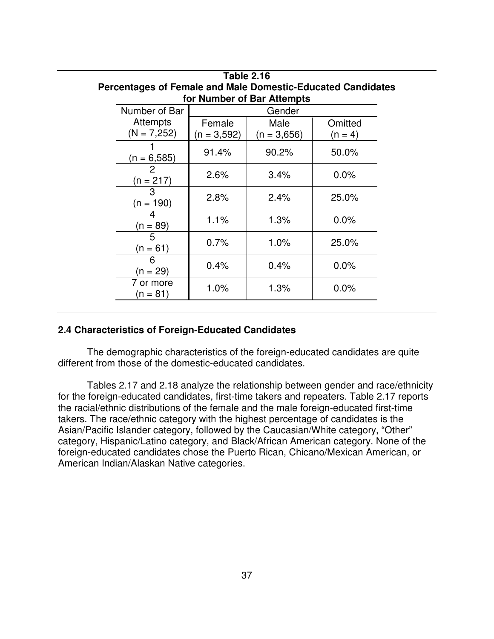| 1 AVIG 4. I V<br>Percentages of Female and Male Domestic-Educated Candidates |                                     |               |                            |           |  |  |  |  |
|------------------------------------------------------------------------------|-------------------------------------|---------------|----------------------------|-----------|--|--|--|--|
|                                                                              |                                     |               | for Number of Bar Attempts |           |  |  |  |  |
|                                                                              | Number of Bar                       |               | Gender                     |           |  |  |  |  |
|                                                                              | <b>Attempts</b>                     | Female        | Male                       | Omitted   |  |  |  |  |
|                                                                              | $(N = 7,252)$                       | $(n = 3.592)$ | $(n = 3,656)$              | $(n = 4)$ |  |  |  |  |
| 2                                                                            | $(n = 6,585)$                       | 91.4%         | 90.2%                      | 50.0%     |  |  |  |  |
|                                                                              | $(n = 217)$                         | 2.6%          | 3.4%                       | 0.0%      |  |  |  |  |
|                                                                              | 3<br>$(n = 190)$<br>4<br>$(n = 89)$ | 2.8%          | 2.4%                       | 25.0%     |  |  |  |  |
|                                                                              |                                     | 1.1%          | 1.3%                       | 0.0%      |  |  |  |  |
| 5<br>$(n = 61)$                                                              |                                     | 0.7%          | 1.0%                       | 25.0%     |  |  |  |  |
| 6<br>$(n = 29)$                                                              | 0.4%                                | 0.4%          | 0.0%                       |           |  |  |  |  |
|                                                                              | 7 or more<br>(n = 81)               | 1.0%          | 1.3%                       | 0.0%      |  |  |  |  |

# **Table 2.16 Percentages of Female and Male Domestic-Educated Candidates**

### **2.4 Characteristics of Foreign-Educated Candidates**

The demographic characteristics of the foreign-educated candidates are quite different from those of the domestic-educated candidates.

Tables 2.17 and 2.18 analyze the relationship between gender and race/ethnicity for the foreign-educated candidates, first-time takers and repeaters. Table 2.17 reports the racial/ethnic distributions of the female and the male foreign-educated first-time takers. The race/ethnic category with the highest percentage of candidates is the Asian/Pacific Islander category, followed by the Caucasian/White category, "Other" category, Hispanic/Latino category, and Black/African American category. None of the foreign-educated candidates chose the Puerto Rican, Chicano/Mexican American, or American Indian/Alaskan Native categories.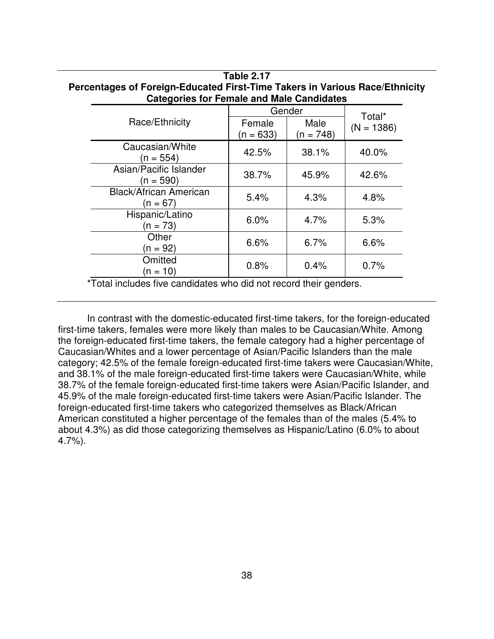| <b>Categories for Female and Male Candidates</b> |                                              |        |              |  |
|--------------------------------------------------|----------------------------------------------|--------|--------------|--|
|                                                  |                                              | Gender | Total*       |  |
| Race/Ethnicity                                   | Male<br>Female<br>$(n = 633)$<br>$(n = 748)$ |        | $(N = 1386)$ |  |
| Caucasian/White<br>(n = 554)                     | 42.5%                                        | 38.1%  | 40.0%        |  |
| Asian/Pacific Islander<br>$(n = 590)$            | 38.7%                                        | 45.9%  | 42.6%        |  |
| <b>Black/African American</b><br>$(n = 67)$      | 5.4%                                         | 4.3%   | 4.8%         |  |
| Hispanic/Latino<br>$(n = 73)$                    | 6.0%                                         | 4.7%   | 5.3%         |  |
| Other<br>$(n = 92)$                              | 6.6%                                         | 6.7%   | 6.6%         |  |
| Omitted<br>(n = 10)                              | 0.8%                                         | 0.4%   | 0.7%         |  |

## **Table 2.17 Percentages of Foreign-Educated First-Time Takers in Various Race/Ethnicity**

\*Total includes five candidates who did not record their genders.

In contrast with the domestic-educated first-time takers, for the foreign-educated first-time takers, females were more likely than males to be Caucasian/White. Among the foreign-educated first-time takers, the female category had a higher percentage of Caucasian/Whites and a lower percentage of Asian/Pacific Islanders than the male category; 42.5% of the female foreign-educated first-time takers were Caucasian/White, and 38.1% of the male foreign-educated first-time takers were Caucasian/White, while 38.7% of the female foreign-educated first-time takers were Asian/Pacific Islander, and 45.9% of the male foreign-educated first-time takers were Asian/Pacific Islander. The foreign-educated first-time takers who categorized themselves as Black/African American constituted a higher percentage of the females than of the males (5.4% to about 4.3%) as did those categorizing themselves as Hispanic/Latino (6.0% to about 4.7%).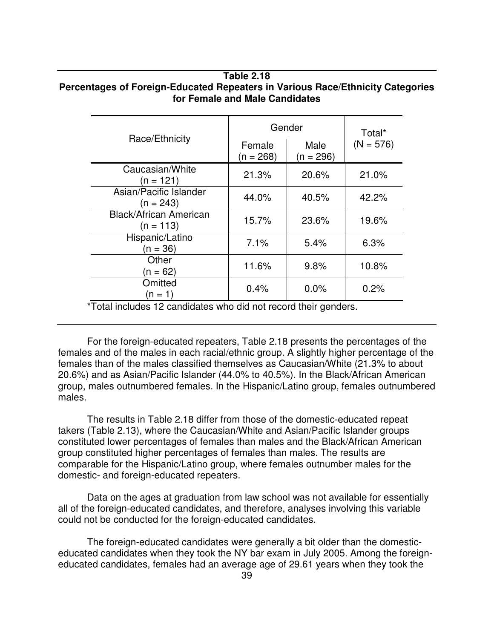#### **Table 2.18 Percentages of Foreign-Educated Repeaters in Various Race/Ethnicity Categories for Female and Male Candidates**

|                                              | Gender                | Total*              |             |
|----------------------------------------------|-----------------------|---------------------|-------------|
| Race/Ethnicity                               | Female<br>$(n = 268)$ | Male<br>$(n = 296)$ | $(N = 576)$ |
| Caucasian/White<br>(n = 121)                 | 21.3%                 | 20.6%               | 21.0%       |
| Asian/Pacific Islander<br>$(n = 243)$        | 44.0%                 | 40.5%               | 42.2%       |
| <b>Black/African American</b><br>$(n = 113)$ | 15.7%                 | 23.6%               | 19.6%       |
| Hispanic/Latino<br>$(n = 36)$                | 7.1%                  | 5.4%                | 6.3%        |
| Other<br>(n = 62)                            | 11.6%                 | 9.8%                | 10.8%       |
| Omitted<br>(n = 1)                           | 0.4%                  | 0.0%                | 0.2%        |

\*Total includes 12 candidates who did not record their genders.

For the foreign-educated repeaters, Table 2.18 presents the percentages of the females and of the males in each racial/ethnic group. A slightly higher percentage of the females than of the males classified themselves as Caucasian/White (21.3% to about 20.6%) and as Asian/Pacific Islander (44.0% to 40.5%). In the Black/African American group, males outnumbered females. In the Hispanic/Latino group, females outnumbered males.

The results in Table 2.18 differ from those of the domestic-educated repeat takers (Table 2.13), where the Caucasian/White and Asian/Pacific Islander groups constituted lower percentages of females than males and the Black/African American group constituted higher percentages of females than males. The results are comparable for the Hispanic/Latino group, where females outnumber males for the domestic- and foreign-educated repeaters.

Data on the ages at graduation from law school was not available for essentially all of the foreign-educated candidates, and therefore, analyses involving this variable could not be conducted for the foreign-educated candidates.

The foreign-educated candidates were generally a bit older than the domesticeducated candidates when they took the NY bar exam in July 2005. Among the foreigneducated candidates, females had an average age of 29.61 years when they took the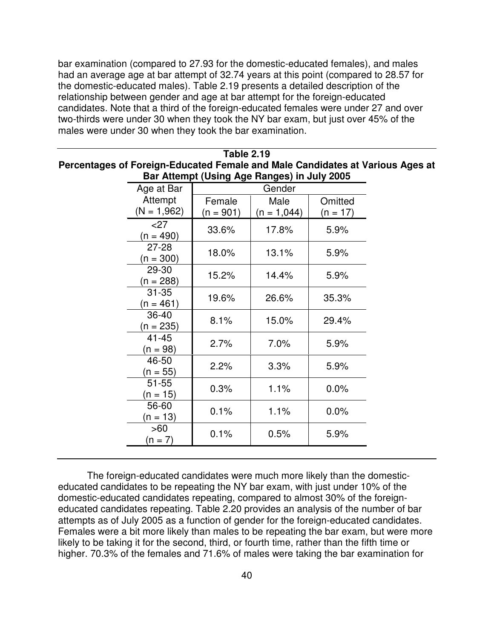bar examination (compared to 27.93 for the domestic-educated females), and males had an average age at bar attempt of 32.74 years at this point (compared to 28.57 for the domestic-educated males). Table 2.19 presents a detailed description of the relationship between gender and age at bar attempt for the foreign-educated candidates. Note that a third of the foreign-educated females were under 27 and over two-thirds were under 30 when they took the NY bar exam, but just over 45% of the males were under 30 when they took the bar examination.

| <b>Table 2.19</b>                                                             |
|-------------------------------------------------------------------------------|
| Percentages of Foreign-Educated Female and Male Candidates at Various Ages at |
| Bar Attempt (Using Age Ranges) in July 2005                                   |

| Age at Bar               | Gender                |                       |                       |  |  |  |
|--------------------------|-----------------------|-----------------------|-----------------------|--|--|--|
| Attempt<br>$(N = 1,962)$ | Female<br>$(n = 901)$ | Male<br>$(n = 1,044)$ | Omitted<br>$(n = 17)$ |  |  |  |
| $<$ 27<br>$(n = 490)$    | 33.6%                 | 17.8%                 | 5.9%                  |  |  |  |
| $27 - 28$<br>$(n = 300)$ | 18.0%                 | 13.1%                 | 5.9%                  |  |  |  |
| 29-30<br>$(n = 288)$     | 15.2%                 | 14.4%                 | 5.9%                  |  |  |  |
| $31 - 35$<br>$(n = 461)$ | 19.6%                 | 26.6%                 | 35.3%                 |  |  |  |
| $36 - 40$<br>$(n = 235)$ | 8.1%                  | 15.0%                 | 29.4%                 |  |  |  |
| $41 - 45$<br>(n = 98)    | 2.7%                  | 7.0%                  | 5.9%                  |  |  |  |
| 46-50<br>(n = 55)        | 2.2%                  | 3.3%                  | 5.9%                  |  |  |  |
| $51 - 55$<br>(n = 15)    | 0.3%                  | 1.1%                  | 0.0%                  |  |  |  |
| 56-60<br>(n = 13)        | 0.1%                  | 1.1%                  | $0.0\%$               |  |  |  |
| >60<br>$(n = 7)$         | 0.1%                  | 0.5%                  | 5.9%                  |  |  |  |

The foreign-educated candidates were much more likely than the domesticeducated candidates to be repeating the NY bar exam, with just under 10% of the domestic-educated candidates repeating, compared to almost 30% of the foreigneducated candidates repeating. Table 2.20 provides an analysis of the number of bar attempts as of July 2005 as a function of gender for the foreign-educated candidates. Females were a bit more likely than males to be repeating the bar exam, but were more likely to be taking it for the second, third, or fourth time, rather than the fifth time or higher. 70.3% of the females and 71.6% of males were taking the bar examination for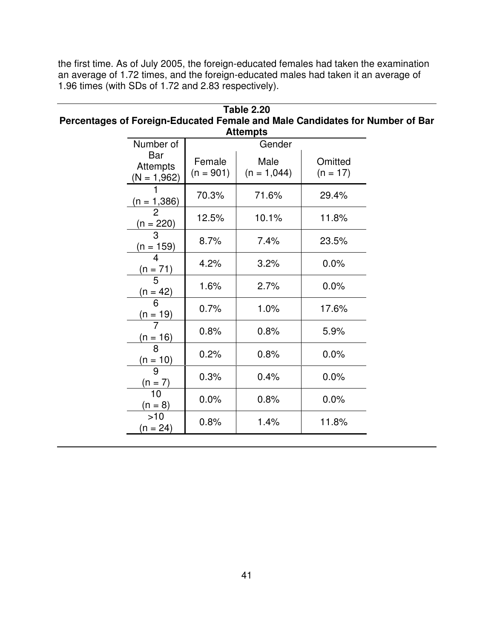the first time. As of July 2005, the foreign-educated females had taken the examination an average of 1.72 times, and the foreign-educated males had taken it an average of 1.96 times (with SDs of 1.72 and 2.83 respectively).

| <b>Table 2.20</b>                                                            |
|------------------------------------------------------------------------------|
| Percentages of Foreign-Educated Female and Male Candidates for Number of Bar |
| <b>Attempts</b>                                                              |

| Number of                               |                       | nuvupu<br>Gender      |                       |
|-----------------------------------------|-----------------------|-----------------------|-----------------------|
| Bar<br><b>Attempts</b><br>$(N = 1,962)$ | Female<br>$(n = 901)$ | Male<br>$(n = 1,044)$ | Omitted<br>$(n = 17)$ |
| (n = 1,386)                             | 70.3%                 | 71.6%                 | 29.4%                 |
| $\frac{(n = 220)}{3}$                   | 12.5%                 | 10.1%                 | 11.8%                 |
| (n = 159)                               | 8.7%                  | 7.4%                  | 23.5%                 |
| $\frac{(n = 71)}{2}$                    | 4.2%                  | 3.2%                  | 0.0%                  |
| $\frac{(n = 42)}{6}$                    | 1.6%                  | 2.7%                  | 0.0%                  |
| $\frac{(n = 19)}{7}$                    | 0.7%                  | 1.0%                  | 17.6%                 |
| $(n = 16)$                              | 0.8%                  | 0.8%                  | 5.9%                  |
| $\overline{8}$<br>$\frac{(n = 10)}{9}$  | 0.2%                  | 0.8%                  | 0.0%                  |
| $\frac{(n = 7)}{10}$                    | 0.3%                  | 0.4%                  | $0.0\%$               |
| $(n = 8)$                               | 0.0%                  | 0.8%                  | 0.0%                  |
| >10<br>(n = 24)                         | 0.8%                  | 1.4%                  | 11.8%                 |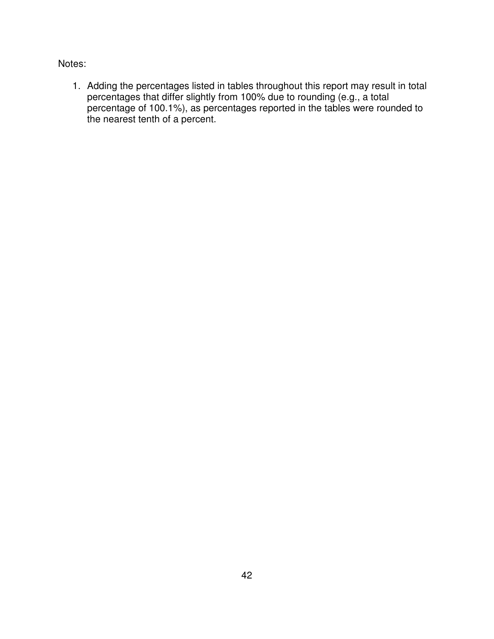Notes:

1. Adding the percentages listed in tables throughout this report may result in total percentages that differ slightly from 100% due to rounding (e.g., a total percentage of 100.1%), as percentages reported in the tables were rounded to the nearest tenth of a percent.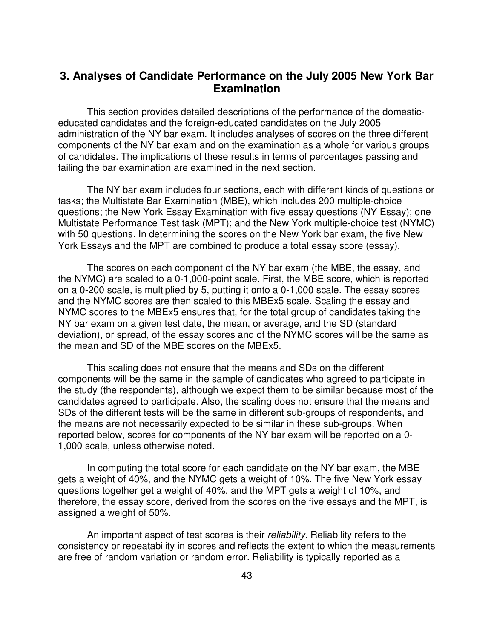### **3. Analyses of Candidate Performance on the July 2005 New York Bar Examination**

This section provides detailed descriptions of the performance of the domesticeducated candidates and the foreign-educated candidates on the July 2005 administration of the NY bar exam. It includes analyses of scores on the three different components of the NY bar exam and on the examination as a whole for various groups of candidates. The implications of these results in terms of percentages passing and failing the bar examination are examined in the next section.

The NY bar exam includes four sections, each with different kinds of questions or tasks; the Multistate Bar Examination (MBE), which includes 200 multiple-choice questions; the New York Essay Examination with five essay questions (NY Essay); one Multistate Performance Test task (MPT); and the New York multiple-choice test (NYMC) with 50 questions. In determining the scores on the New York bar exam, the five New York Essays and the MPT are combined to produce a total essay score (essay).

The scores on each component of the NY bar exam (the MBE, the essay, and the NYMC) are scaled to a 0-1,000-point scale. First, the MBE score, which is reported on a 0-200 scale, is multiplied by 5, putting it onto a 0-1,000 scale. The essay scores and the NYMC scores are then scaled to this MBEx5 scale. Scaling the essay and NYMC scores to the MBEx5 ensures that, for the total group of candidates taking the NY bar exam on a given test date, the mean, or average, and the SD (standard deviation), or spread, of the essay scores and of the NYMC scores will be the same as the mean and SD of the MBE scores on the MBEx5.

This scaling does not ensure that the means and SDs on the different components will be the same in the sample of candidates who agreed to participate in the study (the respondents), although we expect them to be similar because most of the candidates agreed to participate. Also, the scaling does not ensure that the means and SDs of the different tests will be the same in different sub-groups of respondents, and the means are not necessarily expected to be similar in these sub-groups. When reported below, scores for components of the NY bar exam will be reported on a 0- 1,000 scale, unless otherwise noted.

In computing the total score for each candidate on the NY bar exam, the MBE gets a weight of 40%, and the NYMC gets a weight of 10%. The five New York essay questions together get a weight of 40%, and the MPT gets a weight of 10%, and therefore, the essay score, derived from the scores on the five essays and the MPT, is assigned a weight of 50%.

An important aspect of test scores is their *reliability*. Reliability refers to the consistency or repeatability in scores and reflects the extent to which the measurements are free of random variation or random error. Reliability is typically reported as a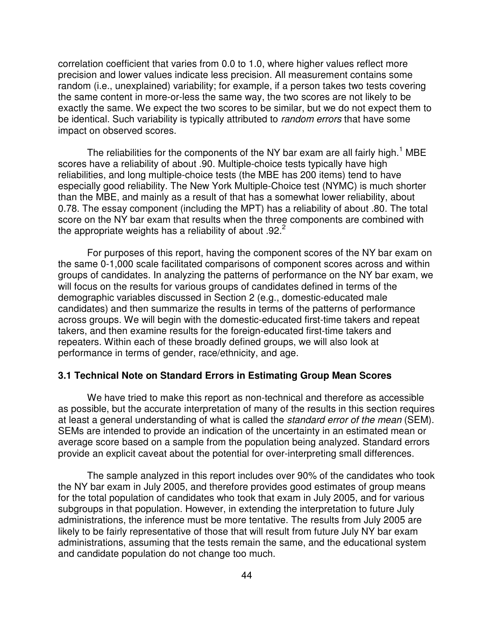correlation coefficient that varies from 0.0 to 1.0, where higher values reflect more precision and lower values indicate less precision. All measurement contains some random (i.e., unexplained) variability; for example, if a person takes two tests covering the same content in more-or-less the same way, the two scores are not likely to be exactly the same. We expect the two scores to be similar, but we do not expect them to be identical. Such variability is typically attributed to *random errors* that have some impact on observed scores.

The reliabilities for the components of the NY bar exam are all fairly high.<sup>1</sup> MBE scores have a reliability of about .90. Multiple-choice tests typically have high reliabilities, and long multiple-choice tests (the MBE has 200 items) tend to have especially good reliability. The New York Multiple-Choice test (NYMC) is much shorter than the MBE, and mainly as a result of that has a somewhat lower reliability, about 0.78. The essay component (including the MPT) has a reliability of about .80. The total score on the NY bar exam that results when the three components are combined with the appropriate weights has a reliability of about .92.<sup>2</sup>

For purposes of this report, having the component scores of the NY bar exam on the same 0-1,000 scale facilitated comparisons of component scores across and within groups of candidates. In analyzing the patterns of performance on the NY bar exam, we will focus on the results for various groups of candidates defined in terms of the demographic variables discussed in Section 2 (e.g., domestic-educated male candidates) and then summarize the results in terms of the patterns of performance across groups. We will begin with the domestic-educated first-time takers and repeat takers, and then examine results for the foreign-educated first-time takers and repeaters. Within each of these broadly defined groups, we will also look at performance in terms of gender, race/ethnicity, and age.

#### **3.1 Technical Note on Standard Errors in Estimating Group Mean Scores**

We have tried to make this report as non-technical and therefore as accessible as possible, but the accurate interpretation of many of the results in this section requires at least a general understanding of what is called the *standard error of the mean* (SEM). SEMs are intended to provide an indication of the uncertainty in an estimated mean or average score based on a sample from the population being analyzed. Standard errors provide an explicit caveat about the potential for over-interpreting small differences.

The sample analyzed in this report includes over 90% of the candidates who took the NY bar exam in July 2005, and therefore provides good estimates of group means for the total population of candidates who took that exam in July 2005, and for various subgroups in that population. However, in extending the interpretation to future July administrations, the inference must be more tentative. The results from July 2005 are likely to be fairly representative of those that will result from future July NY bar exam administrations, assuming that the tests remain the same, and the educational system and candidate population do not change too much.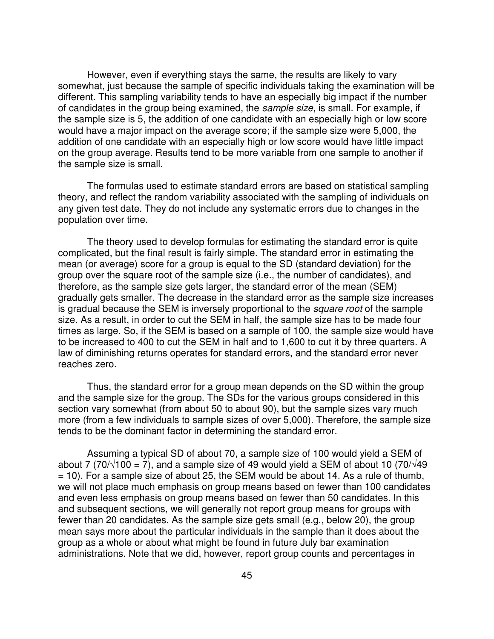However, even if everything stays the same, the results are likely to vary somewhat, just because the sample of specific individuals taking the examination will be different. This sampling variability tends to have an especially big impact if the number of candidates in the group being examined, the *sample size*, is small. For example, if the sample size is 5, the addition of one candidate with an especially high or low score would have a major impact on the average score; if the sample size were 5,000, the addition of one candidate with an especially high or low score would have little impact on the group average. Results tend to be more variable from one sample to another if the sample size is small.

The formulas used to estimate standard errors are based on statistical sampling theory, and reflect the random variability associated with the sampling of individuals on any given test date. They do not include any systematic errors due to changes in the population over time.

The theory used to develop formulas for estimating the standard error is quite complicated, but the final result is fairly simple. The standard error in estimating the mean (or average) score for a group is equal to the SD (standard deviation) for the group over the square root of the sample size (i.e., the number of candidates), and therefore, as the sample size gets larger, the standard error of the mean (SEM) gradually gets smaller. The decrease in the standard error as the sample size increases is gradual because the SEM is inversely proportional to the *square root* of the sample size. As a result, in order to cut the SEM in half, the sample size has to be made four times as large. So, if the SEM is based on a sample of 100, the sample size would have to be increased to 400 to cut the SEM in half and to 1,600 to cut it by three quarters. A law of diminishing returns operates for standard errors, and the standard error never reaches zero.

Thus, the standard error for a group mean depends on the SD within the group and the sample size for the group. The SDs for the various groups considered in this section vary somewhat (from about 50 to about 90), but the sample sizes vary much more (from a few individuals to sample sizes of over 5,000). Therefore, the sample size tends to be the dominant factor in determining the standard error.

Assuming a typical SD of about 70, a sample size of 100 would yield a SEM of about 7 (70/ $\sqrt{100}$  = 7), and a sample size of 49 would yield a SEM of about 10 (70/ $\sqrt{49}$  $= 10$ ). For a sample size of about 25, the SEM would be about 14. As a rule of thumb, we will not place much emphasis on group means based on fewer than 100 candidates and even less emphasis on group means based on fewer than 50 candidates. In this and subsequent sections, we will generally not report group means for groups with fewer than 20 candidates. As the sample size gets small (e.g., below 20), the group mean says more about the particular individuals in the sample than it does about the group as a whole or about what might be found in future July bar examination administrations. Note that we did, however, report group counts and percentages in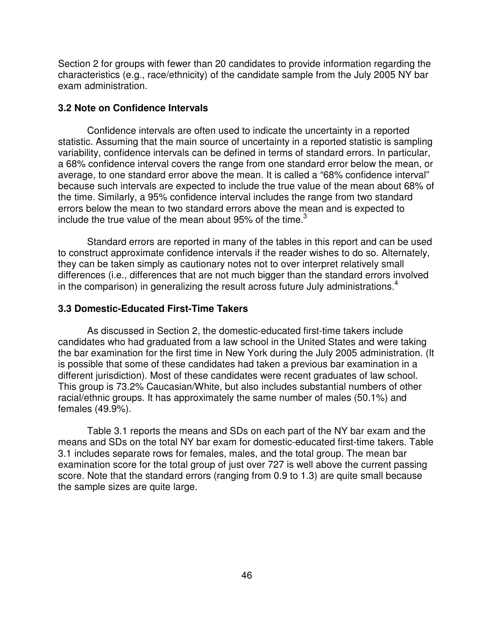Section 2 for groups with fewer than 20 candidates to provide information regarding the characteristics (e.g., race/ethnicity) of the candidate sample from the July 2005 NY bar exam administration.

#### **3.2 Note on Confidence Intervals**

Confidence intervals are often used to indicate the uncertainty in a reported statistic. Assuming that the main source of uncertainty in a reported statistic is sampling variability, confidence intervals can be defined in terms of standard errors. In particular, a 68% confidence interval covers the range from one standard error below the mean, or average, to one standard error above the mean. It is called a "68% confidence interval" because such intervals are expected to include the true value of the mean about 68% of the time. Similarly, a 95% confidence interval includes the range from two standard errors below the mean to two standard errors above the mean and is expected to include the true value of the mean about 95% of the time.<sup>3</sup>

Standard errors are reported in many of the tables in this report and can be used to construct approximate confidence intervals if the reader wishes to do so. Alternately, they can be taken simply as cautionary notes not to over interpret relatively small differences (i.e., differences that are not much bigger than the standard errors involved in the comparison) in generalizing the result across future July administrations.<sup>4</sup>

#### **3.3 Domestic-Educated First-Time Takers**

As discussed in Section 2, the domestic-educated first-time takers include candidates who had graduated from a law school in the United States and were taking the bar examination for the first time in New York during the July 2005 administration. (It is possible that some of these candidates had taken a previous bar examination in a different jurisdiction). Most of these candidates were recent graduates of law school. This group is 73.2% Caucasian/White, but also includes substantial numbers of other racial/ethnic groups. It has approximately the same number of males (50.1%) and females (49.9%).

Table 3.1 reports the means and SDs on each part of the NY bar exam and the means and SDs on the total NY bar exam for domestic-educated first-time takers. Table 3.1 includes separate rows for females, males, and the total group. The mean bar examination score for the total group of just over 727 is well above the current passing score. Note that the standard errors (ranging from 0.9 to 1.3) are quite small because the sample sizes are quite large.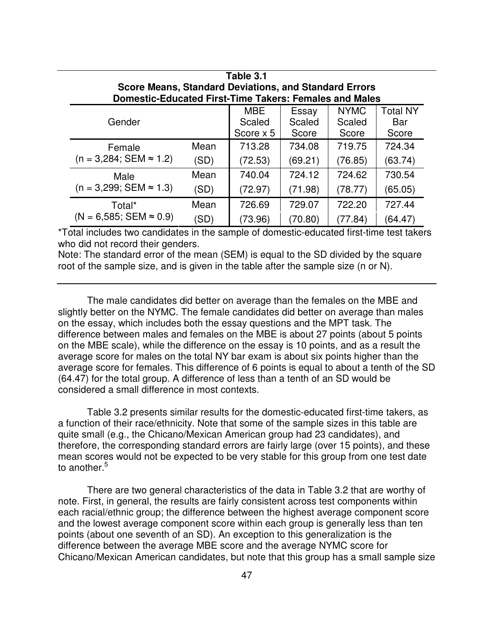| Table 3.1                                                     |      |            |         |             |                 |
|---------------------------------------------------------------|------|------------|---------|-------------|-----------------|
| <b>Score Means, Standard Deviations, and Standard Errors</b>  |      |            |         |             |                 |
| <b>Domestic-Educated First-Time Takers: Females and Males</b> |      |            |         |             |                 |
|                                                               |      | <b>MBE</b> | Essay   | <b>NYMC</b> | <b>Total NY</b> |
| Gender                                                        |      | Scaled     | Scaled  | Scaled      | Bar             |
|                                                               |      | Score x 5  | Score   | Score       | Score           |
| Female                                                        | Mean | 713.28     | 734.08  | 719.75      | 724.34          |
| $(n = 3,284; SEM \approx 1.2)$                                | (SD) | (72.53)    | (69.21) | (76.85)     | (63.74)         |
| Male                                                          | Mean | 740.04     | 724.12  | 724.62      | 730.54          |
| $(n = 3,299; SEM \approx 1.3)$                                | (SD) | (72.97)    | (71.98) | (78.77)     | (65.05)         |
| Total*                                                        | Mean | 726.69     | 729.07  | 722.20      | 727.44          |
| $(N = 6,585; SEM \approx 0.9)$                                | (SD) | (73.96)    | (70.80) | (77.84)     | (64.47)         |

\*Total includes two candidates in the sample of domestic-educated first-time test takers who did not record their genders.

Note: The standard error of the mean (SEM) is equal to the SD divided by the square root of the sample size, and is given in the table after the sample size (n or N).

The male candidates did better on average than the females on the MBE and slightly better on the NYMC. The female candidates did better on average than males on the essay, which includes both the essay questions and the MPT task. The difference between males and females on the MBE is about 27 points (about 5 points on the MBE scale), while the difference on the essay is 10 points, and as a result the average score for males on the total NY bar exam is about six points higher than the average score for females. This difference of 6 points is equal to about a tenth of the SD (64.47) for the total group. A difference of less than a tenth of an SD would be considered a small difference in most contexts.

Table 3.2 presents similar results for the domestic-educated first-time takers, as a function of their race/ethnicity. Note that some of the sample sizes in this table are quite small (e.g., the Chicano/Mexican American group had 23 candidates), and therefore, the corresponding standard errors are fairly large (over 15 points), and these mean scores would not be expected to be very stable for this group from one test date to another. 5

There are two general characteristics of the data in Table 3.2 that are worthy of note. First, in general, the results are fairly consistent across test components within each racial/ethnic group; the difference between the highest average component score and the lowest average component score within each group is generally less than ten points (about one seventh of an SD). An exception to this generalization is the difference between the average MBE score and the average NYMC score for Chicano/Mexican American candidates, but note that this group has a small sample size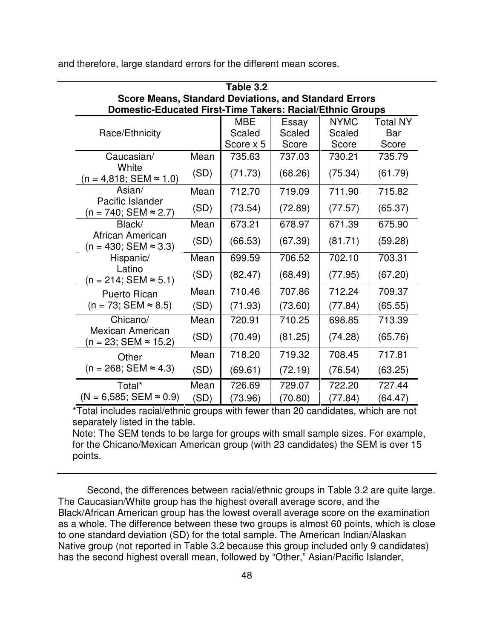| Table 3.2                                                                                                                 |      |            |         |             |                 |  |
|---------------------------------------------------------------------------------------------------------------------------|------|------------|---------|-------------|-----------------|--|
| <b>Score Means, Standard Deviations, and Standard Errors</b><br>Domestic-Educated First-Time Takers: Racial/Ethnic Groups |      |            |         |             |                 |  |
|                                                                                                                           |      |            |         |             |                 |  |
|                                                                                                                           |      | <b>MBE</b> | Essay   | <b>NYMC</b> | <b>Total NY</b> |  |
| Race/Ethnicity                                                                                                            |      | Scaled     | Scaled  | Scaled      | Bar             |  |
|                                                                                                                           |      | Score x 5  | Score   | Score       | Score           |  |
| Caucasian/                                                                                                                | Mean | 735.63     | 737.03  | 730.21      | 735.79          |  |
| White<br>$(n = 4,818; SEM \approx 1.0)$                                                                                   | (SD) | (71.73)    | (68.26) | (75.34)     | (61.79)         |  |
| Asian/                                                                                                                    | Mean | 712.70     | 719.09  | 711.90      | 715.82          |  |
| Pacific Islander<br>$(n = 740; SEM ≈ 2.7)$                                                                                | (SD) | (73.54)    | (72.89) | (77.57)     | (65.37)         |  |
| Black/                                                                                                                    | Mean | 673.21     | 678.97  | 671.39      | 675.90          |  |
| African American<br>$(n = 430; SEM ≈ 3.3)$                                                                                | (SD) | (66.53)    | (67.39) | (81.71)     | (59.28)         |  |
| Hispanic/                                                                                                                 | Mean | 699.59     | 706.52  | 702.10      | 703.31          |  |
| Latino<br>$(n = 214;$ SEM ≈ 5.1)                                                                                          | (SD) | (82.47)    | (68.49) | (77.95)     | (67.20)         |  |
| <b>Puerto Rican</b>                                                                                                       | Mean | 710.46     | 707.86  | 712.24      | 709.37          |  |
| $(n = 73; SEM \approx 8.5)$                                                                                               | (SD) | (71.93)    | (73.60) | (77.84)     | (65.55)         |  |
| Chicano/                                                                                                                  | Mean | 720.91     | 710.25  | 698.85      | 713.39          |  |
| <b>Mexican American</b><br>(n = 23; SEM ≈ 15.2)                                                                           | (SD) | (70.49)    | (81.25) | (74.28)     | (65.76)         |  |
| Other                                                                                                                     | Mean | 718.20     | 719.32  | 708.45      | 717.81          |  |
| $(n = 268; SEM \approx 4.3)$                                                                                              | (SD) | (69.61)    | (72.19) | (76.54)     | (63.25)         |  |
| Total*                                                                                                                    | Mean | 726.69     | 729.07  | 722.20      | 727.44          |  |
| $(N = 6,585; SEM \approx 0.9)$                                                                                            | (SD) | (73.96)    | (70.80) | (77.84)     | (64.47)         |  |

and therefore, large standard errors for the different mean scores.

\*Total includes racial/ethnic groups with fewer than 20 candidates, which are not separately listed in the table.

Note: The SEM tends to be large for groups with small sample sizes. For example, for the Chicano/Mexican American group (with 23 candidates) the SEM is over 15 points.

Second, the differences between racial/ethnic groups in Table 3.2 are quite large. The Caucasian/White group has the highest overall average score, and the Black/African American group has the lowest overall average score on the examination as a whole. The difference between these two groups is almost 60 points, which is close to one standard deviation (SD) for the total sample. The American Indian/Alaskan Native group (not reported in Table 3.2 because this group included only 9 candidates) has the second highest overall mean, followed by "Other," Asian/Pacific Islander,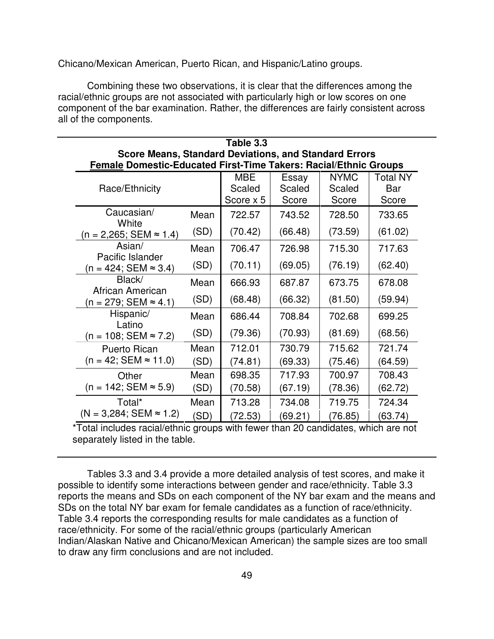Chicano/Mexican American, Puerto Rican, and Hispanic/Latino groups.

Combining these two observations, it is clear that the differences among the racial/ethnic groups are not associated with particularly high or low scores on one component of the bar examination. Rather, the differences are fairly consistent across all of the components.

| Table 3.3                                                               |      |            |         |             |                 |  |  |
|-------------------------------------------------------------------------|------|------------|---------|-------------|-----------------|--|--|
| <b>Score Means, Standard Deviations, and Standard Errors</b>            |      |            |         |             |                 |  |  |
| <b>Female Domestic-Educated First-Time Takers: Racial/Ethnic Groups</b> |      |            |         |             |                 |  |  |
|                                                                         |      | <b>MBE</b> | Essay   | <b>NYMC</b> | <b>Total NY</b> |  |  |
| Race/Ethnicity                                                          |      | Scaled     | Scaled  | Scaled      | Bar             |  |  |
|                                                                         |      | Score x 5  | Score   | Score       | Score           |  |  |
| Caucasian/<br>White                                                     | Mean | 722.57     | 743.52  | 728.50      | 733.65          |  |  |
| $(n = 2,265; SEM \approx 1.4)$                                          | (SD) | (70.42)    | (66.48) | (73.59)     | (61.02)         |  |  |
| Asian/<br>Pacific Islander                                              | Mean | 706.47     | 726.98  | 715.30      | 717.63          |  |  |
| $(n = 424; SEM ≈ 3.4)$                                                  | (SD) | (70.11)    | (69.05) | (76.19)     | (62.40)         |  |  |
| Black/<br>African American                                              | Mean | 666.93     | 687.87  | 673.75      | 678.08          |  |  |
| (n = 279; SEM ≈ 4.1)                                                    | (SD) | (68.48)    | (66.32) | (81.50)     | (59.94)         |  |  |
| Hispanic/<br>Latino                                                     | Mean | 686.44     | 708.84  | 702.68      | 699.25          |  |  |
| $(n = 108; SEM ≈ 7.2)$                                                  | (SD) | (79.36)    | (70.93) | (81.69)     | (68.56)         |  |  |
| <b>Puerto Rican</b>                                                     | Mean | 712.01     | 730.79  | 715.62      | 721.74          |  |  |
| $(n = 42; SEM \approx 11.0)$                                            | (SD) | (74.81)    | (69.33) | (75.46)     | (64.59)         |  |  |
| Other                                                                   | Mean | 698.35     | 717.93  | 700.97      | 708.43          |  |  |
| $(n = 142; SEM \approx 5.9)$                                            | (SD) | (70.58)    | (67.19) | (78.36)     | (62.72)         |  |  |
| Total*                                                                  | Mean | 713.28     | 734.08  | 719.75      | 724.34          |  |  |
| $(N = 3,284; SEM \approx 1.2)$                                          | (SD) | (72.53)    | (69.21) | (76.85)     | (63.74)         |  |  |

\*Total includes racial/ethnic groups with fewer than 20 candidates, which are not separately listed in the table.

Tables 3.3 and 3.4 provide a more detailed analysis of test scores, and make it possible to identify some interactions between gender and race/ethnicity. Table 3.3 reports the means and SDs on each component of the NY bar exam and the means and SDs on the total NY bar exam for female candidates as a function of race/ethnicity. Table 3.4 reports the corresponding results for male candidates as a function of race/ethnicity. For some of the racial/ethnic groups (particularly American Indian/Alaskan Native and Chicano/Mexican American) the sample sizes are too small to draw any firm conclusions and are not included.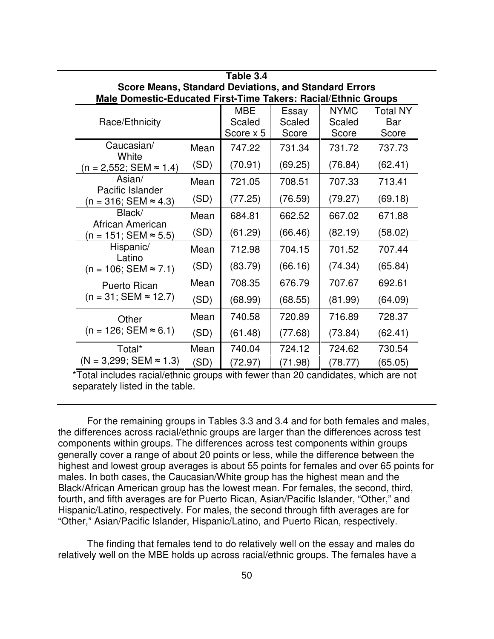| Table 3.4                                                      |      |                      |                 |                       |                        |  |  |  |
|----------------------------------------------------------------|------|----------------------|-----------------|-----------------------|------------------------|--|--|--|
| <b>Score Means, Standard Deviations, and Standard Errors</b>   |      |                      |                 |                       |                        |  |  |  |
| Male Domestic-Educated First-Time Takers: Racial/Ethnic Groups |      |                      |                 |                       |                        |  |  |  |
|                                                                |      | <b>MBE</b><br>Scaled | Essay<br>Scaled | <b>NYMC</b><br>Scaled | <b>Total NY</b><br>Bar |  |  |  |
| Race/Ethnicity                                                 |      | Score x 5            | Score           | Score                 | Score                  |  |  |  |
| Caucasian/<br>White                                            | Mean | 747.22               | 731.34          | 731.72                | 737.73                 |  |  |  |
| $(n = 2,552; SEM \approx 1.4)$                                 | (SD) | (70.91)              | (69.25)         | (76.84)               | (62.41)                |  |  |  |
| Asian/                                                         | Mean | 721.05               | 708.51          | 707.33                | 713.41                 |  |  |  |
| Pacific Islander<br>$(n = 316; SEM \approx 4.3)$               | (SD) | (77.25)              | (76.59)         | (79.27)               | (69.18)                |  |  |  |
| Black/                                                         | Mean | 684.81               | 662.52          | 667.02                | 671.88                 |  |  |  |
| African American<br>$(n = 151; SEM ≈ 5.5)$                     | (SD) | (61.29)              | (66.46)         | (82.19)               | (58.02)                |  |  |  |
| Hispanic/                                                      | Mean | 712.98               | 704.15          | 701.52                | 707.44                 |  |  |  |
| Latino<br>$(n = 106; SEM \approx 7.1)$                         | (SD) | (83.79)              | (66.16)         | (74.34)               | (65.84)                |  |  |  |
| <b>Puerto Rican</b>                                            | Mean | 708.35               | 676.79          | 707.67                | 692.61                 |  |  |  |
| $(n = 31; SEM \approx 12.7)$                                   | (SD) | (68.99)              | (68.55)         | (81.99)               | (64.09)                |  |  |  |
| Other                                                          | Mean | 740.58               | 720.89          | 716.89                | 728.37                 |  |  |  |
| $(n = 126; SEM \approx 6.1)$                                   | (SD) | (61.48)              | (77.68)         | (73.84)               | (62.41)                |  |  |  |
| Total*                                                         | Mean | 740.04               | 724.12          | 724.62                | 730.54                 |  |  |  |
| $(N = 3,299; SEM \approx 1.3)$                                 | (SD) | (72.97)              | (71.98)         | (78.77)               | (65.05)                |  |  |  |

For the remaining groups in Tables 3.3 and 3.4 and for both females and males, the differences across racial/ethnic groups are larger than the differences across test components within groups. The differences across test components within groups generally cover a range of about 20 points or less, while the difference between the highest and lowest group averages is about 55 points for females and over 65 points for males. In both cases, the Caucasian/White group has the highest mean and the Black/African American group has the lowest mean. For females, the second, third, fourth, and fifth averages are for Puerto Rican, Asian/Pacific Islander, "Other," and Hispanic/Latino, respectively. For males, the second through fifth averages are for "Other," Asian/Pacific Islander, Hispanic/Latino, and Puerto Rican, respectively.

The finding that females tend to do relatively well on the essay and males do relatively well on the MBE holds up across racial/ethnic groups. The females have a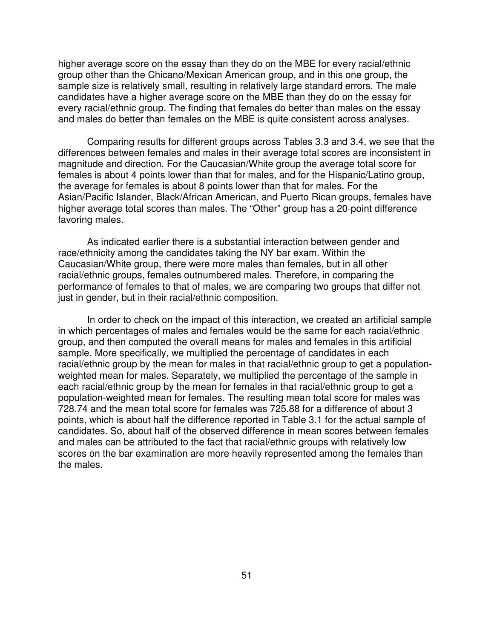higher average score on the essay than they do on the MBE for every racial/ethnic group other than the Chicano/Mexican American group, and in this one group, the sample size is relatively small, resulting in relatively large standard errors. The male candidates have a higher average score on the MBE than they do on the essay for every racial/ethnic group. The finding that females do better than males on the essay and males do better than females on the MBE is quite consistent across analyses.

Comparing results for different groups across Tables 3.3 and 3.4, we see that the differences between females and males in their average total scores are inconsistent in magnitude and direction. For the Caucasian/White group the average total score for females is about 4 points lower than that for males, and for the Hispanic/Latino group, the average for females is about 8 points lower than that for males. For the Asian/Pacific Islander, Black/African American, and Puerto Rican groups, females have higher average total scores than males. The "Other" group has a 20-point difference favoring males.

As indicated earlier there is a substantial interaction between gender and race/ethnicity among the candidates taking the NY bar exam. Within the Caucasian/White group, there were more males than females, but in all other racial/ethnic groups, females outnumbered males. Therefore, in comparing the performance of females to that of males, we are comparing two groups that differ not just in gender, but in their racial/ethnic composition.

In order to check on the impact of this interaction, we created an artificial sample in which percentages of males and females would be the same for each racial/ethnic group, and then computed the overall means for males and females in this artificial sample. More specifically, we multiplied the percentage of candidates in each racial/ethnic group by the mean for males in that racial/ethnic group to get a populationweighted mean for males. Separately, we multiplied the percentage of the sample in each racial/ethnic group by the mean for females in that racial/ethnic group to get a population-weighted mean for females. The resulting mean total score for males was 728.74 and the mean total score for females was 725.88 for a difference of about 3 points, which is about half the difference reported in Table 3.1 for the actual sample of candidates. So, about half of the observed difference in mean scores between females and males can be attributed to the fact that racial/ethnic groups with relatively low scores on the bar examination are more heavily represented among the females than the males.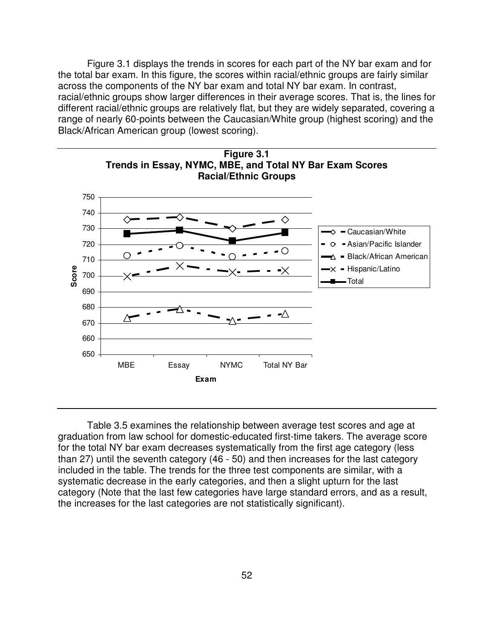Figure 3.1 displays the trends in scores for each part of the NY bar exam and for the total bar exam. In this figure, the scores within racial/ethnic groups are fairly similar across the components of the NY bar exam and total NY bar exam. In contrast, racial/ethnic groups show larger differences in their average scores. That is, the lines for different racial/ethnic groups are relatively flat, but they are widely separated, covering a range of nearly 60-points between the Caucasian/White group (highest scoring) and the Black/African American group (lowest scoring).



Table 3.5 examines the relationship between average test scores and age at graduation from law school for domestic-educated first-time takers. The average score for the total NY bar exam decreases systematically from the first age category (less than 27) until the seventh category (46 - 50) and then increases for the last category included in the table. The trends for the three test components are similar, with a systematic decrease in the early categories, and then a slight upturn for the last category (Note that the last few categories have large standard errors, and as a result, the increases for the last categories are not statistically significant).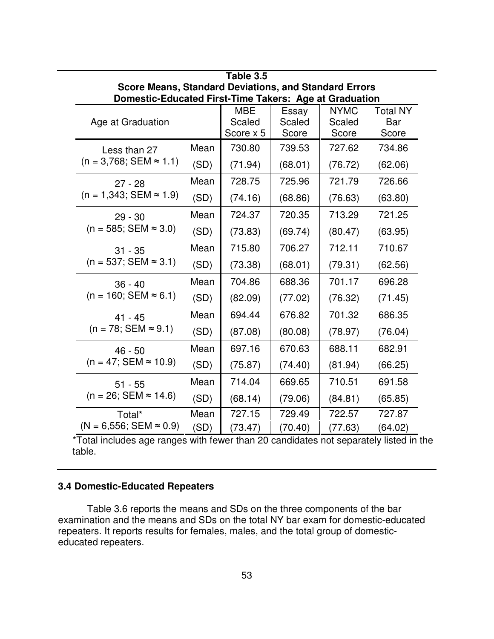| Table 3.5                                      |                                                                                                                        |                      |                   |                       |                        |  |  |  |  |  |  |
|------------------------------------------------|------------------------------------------------------------------------------------------------------------------------|----------------------|-------------------|-----------------------|------------------------|--|--|--|--|--|--|
|                                                | <b>Score Means, Standard Deviations, and Standard Errors</b><br>Domestic-Educated First-Time Takers: Age at Graduation |                      |                   |                       |                        |  |  |  |  |  |  |
| Age at Graduation                              |                                                                                                                        | <b>MBE</b><br>Scaled | Essay<br>Scaled   | <b>NYMC</b><br>Scaled | <b>Total NY</b><br>Bar |  |  |  |  |  |  |
|                                                |                                                                                                                        | Score x 5            | Score             | Score                 | Score                  |  |  |  |  |  |  |
| Less than 27<br>$(n = 3,768; SEM \approx 1.1)$ | Mean<br>(SD)                                                                                                           | 730.80<br>(71.94)    | 739.53<br>(68.01) | 727.62<br>(76.72)     | 734.86<br>(62.06)      |  |  |  |  |  |  |
| $27 - 28$                                      | Mean                                                                                                                   | 728.75               | 725.96            | 721.79                | 726.66                 |  |  |  |  |  |  |
| $(n = 1,343; SEM \approx 1.9)$                 | (SD)                                                                                                                   | (74.16)              | (68.86)           | (76.63)               | (63.80)                |  |  |  |  |  |  |
| $29 - 30$                                      | Mean                                                                                                                   | 724.37               | 720.35            | 713.29                | 721.25                 |  |  |  |  |  |  |
| $(n = 585; SEM \approx 3.0)$                   | (SD)                                                                                                                   | (73.83)              | (69.74)           | (80.47)               | (63.95)                |  |  |  |  |  |  |
| $31 - 35$                                      | Mean                                                                                                                   | 715.80               | 706.27            | 712.11                | 710.67                 |  |  |  |  |  |  |
| $(n = 537; SEM \approx 3.1)$                   | (SD)                                                                                                                   | (73.38)              | (68.01)           | (79.31)               | (62.56)                |  |  |  |  |  |  |
| $36 - 40$                                      | Mean                                                                                                                   | 704.86               | 688.36            | 701.17                | 696.28                 |  |  |  |  |  |  |
| $(n = 160; SEM \approx 6.1)$                   | (SD)                                                                                                                   | (82.09)              | (77.02)           | (76.32)               | (71.45)                |  |  |  |  |  |  |
| $41 - 45$                                      | Mean                                                                                                                   | 694.44               | 676.82            | 701.32                | 686.35                 |  |  |  |  |  |  |
| $(n = 78; SEM \approx 9.1)$                    | (SD)                                                                                                                   | (87.08)              | (80.08)           | (78.97)               | (76.04)                |  |  |  |  |  |  |
| $46 - 50$                                      | Mean                                                                                                                   | 697.16               | 670.63            | 688.11                | 682.91                 |  |  |  |  |  |  |
| $(n = 47; SEM \approx 10.9)$                   | (SD)                                                                                                                   | (75.87)              | (74.40)           | (81.94)               | (66.25)                |  |  |  |  |  |  |
| $51 - 55$                                      | Mean                                                                                                                   | 714.04               | 669.65            | 710.51                | 691.58                 |  |  |  |  |  |  |
| $(n = 26; SEM \approx 14.6)$                   | (SD)                                                                                                                   | (68.14)              | (79.06)           | (84.81)               | (65.85)                |  |  |  |  |  |  |
| Total*                                         | Mean                                                                                                                   | 727.15               | 729.49            | 722.57                | 727.87                 |  |  |  |  |  |  |
| $(N = 6,556; SEM \approx 0.9)$                 | (SD)                                                                                                                   | (73.47)              | (70.40)           | (77.63)               | (64.02)                |  |  |  |  |  |  |

\*Total includes age ranges with fewer than 20 candidates not separately listed in the table.

## **3.4 Domestic-Educated Repeaters**

Table 3.6 reports the means and SDs on the three components of the bar examination and the means and SDs on the total NY bar exam for domestic-educated repeaters. It reports results for females, males, and the total group of domesticeducated repeaters.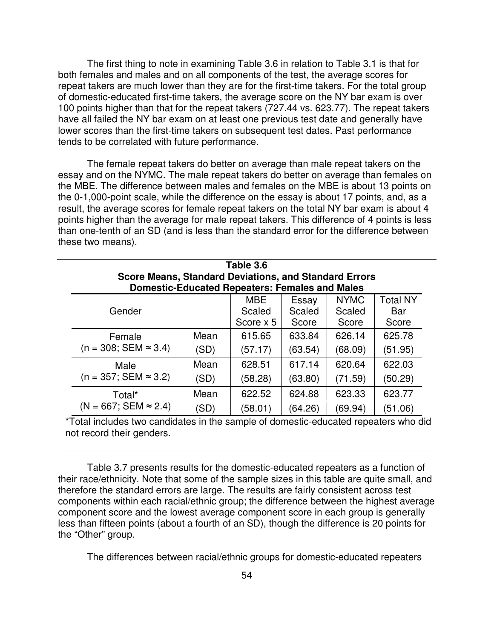The first thing to note in examining Table 3.6 in relation to Table 3.1 is that for both females and males and on all components of the test, the average scores for repeat takers are much lower than they are for the first-time takers. For the total group of domestic-educated first-time takers, the average score on the NY bar exam is over 100 points higher than that for the repeat takers (727.44 vs. 623.77). The repeat takers have all failed the NY bar exam on at least one previous test date and generally have lower scores than the first-time takers on subsequent test dates. Past performance tends to be correlated with future performance.

The female repeat takers do better on average than male repeat takers on the essay and on the NYMC. The male repeat takers do better on average than females on the MBE. The difference between males and females on the MBE is about 13 points on the 0-1,000-point scale, while the difference on the essay is about 17 points, and, as a result, the average scores for female repeat takers on the total NY bar exam is about 4 points higher than the average for male repeat takers. This difference of 4 points is less than one-tenth of an SD (and is less than the standard error for the difference between these two means).

| Table 3.6                                                                                                             |      |                                   |                          |                                |                                 |  |  |  |  |
|-----------------------------------------------------------------------------------------------------------------------|------|-----------------------------------|--------------------------|--------------------------------|---------------------------------|--|--|--|--|
| <b>Score Means, Standard Deviations, and Standard Errors</b><br><b>Domestic-Educated Repeaters: Females and Males</b> |      |                                   |                          |                                |                                 |  |  |  |  |
| Gender                                                                                                                |      | <b>MBE</b><br>Scaled<br>Score x 5 | Essay<br>Scaled<br>Score | <b>NYMC</b><br>Scaled<br>Score | <b>Total NY</b><br>Bar<br>Score |  |  |  |  |
| Female                                                                                                                | Mean | 615.65                            | 633.84                   | 626.14                         | 625.78                          |  |  |  |  |
| $(n = 308; SEM \approx 3.4)$                                                                                          | (SD) | (57.17)                           | (63.54)                  | (68.09)                        | (51.95)                         |  |  |  |  |
| Male                                                                                                                  | Mean | 628.51                            | 617.14                   | 620.64                         | 622.03                          |  |  |  |  |
| $(n = 357; SEM \approx 3.2)$                                                                                          | (SD) | (58.28)                           | (63.80)                  | (71.59)                        | (50.29)                         |  |  |  |  |
| Total*                                                                                                                | Mean | 622.52                            | 624.88                   | 623.33                         | 623.77                          |  |  |  |  |
| $(N = 667; SEM \approx 2.4)$                                                                                          | (SD) | (58.01)                           | (64.26)                  | (69.94)                        | (51.06)                         |  |  |  |  |

\*Total includes two candidates in the sample of domestic-educated repeaters who did not record their genders.

Table 3.7 presents results for the domestic-educated repeaters as a function of their race/ethnicity. Note that some of the sample sizes in this table are quite small, and therefore the standard errors are large. The results are fairly consistent across test components within each racial/ethnic group; the difference between the highest average component score and the lowest average component score in each group is generally less than fifteen points (about a fourth of an SD), though the difference is 20 points for the "Other" group.

The differences between racial/ethnic groups for domestic-educated repeaters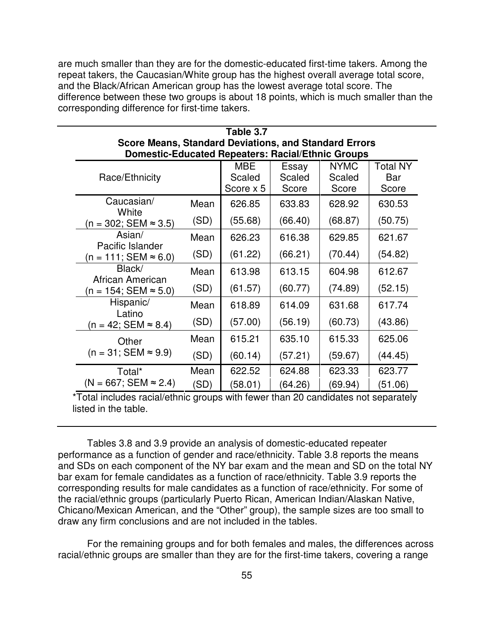are much smaller than they are for the domestic-educated first-time takers. Among the repeat takers, the Caucasian/White group has the highest overall average total score, and the Black/African American group has the lowest average total score. The difference between these two groups is about 18 points, which is much smaller than the corresponding difference for first-time takers.

| Table 3.7                                                    |      |            |         |             |                 |  |  |  |  |  |
|--------------------------------------------------------------|------|------------|---------|-------------|-----------------|--|--|--|--|--|
| <b>Score Means, Standard Deviations, and Standard Errors</b> |      |            |         |             |                 |  |  |  |  |  |
| <b>Domestic-Educated Repeaters: Racial/Ethnic Groups</b>     |      |            |         |             |                 |  |  |  |  |  |
|                                                              |      | <b>MBE</b> | Essay   | <b>NYMC</b> | <b>Total NY</b> |  |  |  |  |  |
| Race/Ethnicity                                               |      | Scaled     | Scaled  | Scaled      | Bar             |  |  |  |  |  |
|                                                              |      | Score x 5  | Score   | Score       | Score           |  |  |  |  |  |
| Caucasian/<br>White                                          | Mean | 626.85     | 633.83  | 628.92      | 630.53          |  |  |  |  |  |
| $(n = 302; SEM \approx 3.5)$                                 | (SD) | (55.68)    | (66.40) | (68.87)     | (50.75)         |  |  |  |  |  |
| Asian/<br>Pacific Islander                                   | Mean | 626.23     | 616.38  | 629.85      | 621.67          |  |  |  |  |  |
| $(n = 111; SEM ≈ 6.0)$                                       | (SD) | (61.22)    | (66.21) | (70.44)     | (54.82)         |  |  |  |  |  |
| Black/<br>African American                                   | Mean | 613.98     | 613.15  | 604.98      | 612.67          |  |  |  |  |  |
| $(n = 154; SEM \approx 5.0)$                                 | (SD) | (61.57)    | (60.77) | (74.89)     | (52.15)         |  |  |  |  |  |
| Hispanic/<br>Latino                                          | Mean | 618.89     | 614.09  | 631.68      | 617.74          |  |  |  |  |  |
| $(n = 42; SEM \approx 8.4)$                                  | (SD) | (57.00)    | (56.19) | (60.73)     | (43.86)         |  |  |  |  |  |
| Other                                                        | Mean | 615.21     | 635.10  | 615.33      | 625.06          |  |  |  |  |  |
| $(n = 31; SEM \approx 9.9)$                                  | (SD) | (60.14)    | (57.21) | (59.67)     | (44.45)         |  |  |  |  |  |
| Total*                                                       | Mean | 622.52     | 624.88  | 623.33      | 623.77          |  |  |  |  |  |
| $(N = 667; SEM \approx 2.4)$                                 | (SD) | (58.01)    | (64.26) | (69.94)     | (51.06)         |  |  |  |  |  |

\*Total includes racial/ethnic groups with fewer than 20 candidates not separately listed in the table.

Tables 3.8 and 3.9 provide an analysis of domestic-educated repeater performance as a function of gender and race/ethnicity. Table 3.8 reports the means and SDs on each component of the NY bar exam and the mean and SD on the total NY bar exam for female candidates as a function of race/ethnicity. Table 3.9 reports the corresponding results for male candidates as a function of race/ethnicity. For some of the racial/ethnic groups (particularly Puerto Rican, American Indian/Alaskan Native, Chicano/Mexican American, and the "Other" group), the sample sizes are too small to draw any firm conclusions and are not included in the tables.

For the remaining groups and for both females and males, the differences across racial/ethnic groups are smaller than they are for the first-time takers, covering a range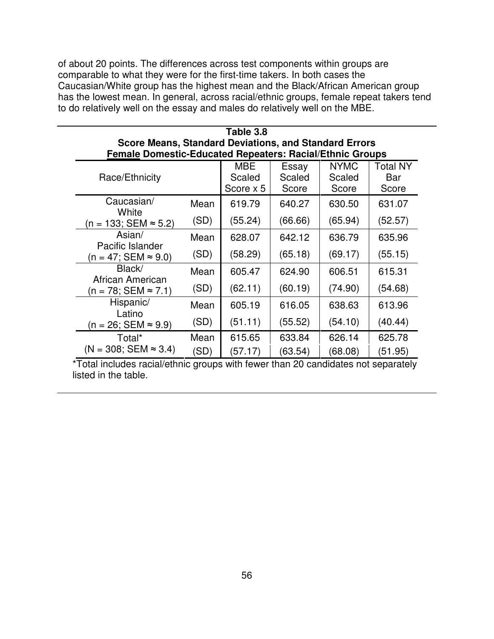of about 20 points. The differences across test components within groups are comparable to what they were for the first-time takers. In both cases the Caucasian/White group has the highest mean and the Black/African American group has the lowest mean. In general, across racial/ethnic groups, female repeat takers tend to do relatively well on the essay and males do relatively well on the MBE.

| Table 3.8                                                       |      |            |         |             |                 |  |  |  |  |  |
|-----------------------------------------------------------------|------|------------|---------|-------------|-----------------|--|--|--|--|--|
| <b>Score Means, Standard Deviations, and Standard Errors</b>    |      |            |         |             |                 |  |  |  |  |  |
| <b>Female Domestic-Educated Repeaters: Racial/Ethnic Groups</b> |      |            |         |             |                 |  |  |  |  |  |
|                                                                 |      | <b>MBE</b> | Essay   | <b>NYMC</b> | <b>Total NY</b> |  |  |  |  |  |
| Race/Ethnicity                                                  |      | Scaled     | Scaled  | Scaled      | Bar             |  |  |  |  |  |
|                                                                 |      | Score x 5  | Score   | Score       | Score           |  |  |  |  |  |
| Caucasian/<br>White                                             | Mean | 619.79     | 640.27  | 630.50      | 631.07          |  |  |  |  |  |
| $(n = 133; SEM ≈ 5.2)$                                          | (SD) | (55.24)    | (66.66) | (65.94)     | (52.57)         |  |  |  |  |  |
| Asian/<br>Pacific Islander                                      | Mean | 628.07     | 642.12  | 636.79      | 635.96          |  |  |  |  |  |
| $(n = 47; SEM ≈ 9.0)$                                           | (SD) | (58.29)    | (65.18) | (69.17)     | (55.15)         |  |  |  |  |  |
| Black/<br>African American                                      | Mean | 605.47     | 624.90  | 606.51      | 615.31          |  |  |  |  |  |
| $(n = 78; SEM ≈ 7.1)$                                           | (SD) | (62.11)    | (60.19) | (74.90)     | (54.68)         |  |  |  |  |  |
| Hispanic/<br>Latino                                             | Mean | 605.19     | 616.05  | 638.63      | 613.96          |  |  |  |  |  |
| $(n = 26; SEM \approx 9.9)$                                     | (SD) | (51.11)    | (55.52) | (54.10)     | (40.44)         |  |  |  |  |  |
| Total*                                                          | Mean | 615.65     | 633.84  | 626.14      | 625.78          |  |  |  |  |  |
| $(N = 308; SEM \approx 3.4)$                                    | (SD) | (57.17)    | (63.54) | (68.08)     | (51.95)         |  |  |  |  |  |

\*Total includes racial/ethnic groups with fewer than 20 candidates not separately listed in the table.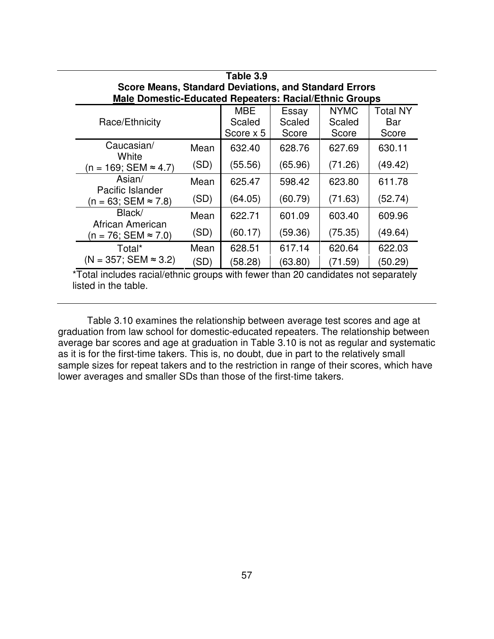| Table 3.9                                                    |      |                      |                 |                       |                 |  |  |  |  |  |
|--------------------------------------------------------------|------|----------------------|-----------------|-----------------------|-----------------|--|--|--|--|--|
| <b>Score Means, Standard Deviations, and Standard Errors</b> |      |                      |                 |                       |                 |  |  |  |  |  |
| Male Domestic-Educated Repeaters: Racial/Ethnic Groups       |      |                      |                 |                       |                 |  |  |  |  |  |
| Race/Ethnicity                                               |      | <b>MBE</b><br>Scaled | Essay<br>Scaled | <b>NYMC</b><br>Scaled | Total NY<br>Bar |  |  |  |  |  |
|                                                              |      | Score x 5            | Score           | Score                 | Score           |  |  |  |  |  |
| Caucasian/<br>White                                          | Mean | 632.40               | 628.76          | 627.69                | 630.11          |  |  |  |  |  |
| (n = 169; SEM ≈ 4.7)                                         | (SD) | (55.56)              | (65.96)         | (71.26)               | (49.42)         |  |  |  |  |  |
| Asian/<br>Pacific Islander                                   | Mean | 625.47               | 598.42          | 623.80                | 611.78          |  |  |  |  |  |
| $(n = 63; SEM \approx 7.8)$                                  | (SD) | (64.05)              | (60.79)         | (71.63)               | (52.74)         |  |  |  |  |  |
| Black/<br>African American                                   | Mean | 622.71               | 601.09          | 603.40                | 609.96          |  |  |  |  |  |
| $(n = 76; SEM ≈ 7.0)$                                        | (SD) | (60.17)              | (59.36)         | (75.35)               | (49.64)         |  |  |  |  |  |
| Total*                                                       | Mean | 628.51               | 617.14          | 620.64                | 622.03          |  |  |  |  |  |
| $(N = 357; SEM \approx 3.2)$                                 | 'SD) | (58.28)              | (63.80)         | (71.59)               | (50.29)         |  |  |  |  |  |

Table 3.10 examines the relationship between average test scores and age at graduation from law school for domestic-educated repeaters. The relationship between average bar scores and age at graduation in Table 3.10 is not as regular and systematic as it is for the first-time takers. This is, no doubt, due in part to the relatively small sample sizes for repeat takers and to the restriction in range of their scores, which have lower averages and smaller SDs than those of the first-time takers.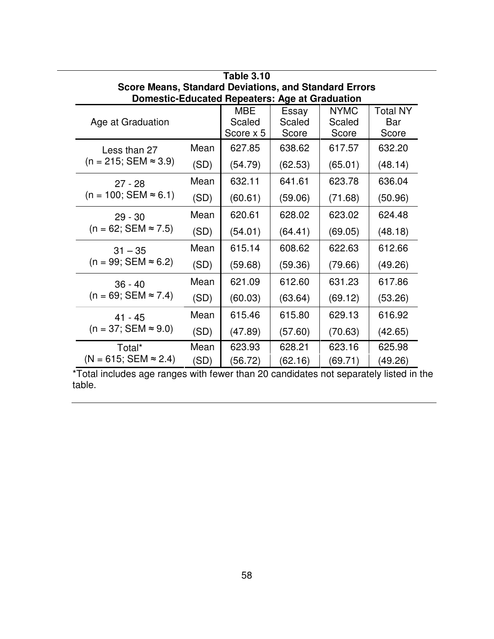| <b>Table 3.10</b>                                            |      |            |         |             |          |  |  |  |  |  |
|--------------------------------------------------------------|------|------------|---------|-------------|----------|--|--|--|--|--|
| <b>Score Means, Standard Deviations, and Standard Errors</b> |      |            |         |             |          |  |  |  |  |  |
| <b>Domestic-Educated Repeaters: Age at Graduation</b>        |      |            |         |             |          |  |  |  |  |  |
|                                                              |      | <b>MBE</b> | Essay   | <b>NYMC</b> | Total NY |  |  |  |  |  |
| Age at Graduation                                            |      | Scaled     | Scaled  | Scaled      | Bar      |  |  |  |  |  |
|                                                              |      | Score x 5  | Score   | Score       | Score    |  |  |  |  |  |
| Less than 27                                                 | Mean | 627.85     | 638.62  | 617.57      | 632.20   |  |  |  |  |  |
| $(n = 215; SEM \approx 3.9)$                                 | (SD) | (54.79)    | (62.53) | (65.01)     | (48.14)  |  |  |  |  |  |
| $27 - 28$                                                    | Mean | 632.11     | 641.61  | 623.78      | 636.04   |  |  |  |  |  |
| $(n = 100; SEM \approx 6.1)$                                 | (SD) | (60.61)    | (59.06) | (71.68)     | (50.96)  |  |  |  |  |  |
| $29 - 30$                                                    | Mean | 620.61     | 628.02  | 623.02      | 624.48   |  |  |  |  |  |
| $(n = 62; SEM \approx 7.5)$                                  | (SD) | (54.01)    | (64.41) | (69.05)     | (48.18)  |  |  |  |  |  |
| $31 - 35$                                                    | Mean | 615.14     | 608.62  | 622.63      | 612.66   |  |  |  |  |  |
| $(n = 99; SEM \approx 6.2)$                                  | (SD) | (59.68)    | (59.36) | (79.66)     | (49.26)  |  |  |  |  |  |
| $36 - 40$                                                    | Mean | 621.09     | 612.60  | 631.23      | 617.86   |  |  |  |  |  |
| $(n = 69; SEM \approx 7.4)$                                  | (SD) | (60.03)    | (63.64) | (69.12)     | (53.26)  |  |  |  |  |  |
| $41 - 45$                                                    | Mean | 615.46     | 615.80  | 629.13      | 616.92   |  |  |  |  |  |
| $(n = 37; SEM \approx 9.0)$                                  | (SD) | (47.89)    | (57.60) | (70.63)     | (42.65)  |  |  |  |  |  |
| Total*                                                       | Mean | 623.93     | 628.21  | 623.16      | 625.98   |  |  |  |  |  |
| $(N = 615; SEM \approx 2.4)$                                 | (SD) | (56.72)    | (62.16) | (69.71)     | (49.26)  |  |  |  |  |  |

\*Total includes age ranges with fewer than 20 candidates not separately listed in the table.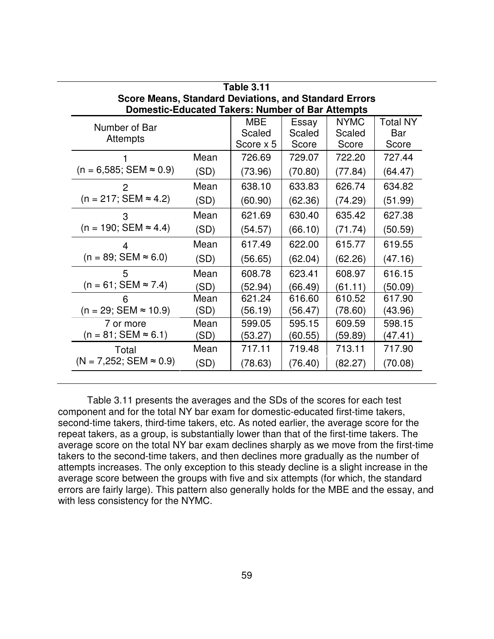| <b>Table 3.11</b>                                       |                                                              |            |         |             |                 |  |  |  |  |  |
|---------------------------------------------------------|--------------------------------------------------------------|------------|---------|-------------|-----------------|--|--|--|--|--|
|                                                         | <b>Score Means, Standard Deviations, and Standard Errors</b> |            |         |             |                 |  |  |  |  |  |
| <b>Domestic-Educated Takers: Number of Bar Attempts</b> |                                                              |            |         |             |                 |  |  |  |  |  |
| Number of Bar                                           |                                                              | <b>MBE</b> | Essay   | <b>NYMC</b> | <b>Total NY</b> |  |  |  |  |  |
| <b>Attempts</b>                                         |                                                              | Scaled     | Scaled  | Scaled      | Bar             |  |  |  |  |  |
|                                                         |                                                              | Score x 5  | Score   | Score       | Score           |  |  |  |  |  |
|                                                         | Mean                                                         | 726.69     | 729.07  | 722.20      | 727.44          |  |  |  |  |  |
| $(n = 6,585; SEM \approx 0.9)$                          | (SD)                                                         | (73.96)    | (70.80) | (77.84)     | (64.47)         |  |  |  |  |  |
|                                                         | Mean                                                         | 638.10     | 633.83  | 626.74      | 634.82          |  |  |  |  |  |
| $(n = 217; SEM \approx 4.2)$                            | (SD)                                                         | (60.90)    | (62.36) | (74.29)     | (51.99)         |  |  |  |  |  |
| З                                                       | Mean                                                         | 621.69     | 630.40  | 635.42      | 627.38          |  |  |  |  |  |
| $(n = 190; SEM \approx 4.4)$                            | (SD)                                                         | (54.57)    | (66.10) | (71.74)     | (50.59)         |  |  |  |  |  |
| 4                                                       | Mean                                                         | 617.49     | 622.00  | 615.77      | 619.55          |  |  |  |  |  |
| $(n = 89; SEM \approx 6.0)$                             | (SD)                                                         | (56.65)    | (62.04) | (62.26)     | (47.16)         |  |  |  |  |  |
| 5                                                       | Mean                                                         | 608.78     | 623.41  | 608.97      | 616.15          |  |  |  |  |  |
| $(n = 61; SEM \approx 7.4)$                             | (SD)                                                         | (52.94)    | (66.49) | (61.11)     | (50.09)         |  |  |  |  |  |
| h                                                       | Mean                                                         | 621.24     | 616.60  | 610.52      | 617.90          |  |  |  |  |  |
| $(n = 29; SEM \approx 10.9)$                            | (SD)                                                         | (56.19)    | (56.47) | (78.60)     | (43.96)         |  |  |  |  |  |
| 7 or more                                               | Mean                                                         | 599.05     | 595.15  | 609.59      | 598.15          |  |  |  |  |  |
| $(n = 81; SEM \approx 6.1)$                             | (SD)                                                         | (53.27)    | (60.55) | (59.89)     | (47.41)         |  |  |  |  |  |
| Total                                                   | Mean                                                         | 717.11     | 719.48  | 713.11      | 717.90          |  |  |  |  |  |
| $(N = 7,252; SEM \approx 0.9)$                          | (SD)                                                         | (78.63)    | (76.40) | (82.27)     | (70.08)         |  |  |  |  |  |

Table 3.11 presents the averages and the SDs of the scores for each test component and for the total NY bar exam for domestic-educated first-time takers, second-time takers, third-time takers, etc. As noted earlier, the average score for the repeat takers, as a group, is substantially lower than that of the first-time takers. The average score on the total NY bar exam declines sharply as we move from the first-time takers to the second-time takers, and then declines more gradually as the number of attempts increases. The only exception to this steady decline is a slight increase in the average score between the groups with five and six attempts (for which, the standard errors are fairly large). This pattern also generally holds for the MBE and the essay, and with less consistency for the NYMC.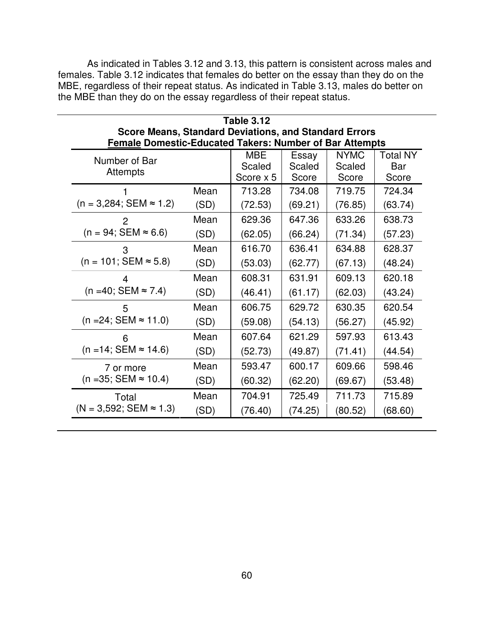As indicated in Tables 3.12 and 3.13, this pattern is consistent across males and females. Table 3.12 indicates that females do better on the essay than they do on the MBE, regardless of their repeat status. As indicated in Table 3.13, males do better on the MBE than they do on the essay regardless of their repeat status.

| <b>Table 3.12</b><br><b>Score Means, Standard Deviations, and Standard Errors</b><br><b>Female Domestic-Educated Takers: Number of Bar Attempts</b> |      |                                   |                          |                                |                                 |  |  |  |
|-----------------------------------------------------------------------------------------------------------------------------------------------------|------|-----------------------------------|--------------------------|--------------------------------|---------------------------------|--|--|--|
| Number of Bar<br>Attempts                                                                                                                           |      | <b>MBE</b><br>Scaled<br>Score x 5 | Essay<br>Scaled<br>Score | <b>NYMC</b><br>Scaled<br>Score | <b>Total NY</b><br>Bar<br>Score |  |  |  |
| $(n = 3,284; SEM \approx 1.2)$                                                                                                                      | Mean | 713.28                            | 734.08                   | 719.75                         | 724.34                          |  |  |  |
|                                                                                                                                                     | (SD) | (72.53)                           | (69.21)                  | (76.85)                        | (63.74)                         |  |  |  |
| 2                                                                                                                                                   | Mean | 629.36                            | 647.36                   | 633.26                         | 638.73                          |  |  |  |
| $(n = 94; SEM \approx 6.6)$                                                                                                                         | (SD) | (62.05)                           | (66.24)                  | (71.34)                        | (57.23)                         |  |  |  |
| 3                                                                                                                                                   | Mean | 616.70                            | 636.41                   | 634.88                         | 628.37                          |  |  |  |
| $(n = 101; SEM \approx 5.8)$                                                                                                                        | (SD) | (53.03)                           | (62.77)                  | (67.13)                        | (48.24)                         |  |  |  |
| 4                                                                                                                                                   | Mean | 608.31                            | 631.91                   | 609.13                         | 620.18                          |  |  |  |
| $(n = 40; SEM \approx 7.4)$                                                                                                                         | (SD) | (46.41)                           | (61.17)                  | (62.03)                        | (43.24)                         |  |  |  |
| 5                                                                                                                                                   | Mean | 606.75                            | 629.72                   | 630.35                         | 620.54                          |  |  |  |
| $(n = 24; SEM \approx 11.0)$                                                                                                                        | (SD) | (59.08)                           | (54.13)                  | (56.27)                        | (45.92)                         |  |  |  |
| 6                                                                                                                                                   | Mean | 607.64                            | 621.29                   | 597.93                         | 613.43                          |  |  |  |
| $(n = 14; SEM \approx 14.6)$                                                                                                                        | (SD) | (52.73)                           | (49.87)                  | (71.41)                        | (44.54)                         |  |  |  |
| 7 or more                                                                                                                                           | Mean | 593.47                            | 600.17                   | 609.66                         | 598.46                          |  |  |  |
| $(n = 35; SEM \approx 10.4)$                                                                                                                        | (SD) | (60.32)                           | (62.20)                  | (69.67)                        | (53.48)                         |  |  |  |
| Total                                                                                                                                               | Mean | 704.91                            | 725.49                   | 711.73                         | 715.89                          |  |  |  |
| $(N = 3,592; SEM \approx 1.3)$                                                                                                                      | (SD) | (76.40)                           | (74.25)                  | (80.52)                        | (68.60)                         |  |  |  |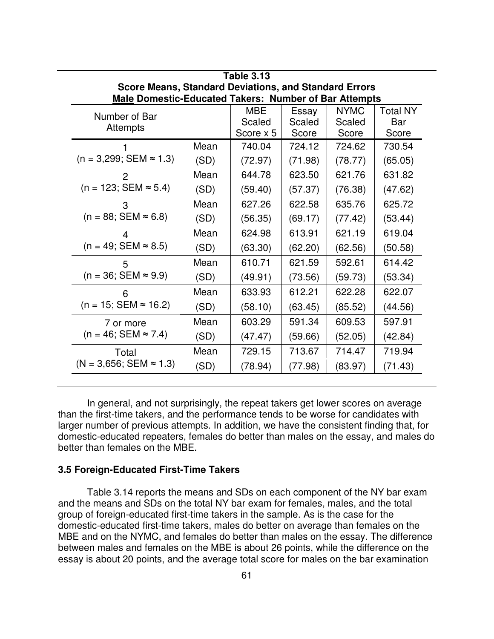| <b>Table 3.13</b>                                            |                                                              |           |         |             |                 |  |  |  |  |  |
|--------------------------------------------------------------|--------------------------------------------------------------|-----------|---------|-------------|-----------------|--|--|--|--|--|
|                                                              | <b>Score Means, Standard Deviations, and Standard Errors</b> |           |         |             |                 |  |  |  |  |  |
| <b>Male Domestic-Educated Takers: Number of Bar Attempts</b> |                                                              |           |         |             |                 |  |  |  |  |  |
| Number of Bar                                                |                                                              | MBE       | Essay   | <b>NYMC</b> | <b>Total NY</b> |  |  |  |  |  |
| Attempts                                                     |                                                              | Scaled    | Scaled  | Scaled      | Bar             |  |  |  |  |  |
|                                                              |                                                              | Score x 5 | Score   | Score       | Score           |  |  |  |  |  |
|                                                              | Mean                                                         | 740.04    | 724.12  | 724.62      | 730.54          |  |  |  |  |  |
| $(n = 3,299; SEM \approx 1.3)$                               | (SD)                                                         | (72.97)   | (71.98) | (78.77)     | (65.05)         |  |  |  |  |  |
| 2                                                            | Mean                                                         | 644.78    | 623.50  | 621.76      | 631.82          |  |  |  |  |  |
| $(n = 123; SEM \approx 5.4)$                                 | (SD)                                                         | (59.40)   | (57.37) | (76.38)     | (47.62)         |  |  |  |  |  |
| 3                                                            | Mean                                                         | 627.26    | 622.58  | 635.76      | 625.72          |  |  |  |  |  |
| $(n = 88; SEM \approx 6.8)$                                  | (SD)                                                         | (56.35)   | (69.17) | (77.42)     | (53.44)         |  |  |  |  |  |
| Δ                                                            | Mean                                                         | 624.98    | 613.91  | 621.19      | 619.04          |  |  |  |  |  |
| $(n = 49; SEM \approx 8.5)$                                  | (SD)                                                         | (63.30)   | (62.20) | (62.56)     | (50.58)         |  |  |  |  |  |
| 5                                                            | Mean                                                         | 610.71    | 621.59  | 592.61      | 614.42          |  |  |  |  |  |
| $(n = 36; SEM \approx 9.9)$                                  | (SD)                                                         | (49.91)   | (73.56) | (59.73)     | (53.34)         |  |  |  |  |  |
| 6                                                            | Mean                                                         | 633.93    | 612.21  | 622.28      | 622.07          |  |  |  |  |  |
| $(n = 15; SEM \approx 16.2)$                                 | (SD)                                                         | (58.10)   | (63.45) | (85.52)     | (44.56)         |  |  |  |  |  |
| 7 or more                                                    | Mean                                                         | 603.29    | 591.34  | 609.53      | 597.91          |  |  |  |  |  |
| $(n = 46; SEM \approx 7.4)$                                  | (SD)                                                         | (47.47)   | (59.66) | (52.05)     | (42.84)         |  |  |  |  |  |
| Total                                                        | Mean                                                         | 729.15    | 713.67  | 714.47      | 719.94          |  |  |  |  |  |
| $(N = 3,656; SEM \approx 1.3)$                               | (SD)                                                         | (78.94)   | (77.98) | (83.97)     | (71.43)         |  |  |  |  |  |

In general, and not surprisingly, the repeat takers get lower scores on average than the first-time takers, and the performance tends to be worse for candidates with larger number of previous attempts. In addition, we have the consistent finding that, for domestic-educated repeaters, females do better than males on the essay, and males do better than females on the MBE.

#### **3.5 Foreign-Educated First-Time Takers**

Table 3.14 reports the means and SDs on each component of the NY bar exam and the means and SDs on the total NY bar exam for females, males, and the total group of foreign-educated first-time takers in the sample. As is the case for the domestic-educated first-time takers, males do better on average than females on the MBE and on the NYMC, and females do better than males on the essay. The difference between males and females on the MBE is about 26 points, while the difference on the essay is about 20 points, and the average total score for males on the bar examination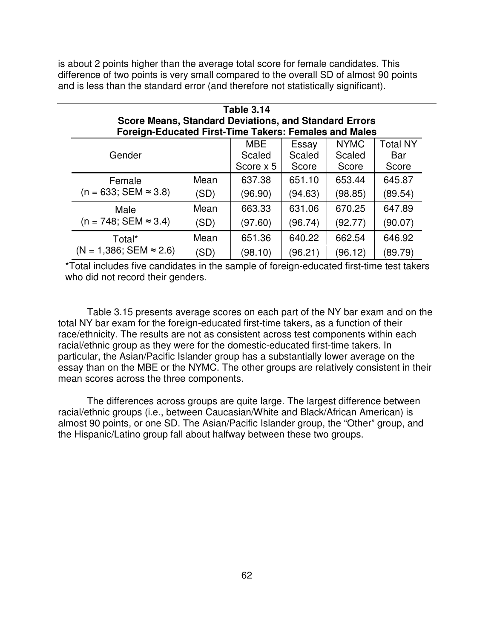is about 2 points higher than the average total score for female candidates. This difference of two points is very small compared to the overall SD of almost 90 points and is less than the standard error (and therefore not statistically significant).

| <b>Table 3.14</b><br><b>Score Means, Standard Deviations, and Standard Errors</b><br><b>Foreign-Educated First-Time Takers: Females and Males</b> |      |         |         |         |         |  |  |  |  |  |
|---------------------------------------------------------------------------------------------------------------------------------------------------|------|---------|---------|---------|---------|--|--|--|--|--|
| <b>MBE</b><br><b>NYMC</b><br><b>Total NY</b><br>Essay<br>Gender<br>Scaled<br>Scaled<br>Scaled<br>Bar<br>Score x 5<br>Score<br>Score<br>Score      |      |         |         |         |         |  |  |  |  |  |
| Female                                                                                                                                            | Mean | 637.38  | 651.10  | 653.44  | 645.87  |  |  |  |  |  |
| $(n = 633; SEM \approx 3.8)$                                                                                                                      | (SD) | (96.90) | (94.63) | (98.85) | (89.54) |  |  |  |  |  |
| Male                                                                                                                                              | Mean | 663.33  | 631.06  | 670.25  | 647.89  |  |  |  |  |  |
| $(n = 748; SEM \approx 3.4)$                                                                                                                      | (SD) | (97.60) | (96.74) | (92.77) | (90.07) |  |  |  |  |  |
| Total*                                                                                                                                            | Mean | 651.36  | 640.22  | 662.54  | 646.92  |  |  |  |  |  |
| $(N = 1,386; SEM \approx 2.6)$                                                                                                                    | (SD) | (98.10) | (96.21) | (96.12) | (89.79) |  |  |  |  |  |

\*Total includes five candidates in the sample of foreign-educated first-time test takers who did not record their genders.

Table 3.15 presents average scores on each part of the NY bar exam and on the total NY bar exam for the foreign-educated first-time takers, as a function of their race/ethnicity. The results are not as consistent across test components within each racial/ethnic group as they were for the domestic-educated first-time takers. In particular, the Asian/Pacific Islander group has a substantially lower average on the essay than on the MBE or the NYMC. The other groups are relatively consistent in their mean scores across the three components.

The differences across groups are quite large. The largest difference between racial/ethnic groups (i.e., between Caucasian/White and Black/African American) is almost 90 points, or one SD. The Asian/Pacific Islander group, the "Other" group, and the Hispanic/Latino group fall about halfway between these two groups.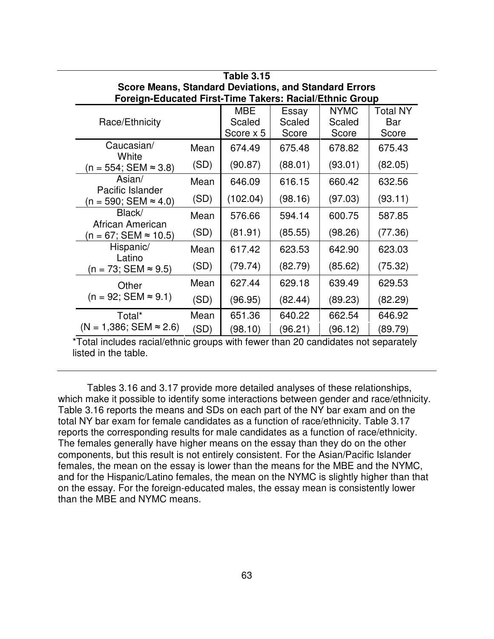| <b>Table 3.15</b>                                                                                       |      |           |                 |         |         |  |  |  |  |  |
|---------------------------------------------------------------------------------------------------------|------|-----------|-----------------|---------|---------|--|--|--|--|--|
| <b>Score Means, Standard Deviations, and Standard Errors</b>                                            |      |           |                 |         |         |  |  |  |  |  |
| Foreign-Educated First-Time Takers: Racial/Ethnic Group<br><b>MBE</b><br><b>NYMC</b><br><b>Total NY</b> |      |           |                 |         |         |  |  |  |  |  |
| Race/Ethnicity                                                                                          |      | Scaled    | Essay<br>Scaled | Scaled  | Bar     |  |  |  |  |  |
|                                                                                                         |      | Score x 5 | Score           | Score   | Score   |  |  |  |  |  |
| Caucasian/<br>White                                                                                     | Mean | 674.49    | 675.48          | 678.82  | 675.43  |  |  |  |  |  |
| $(n = 554; SEM ≈ 3.8)$                                                                                  | (SD) | (90.87)   | (88.01)         | (93.01) | (82.05) |  |  |  |  |  |
| Asian/<br>Pacific Islander                                                                              | Mean | 646.09    | 616.15          | 660.42  | 632.56  |  |  |  |  |  |
| $(n = 590; SEM \approx 4.0)$                                                                            | (SD) | (102.04)  | (98.16)         | (97.03) | (93.11) |  |  |  |  |  |
| Black/<br>African American                                                                              | Mean | 576.66    | 594.14          | 600.75  | 587.85  |  |  |  |  |  |
| $(n = 67; SEM \approx 10.5)$                                                                            | (SD) | (81.91)   | (85.55)         | (98.26) | (77.36) |  |  |  |  |  |
| Hispanic/<br>Latino                                                                                     | Mean | 617.42    | 623.53          | 642.90  | 623.03  |  |  |  |  |  |
| $(n = 73; SEM ≈ 9.5)$                                                                                   | (SD) | (79.74)   | (82.79)         | (85.62) | (75.32) |  |  |  |  |  |
| Other                                                                                                   | Mean | 627.44    | 629.18          | 639.49  | 629.53  |  |  |  |  |  |
| $(n = 92; SEM \approx 9.1)$                                                                             | (SD) | (96.95)   | (82.44)         | (89.23) | (82.29) |  |  |  |  |  |
| Total*                                                                                                  | Mean | 651.36    | 640.22          | 662.54  | 646.92  |  |  |  |  |  |
| $(N = 1,386; SEM \approx 2.6)$                                                                          | (SD) | (98.10)   | (96.21)         | (96.12) | (89.79) |  |  |  |  |  |

Tables 3.16 and 3.17 provide more detailed analyses of these relationships, which make it possible to identify some interactions between gender and race/ethnicity. Table 3.16 reports the means and SDs on each part of the NY bar exam and on the total NY bar exam for female candidates as a function of race/ethnicity. Table 3.17 reports the corresponding results for male candidates as a function of race/ethnicity. The females generally have higher means on the essay than they do on the other components, but this result is not entirely consistent. For the Asian/Pacific Islander females, the mean on the essay is lower than the means for the MBE and the NYMC, and for the Hispanic/Latino females, the mean on the NYMC is slightly higher than that on the essay. For the foreign-educated males, the essay mean is consistently lower than the MBE and NYMC means.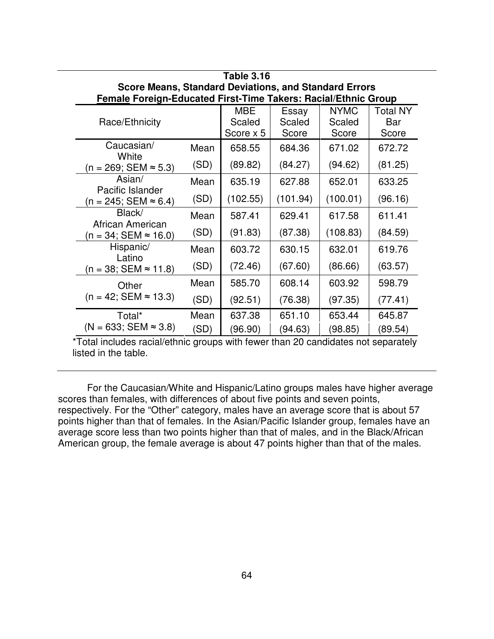| <b>Table 3.16</b>                                                     |      |           |          |             |          |  |  |  |  |  |
|-----------------------------------------------------------------------|------|-----------|----------|-------------|----------|--|--|--|--|--|
| <b>Score Means, Standard Deviations, and Standard Errors</b>          |      |           |          |             |          |  |  |  |  |  |
| <b>Female Foreign-Educated First-Time Takers: Racial/Ethnic Group</b> |      |           |          |             |          |  |  |  |  |  |
|                                                                       |      | MBE       | Essay    | <b>NYMC</b> | Total NY |  |  |  |  |  |
| Race/Ethnicity                                                        |      | Scaled    | Scaled   | Scaled      | Bar      |  |  |  |  |  |
|                                                                       |      | Score x 5 | Score    | Score       | Score    |  |  |  |  |  |
| Caucasian/<br>White                                                   | Mean | 658.55    | 684.36   | 671.02      | 672.72   |  |  |  |  |  |
| $(n = 269; SEM ≈ 5.3)$                                                | (SD) | (89.82)   | (84.27)  | (94.62)     | (81.25)  |  |  |  |  |  |
| Asian/<br>Pacific Islander                                            | Mean | 635.19    | 627.88   | 652.01      | 633.25   |  |  |  |  |  |
| $(n = 245; SEM \approx 6.4)$                                          | (SD) | (102.55)  | (101.94) | (100.01)    | (96.16)  |  |  |  |  |  |
| Black/<br>African American                                            | Mean | 587.41    | 629.41   | 617.58      | 611.41   |  |  |  |  |  |
| $(n = 34; SEM \approx 16.0)$                                          | (SD) | (91.83)   | (87.38)  | (108.83)    | (84.59)  |  |  |  |  |  |
| Hispanic/<br>Latino                                                   | Mean | 603.72    | 630.15   | 632.01      | 619.76   |  |  |  |  |  |
| $(n = 38; SEM \approx 11.8)$                                          | (SD) | (72.46)   | (67.60)  | (86.66)     | (63.57)  |  |  |  |  |  |
| Other                                                                 | Mean | 585.70    | 608.14   | 603.92      | 598.79   |  |  |  |  |  |
| $(n = 42; SEM \approx 13.3)$                                          | (SD) | (92.51)   | (76.38)  | (97.35)     | (77.41)  |  |  |  |  |  |
| Total*                                                                | Mean | 637.38    | 651.10   | 653.44      | 645.87   |  |  |  |  |  |
| $(N = 633; SEM \approx 3.8)$                                          | (SD) | (96.90)   | (94.63)  | (98.85)     | (89.54)  |  |  |  |  |  |

For the Caucasian/White and Hispanic/Latino groups males have higher average scores than females, with differences of about five points and seven points, respectively. For the "Other" category, males have an average score that is about 57 points higher than that of females. In the Asian/Pacific Islander group, females have an average score less than two points higher than that of males, and in the Black/African American group, the female average is about 47 points higher than that of the males.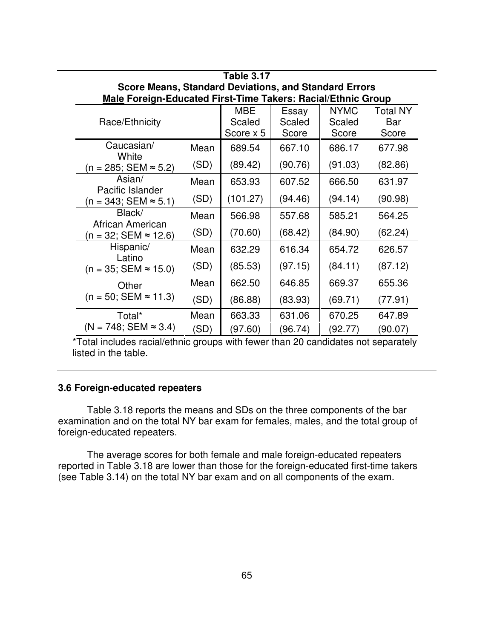| Table 3.17                                                   |      |            |         |             |          |  |  |  |
|--------------------------------------------------------------|------|------------|---------|-------------|----------|--|--|--|
| <b>Score Means, Standard Deviations, and Standard Errors</b> |      |            |         |             |          |  |  |  |
| Male Foreign-Educated First-Time Takers: Racial/Ethnic Group |      |            |         |             |          |  |  |  |
|                                                              |      | <b>MBE</b> | Essay   | <b>NYMC</b> | Total NY |  |  |  |
| Race/Ethnicity                                               |      | Scaled     | Scaled  | Scaled      | Bar      |  |  |  |
|                                                              |      | Score x 5  | Score   | Score       | Score    |  |  |  |
| Caucasian/<br>White                                          | Mean | 689.54     | 667.10  | 686.17      | 677.98   |  |  |  |
| $(n = 285; SEM ≈ 5.2)$                                       | (SD) | (89.42)    | (90.76) | (91.03)     | (82.86)  |  |  |  |
| Asian/<br>Pacific Islander                                   | Mean | 653.93     | 607.52  | 666.50      | 631.97   |  |  |  |
| $(n = 343; SEM ≈ 5.1)$                                       | (SD) | (101.27)   | (94.46) | (94.14)     | (90.98)  |  |  |  |
| Black/<br>African American                                   | Mean | 566.98     | 557.68  | 585.21      | 564.25   |  |  |  |
| $(n = 32; SEM \approx 12.6)$                                 | (SD) | (70.60)    | (68.42) | (84.90)     | (62.24)  |  |  |  |
| Hispanic/<br>Latino                                          | Mean | 632.29     | 616.34  | 654.72      | 626.57   |  |  |  |
| $(n = 35; SEM \approx 15.0)$                                 | (SD) | (85.53)    | (97.15) | (84.11)     | (87.12)  |  |  |  |
| Other<br>$(n = 50; SEM \approx 11.3)$                        | Mean | 662.50     | 646.85  | 669.37      | 655.36   |  |  |  |
|                                                              | (SD) | (86.88)    | (83.93) | (69.71)     | (77.91)  |  |  |  |
| Total*                                                       | Mean | 663.33     | 631.06  | 670.25      | 647.89   |  |  |  |
| $(N = 748; SEM \approx 3.4)$                                 | (SD) | (97.60)    | (96.74) | (92.77)     | (90.07)  |  |  |  |

### **3.6 Foreign-educated repeaters**

Table 3.18 reports the means and SDs on the three components of the bar examination and on the total NY bar exam for females, males, and the total group of foreign-educated repeaters.

The average scores for both female and male foreign-educated repeaters reported in Table 3.18 are lower than those for the foreign-educated first-time takers (see Table 3.14) on the total NY bar exam and on all components of the exam.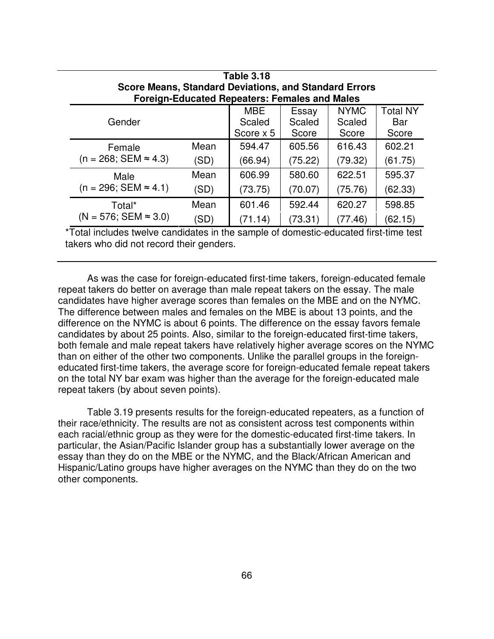| Table 3.18<br><b>Score Means, Standard Deviations, and Standard Errors</b> |      |                                                      |         |             |                 |  |  |
|----------------------------------------------------------------------------|------|------------------------------------------------------|---------|-------------|-----------------|--|--|
|                                                                            |      | <b>Foreign-Educated Repeaters: Females and Males</b> |         |             |                 |  |  |
|                                                                            |      | <b>MBE</b>                                           | Essay   | <b>NYMC</b> | <b>Total NY</b> |  |  |
| Gender                                                                     |      | Scaled                                               | Scaled  | Scaled      | Bar             |  |  |
|                                                                            |      | Score $\times$ 5                                     | Score   | Score       | Score           |  |  |
| Female                                                                     | Mean | 594.47                                               | 605.56  | 616.43      | 602.21          |  |  |
| $(n = 268; SEM \approx 4.3)$                                               | (SD) | (66.94)                                              | (75.22) | (79.32)     | (61.75)         |  |  |
| Male                                                                       | Mean | 606.99                                               | 580.60  | 622.51      | 595.37          |  |  |
| $(n = 296; SEM \approx 4.1)$                                               | (SD) | (73.75)                                              | (70.07) | (75.76)     | (62.33)         |  |  |
| Total*                                                                     | Mean | 601.46                                               | 592.44  | 620.27      | 598.85          |  |  |
| $(N = 576; SEM \approx 3.0)$                                               | (SD) | 71.14)                                               | (73.31) | (77.46)     | (62.15)         |  |  |

\*Total includes twelve candidates in the sample of domestic-educated first-time test takers who did not record their genders.

As was the case for foreign-educated first-time takers, foreign-educated female repeat takers do better on average than male repeat takers on the essay. The male candidates have higher average scores than females on the MBE and on the NYMC. The difference between males and females on the MBE is about 13 points, and the difference on the NYMC is about 6 points. The difference on the essay favors female candidates by about 25 points. Also, similar to the foreign-educated first-time takers, both female and male repeat takers have relatively higher average scores on the NYMC than on either of the other two components. Unlike the parallel groups in the foreigneducated first-time takers, the average score for foreign-educated female repeat takers on the total NY bar exam was higher than the average for the foreign-educated male repeat takers (by about seven points).

Table 3.19 presents results for the foreign-educated repeaters, as a function of their race/ethnicity. The results are not as consistent across test components within each racial/ethnic group as they were for the domestic-educated first-time takers. In particular, the Asian/Pacific Islander group has a substantially lower average on the essay than they do on the MBE or the NYMC, and the Black/African American and Hispanic/Latino groups have higher averages on the NYMC than they do on the two other components.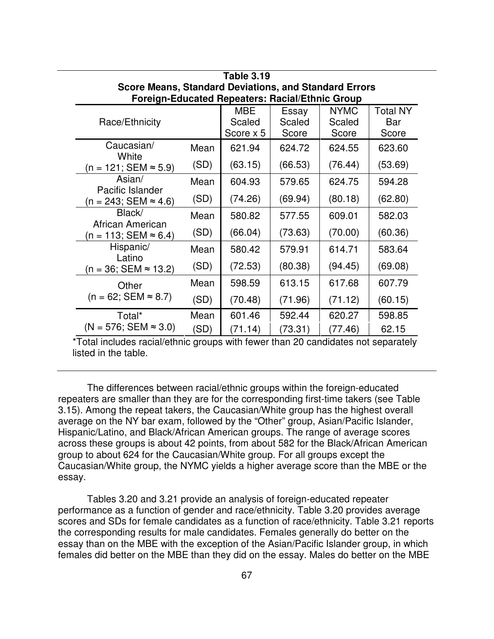| Table 3.19                                                                                                             |      |                                   |                          |                                |                                 |  |  |
|------------------------------------------------------------------------------------------------------------------------|------|-----------------------------------|--------------------------|--------------------------------|---------------------------------|--|--|
| <b>Score Means, Standard Deviations, and Standard Errors</b><br><b>Foreign-Educated Repeaters: Racial/Ethnic Group</b> |      |                                   |                          |                                |                                 |  |  |
| Race/Ethnicity                                                                                                         |      | <b>MBE</b><br>Scaled<br>Score x 5 | Essay<br>Scaled<br>Score | <b>NYMC</b><br>Scaled<br>Score | <b>Total NY</b><br>Bar<br>Score |  |  |
| Caucasian/                                                                                                             | Mean | 621.94                            | 624.72                   | 624.55                         | 623.60                          |  |  |
| White<br>$(n = 121; SEM ≈ 5.9)$                                                                                        | (SD) | (63.15)                           | (66.53)                  | (76.44)                        | (53.69)                         |  |  |
| Asian/                                                                                                                 | Mean | 604.93                            | 579.65                   | 624.75                         | 594.28                          |  |  |
| Pacific Islander<br>$(n = 243; SEM ≈ 4.6)$                                                                             | (SD) | (74.26)                           | (69.94)                  | (80.18)                        | (62.80)                         |  |  |
| Black/<br>African American                                                                                             | Mean | 580.82                            | 577.55                   | 609.01                         | 582.03                          |  |  |
| $(n = 113; SEM ≈ 6.4)$                                                                                                 | (SD) | (66.04)                           | (73.63)                  | (70.00)                        | (60.36)                         |  |  |
| Hispanic/<br>Latino                                                                                                    | Mean | 580.42                            | 579.91                   | 614.71                         | 583.64                          |  |  |
| (n = 36; SEM ≈ 13.2)                                                                                                   | (SD) | (72.53)                           | (80.38)                  | (94.45)                        | (69.08)                         |  |  |
| Other<br>$(n = 62; SEM \approx 8.7)$                                                                                   | Mean | 598.59                            | 613.15                   | 617.68                         | 607.79                          |  |  |
|                                                                                                                        | (SD) | (70.48)                           | (71.96)                  | (71.12)                        | (60.15)                         |  |  |
| Total*                                                                                                                 | Mean | 601.46                            | 592.44                   | 620.27                         | 598.85                          |  |  |
| $(N = 576; SEM \approx 3.0)$                                                                                           | (SD) | (71.14)                           | (73.31)                  | (77.46)                        | 62.15                           |  |  |

The differences between racial/ethnic groups within the foreign-educated repeaters are smaller than they are for the corresponding first-time takers (see Table 3.15). Among the repeat takers, the Caucasian/White group has the highest overall average on the NY bar exam, followed by the "Other" group, Asian/Pacific Islander, Hispanic/Latino, and Black/African American groups. The range of average scores across these groups is about 42 points, from about 582 for the Black/African American group to about 624 for the Caucasian/White group. For all groups except the Caucasian/White group, the NYMC yields a higher average score than the MBE or the essay.

Tables 3.20 and 3.21 provide an analysis of foreign-educated repeater performance as a function of gender and race/ethnicity. Table 3.20 provides average scores and SDs for female candidates as a function of race/ethnicity. Table 3.21 reports the corresponding results for male candidates. Females generally do better on the essay than on the MBE with the exception of the Asian/Pacific Islander group, in which females did better on the MBE than they did on the essay. Males do better on the MBE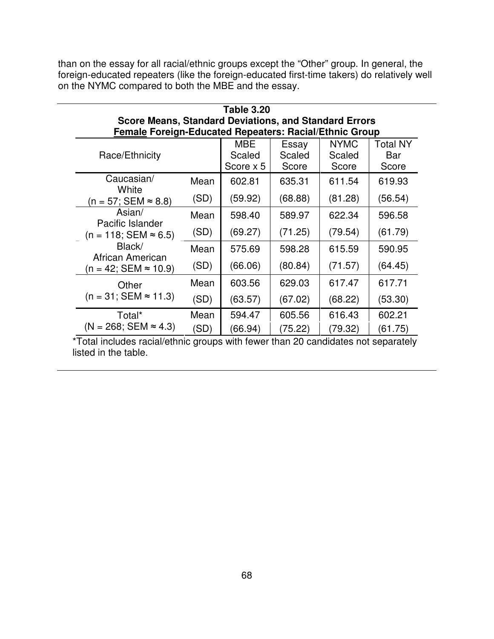than on the essay for all racial/ethnic groups except the "Other" group. In general, the foreign-educated repeaters (like the foreign-educated first-time takers) do relatively well on the NYMC compared to both the MBE and the essay.

| <b>Table 3.20</b>                                            |                                                               |                     |                 |                       |                 |  |  |  |
|--------------------------------------------------------------|---------------------------------------------------------------|---------------------|-----------------|-----------------------|-----------------|--|--|--|
| <b>Score Means, Standard Deviations, and Standard Errors</b> |                                                               |                     |                 |                       |                 |  |  |  |
|                                                              | <b>Female Foreign-Educated Repeaters: Racial/Ethnic Group</b> |                     |                 |                       |                 |  |  |  |
|                                                              |                                                               | MBE                 | Essay<br>Scaled | <b>NYMC</b><br>Scaled | Total NY<br>Bar |  |  |  |
| Race/Ethnicity                                               |                                                               | Scaled<br>Score x 5 | Score           | Score                 | Score           |  |  |  |
| Caucasian/<br>White                                          | Mean                                                          | 602.81              | 635.31          | 611.54                | 619.93          |  |  |  |
| (n = 57; SEM ≈ 8.8)                                          | (SD)                                                          | (59.92)             | (68.88)         | (81.28)               | (56.54)         |  |  |  |
| Asian/<br>Pacific Islander                                   | Mean                                                          | 598.40              | 589.97          | 622.34                | 596.58          |  |  |  |
| $(n = 118; SEM \approx 6.5)$                                 | (SD)                                                          | (69.27)             | (71.25)         | (79.54)               | (61.79)         |  |  |  |
| Black/<br>African American                                   | Mean                                                          | 575.69              | 598.28          | 615.59                | 590.95          |  |  |  |
| $(n = 42; SEM \approx 10.9)$                                 | (SD)                                                          | (66.06)             | (80.84)         | (71.57)               | (64.45)         |  |  |  |
| Other                                                        | Mean                                                          | 603.56              | 629.03          | 617.47                | 617.71          |  |  |  |
| $(n = 31; SEM \approx 11.3)$                                 | (SD)                                                          | (63.57)             | (67.02)         | (68.22)               | (53.30)         |  |  |  |
| Total*                                                       | Mean                                                          | 594.47              | 605.56          | 616.43                | 602.21          |  |  |  |
| $(N = 268; SEM \approx 4.3)$                                 | (SD)                                                          | (66.94)             | (75.22)         | (79.32)               | (61.75)         |  |  |  |

\*Total includes racial/ethnic groups with fewer than 20 candidates not separately listed in the table.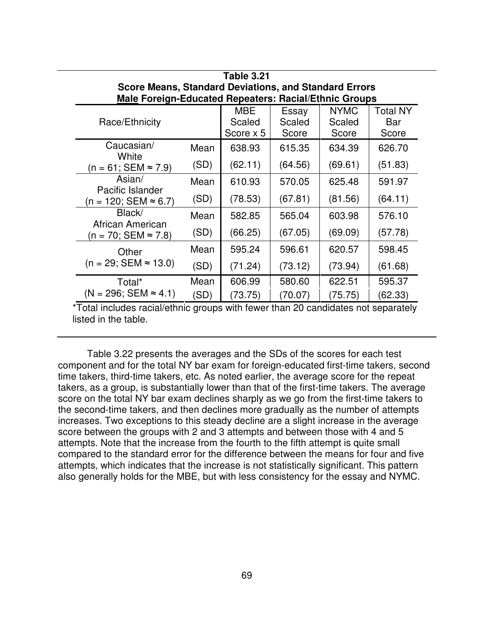| Table 3.21                                                                                                                   |      |                                   |                          |                                |                                 |  |  |
|------------------------------------------------------------------------------------------------------------------------------|------|-----------------------------------|--------------------------|--------------------------------|---------------------------------|--|--|
| <b>Score Means, Standard Deviations, and Standard Errors</b><br><b>Male Foreign-Educated Repeaters: Racial/Ethnic Groups</b> |      |                                   |                          |                                |                                 |  |  |
| Race/Ethnicity                                                                                                               |      | <b>MBE</b><br>Scaled<br>Score x 5 | Essay<br>Scaled<br>Score | <b>NYMC</b><br>Scaled<br>Score | <b>Total NY</b><br>Bar<br>Score |  |  |
| Caucasian/<br>White                                                                                                          | Mean | 638.93                            | 615.35                   | 634.39                         | 626.70                          |  |  |
| $(n = 61; SEM \approx 7.9)$                                                                                                  | (SD) | (62.11)                           | (64.56)                  | (69.61)                        | (51.83)                         |  |  |
| Asian/                                                                                                                       | Mean | 610.93                            | 570.05                   | 625.48                         | 591.97                          |  |  |
| Pacific Islander<br>$(n = 120; SEM ≈ 6.7)$                                                                                   | (SD) | (78.53)                           | (67.81)                  | (81.56)                        | (64.11)                         |  |  |
| Black/                                                                                                                       | Mean | 582.85                            | 565.04                   | 603.98                         | 576.10                          |  |  |
| African American<br>(n = 70; SEM ≈ 7.8)                                                                                      | (SD) | (66.25)                           | (67.05)                  | (69.09)                        | (57.78)                         |  |  |
| Other                                                                                                                        | Mean | 595.24                            | 596.61                   | 620.57                         | 598.45                          |  |  |
| $(n = 29; SEM \approx 13.0)$                                                                                                 | (SD) | (71.24)                           | (73.12)                  | (73.94)                        | (61.68)                         |  |  |
| Total*                                                                                                                       | Mean | 606.99                            | 580.60                   | 622.51                         | 595.37                          |  |  |
| $(N = 296; SEM \approx 4.1)$                                                                                                 | (SD) | (73.75)                           | (70.07)                  | (75.75)                        | (62.33)                         |  |  |

Table 3.22 presents the averages and the SDs of the scores for each test component and for the total NY bar exam for foreign-educated first-time takers, second time takers, third-time takers, etc. As noted earlier, the average score for the repeat takers, as a group, is substantially lower than that of the first-time takers. The average score on the total NY bar exam declines sharply as we go from the first-time takers to the second-time takers, and then declines more gradually as the number of attempts increases. Two exceptions to this steady decline are a slight increase in the average score between the groups with 2 and 3 attempts and between those with 4 and 5 attempts. Note that the increase from the fourth to the fifth attempt is quite small compared to the standard error for the difference between the means for four and five attempts, which indicates that the increase is not statistically significant. This pattern also generally holds for the MBE, but with less consistency for the essay and NYMC.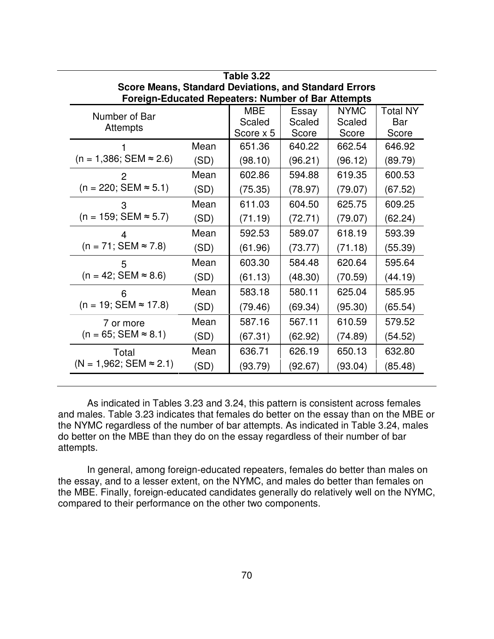| Table 3.22                                                   |      |            |         |             |                 |  |  |
|--------------------------------------------------------------|------|------------|---------|-------------|-----------------|--|--|
| <b>Score Means, Standard Deviations, and Standard Errors</b> |      |            |         |             |                 |  |  |
| <b>Foreign-Educated Repeaters: Number of Bar Attempts</b>    |      |            |         |             |                 |  |  |
| Number of Bar                                                |      | <b>MBE</b> | Essay   | <b>NYMC</b> | <b>Total NY</b> |  |  |
| Attempts                                                     |      | Scaled     | Scaled  | Scaled      | Bar             |  |  |
|                                                              |      | Score x 5  | Score   | Score       | Score           |  |  |
|                                                              | Mean | 651.36     | 640.22  | 662.54      | 646.92          |  |  |
| $(n = 1,386; SEM \approx 2.6)$                               | (SD) | (98.10)    | (96.21) | (96.12)     | (89.79)         |  |  |
| 2                                                            | Mean | 602.86     | 594.88  | 619.35      | 600.53          |  |  |
| $(n = 220; SEM \approx 5.1)$                                 | (SD) | (75.35)    | (78.97) | (79.07)     | (67.52)         |  |  |
| 3                                                            | Mean | 611.03     | 604.50  | 625.75      | 609.25          |  |  |
| $(n = 159; SEM \approx 5.7)$                                 | (SD) | (71.19)    | (72.71) | (79.07)     | (62.24)         |  |  |
|                                                              | Mean | 592.53     | 589.07  | 618.19      | 593.39          |  |  |
| $(n = 71; SEM \approx 7.8)$                                  | (SD) | (61.96)    | (73.77) | (71.18)     | (55.39)         |  |  |
| 5                                                            | Mean | 603.30     | 584.48  | 620.64      | 595.64          |  |  |
| $(n = 42; SEM \approx 8.6)$                                  | (SD) | (61.13)    | (48.30) | (70.59)     | (44.19)         |  |  |
| 6                                                            | Mean | 583.18     | 580.11  | 625.04      | 585.95          |  |  |
| $(n = 19; SEM \approx 17.8)$                                 | (SD) | (79.46)    | (69.34) | (95.30)     | (65.54)         |  |  |
| 7 or more<br>$(n = 65; SEM \approx 8.1)$                     | Mean | 587.16     | 567.11  | 610.59      | 579.52          |  |  |
|                                                              | (SD) | (67.31)    | (62.92) | (74.89)     | (54.52)         |  |  |
| Total<br>$(N = 1,962; SEM \approx 2.1)$                      | Mean | 636.71     | 626.19  | 650.13      | 632.80          |  |  |
|                                                              | (SD) | (93.79)    | (92.67) | (93.04)     | (85.48)         |  |  |

As indicated in Tables 3.23 and 3.24, this pattern is consistent across females and males. Table 3.23 indicates that females do better on the essay than on the MBE or the NYMC regardless of the number of bar attempts. As indicated in Table 3.24, males do better on the MBE than they do on the essay regardless of their number of bar attempts.

In general, among foreign-educated repeaters, females do better than males on the essay, and to a lesser extent, on the NYMC, and males do better than females on the MBE. Finally, foreign-educated candidates generally do relatively well on the NYMC, compared to their performance on the other two components.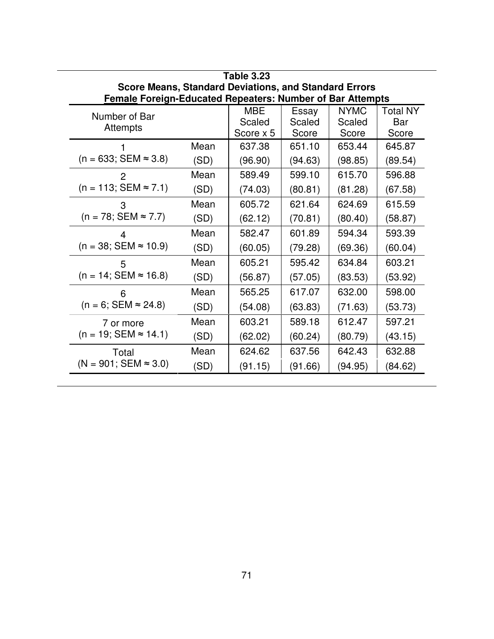| <b>Table 3.23</b>                                                |      |            |         |             |                 |  |  |
|------------------------------------------------------------------|------|------------|---------|-------------|-----------------|--|--|
| <b>Score Means, Standard Deviations, and Standard Errors</b>     |      |            |         |             |                 |  |  |
| <b>Female Foreign-Educated Repeaters: Number of Bar Attempts</b> |      |            |         |             |                 |  |  |
| Number of Bar                                                    |      | <b>MBE</b> | Essay   | <b>NYMC</b> | <b>Total NY</b> |  |  |
| <b>Attempts</b>                                                  |      | Scaled     | Scaled  | Scaled      | Bar             |  |  |
|                                                                  |      | Score x 5  | Score   | Score       | Score           |  |  |
|                                                                  | Mean | 637.38     | 651.10  | 653.44      | 645.87          |  |  |
| $(n = 633; SEM \approx 3.8)$                                     | (SD) | (96.90)    | (94.63) | (98.85)     | (89.54)         |  |  |
| $\overline{2}$                                                   | Mean | 589.49     | 599.10  | 615.70      | 596.88          |  |  |
| $(n = 113; SEM \approx 7.1)$                                     | (SD) | (74.03)    | (80.81) | (81.28)     | (67.58)         |  |  |
| 3                                                                | Mean | 605.72     | 621.64  | 624.69      | 615.59          |  |  |
| $(n = 78; SEM \approx 7.7)$                                      | (SD) | (62.12)    | (70.81) | (80.40)     | (58.87)         |  |  |
|                                                                  | Mean | 582.47     | 601.89  | 594.34      | 593.39          |  |  |
| $(n = 38; SEM \approx 10.9)$                                     | (SD) | (60.05)    | (79.28) | (69.36)     | (60.04)         |  |  |
| 5                                                                | Mean | 605.21     | 595.42  | 634.84      | 603.21          |  |  |
| $(n = 14; SEM \approx 16.8)$                                     | (SD) | (56.87)    | (57.05) | (83.53)     | (53.92)         |  |  |
| 6                                                                | Mean | 565.25     | 617.07  | 632.00      | 598.00          |  |  |
| $(n = 6; SEM \approx 24.8)$                                      | (SD) | (54.08)    | (63.83) | (71.63)     | (53.73)         |  |  |
| 7 or more<br>$(n = 19; SEM \approx 14.1)$                        | Mean | 603.21     | 589.18  | 612.47      | 597.21          |  |  |
|                                                                  | (SD) | (62.02)    | (60.24) | (80.79)     | (43.15)         |  |  |
| Total                                                            | Mean | 624.62     | 637.56  | 642.43      | 632.88          |  |  |
| $(N = 901; SEM \approx 3.0)$                                     | (SD) | (91.15)    | (91.66) | (94.95)     | (84.62)         |  |  |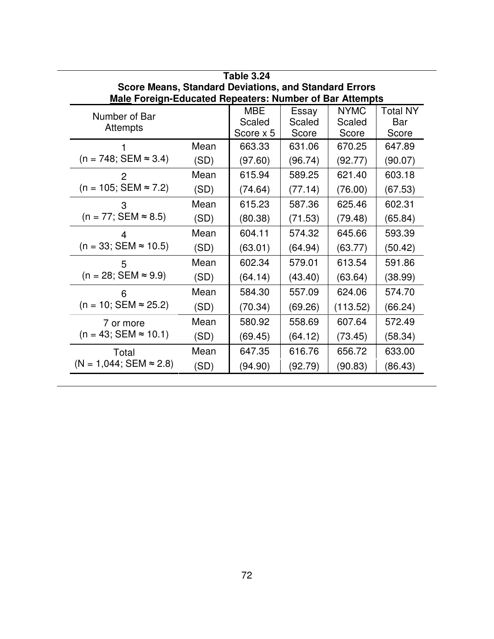| <b>Table 3.24</b>                                              |      |           |         |             |          |  |
|----------------------------------------------------------------|------|-----------|---------|-------------|----------|--|
| <b>Score Means, Standard Deviations, and Standard Errors</b>   |      |           |         |             |          |  |
| <b>Male Foreign-Educated Repeaters: Number of Bar Attempts</b> |      |           |         |             |          |  |
| Number of Bar                                                  |      | MBE       | Essay   | <b>NYMC</b> | Total NY |  |
| Attempts                                                       |      | Scaled    | Scaled  | Scaled      | Bar      |  |
|                                                                |      | Score x 5 | Score   | Score       | Score    |  |
|                                                                | Mean | 663.33    | 631.06  | 670.25      | 647.89   |  |
| $(n = 748; SEM \approx 3.4)$                                   | (SD) | (97.60)   | (96.74) | (92.77)     | (90.07)  |  |
| 2                                                              | Mean | 615.94    | 589.25  | 621.40      | 603.18   |  |
| $(n = 105; SEM \approx 7.2)$                                   | (SD) | (74.64)   | (77.14) | (76.00)     | (67.53)  |  |
| 3                                                              | Mean | 615.23    | 587.36  | 625.46      | 602.31   |  |
| $(n = 77; SEM \approx 8.5)$                                    | (SD) | (80.38)   | (71.53) | (79.48)     | (65.84)  |  |
|                                                                | Mean | 604.11    | 574.32  | 645.66      | 593.39   |  |
| $(n = 33; SEM \approx 10.5)$                                   | (SD) | (63.01)   | (64.94) | (63.77)     | (50.42)  |  |
| 5                                                              | Mean | 602.34    | 579.01  | 613.54      | 591.86   |  |
| $(n = 28; SEM \approx 9.9)$                                    | (SD) | (64.14)   | (43.40) | (63.64)     | (38.99)  |  |
| 6                                                              | Mean | 584.30    | 557.09  | 624.06      | 574.70   |  |
| $(n = 10; SEM \approx 25.2)$                                   | (SD) | (70.34)   | (69.26) | (113.52)    | (66.24)  |  |
| 7 or more                                                      | Mean | 580.92    | 558.69  | 607.64      | 572.49   |  |
| $(n = 43; SEM \approx 10.1)$                                   | (SD) | (69.45)   | (64.12) | (73.45)     | (58.34)  |  |
| Total                                                          | Mean | 647.35    | 616.76  | 656.72      | 633.00   |  |
| $(N = 1,044; SEM \approx 2.8)$                                 | (SD) | (94.90)   | (92.79) | (90.83)     | (86.43)  |  |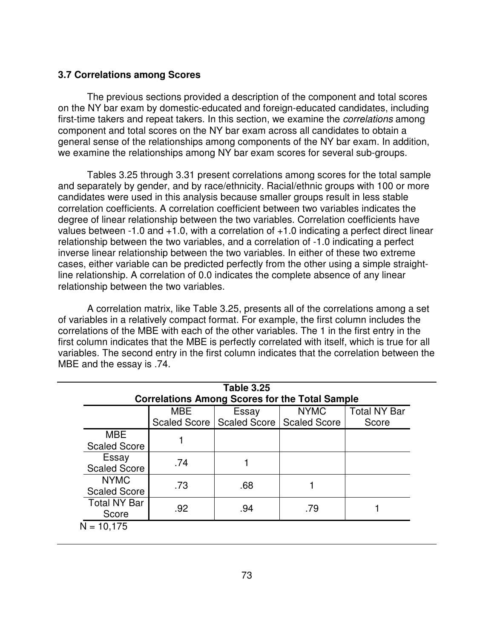## **3.7 Correlations among Scores**

The previous sections provided a description of the component and total scores on the NY bar exam by domestic-educated and foreign-educated candidates, including first-time takers and repeat takers. In this section, we examine the *correlations* among component and total scores on the NY bar exam across all candidates to obtain a general sense of the relationships among components of the NY bar exam. In addition, we examine the relationships among NY bar exam scores for several sub-groups.

Tables 3.25 through 3.31 present correlations among scores for the total sample and separately by gender, and by race/ethnicity. Racial/ethnic groups with 100 or more candidates were used in this analysis because smaller groups result in less stable correlation coefficients. A correlation coefficient between two variables indicates the degree of linear relationship between the two variables. Correlation coefficients have values between -1.0 and  $+1.0$ , with a correlation of  $+1.0$  indicating a perfect direct linear relationship between the two variables, and a correlation of -1.0 indicating a perfect inverse linear relationship between the two variables. In either of these two extreme cases, either variable can be predicted perfectly from the other using a simple straightline relationship. A correlation of 0.0 indicates the complete absence of any linear relationship between the two variables.

A correlation matrix, like Table 3.25, presents all of the correlations among a set of variables in a relatively compact format. For example, the first column includes the correlations of the MBE with each of the other variables. The 1 in the first entry in the first column indicates that the MBE is perfectly correlated with itself, which is true for all variables. The second entry in the first column indicates that the correlation between the MBE and the essay is .74.

| <b>Table 3.25</b><br><b>Correlations Among Scores for the Total Sample</b>                                       |     |     |     |  |  |  |  |
|------------------------------------------------------------------------------------------------------------------|-----|-----|-----|--|--|--|--|
| <b>MBE</b><br><b>NYMC</b><br><b>Total NY Bar</b><br>Essay<br>Scaled Score   Scaled Score   Scaled Score<br>Score |     |     |     |  |  |  |  |
| <b>MBE</b><br><b>Scaled Score</b>                                                                                |     |     |     |  |  |  |  |
| Essay<br><b>Scaled Score</b>                                                                                     | .74 |     |     |  |  |  |  |
| <b>NYMC</b><br><b>Scaled Score</b>                                                                               | .73 | .68 |     |  |  |  |  |
| <b>Total NY Bar</b><br>Score                                                                                     | .92 | .94 | .79 |  |  |  |  |
| $N = 10,175$                                                                                                     |     |     |     |  |  |  |  |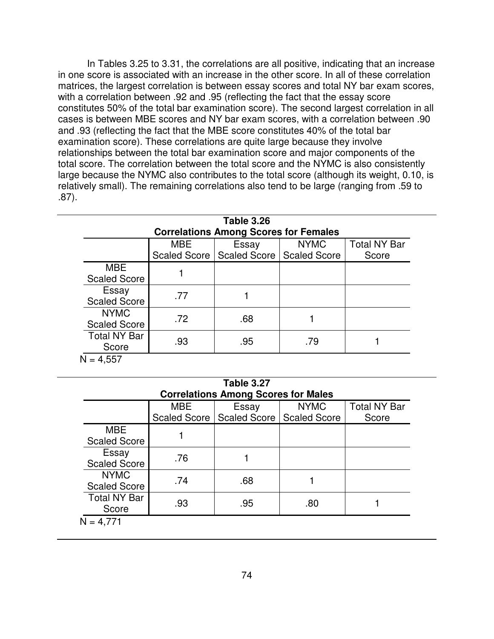In Tables 3.25 to 3.31, the correlations are all positive, indicating that an increase in one score is associated with an increase in the other score. In all of these correlation matrices, the largest correlation is between essay scores and total NY bar exam scores, with a correlation between .92 and .95 (reflecting the fact that the essay score constitutes 50% of the total bar examination score). The second largest correlation in all cases is between MBE scores and NY bar exam scores, with a correlation between .90 and .93 (reflecting the fact that the MBE score constitutes 40% of the total bar examination score). These correlations are quite large because they involve relationships between the total bar examination score and major components of the total score. The correlation between the total score and the NYMC is also consistently large because the NYMC also contributes to the total score (although its weight, 0.10, is relatively small). The remaining correlations also tend to be large (ranging from .59 to .87).

|            | <b>Correlations Among Scores for Females</b> |             |                                            |
|------------|----------------------------------------------|-------------|--------------------------------------------|
| <b>MBE</b> | Essay                                        | <b>NYMC</b> | <b>Total NY Bar</b>                        |
|            |                                              |             | Score                                      |
|            |                                              |             |                                            |
| .77        |                                              |             |                                            |
| .72        | .68                                          |             |                                            |
| .93        | .95                                          | .79         |                                            |
|            |                                              |             | Scaled Score   Scaled Score   Scaled Score |

| <b>Table 3.27</b><br><b>Correlations Among Scores for Males</b> |     |                                            |     |       |  |  |
|-----------------------------------------------------------------|-----|--------------------------------------------|-----|-------|--|--|
| <b>MBE</b><br><b>NYMC</b><br><b>Total NY Bar</b><br>Essay       |     |                                            |     |       |  |  |
|                                                                 |     | Scaled Score   Scaled Score   Scaled Score |     | Score |  |  |
| <b>MBE</b><br><b>Scaled Score</b>                               |     |                                            |     |       |  |  |
| Essay<br><b>Scaled Score</b>                                    | .76 |                                            |     |       |  |  |
| <b>NYMC</b><br><b>Scaled Score</b>                              | .74 | .68                                        |     |       |  |  |
| <b>Total NY Bar</b><br>Score                                    | .93 | .95                                        | .80 |       |  |  |
| $N = 4,771$                                                     |     |                                            |     |       |  |  |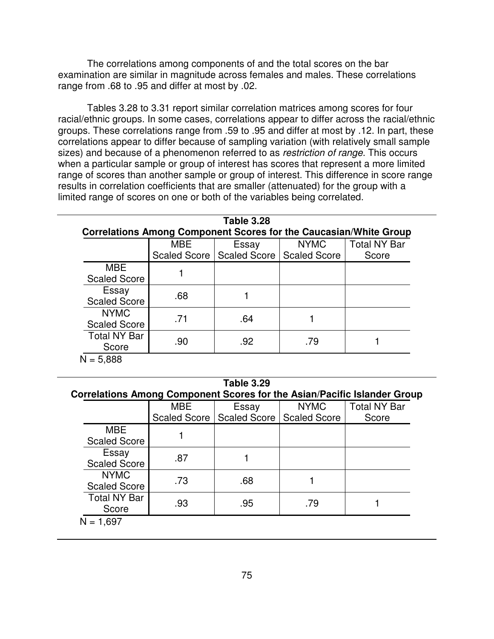The correlations among components of and the total scores on the bar examination are similar in magnitude across females and males. These correlations range from .68 to .95 and differ at most by .02.

Tables 3.28 to 3.31 report similar correlation matrices among scores for four racial/ethnic groups. In some cases, correlations appear to differ across the racial/ethnic groups. These correlations range from .59 to .95 and differ at most by .12. In part, these correlations appear to differ because of sampling variation (with relatively small sample sizes) and because of a phenomenon referred to as *restriction of range*. This occurs when a particular sample or group of interest has scores that represent a more limited range of scores than another sample or group of interest. This difference in score range results in correlation coefficients that are smaller (attenuated) for the group with a limited range of scores on one or both of the variables being correlated.

| <b>Table 3.28</b><br><b>Correlations Among Component Scores for the Caucasian/White Group</b> |            |                                            |             |                     |  |
|-----------------------------------------------------------------------------------------------|------------|--------------------------------------------|-------------|---------------------|--|
|                                                                                               | <b>MBE</b> | Essay                                      | <b>NYMC</b> | <b>Total NY Bar</b> |  |
|                                                                                               |            | Scaled Score   Scaled Score   Scaled Score |             | Score               |  |
| <b>MBE</b><br><b>Scaled Score</b>                                                             |            |                                            |             |                     |  |
| Essay<br><b>Scaled Score</b>                                                                  | .68        |                                            |             |                     |  |
| <b>NYMC</b><br><b>Scaled Score</b>                                                            | .71        | .64                                        |             |                     |  |
| <b>Total NY Bar</b><br>Score                                                                  | .90        | .92                                        | .79         |                     |  |
| $N = 5.888$                                                                                   |            |                                            |             |                     |  |

| <b>Table 3.29</b>                                                        |            |                                            |             |                     |  |  |  |
|--------------------------------------------------------------------------|------------|--------------------------------------------|-------------|---------------------|--|--|--|
| Correlations Among Component Scores for the Asian/Pacific Islander Group |            |                                            |             |                     |  |  |  |
|                                                                          | <b>MBE</b> | Essay                                      | <b>NYMC</b> | <b>Total NY Bar</b> |  |  |  |
|                                                                          |            | Scaled Score   Scaled Score   Scaled Score |             | Score               |  |  |  |
| <b>MBE</b>                                                               |            |                                            |             |                     |  |  |  |
| <b>Scaled Score</b>                                                      |            |                                            |             |                     |  |  |  |
| Essay                                                                    | .87        |                                            |             |                     |  |  |  |
| <b>Scaled Score</b>                                                      |            |                                            |             |                     |  |  |  |
| <b>NYMC</b>                                                              | .73        | .68                                        |             |                     |  |  |  |
| <b>Scaled Score</b>                                                      |            |                                            |             |                     |  |  |  |
| <b>Total NY Bar</b>                                                      | .93        | .95                                        | .79         |                     |  |  |  |
| Score                                                                    |            |                                            |             |                     |  |  |  |
| $N = 1,697$                                                              |            |                                            |             |                     |  |  |  |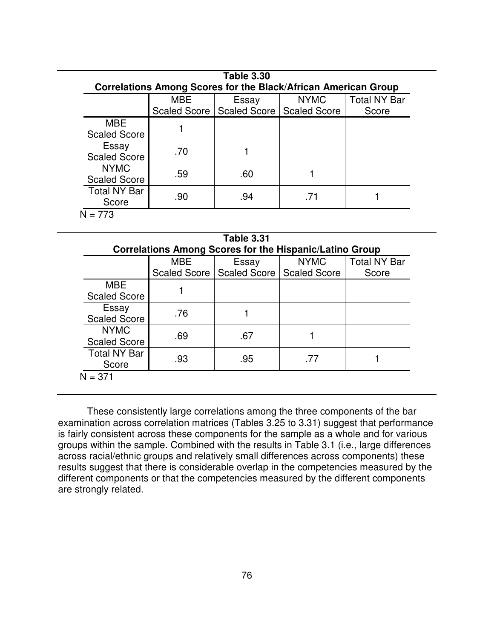| <b>Table 3.30</b><br>Correlations Among Scores for the Black/African American Group |                                                                                                                   |     |  |  |  |  |  |  |
|-------------------------------------------------------------------------------------|-------------------------------------------------------------------------------------------------------------------|-----|--|--|--|--|--|--|
|                                                                                     | <b>Total NY Bar</b><br><b>MBE</b><br><b>NYMC</b><br>Essay<br>Scaled Score<br>Scaled Score   Scaled Score<br>Score |     |  |  |  |  |  |  |
| <b>MBE</b><br><b>Scaled Score</b>                                                   |                                                                                                                   |     |  |  |  |  |  |  |
| Essay<br><b>Scaled Score</b>                                                        | .70                                                                                                               |     |  |  |  |  |  |  |
| <b>NYMC</b><br><b>Scaled Score</b>                                                  | .59                                                                                                               | .60 |  |  |  |  |  |  |
| <b>Total NY Bar</b><br>Score                                                        | .90                                                                                                               | .94 |  |  |  |  |  |  |
| $= 773$                                                                             |                                                                                                                   |     |  |  |  |  |  |  |

| <b>Table 3.31</b>                                                                                                                                                            |     |     |     |  |  |  |
|------------------------------------------------------------------------------------------------------------------------------------------------------------------------------|-----|-----|-----|--|--|--|
| Correlations Among Scores for the Hispanic/Latino Group<br><b>Total NY Bar</b><br><b>NYMC</b><br><b>MBE</b><br>Essay<br>Scaled Score   Scaled Score<br>Scaled Score<br>Score |     |     |     |  |  |  |
| <b>MBE</b><br><b>Scaled Score</b>                                                                                                                                            |     |     |     |  |  |  |
| Essay<br><b>Scaled Score</b>                                                                                                                                                 | .76 |     |     |  |  |  |
| <b>NYMC</b><br><b>Scaled Score</b>                                                                                                                                           | .69 | .67 |     |  |  |  |
| <b>Total NY Bar</b><br>Score                                                                                                                                                 | .93 | .95 | .77 |  |  |  |
| J = 371                                                                                                                                                                      |     |     |     |  |  |  |

These consistently large correlations among the three components of the bar examination across correlation matrices (Tables 3.25 to 3.31) suggest that performance is fairly consistent across these components for the sample as a whole and for various groups within the sample. Combined with the results in Table 3.1 (i.e., large differences across racial/ethnic groups and relatively small differences across components) these results suggest that there is considerable overlap in the competencies measured by the different components or that the competencies measured by the different components are strongly related.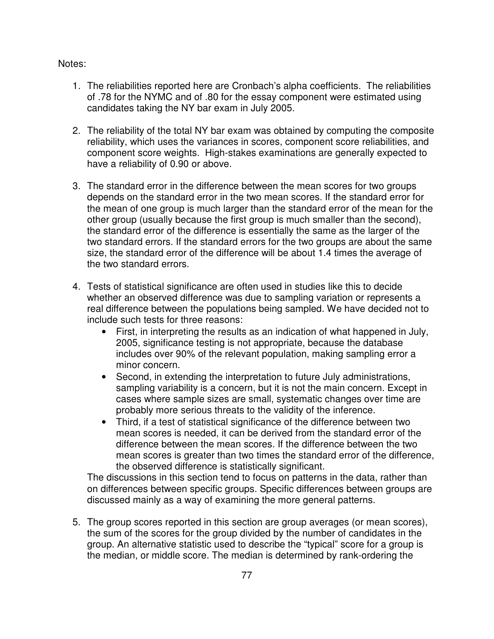Notes:

- 1. The reliabilities reported here are Cronbach's alpha coefficients. The reliabilities of .78 for the NYMC and of .80 for the essay component were estimated using candidates taking the NY bar exam in July 2005.
- 2. The reliability of the total NY bar exam was obtained by computing the composite reliability, which uses the variances in scores, component score reliabilities, and component score weights. High-stakes examinations are generally expected to have a reliability of 0.90 or above.
- 3. The standard error in the difference between the mean scores for two groups depends on the standard error in the two mean scores. If the standard error for the mean of one group is much larger than the standard error of the mean for the other group (usually because the first group is much smaller than the second), the standard error of the difference is essentially the same as the larger of the two standard errors. If the standard errors for the two groups are about the same size, the standard error of the difference will be about 1.4 times the average of the two standard errors.
- 4. Tests of statistical significance are often used in studies like this to decide whether an observed difference was due to sampling variation or represents a real difference between the populations being sampled. We have decided not to include such tests for three reasons:
	- First, in interpreting the results as an indication of what happened in July, 2005, significance testing is not appropriate, because the database includes over 90% of the relevant population, making sampling error a minor concern.
	- Second, in extending the interpretation to future July administrations, sampling variability is a concern, but it is not the main concern. Except in cases where sample sizes are small, systematic changes over time are probably more serious threats to the validity of the inference.
	- Third, if a test of statistical significance of the difference between two mean scores is needed, it can be derived from the standard error of the difference between the mean scores. If the difference between the two mean scores is greater than two times the standard error of the difference, the observed difference is statistically significant.

The discussions in this section tend to focus on patterns in the data, rather than on differences between specific groups. Specific differences between groups are discussed mainly as a way of examining the more general patterns.

5. The group scores reported in this section are group averages (or mean scores), the sum of the scores for the group divided by the number of candidates in the group. An alternative statistic used to describe the "typical" score for a group is the median, or middle score. The median is determined by rank-ordering the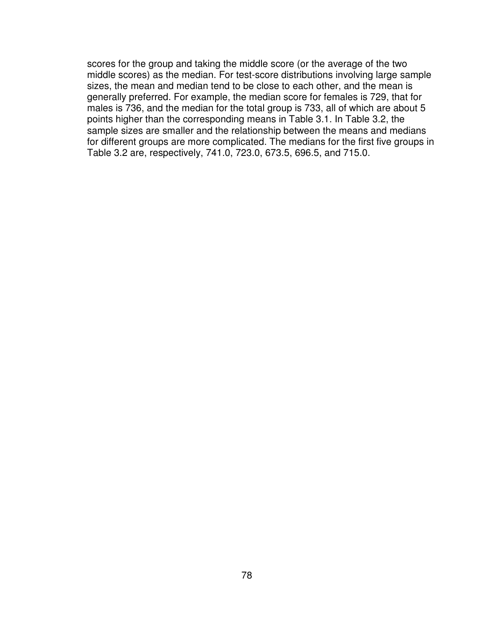scores for the group and taking the middle score (or the average of the two middle scores) as the median. For test-score distributions involving large sample sizes, the mean and median tend to be close to each other, and the mean is generally preferred. For example, the median score for females is 729, that for males is 736, and the median for the total group is 733, all of which are about 5 points higher than the corresponding means in Table 3.1. In Table 3.2, the sample sizes are smaller and the relationship between the means and medians for different groups are more complicated. The medians for the first five groups in Table 3.2 are, respectively, 741.0, 723.0, 673.5, 696.5, and 715.0.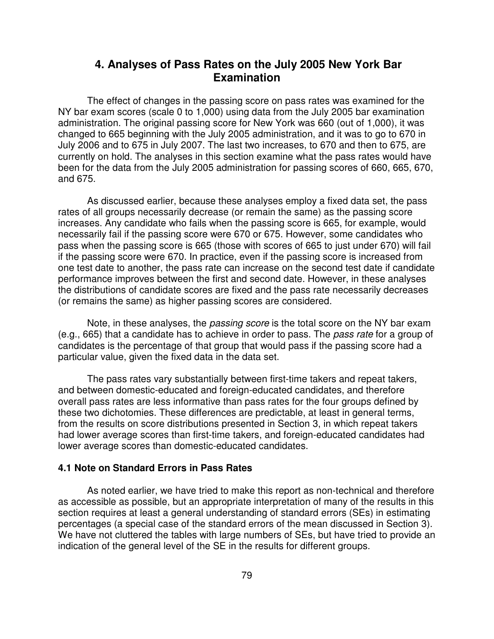# **4. Analyses of Pass Rates on the July 2005 New York Bar Examination**

The effect of changes in the passing score on pass rates was examined for the NY bar exam scores (scale 0 to 1,000) using data from the July 2005 bar examination administration. The original passing score for New York was 660 (out of 1,000), it was changed to 665 beginning with the July 2005 administration, and it was to go to 670 in July 2006 and to 675 in July 2007. The last two increases, to 670 and then to 675, are currently on hold. The analyses in this section examine what the pass rates would have been for the data from the July 2005 administration for passing scores of 660, 665, 670, and 675.

As discussed earlier, because these analyses employ a fixed data set, the pass rates of all groups necessarily decrease (or remain the same) as the passing score increases. Any candidate who fails when the passing score is 665, for example, would necessarily fail if the passing score were 670 or 675. However, some candidates who pass when the passing score is 665 (those with scores of 665 to just under 670) will fail if the passing score were 670. In practice, even if the passing score is increased from one test date to another, the pass rate can increase on the second test date if candidate performance improves between the first and second date. However, in these analyses the distributions of candidate scores are fixed and the pass rate necessarily decreases (or remains the same) as higher passing scores are considered.

Note, in these analyses, the *passing score* is the total score on the NY bar exam (e.g., 665) that a candidate has to achieve in order to pass. The *pass rate* for a group of candidates is the percentage of that group that would pass if the passing score had a particular value, given the fixed data in the data set.

The pass rates vary substantially between first-time takers and repeat takers, and between domestic-educated and foreign-educated candidates, and therefore overall pass rates are less informative than pass rates for the four groups defined by these two dichotomies. These differences are predictable, at least in general terms, from the results on score distributions presented in Section 3, in which repeat takers had lower average scores than first-time takers, and foreign-educated candidates had lower average scores than domestic-educated candidates.

## **4.1 Note on Standard Errors in Pass Rates**

As noted earlier, we have tried to make this report as non-technical and therefore as accessible as possible, but an appropriate interpretation of many of the results in this section requires at least a general understanding of standard errors (SEs) in estimating percentages (a special case of the standard errors of the mean discussed in Section 3). We have not cluttered the tables with large numbers of SEs, but have tried to provide an indication of the general level of the SE in the results for different groups.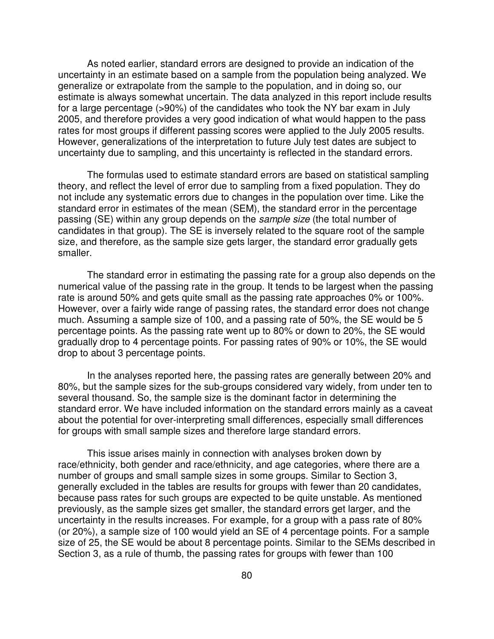As noted earlier, standard errors are designed to provide an indication of the uncertainty in an estimate based on a sample from the population being analyzed. We generalize or extrapolate from the sample to the population, and in doing so, our estimate is always somewhat uncertain. The data analyzed in this report include results for a large percentage (>90%) of the candidates who took the NY bar exam in July 2005, and therefore provides a very good indication of what would happen to the pass rates for most groups if different passing scores were applied to the July 2005 results. However, generalizations of the interpretation to future July test dates are subject to uncertainty due to sampling, and this uncertainty is reflected in the standard errors.

The formulas used to estimate standard errors are based on statistical sampling theory, and reflect the level of error due to sampling from a fixed population. They do not include any systematic errors due to changes in the population over time. Like the standard error in estimates of the mean (SEM), the standard error in the percentage passing (SE) within any group depends on the *sample size* (the total number of candidates in that group). The SE is inversely related to the square root of the sample size, and therefore, as the sample size gets larger, the standard error gradually gets smaller.

The standard error in estimating the passing rate for a group also depends on the numerical value of the passing rate in the group. It tends to be largest when the passing rate is around 50% and gets quite small as the passing rate approaches 0% or 100%. However, over a fairly wide range of passing rates, the standard error does not change much. Assuming a sample size of 100, and a passing rate of 50%, the SE would be 5 percentage points. As the passing rate went up to 80% or down to 20%, the SE would gradually drop to 4 percentage points. For passing rates of 90% or 10%, the SE would drop to about 3 percentage points.

In the analyses reported here, the passing rates are generally between 20% and 80%, but the sample sizes for the sub-groups considered vary widely, from under ten to several thousand. So, the sample size is the dominant factor in determining the standard error. We have included information on the standard errors mainly as a caveat about the potential for over-interpreting small differences, especially small differences for groups with small sample sizes and therefore large standard errors.

This issue arises mainly in connection with analyses broken down by race/ethnicity, both gender and race/ethnicity, and age categories, where there are a number of groups and small sample sizes in some groups. Similar to Section 3, generally excluded in the tables are results for groups with fewer than 20 candidates, because pass rates for such groups are expected to be quite unstable. As mentioned previously, as the sample sizes get smaller, the standard errors get larger, and the uncertainty in the results increases. For example, for a group with a pass rate of 80% (or 20%), a sample size of 100 would yield an SE of 4 percentage points. For a sample size of 25, the SE would be about 8 percentage points. Similar to the SEMs described in Section 3, as a rule of thumb, the passing rates for groups with fewer than 100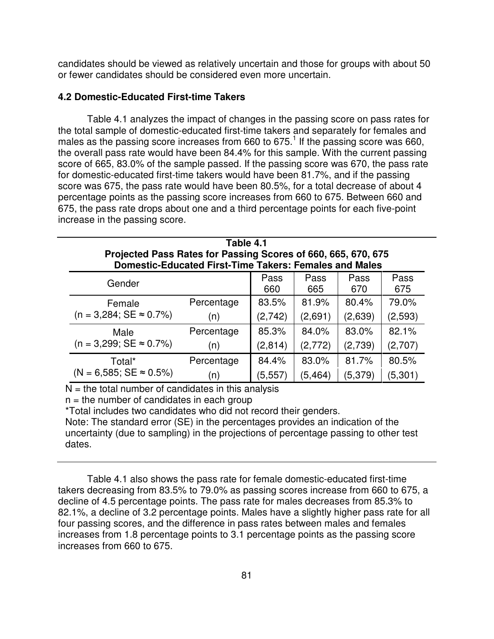candidates should be viewed as relatively uncertain and those for groups with about 50 or fewer candidates should be considered even more uncertain.

### **4.2 Domestic-Educated First-time Takers**

Table 4.1 analyzes the impact of changes in the passing score on pass rates for the total sample of domestic-educated first-time takers and separately for females and males as the passing score increases from 660 to 675.<sup>1</sup> If the passing score was 660, the overall pass rate would have been 84.4% for this sample. With the current passing score of 665, 83.0% of the sample passed. If the passing score was 670, the pass rate for domestic-educated first-time takers would have been 81.7%, and if the passing score was 675, the pass rate would have been 80.5%, for a total decrease of about 4 percentage points as the passing score increases from 660 to 675. Between 660 and 675, the pass rate drops about one and a third percentage points for each five-point increase in the passing score.

| Table 4.1<br>Projected Pass Rates for Passing Scores of 660, 665, 670, 675<br><b>Domestic-Educated First-Time Takers: Females and Males</b> |            |         |          |         |         |  |  |
|---------------------------------------------------------------------------------------------------------------------------------------------|------------|---------|----------|---------|---------|--|--|
| Pass<br>Pass<br>Pass<br>Pass<br>Gender<br>675<br>660<br>665<br>670                                                                          |            |         |          |         |         |  |  |
| Female                                                                                                                                      | Percentage | 83.5%   | 81.9%    | 80.4%   | 79.0%   |  |  |
| $(n = 3,284; SE \approx 0.7\%)$                                                                                                             | (n)        | (2,742) | (2,691)  | (2,639) | (2,593) |  |  |
| Male                                                                                                                                        | Percentage | 85.3%   | 84.0%    | 83.0%   | 82.1%   |  |  |
| $(n = 3,299; SE \approx 0.7\%)$                                                                                                             | (n)        | (2,814) | (2,772)  | (2,739) | (2,707) |  |  |
| Total*                                                                                                                                      | Percentage | 84.4%   | 83.0%    | 81.7%   | 80.5%   |  |  |
| $(N = 6,585; SE \approx 0.5\%)$                                                                                                             | (n)        | (5,557) | (5, 464) | (5,379) | (5,301) |  |  |

 $N =$  the total number of candidates in this analysis

 $n =$  the number of candidates in each group

\*Total includes two candidates who did not record their genders.

Note: The standard error (SE) in the percentages provides an indication of the uncertainty (due to sampling) in the projections of percentage passing to other test dates.

Table 4.1 also shows the pass rate for female domestic-educated first-time takers decreasing from 83.5% to 79.0% as passing scores increase from 660 to 675, a decline of 4.5 percentage points. The pass rate for males decreases from 85.3% to 82.1%, a decline of 3.2 percentage points. Males have a slightly higher pass rate for all four passing scores, and the difference in pass rates between males and females increases from 1.8 percentage points to 3.1 percentage points as the passing score increases from 660 to 675.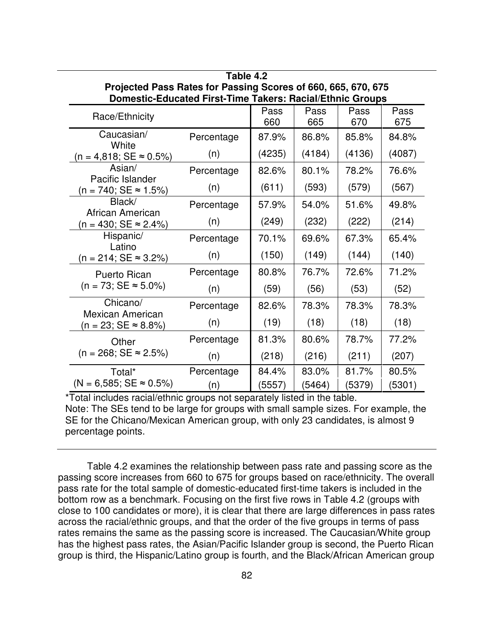| Projected Pass Rates for Passing Scores of 660, 665, 670, 675<br><b>Domestic-Educated First-Time Takers: Racial/Ethnic Groups</b> |            |             |             |             |             |
|-----------------------------------------------------------------------------------------------------------------------------------|------------|-------------|-------------|-------------|-------------|
| Race/Ethnicity                                                                                                                    |            | Pass<br>660 | Pass<br>665 | Pass<br>670 | Pass<br>675 |
| Caucasian/<br>White                                                                                                               | Percentage | 87.9%       | 86.8%       | 85.8%       | 84.8%       |
| $(n = 4,818; SE \approx 0.5\%)$                                                                                                   | (n)        | (4235)      | (4184)      | (4136)      | (4087)      |
| Asian/<br>Pacific Islander                                                                                                        | Percentage | 82.6%       | 80.1%       | 78.2%       | 76.6%       |
| $(n = 740; SE ≈ 1.5%)$                                                                                                            | (n)        | (611)       | (593)       | (579)       | (567)       |
| Black/                                                                                                                            | Percentage | 57.9%       | 54.0%       | 51.6%       | 49.8%       |
| African American<br>$(n = 430; SE ≈ 2.4%)$                                                                                        | (n)        | (249)       | (232)       | (222)       | (214)       |
| Hispanic/                                                                                                                         | Percentage | 70.1%       | 69.6%       | 67.3%       | 65.4%       |
| Latino<br>$(n = 214; SE \approx 3.2\%)$                                                                                           | (n)        | (150)       | (149)       | (144)       | (140)       |
| Puerto Rican                                                                                                                      | Percentage | 80.8%       | 76.7%       | 72.6%       | 71.2%       |
| $(n = 73; SE \approx 5.0\%)$                                                                                                      | (n)        | (59)        | (56)        | (53)        | (52)        |
| Chicano/<br><b>Mexican American</b>                                                                                               | Percentage | 82.6%       | 78.3%       | 78.3%       | 78.3%       |
| $(n = 23; SE \approx 8.8\%)$                                                                                                      | (n)        | (19)        | (18)        | (18)        | (18)        |
| Other                                                                                                                             | Percentage | 81.3%       | 80.6%       | 78.7%       | 77.2%       |
| $(n = 268; SE \approx 2.5\%)$                                                                                                     | (n)        | (218)       | (216)       | (211)       | (207)       |
| Total*                                                                                                                            | Percentage | 84.4%       | 83.0%       | 81.7%       | 80.5%       |
| $(N = 6,585; SE \approx 0.5\%)$                                                                                                   | (n)        | (5557)      | (5464)      | (5379)      | (5301)      |

| Table 4.2                                                        |
|------------------------------------------------------------------|
| Projected Pass Rates for Passing Scores of 660, 665, 670, 675    |
| <b>Domestic-Educated First-Time Takers: Racial/Ethnic Groups</b> |

\*Total includes racial/ethnic groups not separately listed in the table. Note: The SEs tend to be large for groups with small sample sizes. For example, the SE for the Chicano/Mexican American group, with only 23 candidates, is almost 9 percentage points.

Table 4.2 examines the relationship between pass rate and passing score as the passing score increases from 660 to 675 for groups based on race/ethnicity. The overall pass rate for the total sample of domestic-educated first-time takers is included in the bottom row as a benchmark. Focusing on the first five rows in Table 4.2 (groups with close to 100 candidates or more), it is clear that there are large differences in pass rates across the racial/ethnic groups, and that the order of the five groups in terms of pass rates remains the same as the passing score is increased. The Caucasian/White group has the highest pass rates, the Asian/Pacific Islander group is second, the Puerto Rican group is third, the Hispanic/Latino group is fourth, and the Black/African American group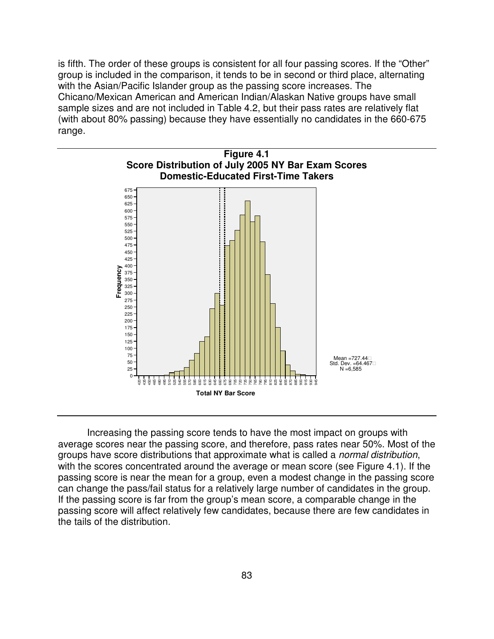is fifth. The order of these groups is consistent for all four passing scores. If the "Other" group is included in the comparison, it tends to be in second or third place, alternating with the Asian/Pacific Islander group as the passing score increases. The Chicano/Mexican American and American Indian/Alaskan Native groups have small sample sizes and are not included in Table 4.2, but their pass rates are relatively flat (with about 80% passing) because they have essentially no candidates in the 660-675 range.



Increasing the passing score tends to have the most impact on groups with average scores near the passing score, and therefore, pass rates near 50%. Most of the groups have score distributions that approximate what is called a *normal distribution*, with the scores concentrated around the average or mean score (see Figure 4.1). If the passing score is near the mean for a group, even a modest change in the passing score can change the pass/fail status for a relatively large number of candidates in the group. If the passing score is far from the group's mean score, a comparable change in the passing score will affect relatively few candidates, because there are few candidates in the tails of the distribution.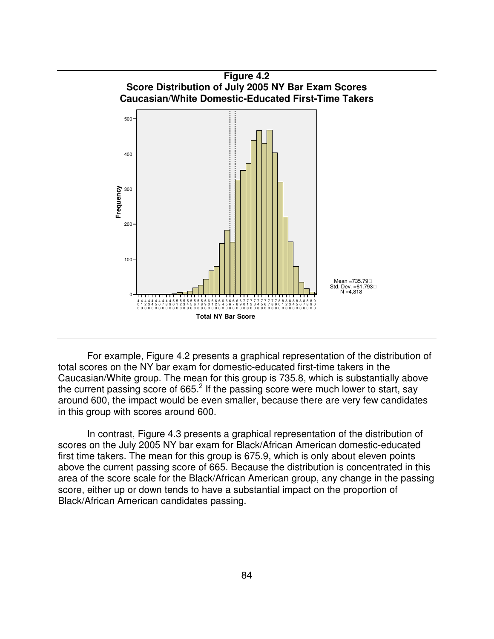

For example, Figure 4.2 presents a graphical representation of the distribution of total scores on the NY bar exam for domestic-educated first-time takers in the Caucasian/White group. The mean for this group is 735.8, which is substantially above the current passing score of 665. $^2$  If the passing score were much lower to start, say around 600, the impact would be even smaller, because there are very few candidates in this group with scores around 600.

In contrast, Figure 4.3 presents a graphical representation of the distribution of scores on the July 2005 NY bar exam for Black/African American domestic-educated first time takers. The mean for this group is 675.9, which is only about eleven points above the current passing score of 665. Because the distribution is concentrated in this area of the score scale for the Black/African American group, any change in the passing score, either up or down tends to have a substantial impact on the proportion of Black/African American candidates passing.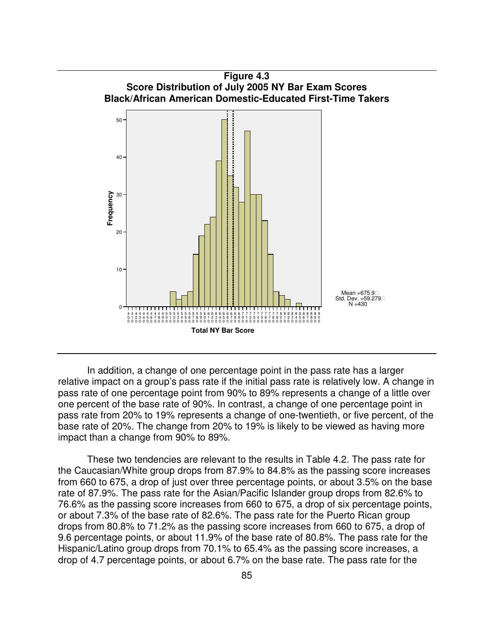

In addition, a change of one percentage point in the pass rate has a larger relative impact on a group's pass rate if the initial pass rate is relatively low. A change in pass rate of one percentage point from 90% to 89% represents a change of a little over one percent of the base rate of 90%. In contrast, a change of one percentage point in pass rate from 20% to 19% represents a change of one-twentieth, or five percent, of the base rate of 20%. The change from 20% to 19% is likely to be viewed as having more impact than a change from 90% to 89%.

These two tendencies are relevant to the results in Table 4.2. The pass rate for the Caucasian/White group drops from 87.9% to 84.8% as the passing score increases from 660 to 675, a drop of just over three percentage points, or about 3.5% on the base rate of 87.9%. The pass rate for the Asian/Pacific Islander group drops from 82.6% to 76.6% as the passing score increases from 660 to 675, a drop of six percentage points, or about 7.3% of the base rate of 82.6%. The pass rate for the Puerto Rican group drops from 80.8% to 71.2% as the passing score increases from 660 to 675, a drop of 9.6 percentage points, or about 11.9% of the base rate of 80.8%. The pass rate for the Hispanic/Latino group drops from 70.1% to 65.4% as the passing score increases, a drop of 4.7 percentage points, or about 6.7% on the base rate. The pass rate for the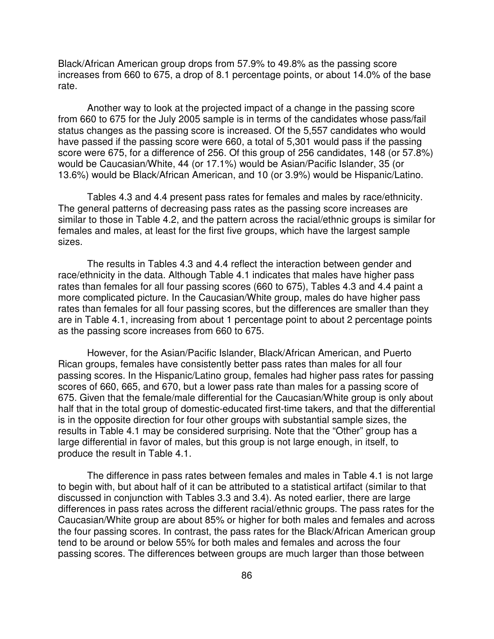Black/African American group drops from 57.9% to 49.8% as the passing score increases from 660 to 675, a drop of 8.1 percentage points, or about 14.0% of the base rate.

Another way to look at the projected impact of a change in the passing score from 660 to 675 for the July 2005 sample is in terms of the candidates whose pass/fail status changes as the passing score is increased. Of the 5,557 candidates who would have passed if the passing score were 660, a total of 5,301 would pass if the passing score were 675, for a difference of 256. Of this group of 256 candidates, 148 (or 57.8%) would be Caucasian/White, 44 (or 17.1%) would be Asian/Pacific Islander, 35 (or 13.6%) would be Black/African American, and 10 (or 3.9%) would be Hispanic/Latino.

Tables 4.3 and 4.4 present pass rates for females and males by race/ethnicity. The general patterns of decreasing pass rates as the passing score increases are similar to those in Table 4.2, and the pattern across the racial/ethnic groups is similar for females and males, at least for the first five groups, which have the largest sample sizes.

The results in Tables 4.3 and 4.4 reflect the interaction between gender and race/ethnicity in the data. Although Table 4.1 indicates that males have higher pass rates than females for all four passing scores (660 to 675), Tables 4.3 and 4.4 paint a more complicated picture. In the Caucasian/White group, males do have higher pass rates than females for all four passing scores, but the differences are smaller than they are in Table 4.1, increasing from about 1 percentage point to about 2 percentage points as the passing score increases from 660 to 675.

However, for the Asian/Pacific Islander, Black/African American, and Puerto Rican groups, females have consistently better pass rates than males for all four passing scores. In the Hispanic/Latino group, females had higher pass rates for passing scores of 660, 665, and 670, but a lower pass rate than males for a passing score of 675. Given that the female/male differential for the Caucasian/White group is only about half that in the total group of domestic-educated first-time takers, and that the differential is in the opposite direction for four other groups with substantial sample sizes, the results in Table 4.1 may be considered surprising. Note that the "Other" group has a large differential in favor of males, but this group is not large enough, in itself, to produce the result in Table 4.1.

The difference in pass rates between females and males in Table 4.1 is not large to begin with, but about half of it can be attributed to a statistical artifact (similar to that discussed in conjunction with Tables 3.3 and 3.4). As noted earlier, there are large differences in pass rates across the different racial/ethnic groups. The pass rates for the Caucasian/White group are about 85% or higher for both males and females and across the four passing scores. In contrast, the pass rates for the Black/African American group tend to be around or below 55% for both males and females and across the four passing scores. The differences between groups are much larger than those between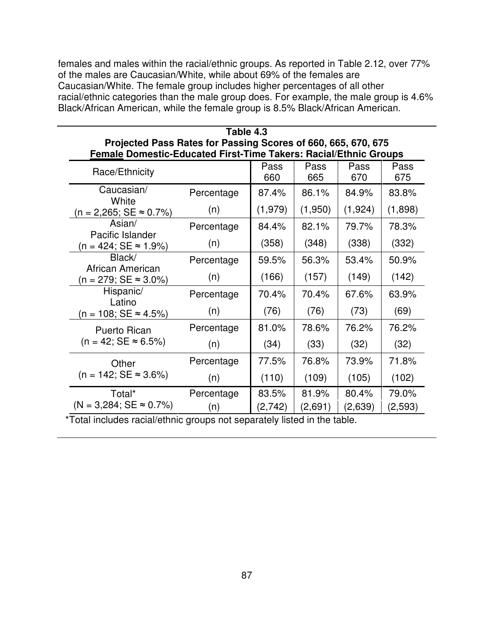females and males within the racial/ethnic groups. As reported in Table 2.12, over 77% of the males are Caucasian/White, while about 69% of the females are Caucasian/White. The female group includes higher percentages of all other racial/ethnic categories than the male group does. For example, the male group is 4.6% Black/African American, while the female group is 8.5% Black/African American.

|                                                                                                                      | Table 4.3  |             |             |             |             |  |  |
|----------------------------------------------------------------------------------------------------------------------|------------|-------------|-------------|-------------|-------------|--|--|
| Projected Pass Rates for Passing Scores of 660, 665, 670, 675                                                        |            |             |             |             |             |  |  |
| <b>Female Domestic-Educated First-Time Takers: Racial/Ethnic Groups</b>                                              |            |             |             |             |             |  |  |
| Race/Ethnicity                                                                                                       |            | Pass<br>660 | Pass<br>665 | Pass<br>670 | Pass<br>675 |  |  |
| Caucasian/                                                                                                           |            |             |             |             |             |  |  |
| White                                                                                                                | Percentage | 87.4%       | 86.1%       | 84.9%       | 83.8%       |  |  |
| $(n = 2,265; SE \approx 0.7\%)$                                                                                      | (n)        | (1,979)     | (1,950)     | (1,924)     | (1,898)     |  |  |
| Asian/                                                                                                               | Percentage | 84.4%       | 82.1%       | 79.7%       | 78.3%       |  |  |
| Pacific Islander<br>$(n = 424; SE \approx 1.9\%)$                                                                    | (n)        | (358)       | (348)       | (338)       | (332)       |  |  |
| Black/                                                                                                               | Percentage | 59.5%       | 56.3%       | 53.4%       | 50.9%       |  |  |
| African American<br>$(n = 279; SE \approx 3.0\%)$                                                                    | (n)        | (166)       | (157)       | (149)       | (142)       |  |  |
| Hispanic/                                                                                                            | Percentage | 70.4%       | 70.4%       | 67.6%       | 63.9%       |  |  |
|                                                                                                                      | (n)        | (76)        | (76)        | (73)        | (69)        |  |  |
| <b>Puerto Rican</b>                                                                                                  | Percentage | 81.0%       | 78.6%       | 76.2%       | 76.2%       |  |  |
| $(n = 42; SE \approx 6.5\%)$                                                                                         | (n)        | (34)        | (33)        | (32)        | (32)        |  |  |
| Other                                                                                                                | Percentage | 77.5%       | 76.8%       | 73.9%       | 71.8%       |  |  |
| $(n = 142; SE \approx 3.6\%)$                                                                                        | (n)        | (110)       | (109)       | (105)       | (102)       |  |  |
| Total*                                                                                                               | Percentage | 83.5%       | 81.9%       | 80.4%       | 79.0%       |  |  |
| $(N = 3,284; SE \approx 0.7\%)$                                                                                      | (n)        | (2,742)     | (2,691)     | (2,639)     | (2, 593)    |  |  |
| Latino<br>$(n = 108; SE \approx 4.5\%)$<br>*Total ingludes resial/othpic aroune not conservately listed in the toble |            |             |             |             |             |  |  |

Total includes racial/ethnic groups not separately listed in the table.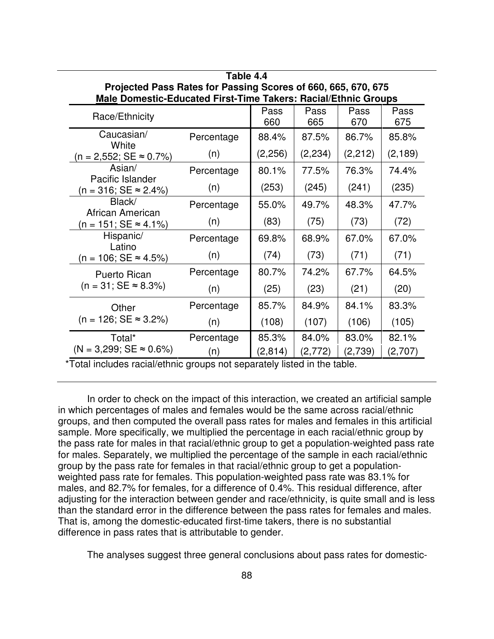| Projected Pass Rates for Passing Scores of 660, 665, 670, 675<br>Male Domestic-Educated First-Time Takers: Racial/Ethnic Groups |            |             |             |             |             |  |
|---------------------------------------------------------------------------------------------------------------------------------|------------|-------------|-------------|-------------|-------------|--|
| Race/Ethnicity                                                                                                                  |            | Pass<br>660 | Pass<br>665 | Pass<br>670 | Pass<br>675 |  |
| Caucasian/<br>White                                                                                                             | Percentage | 88.4%       | 87.5%       | 86.7%       | 85.8%       |  |
| $(n = 2,552; SE \approx 0.7\%)$                                                                                                 | (n)        | (2,256)     | (2, 234)    | (2,212)     | (2, 189)    |  |
| Asian/<br>Pacific Islander                                                                                                      | Percentage | 80.1%       | 77.5%       | 76.3%       | 74.4%       |  |
| $(n = 316; SE \approx 2.4\%)$                                                                                                   | (n)        | (253)       | (245)       | (241)       | (235)       |  |
| Black/<br>African American                                                                                                      | Percentage | 55.0%       | 49.7%       | 48.3%       | 47.7%       |  |
| (n = 151; SE ≈ 4.1%)                                                                                                            | (n)        | (83)        | (75)        | (73)        | (72)        |  |
| Hispanic/<br>Latino                                                                                                             | Percentage | 69.8%       | 68.9%       | 67.0%       | 67.0%       |  |
| $(n = 106; SE \approx 4.5\%)$                                                                                                   | (n)        | (74)        | (73)        | (71)        | (71)        |  |
| Puerto Rican                                                                                                                    | Percentage | 80.7%       | 74.2%       | 67.7%       | 64.5%       |  |
| $(n = 31; SE \approx 8.3\%)$                                                                                                    | (n)        | (25)        | (23)        | (21)        | (20)        |  |
| Other<br>$(n = 126; SE \approx 3.2\%)$                                                                                          | Percentage | 85.7%       | 84.9%       | 84.1%       | 83.3%       |  |
|                                                                                                                                 | (n)        | (108)       | (107)       | (106)       | (105)       |  |
| Total*                                                                                                                          | Percentage | 85.3%       | 84.0%       | 83.0%       | 82.1%       |  |
| $(N = 3,299; SE \approx 0.6\%)$<br>*Tatal includes regial/athnic aroune not congrately listed in the table                      | (n)        | (2, 814)    | (2,772)     | (2,739)     | (2,707)     |  |

**Table 4.4**

Total includes racial/ethnic groups not separately listed in the table.

In order to check on the impact of this interaction, we created an artificial sample in which percentages of males and females would be the same across racial/ethnic groups, and then computed the overall pass rates for males and females in this artificial sample. More specifically, we multiplied the percentage in each racial/ethnic group by the pass rate for males in that racial/ethnic group to get a population-weighted pass rate for males. Separately, we multiplied the percentage of the sample in each racial/ethnic group by the pass rate for females in that racial/ethnic group to get a populationweighted pass rate for females. This population-weighted pass rate was 83.1% for males, and 82.7% for females, for a difference of 0.4%. This residual difference, after adjusting for the interaction between gender and race/ethnicity, is quite small and is less than the standard error in the difference between the pass rates for females and males. That is, among the domestic-educated first-time takers, there is no substantial difference in pass rates that is attributable to gender.

The analyses suggest three general conclusions about pass rates for domestic-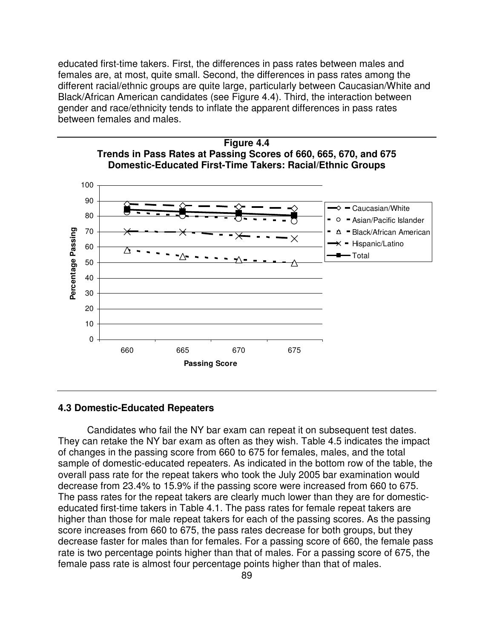educated first-time takers. First, the differences in pass rates between males and females are, at most, quite small. Second, the differences in pass rates among the different racial/ethnic groups are quite large, particularly between Caucasian/White and Black/African American candidates (see Figure 4.4). Third, the interaction between gender and race/ethnicity tends to inflate the apparent differences in pass rates between females and males.





#### **4.3 Domestic-Educated Repeaters**

Candidates who fail the NY bar exam can repeat it on subsequent test dates. They can retake the NY bar exam as often as they wish. Table 4.5 indicates the impact of changes in the passing score from 660 to 675 for females, males, and the total sample of domestic-educated repeaters. As indicated in the bottom row of the table, the overall pass rate for the repeat takers who took the July 2005 bar examination would decrease from 23.4% to 15.9% if the passing score were increased from 660 to 675. The pass rates for the repeat takers are clearly much lower than they are for domesticeducated first-time takers in Table 4.1. The pass rates for female repeat takers are higher than those for male repeat takers for each of the passing scores. As the passing score increases from 660 to 675, the pass rates decrease for both groups, but they decrease faster for males than for females. For a passing score of 660, the female pass rate is two percentage points higher than that of males. For a passing score of 675, the female pass rate is almost four percentage points higher than that of males.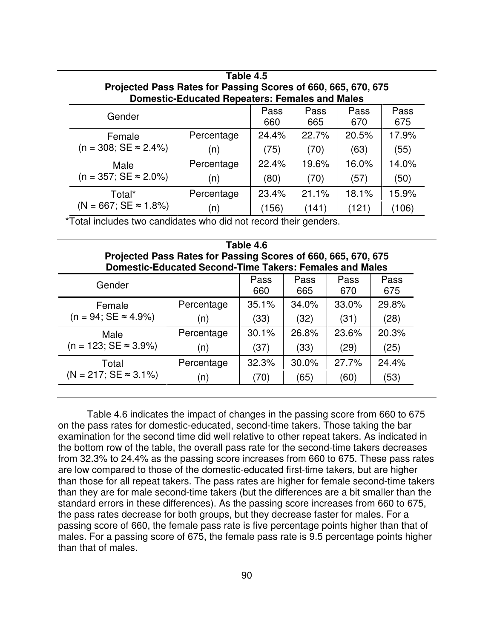| Table 4.5<br>Projected Pass Rates for Passing Scores of 660, 665, 670, 675<br><b>Domestic-Educated Repeaters: Females and Males</b> |            |             |             |             |             |  |
|-------------------------------------------------------------------------------------------------------------------------------------|------------|-------------|-------------|-------------|-------------|--|
| Gender                                                                                                                              |            | Pass<br>660 | Pass<br>665 | Pass<br>670 | Pass<br>675 |  |
| Female                                                                                                                              | Percentage | 24.4%       | 22.7%       | 20.5%       | 17.9%       |  |
| $(n = 308; SE \approx 2.4\%)$                                                                                                       | (n)        | (75)        | (70)        | (63)        | (55)        |  |
| Male                                                                                                                                | Percentage | 22.4%       | 19.6%       | 16.0%       | 14.0%       |  |
| $(n = 357; SE \approx 2.0\%)$                                                                                                       | (n)        | (80)        | (70)        | (57)        | (50)        |  |
| Total*                                                                                                                              | Percentage | 23.4%       | 21.1%       | 18.1%       | 15.9%       |  |
| $(N = 667; SE \approx 1.8\%)$                                                                                                       | n)         | (156)       | (141)       | (121)       | (106)       |  |

\*Total includes two candidates who did not record their genders.

| Table 4.6<br>Projected Pass Rates for Passing Scores of 660, 665, 670, 675<br><b>Domestic-Educated Second-Time Takers: Females and Males</b> |            |             |             |             |             |  |  |
|----------------------------------------------------------------------------------------------------------------------------------------------|------------|-------------|-------------|-------------|-------------|--|--|
| Gender                                                                                                                                       |            | Pass<br>660 | Pass<br>665 | Pass<br>670 | Pass<br>675 |  |  |
| Female                                                                                                                                       | Percentage | 35.1%       | 34.0%       | 33.0%       | 29.8%       |  |  |
| $(n = 94; SE \approx 4.9\%)$                                                                                                                 | (n)        | (33)        | (32)        | (31)        | (28)        |  |  |
| Male                                                                                                                                         | Percentage | 30.1%       | 26.8%       | 23.6%       | 20.3%       |  |  |
| $(n = 123; SE \approx 3.9\%)$                                                                                                                | (n)        | (37)        | (33)        | (29)        | (25)        |  |  |
| Total                                                                                                                                        | Percentage | 32.3%       | 30.0%       | 27.7%       | 24.4%       |  |  |
| $(N = 217; SE \approx 3.1\%)$                                                                                                                | (n)        | (70)        | (65)        | (60)        | (53)        |  |  |

Table 4.6 indicates the impact of changes in the passing score from 660 to 675 on the pass rates for domestic-educated, second-time takers. Those taking the bar examination for the second time did well relative to other repeat takers. As indicated in the bottom row of the table, the overall pass rate for the second-time takers decreases from 32.3% to 24.4% as the passing score increases from 660 to 675. These pass rates are low compared to those of the domestic-educated first-time takers, but are higher than those for all repeat takers. The pass rates are higher for female second-time takers than they are for male second-time takers (but the differences are a bit smaller than the standard errors in these differences). As the passing score increases from 660 to 675, the pass rates decrease for both groups, but they decrease faster for males. For a passing score of 660, the female pass rate is five percentage points higher than that of males. For a passing score of 675, the female pass rate is 9.5 percentage points higher than that of males.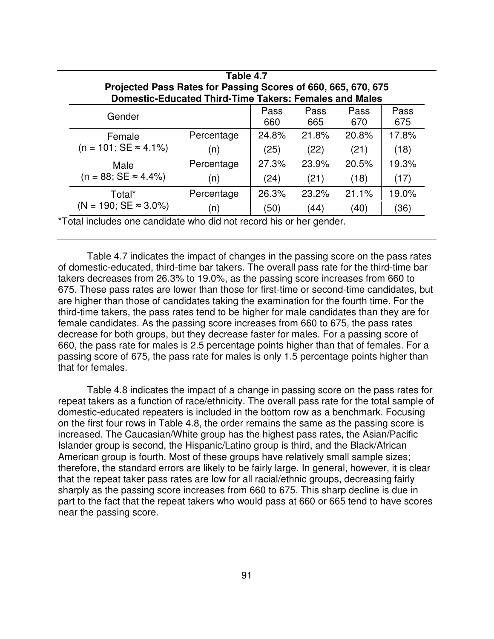| Table 4.7<br>Projected Pass Rates for Passing Scores of 660, 665, 670, 675<br><b>Domestic-Educated Third-Time Takers: Females and Males</b> |            |       |       |       |       |  |
|---------------------------------------------------------------------------------------------------------------------------------------------|------------|-------|-------|-------|-------|--|
| Pass<br>Pass<br>Pass<br>Pass<br>Gender<br>660<br>675<br>665<br>670                                                                          |            |       |       |       |       |  |
| Female                                                                                                                                      | Percentage | 24.8% | 21.8% | 20.8% | 17.8% |  |
| $(n = 101; SE \approx 4.1\%)$                                                                                                               | (n)        | (25)  | (22)  | (21)  | (18)  |  |
| Male                                                                                                                                        | Percentage | 27.3% | 23.9% | 20.5% | 19.3% |  |
| $(n = 88; SE \approx 4.4\%)$                                                                                                                | (n)        | (24)  | (21)  | (18)  | (17)  |  |
| Total*                                                                                                                                      | Percentage | 26.3% | 23.2% | 21.1% | 19.0% |  |
| $(N = 190; SE \approx 3.0\%)$                                                                                                               | (n)        | (50)  | (44)  | (40)  | (36)  |  |

\*Total includes one candidate who did not record his or her gender.

Table 4.7 indicates the impact of changes in the passing score on the pass rates of domestic-educated, third-time bar takers. The overall pass rate for the third-time bar takers decreases from 26.3% to 19.0%, as the passing score increases from 660 to 675. These pass rates are lower than those for first-time or second-time candidates, but are higher than those of candidates taking the examination for the fourth time. For the third-time takers, the pass rates tend to be higher for male candidates than they are for female candidates. As the passing score increases from 660 to 675, the pass rates decrease for both groups, but they decrease faster for males. For a passing score of 660, the pass rate for males is 2.5 percentage points higher than that of females. For a passing score of 675, the pass rate for males is only 1.5 percentage points higher than that for females.

Table 4.8 indicates the impact of a change in passing score on the pass rates for repeat takers as a function of race/ethnicity. The overall pass rate for the total sample of domestic-educated repeaters is included in the bottom row as a benchmark. Focusing on the first four rows in Table 4.8, the order remains the same as the passing score is increased. The Caucasian/White group has the highest pass rates, the Asian/Pacific Islander group is second, the Hispanic/Latino group is third, and the Black/African American group is fourth. Most of these groups have relatively small sample sizes; therefore, the standard errors are likely to be fairly large. In general, however, it is clear that the repeat taker pass rates are low for all racial/ethnic groups, decreasing fairly sharply as the passing score increases from 660 to 675. This sharp decline is due in part to the fact that the repeat takers who would pass at 660 or 665 tend to have scores near the passing score.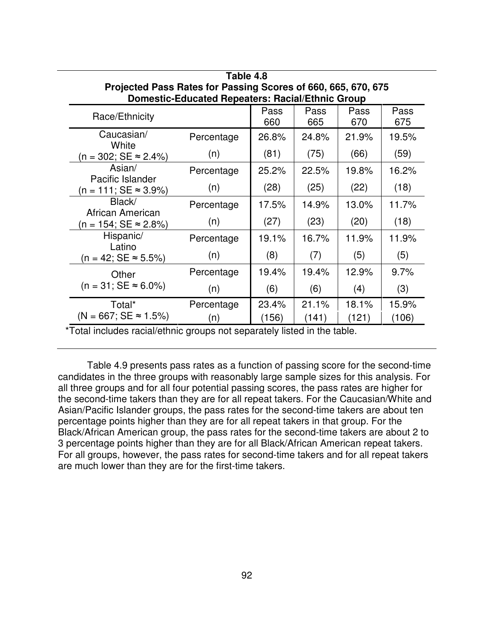| Projected Pass Rates for Passing Scores of 660, 665, 670, 675<br><b>Domestic-Educated Repeaters: Racial/Ethnic Group</b> |            |             |             |             |             |  |
|--------------------------------------------------------------------------------------------------------------------------|------------|-------------|-------------|-------------|-------------|--|
| Race/Ethnicity                                                                                                           |            | Pass<br>660 | Pass<br>665 | Pass<br>670 | Pass<br>675 |  |
| Caucasian/<br>White                                                                                                      | Percentage | 26.8%       | 24.8%       | 21.9%       | 19.5%       |  |
| $(n = 302; SE ≈ 2.4%)$                                                                                                   | (n)        | (81)        | (75)        | (66)        | (59)        |  |
| Asian/<br>Pacific Islander                                                                                               | Percentage | 25.2%       | 22.5%       | 19.8%       | 16.2%       |  |
| $(n = 111; SE \approx 3.9\%)$                                                                                            | (n)        | (28)        | (25)        | (22)        | (18)        |  |
| Black/<br>African American                                                                                               | Percentage | 17.5%       | 14.9%       | 13.0%       | 11.7%       |  |
| $(n = 154; SE \approx 2.8\%)$                                                                                            | (n)        | (27)        | (23)        | (20)        | (18)        |  |
| Hispanic/<br>Latino                                                                                                      | Percentage | 19.1%       | 16.7%       | 11.9%       | 11.9%       |  |
| $(n = 42; SE \approx 5.5\%)$                                                                                             | (n)        | (8)         | (7)         | (5)         | (5)         |  |
| Other<br>$(n = 31; SE \approx 6.0\%)$                                                                                    | Percentage | 19.4%       | 19.4%       | 12.9%       | 9.7%        |  |
|                                                                                                                          | (n)        | (6)         | (6)         | (4)         | (3)         |  |
| Total*                                                                                                                   | Percentage | 23.4%       | 21.1%       | 18.1%       | 15.9%       |  |
| $(N = 667; SE \approx 1.5\%)$                                                                                            | (n)        | (156)       | (141)       | (121)       | (106)       |  |

| Table 4.8                                                     |
|---------------------------------------------------------------|
| Projected Pass Rates for Passing Scores of 660, 665, 670, 675 |
| Domestic-Educated Repeaters: Racial/Ethnic Group              |

\*Total includes racial/ethnic groups not separately listed in the table.

Table 4.9 presents pass rates as a function of passing score for the second-time candidates in the three groups with reasonably large sample sizes for this analysis. For all three groups and for all four potential passing scores, the pass rates are higher for the second-time takers than they are for all repeat takers. For the Caucasian/White and Asian/Pacific Islander groups, the pass rates for the second-time takers are about ten percentage points higher than they are for all repeat takers in that group. For the Black/African American group, the pass rates for the second-time takers are about 2 to 3 percentage points higher than they are for all Black/African American repeat takers. For all groups, however, the pass rates for second-time takers and for all repeat takers are much lower than they are for the first-time takers.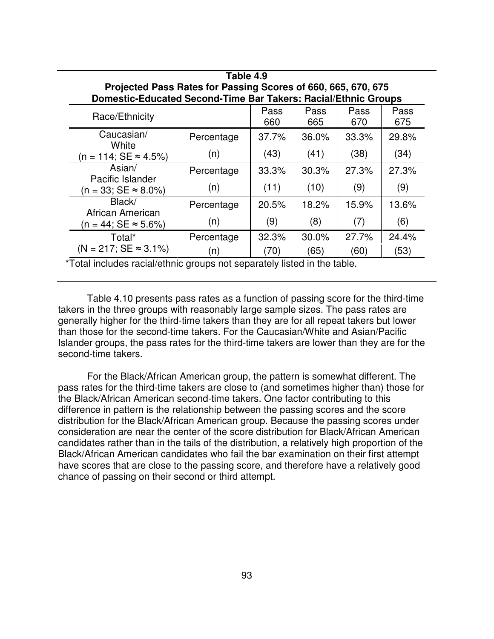| Table 4.9                                                      |            |             |                  |             |             |  |
|----------------------------------------------------------------|------------|-------------|------------------|-------------|-------------|--|
| Projected Pass Rates for Passing Scores of 660, 665, 670, 675  |            |             |                  |             |             |  |
| Domestic-Educated Second-Time Bar Takers: Racial/Ethnic Groups |            |             |                  |             |             |  |
| Race/Ethnicity                                                 |            | Pass<br>660 | Pass<br>665      | Pass<br>670 | Pass<br>675 |  |
| Caucasian/<br>White                                            | Percentage | 37.7%       | 36.0%            | 33.3%       | 29.8%       |  |
| (n = 114; SE ≈ 4.5%)                                           | (n)        | (43)        | (41)             | (38)        | (34)        |  |
| Asian/                                                         | Percentage | 33.3%       | 30.3%            | 27.3%       | 27.3%       |  |
| Pacific Islander<br>$(n = 33; SE \approx 8.0\%)$               | (n)        | (11)        | (10)             | (9)         | (9)         |  |
| Black/<br>African American                                     | Percentage | 20.5%       | 18.2%            | 15.9%       | 13.6%       |  |
| $(n = 44; SE \approx 5.6\%)$                                   | (n)        | (9)         | (8)              | (7)         | (6)         |  |
| Total*                                                         | Percentage | 32.3%       | 30.0%            | 27.7%       | 24.4%       |  |
| $(N = 217; SE \approx 3.1\%)$                                  | (n)        | (70)        | (65)<br>. .<br>. | (60)        | (53)        |  |

\*Total includes racial/ethnic groups not separately listed in the table.

Table 4.10 presents pass rates as a function of passing score for the third-time takers in the three groups with reasonably large sample sizes. The pass rates are generally higher for the third-time takers than they are for all repeat takers but lower than those for the second-time takers. For the Caucasian/White and Asian/Pacific Islander groups, the pass rates for the third-time takers are lower than they are for the second-time takers.

For the Black/African American group, the pattern is somewhat different. The pass rates for the third-time takers are close to (and sometimes higher than) those for the Black/African American second-time takers. One factor contributing to this difference in pattern is the relationship between the passing scores and the score distribution for the Black/African American group. Because the passing scores under consideration are near the center of the score distribution for Black/African American candidates rather than in the tails of the distribution, a relatively high proportion of the Black/African American candidates who fail the bar examination on their first attempt have scores that are close to the passing score, and therefore have a relatively good chance of passing on their second or third attempt.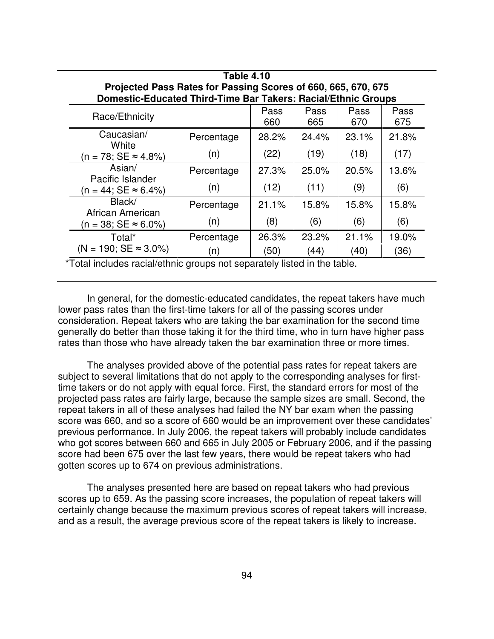| <b>Table 4.10</b>                                |                                                                                                                                       |       |       |       |       |  |  |  |
|--------------------------------------------------|---------------------------------------------------------------------------------------------------------------------------------------|-------|-------|-------|-------|--|--|--|
|                                                  | Projected Pass Rates for Passing Scores of 660, 665, 670, 675<br><b>Domestic-Educated Third-Time Bar Takers: Racial/Ethnic Groups</b> |       |       |       |       |  |  |  |
|                                                  |                                                                                                                                       | Pass  | Pass  | Pass  | Pass  |  |  |  |
| Race/Ethnicity                                   |                                                                                                                                       | 660   | 665   | 670   | 675   |  |  |  |
| Caucasian/<br>White                              | Percentage                                                                                                                            | 28.2% | 24.4% | 23.1% | 21.8% |  |  |  |
| $(n = 78; SE \approx 4.8\%)$                     | (n)                                                                                                                                   | (22)  | (19)  | (18)  | (17)  |  |  |  |
| Asian/                                           | Percentage                                                                                                                            | 27.3% | 25.0% | 20.5% | 13.6% |  |  |  |
| Pacific Islander<br>$(n = 44; SE \approx 6.4\%)$ | (n)                                                                                                                                   | (12)  | (11)  | (9)   | (6)   |  |  |  |
| Black/                                           | Percentage                                                                                                                            | 21.1% | 15.8% | 15.8% | 15.8% |  |  |  |
| African American<br>(n = 38; SE ≈ 6.0%)          | (n)                                                                                                                                   | (8)   | (6)   | (6)   | (6)   |  |  |  |
| Total*                                           | Percentage                                                                                                                            | 26.3% | 23.2% | 21.1% | 19.0% |  |  |  |
| $(N = 190; SE \approx 3.0\%)$                    | (n)                                                                                                                                   | (50)  | (44)  | (40)  | (36)  |  |  |  |

\*Total includes racial/ethnic groups not separately listed in the table.

In general, for the domestic-educated candidates, the repeat takers have much lower pass rates than the first-time takers for all of the passing scores under consideration. Repeat takers who are taking the bar examination for the second time generally do better than those taking it for the third time, who in turn have higher pass rates than those who have already taken the bar examination three or more times.

The analyses provided above of the potential pass rates for repeat takers are subject to several limitations that do not apply to the corresponding analyses for firsttime takers or do not apply with equal force. First, the standard errors for most of the projected pass rates are fairly large, because the sample sizes are small. Second, the repeat takers in all of these analyses had failed the NY bar exam when the passing score was 660, and so a score of 660 would be an improvement over these candidates' previous performance. In July 2006, the repeat takers will probably include candidates who got scores between 660 and 665 in July 2005 or February 2006, and if the passing score had been 675 over the last few years, there would be repeat takers who had gotten scores up to 674 on previous administrations.

The analyses presented here are based on repeat takers who had previous scores up to 659. As the passing score increases, the population of repeat takers will certainly change because the maximum previous scores of repeat takers will increase, and as a result, the average previous score of the repeat takers is likely to increase.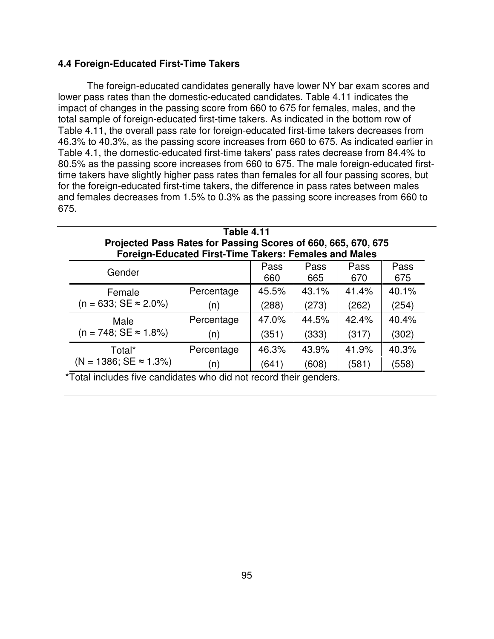### **4.4 Foreign-Educated First-Time Takers**

The foreign-educated candidates generally have lower NY bar exam scores and lower pass rates than the domestic-educated candidates. Table 4.11 indicates the impact of changes in the passing score from 660 to 675 for females, males, and the total sample of foreign-educated first-time takers. As indicated in the bottom row of Table 4.11, the overall pass rate for foreign-educated first-time takers decreases from 46.3% to 40.3%, as the passing score increases from 660 to 675. As indicated earlier in Table 4.1, the domestic-educated first-time takers' pass rates decrease from 84.4% to 80.5% as the passing score increases from 660 to 675. The male foreign-educated firsttime takers have slightly higher pass rates than females for all four passing scores, but for the foreign-educated first-time takers, the difference in pass rates between males and females decreases from 1.5% to 0.3% as the passing score increases from 660 to 675.

| <b>Table 4.11</b><br>Projected Pass Rates for Passing Scores of 660, 665, 670, 675 |                                                              |       |       |       |       |
|------------------------------------------------------------------------------------|--------------------------------------------------------------|-------|-------|-------|-------|
|                                                                                    | <b>Foreign-Educated First-Time Takers: Females and Males</b> |       |       |       |       |
| Pass<br>Pass<br>Pass<br>Pass<br>Gender<br>675<br>660<br>665<br>670                 |                                                              |       |       |       |       |
| Female                                                                             | Percentage                                                   | 45.5% | 43.1% | 41.4% | 40.1% |
| $(n = 633; SE \approx 2.0\%)$                                                      | (n)                                                          | (288) | (273) | (262) | (254) |
| Male                                                                               | Percentage                                                   | 47.0% | 44.5% | 42.4% | 40.4% |
| $(n = 748; SE \approx 1.8\%)$                                                      | (n)                                                          | (351) | (333) | (317) | (302) |
| Total*                                                                             | Percentage                                                   | 46.3% | 43.9% | 41.9% | 40.3% |
| $(N = 1386; SE \approx 1.3\%)$                                                     | (n)                                                          | (641) | (608) | (581) | (558) |

\*Total includes five candidates who did not record their genders.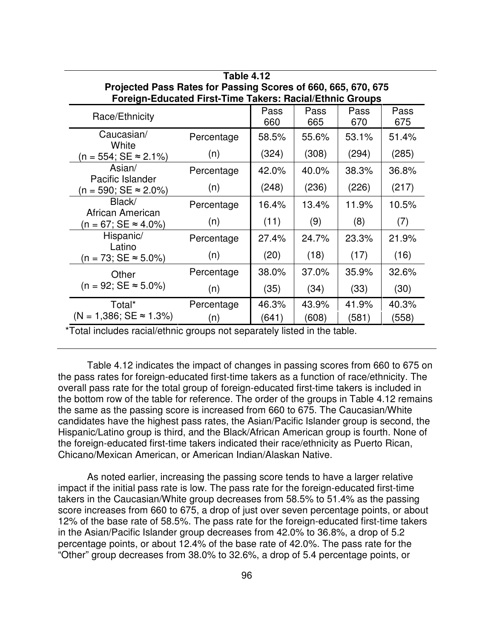| Projected Pass Rates for Passing Scores of 660, 665, 670, 675<br>Foreign-Educated First-Time Takers: Racial/Ethnic Groups |            |             |             |             |             |  |  |
|---------------------------------------------------------------------------------------------------------------------------|------------|-------------|-------------|-------------|-------------|--|--|
| Race/Ethnicity                                                                                                            |            | Pass<br>660 | Pass<br>665 | Pass<br>670 | Pass<br>675 |  |  |
| Caucasian/<br>White                                                                                                       | Percentage | 58.5%       | 55.6%       | 53.1%       | 51.4%       |  |  |
| $(n = 554; SE \approx 2.1\%)$                                                                                             | (n)        | (324)       | (308)       | (294)       | (285)       |  |  |
| Asian/                                                                                                                    | Percentage | 42.0%       | 40.0%       | 38.3%       | 36.8%       |  |  |
| Pacific Islander<br>$(n = 590; SE \approx 2.0\%)$                                                                         | (n)        | (248)       | (236)       | (226)       | (217)       |  |  |
| Black/                                                                                                                    | Percentage | 16.4%       | 13.4%       | 11.9%       | 10.5%       |  |  |
| African American<br>$(n = 67; SE \approx 4.0\%)$                                                                          | (n)        | (11)        | (9)         | (8)         | (7)         |  |  |
| Hispanic/                                                                                                                 | Percentage | 27.4%       | 24.7%       | 23.3%       | 21.9%       |  |  |
| Latino<br>$(n = 73; SE \approx 5.0\%)$                                                                                    | (n)        | (20)        | (18)        | (17)        | (16)        |  |  |
| Other                                                                                                                     | Percentage | 38.0%       | 37.0%       | 35.9%       | 32.6%       |  |  |
| $(n = 92; SE \approx 5.0\%)$                                                                                              | (n)        | (35)        | (34)        | (33)        | (30)        |  |  |
| Total*                                                                                                                    | Percentage | 46.3%       | 43.9%       | 41.9%       | 40.3%       |  |  |
| $(N = 1,386; SE \approx 1.3\%)$                                                                                           | (n)        | (641)       | (608)       | (581)       | (558)       |  |  |

**Table 4.12**

\*Total includes racial/ethnic groups not separately listed in the table.

Table 4.12 indicates the impact of changes in passing scores from 660 to 675 on the pass rates for foreign-educated first-time takers as a function of race/ethnicity. The overall pass rate for the total group of foreign-educated first-time takers is included in the bottom row of the table for reference. The order of the groups in Table 4.12 remains the same as the passing score is increased from 660 to 675. The Caucasian/White candidates have the highest pass rates, the Asian/Pacific Islander group is second, the Hispanic/Latino group is third, and the Black/African American group is fourth. None of the foreign-educated first-time takers indicated their race/ethnicity as Puerto Rican, Chicano/Mexican American, or American Indian/Alaskan Native.

As noted earlier, increasing the passing score tends to have a larger relative impact if the initial pass rate is low. The pass rate for the foreign-educated first-time takers in the Caucasian/White group decreases from 58.5% to 51.4% as the passing score increases from 660 to 675, a drop of just over seven percentage points, or about 12% of the base rate of 58.5%. The pass rate for the foreign-educated first-time takers in the Asian/Pacific Islander group decreases from 42.0% to 36.8%, a drop of 5.2 percentage points, or about 12.4% of the base rate of 42.0%. The pass rate for the "Other" group decreases from 38.0% to 32.6%, a drop of 5.4 percentage points, or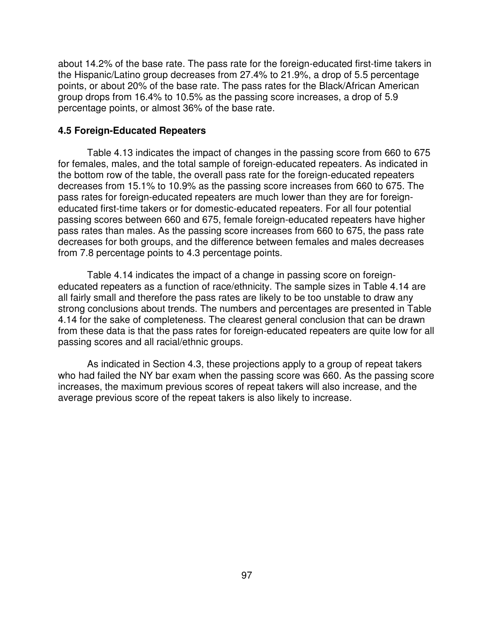about 14.2% of the base rate. The pass rate for the foreign-educated first-time takers in the Hispanic/Latino group decreases from 27.4% to 21.9%, a drop of 5.5 percentage points, or about 20% of the base rate. The pass rates for the Black/African American group drops from 16.4% to 10.5% as the passing score increases, a drop of 5.9 percentage points, or almost 36% of the base rate.

#### **4.5 Foreign-Educated Repeaters**

Table 4.13 indicates the impact of changes in the passing score from 660 to 675 for females, males, and the total sample of foreign-educated repeaters. As indicated in the bottom row of the table, the overall pass rate for the foreign-educated repeaters decreases from 15.1% to 10.9% as the passing score increases from 660 to 675. The pass rates for foreign-educated repeaters are much lower than they are for foreigneducated first-time takers or for domestic-educated repeaters. For all four potential passing scores between 660 and 675, female foreign-educated repeaters have higher pass rates than males. As the passing score increases from 660 to 675, the pass rate decreases for both groups, and the difference between females and males decreases from 7.8 percentage points to 4.3 percentage points.

Table 4.14 indicates the impact of a change in passing score on foreigneducated repeaters as a function of race/ethnicity. The sample sizes in Table 4.14 are all fairly small and therefore the pass rates are likely to be too unstable to draw any strong conclusions about trends. The numbers and percentages are presented in Table 4.14 for the sake of completeness. The clearest general conclusion that can be drawn from these data is that the pass rates for foreign-educated repeaters are quite low for all passing scores and all racial/ethnic groups.

As indicated in Section 4.3, these projections apply to a group of repeat takers who had failed the NY bar exam when the passing score was 660. As the passing score increases, the maximum previous scores of repeat takers will also increase, and the average previous score of the repeat takers is also likely to increase.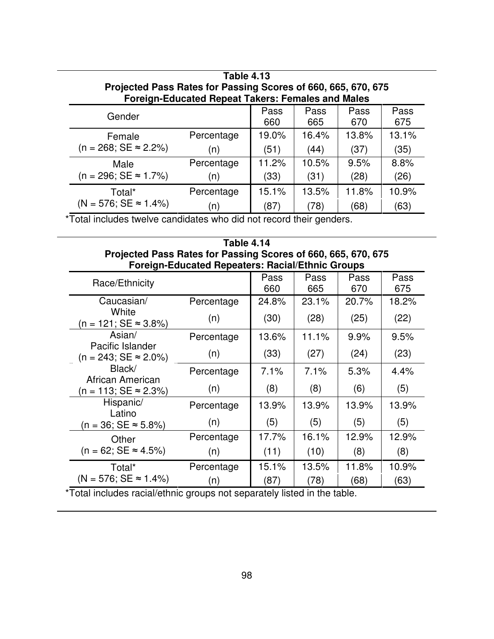| <b>Table 4.13</b><br>Projected Pass Rates for Passing Scores of 660, 665, 670, 675<br><b>Foreign-Educated Repeat Takers: Females and Males</b> |                                                          |       |       |       |       |  |
|------------------------------------------------------------------------------------------------------------------------------------------------|----------------------------------------------------------|-------|-------|-------|-------|--|
| Gender                                                                                                                                         | Pass<br>Pass<br>Pass<br>Pass<br>675<br>670<br>660<br>665 |       |       |       |       |  |
| Female                                                                                                                                         | Percentage                                               | 19.0% | 16.4% | 13.8% | 13.1% |  |
| $(n = 268; SE \approx 2.2\%)$                                                                                                                  | (n)                                                      | (51)  | (44)  | (37)  | (35)  |  |
| Male                                                                                                                                           | Percentage                                               | 11.2% | 10.5% | 9.5%  | 8.8%  |  |
| $(n = 296; SE \approx 1.7\%)$                                                                                                                  | (n)                                                      | (33)  | (31)  | (28)  | (26)  |  |
| Total*                                                                                                                                         | Percentage                                               | 15.1% | 13.5% | 11.8% | 10.9% |  |
| $(N = 576; SE \approx 1.4\%)$                                                                                                                  | (n)                                                      | (87)  | (78)  | (68)  | (63)  |  |

\*Total includes twelve candidates who did not record their genders.

# **Table 4.14 Projected Pass Rates for Passing Scores of 660, 665, 670, 675 Foreign-Educated Repeaters: Racial/Ethnic Groups**

| Race/Ethnicity                                                           |            | Pass  | Pass  | Pass  | Pass  |  |  |
|--------------------------------------------------------------------------|------------|-------|-------|-------|-------|--|--|
|                                                                          |            | 660   | 665   | 670   | 675   |  |  |
| Caucasian/                                                               | Percentage | 24.8% | 23.1% | 20.7% | 18.2% |  |  |
| White<br>$(n = 121; SE \approx 3.8\%)$                                   | (n)        | (30)  | (28)  | (25)  | (22)  |  |  |
| Asian/                                                                   | Percentage | 13.6% | 11.1% | 9.9%  | 9.5%  |  |  |
| Pacific Islander<br>(n = 243; SE ≈ 2.0%)                                 | (n)        | (33)  | (27)  | (24)  | (23)  |  |  |
| Black/<br>African American                                               | Percentage | 7.1%  | 7.1%  | 5.3%  | 4.4%  |  |  |
| $(n = 113; SE ≈ 2.3%)$                                                   | (n)        | (8)   | (8)   | (6)   | (5)   |  |  |
| Hispanic/<br>Latino                                                      | Percentage | 13.9% | 13.9% | 13.9% | 13.9% |  |  |
| $(n = 36; SE \approx 5.8\%)$                                             | (n)        | (5)   | (5)   | (5)   | (5)   |  |  |
| Other<br>$(n = 62; SE \approx 4.5\%)$                                    | Percentage | 17.7% | 16.1% | 12.9% | 12.9% |  |  |
|                                                                          | (n)        | (11)  | (10)  | (8)   | (8)   |  |  |
| Total*                                                                   | Percentage | 15.1% | 13.5% | 11.8% | 10.9% |  |  |
| $(N = 576; SE \approx 1.4\%)$                                            | (n)        | (87)  | (78)  | (68)  | (63)  |  |  |
| *Tatal ingludes resial/othnic aroune not consentally listed in the table |            |       |       |       |       |  |  |

\*Total includes racial/ethnic groups not separately listed in the table.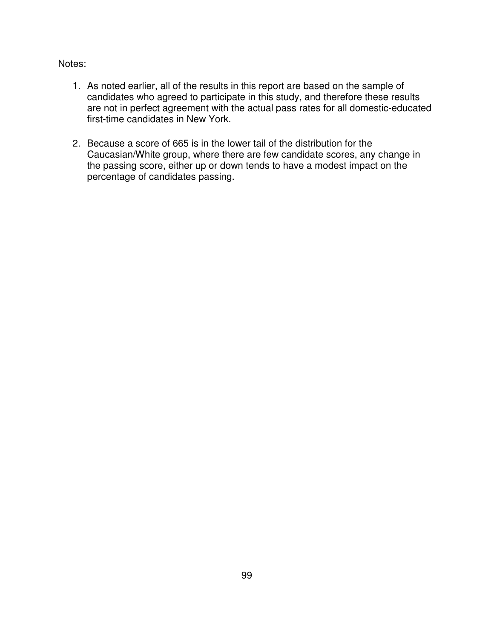# Notes:

- 1. As noted earlier, all of the results in this report are based on the sample of candidates who agreed to participate in this study, and therefore these results are not in perfect agreement with the actual pass rates for all domestic-educated first-time candidates in New York.
- 2. Because a score of 665 is in the lower tail of the distribution for the Caucasian/White group, where there are few candidate scores, any change in the passing score, either up or down tends to have a modest impact on the percentage of candidates passing.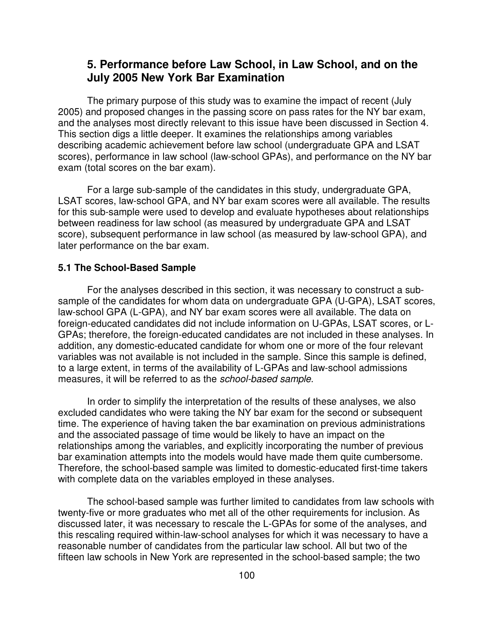# **5. Performance before Law School, in Law School, and on the July 2005 New York Bar Examination**

The primary purpose of this study was to examine the impact of recent (July 2005) and proposed changes in the passing score on pass rates for the NY bar exam, and the analyses most directly relevant to this issue have been discussed in Section 4. This section digs a little deeper. It examines the relationships among variables describing academic achievement before law school (undergraduate GPA and LSAT scores), performance in law school (law-school GPAs), and performance on the NY bar exam (total scores on the bar exam).

For a large sub-sample of the candidates in this study, undergraduate GPA, LSAT scores, law-school GPA, and NY bar exam scores were all available. The results for this sub-sample were used to develop and evaluate hypotheses about relationships between readiness for law school (as measured by undergraduate GPA and LSAT score), subsequent performance in law school (as measured by law-school GPA), and later performance on the bar exam.

### **5.1 The School-Based Sample**

For the analyses described in this section, it was necessary to construct a subsample of the candidates for whom data on undergraduate GPA (U-GPA), LSAT scores, law-school GPA (L-GPA), and NY bar exam scores were all available. The data on foreign-educated candidates did not include information on U-GPAs, LSAT scores, or L-GPAs; therefore, the foreign-educated candidates are not included in these analyses. In addition, any domestic-educated candidate for whom one or more of the four relevant variables was not available is not included in the sample. Since this sample is defined, to a large extent, in terms of the availability of L-GPAs and law-school admissions measures, it will be referred to as the *school-based sample*.

In order to simplify the interpretation of the results of these analyses, we also excluded candidates who were taking the NY bar exam for the second or subsequent time. The experience of having taken the bar examination on previous administrations and the associated passage of time would be likely to have an impact on the relationships among the variables, and explicitly incorporating the number of previous bar examination attempts into the models would have made them quite cumbersome. Therefore, the school-based sample was limited to domestic-educated first-time takers with complete data on the variables employed in these analyses.

The school-based sample was further limited to candidates from law schools with twenty-five or more graduates who met all of the other requirements for inclusion. As discussed later, it was necessary to rescale the L-GPAs for some of the analyses, and this rescaling required within-law-school analyses for which it was necessary to have a reasonable number of candidates from the particular law school. All but two of the fifteen law schools in New York are represented in the school-based sample; the two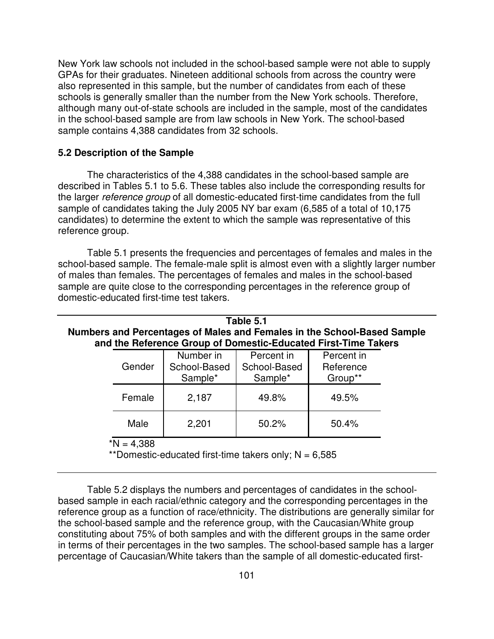New York law schools not included in the school-based sample were not able to supply GPAs for their graduates. Nineteen additional schools from across the country were also represented in this sample, but the number of candidates from each of these schools is generally smaller than the number from the New York schools. Therefore, although many out-of-state schools are included in the sample, most of the candidates in the school-based sample are from law schools in New York. The school-based sample contains 4,388 candidates from 32 schools.

#### **5.2 Description of the Sample**

The characteristics of the 4,388 candidates in the school-based sample are described in Tables 5.1 to 5.6. These tables also include the corresponding results for the larger *reference group* of all domestic-educated first-time candidates from the full sample of candidates taking the July 2005 NY bar exam (6,585 of a total of 10,175 candidates) to determine the extent to which the sample was representative of this reference group.

Table 5.1 presents the frequencies and percentages of females and males in the school-based sample. The female-male split is almost even with a slightly larger number of males than females. The percentages of females and males in the school-based sample are quite close to the corresponding percentages in the reference group of domestic-educated first-time test takers.

| Table 5.1<br>Numbers and Percentages of Males and Females in the School-Based Sample<br>and the Reference Group of Domestic-Educated First-Time Takers |                                      |                                       |                                    |  |  |
|--------------------------------------------------------------------------------------------------------------------------------------------------------|--------------------------------------|---------------------------------------|------------------------------------|--|--|
| Gender                                                                                                                                                 | Number in<br>School-Based<br>Sample* | Percent in<br>School-Based<br>Sample* | Percent in<br>Reference<br>Group** |  |  |
| Female                                                                                                                                                 | 2,187                                | 49.8%                                 | 49.5%                              |  |  |
| Male                                                                                                                                                   | 2,201                                | 50.2%                                 | 50.4%                              |  |  |
| $N = 4,388$<br>**Domestic-educated first-time takers only; $N = 6,585$                                                                                 |                                      |                                       |                                    |  |  |

Table 5.2 displays the numbers and percentages of candidates in the schoolbased sample in each racial/ethnic category and the corresponding percentages in the reference group as a function of race/ethnicity. The distributions are generally similar for the school-based sample and the reference group, with the Caucasian/White group constituting about 75% of both samples and with the different groups in the same order in terms of their percentages in the two samples. The school-based sample has a larger percentage of Caucasian/White takers than the sample of all domestic-educated first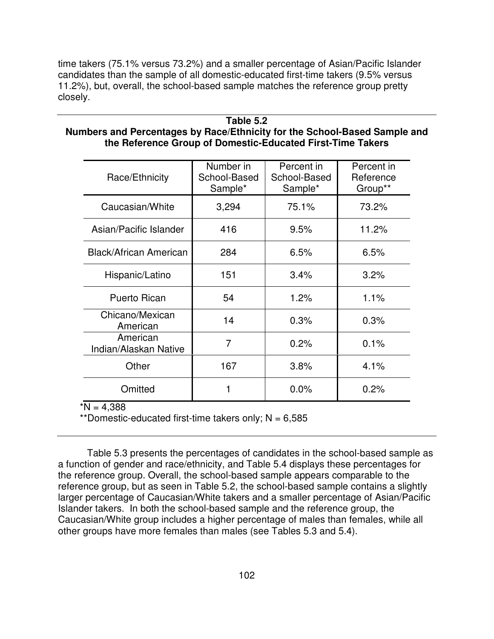time takers (75.1% versus 73.2%) and a smaller percentage of Asian/Pacific Islander candidates than the sample of all domestic-educated first-time takers (9.5% versus 11.2%), but, overall, the school-based sample matches the reference group pretty closely.

### **Table 5.2**

# **Numbers and Percentages by Race/Ethnicity for the School-Based Sample and the Reference Group of Domestic-Educated First-Time Takers**

| Race/Ethnicity                    | Number in<br>School-Based<br>Sample* | Percent in<br>School-Based<br>Sample* | Percent in<br>Reference<br>Group** |
|-----------------------------------|--------------------------------------|---------------------------------------|------------------------------------|
| Caucasian/White                   | 3,294                                | 75.1%                                 | 73.2%                              |
| Asian/Pacific Islander            | 416                                  | 9.5%                                  | 11.2%                              |
| <b>Black/African American</b>     | 284                                  | 6.5%                                  | 6.5%                               |
| Hispanic/Latino                   | 151                                  | 3.4%                                  | 3.2%                               |
| <b>Puerto Rican</b>               | 54                                   | 1.2%                                  | 1.1%                               |
| Chicano/Mexican<br>American       | 14                                   | 0.3%                                  | 0.3%                               |
| American<br>Indian/Alaskan Native | 7                                    | 0.2%                                  | 0.1%                               |
| Other                             | 167                                  | 3.8%                                  | 4.1%                               |
| Omitted                           |                                      | 0.0%                                  | 0.2%                               |

 $N = 4.388$ 

\*\*Domestic-educated first-time takers only;  $N = 6,585$ 

Table 5.3 presents the percentages of candidates in the school-based sample as a function of gender and race/ethnicity, and Table 5.4 displays these percentages for the reference group. Overall, the school-based sample appears comparable to the reference group, but as seen in Table 5.2, the school-based sample contains a slightly larger percentage of Caucasian/White takers and a smaller percentage of Asian/Pacific Islander takers. In both the school-based sample and the reference group, the Caucasian/White group includes a higher percentage of males than females, while all other groups have more females than males (see Tables 5.3 and 5.4).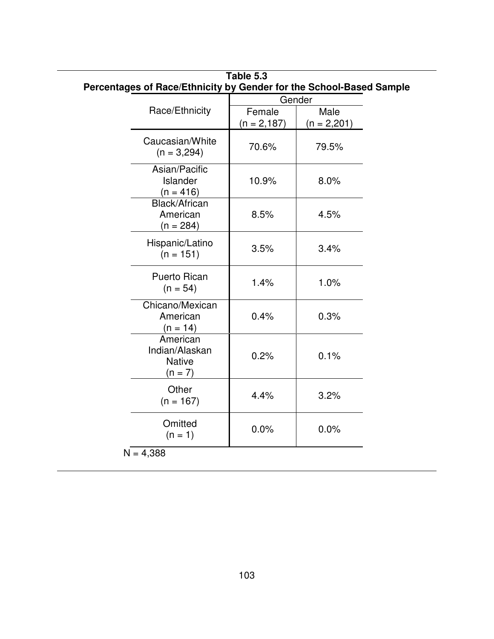|                                                          | centages of Race/Ethnicity by Gender for the School-Based Sa |                       |  |  |
|----------------------------------------------------------|--------------------------------------------------------------|-----------------------|--|--|
|                                                          | Gender                                                       |                       |  |  |
| Race/Ethnicity                                           | Female<br>$(n = 2, 187)$                                     | Male<br>$(n = 2,201)$ |  |  |
| Caucasian/White<br>$(n = 3,294)$                         | 70.6%                                                        | 79.5%                 |  |  |
| Asian/Pacific<br>Islander<br>$(n = 416)$                 | 10.9%                                                        | 8.0%                  |  |  |
| Black/African<br>American<br>$(n = 284)$                 | 8.5%                                                         | 4.5%                  |  |  |
| Hispanic/Latino<br>$(n = 151)$                           | 3.5%                                                         | 3.4%                  |  |  |
| <b>Puerto Rican</b><br>$(n = 54)$                        | 1.4%                                                         | 1.0%                  |  |  |
| Chicano/Mexican<br>American<br>$(n = 14)$                | 0.4%                                                         | 0.3%                  |  |  |
| American<br>Indian/Alaskan<br><b>Native</b><br>$(n = 7)$ | 0.2%                                                         | 0.1%                  |  |  |
| Other<br>$(n = 167)$                                     | 4.4%                                                         | 3.2%                  |  |  |
| Omitted<br>$(n = 1)$                                     | 0.0%                                                         | 0.0%                  |  |  |

|                                                                     | Table 5.3 |  |
|---------------------------------------------------------------------|-----------|--|
| Percentages of Race/Ethnicity by Gender for the School-Based Sample |           |  |
|                                                                     | Condor    |  |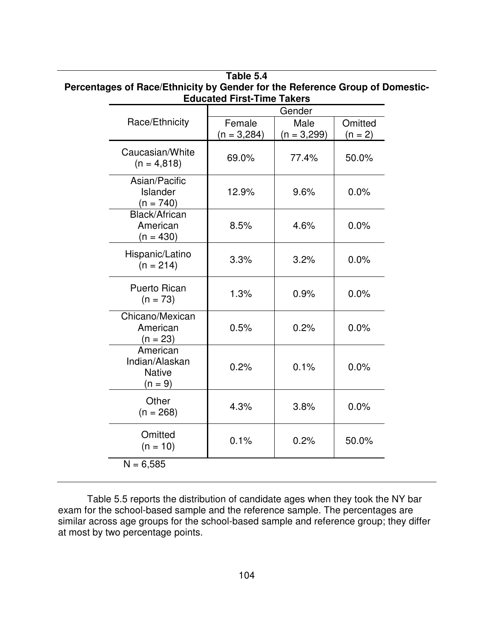| Female<br>$(n = 3,284)$<br>69.0% | Male<br>$(n = 3,299)$<br>77.4% | Omitted<br>$(n = 2)$<br>50.0% |
|----------------------------------|--------------------------------|-------------------------------|
|                                  |                                |                               |
|                                  |                                |                               |
| 12.9%                            | 9.6%                           | 0.0%                          |
| 8.5%                             | 4.6%                           | 0.0%                          |
| 3.3%                             | 3.2%                           | 0.0%                          |
| 1.3%                             | 0.9%                           | 0.0%                          |
| 0.5%                             | 0.2%                           | 0.0%                          |
| 0.2%                             | 0.1%                           | 0.0%                          |
| 4.3%                             | 3.8%                           | 0.0%                          |
| 0.1%                             | 0.2%                           | 50.0%                         |
|                                  |                                |                               |

# **Table 5.4 Percentages of Race/Ethnicity by Gender for the Reference Group of Domestic-Educated First-Time Takers**

Table 5.5 reports the distribution of candidate ages when they took the NY bar exam for the school-based sample and the reference sample. The percentages are similar across age groups for the school-based sample and reference group; they differ at most by two percentage points.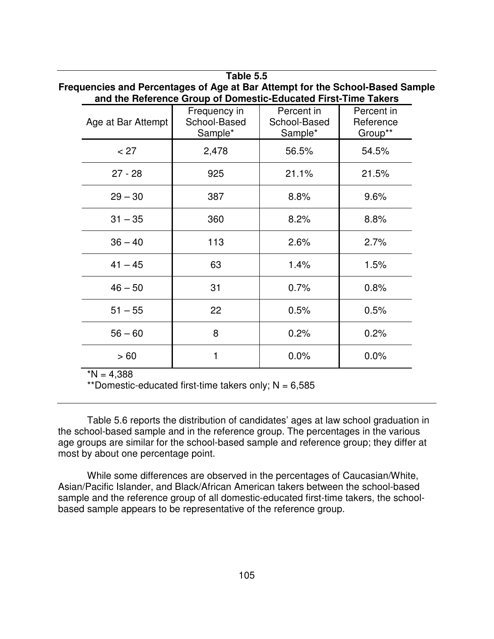|                                                                                                                                                 |                    | Table 5.5                               |                                       |                                    |  |
|-------------------------------------------------------------------------------------------------------------------------------------------------|--------------------|-----------------------------------------|---------------------------------------|------------------------------------|--|
| Frequencies and Percentages of Age at Bar Attempt for the School-Based Sample<br>and the Reference Group of Domestic-Educated First-Time Takers |                    |                                         |                                       |                                    |  |
|                                                                                                                                                 | Age at Bar Attempt | Frequency in<br>School-Based<br>Sample* | Percent in<br>School-Based<br>Sample* | Percent in<br>Reference<br>Group** |  |
|                                                                                                                                                 | < 27               | 2,478                                   | 56.5%                                 | 54.5%                              |  |
|                                                                                                                                                 | $27 - 28$          | 925                                     | 21.1%                                 | 21.5%                              |  |
|                                                                                                                                                 | $29 - 30$          | 387                                     | 8.8%                                  | 9.6%                               |  |
|                                                                                                                                                 | $31 - 35$          | 360                                     | 8.2%                                  | 8.8%                               |  |
|                                                                                                                                                 | $36 - 40$          | 113                                     | 2.6%                                  | 2.7%                               |  |
|                                                                                                                                                 | $41 - 45$          | 63                                      | 1.4%                                  | 1.5%                               |  |
|                                                                                                                                                 | $46 - 50$          | 31                                      | 0.7%                                  | 0.8%                               |  |
|                                                                                                                                                 | $51 - 55$          | 22                                      | 0.5%                                  | 0.5%                               |  |
|                                                                                                                                                 | $56 - 60$          | 8                                       | 0.2%                                  | 0.2%                               |  |
|                                                                                                                                                 | >60                | 1                                       | 0.0%                                  | 0.0%                               |  |

 $*N = 4,388$ 

\*\*Domestic-educated first-time takers only;  $N = 6,585$ 

Table 5.6 reports the distribution of candidates' ages at law school graduation in the school-based sample and in the reference group. The percentages in the various age groups are similar for the school-based sample and reference group; they differ at most by about one percentage point.

While some differences are observed in the percentages of Caucasian/White, Asian/Pacific Islander, and Black/African American takers between the school-based sample and the reference group of all domestic-educated first-time takers, the schoolbased sample appears to be representative of the reference group.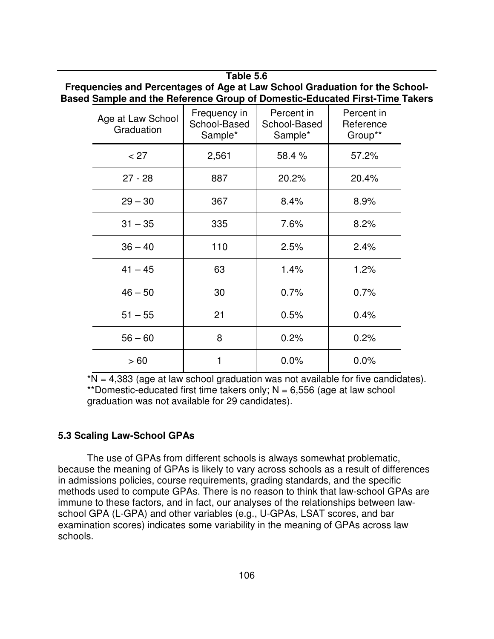**Table 5.6 Frequencies and Percentages of Age at Law School Graduation for the School-Based Sample and the Reference Group of Domestic-Educated First-Time Takers**

| Age at Law School<br>Graduation | Frequency in<br>School-Based<br>Sample* | Percent in<br>School-Based<br>Sample* | Percent in<br>Reference<br>Group** |
|---------------------------------|-----------------------------------------|---------------------------------------|------------------------------------|
| < 27                            | 2,561                                   | 58.4%                                 | 57.2%                              |
| $27 - 28$                       | 887                                     | 20.2%                                 | 20.4%                              |
| $29 - 30$                       | 367                                     | 8.4%                                  | 8.9%                               |
| $31 - 35$                       | 335                                     | 7.6%                                  | 8.2%                               |
| $36 - 40$                       | 110                                     | 2.5%                                  | 2.4%                               |
| $41 - 45$                       | 63                                      | 1.4%                                  | 1.2%                               |
| $46 - 50$                       | 30                                      | 0.7%                                  | 0.7%                               |
| $51 - 55$                       | 21                                      | 0.5%                                  | 0.4%                               |
| $56 - 60$                       | 8                                       | 0.2%                                  | 0.2%                               |
| > 60                            | 1                                       | 0.0%                                  | 0.0%                               |

 $N = 4,383$  (age at law school graduation was not available for five candidates). \*\*Domestic-educated first time takers only;  $N = 6,556$  (age at law school graduation was not available for 29 candidates).

### **5.3 Scaling Law-School GPAs**

The use of GPAs from different schools is always somewhat problematic, because the meaning of GPAs is likely to vary across schools as a result of differences in admissions policies, course requirements, grading standards, and the specific methods used to compute GPAs. There is no reason to think that law-school GPAs are immune to these factors, and in fact, our analyses of the relationships between lawschool GPA (L-GPA) and other variables (e.g., U-GPAs, LSAT scores, and bar examination scores) indicates some variability in the meaning of GPAs across law schools.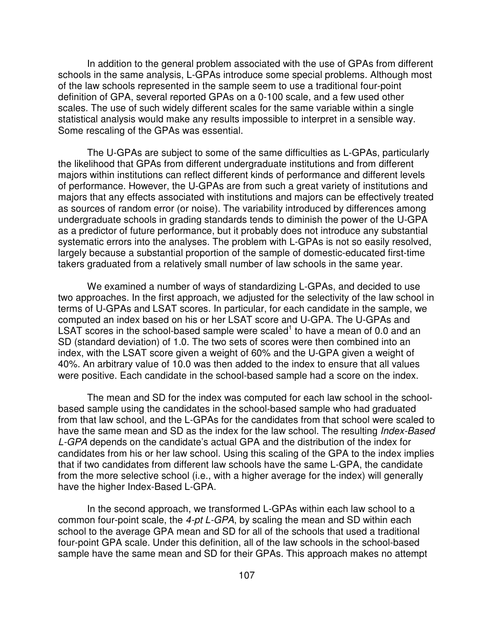In addition to the general problem associated with the use of GPAs from different schools in the same analysis, L-GPAs introduce some special problems. Although most of the law schools represented in the sample seem to use a traditional four-point definition of GPA, several reported GPAs on a 0-100 scale, and a few used other scales. The use of such widely different scales for the same variable within a single statistical analysis would make any results impossible to interpret in a sensible way. Some rescaling of the GPAs was essential.

The U-GPAs are subject to some of the same difficulties as L-GPAs, particularly the likelihood that GPAs from different undergraduate institutions and from different majors within institutions can reflect different kinds of performance and different levels of performance. However, the U-GPAs are from such a great variety of institutions and majors that any effects associated with institutions and majors can be effectively treated as sources of random error (or noise). The variability introduced by differences among undergraduate schools in grading standards tends to diminish the power of the U-GPA as a predictor of future performance, but it probably does not introduce any substantial systematic errors into the analyses. The problem with L-GPAs is not so easily resolved, largely because a substantial proportion of the sample of domestic-educated first-time takers graduated from a relatively small number of law schools in the same year.

We examined a number of ways of standardizing L-GPAs, and decided to use two approaches. In the first approach, we adjusted for the selectivity of the law school in terms of U-GPAs and LSAT scores. In particular, for each candidate in the sample, we computed an index based on his or her LSAT score and U-GPA. The U-GPAs and LSAT scores in the school-based sample were scaled<sup>1</sup> to have a mean of 0.0 and an SD (standard deviation) of 1.0. The two sets of scores were then combined into an index, with the LSAT score given a weight of 60% and the U-GPA given a weight of 40%. An arbitrary value of 10.0 was then added to the index to ensure that all values were positive. Each candidate in the school-based sample had a score on the index.

The mean and SD for the index was computed for each law school in the schoolbased sample using the candidates in the school-based sample who had graduated from that law school, and the L-GPAs for the candidates from that school were scaled to have the same mean and SD as the index for the law school. The resulting *Index-Based L-GPA* depends on the candidate's actual GPA and the distribution of the index for candidates from his or her law school. Using this scaling of the GPA to the index implies that if two candidates from different law schools have the same L-GPA, the candidate from the more selective school (i.e., with a higher average for the index) will generally have the higher Index-Based L-GPA.

In the second approach, we transformed L-GPAs within each law school to a common four-point scale, the *4-pt L-GPA*, by scaling the mean and SD within each school to the average GPA mean and SD for all of the schools that used a traditional four-point GPA scale. Under this definition, all of the law schools in the school-based sample have the same mean and SD for their GPAs. This approach makes no attempt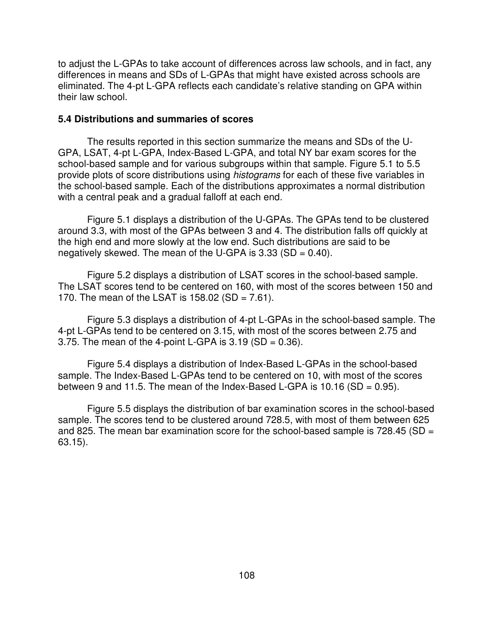to adjust the L-GPAs to take account of differences across law schools, and in fact, any differences in means and SDs of L-GPAs that might have existed across schools are eliminated. The 4-pt L-GPA reflects each candidate's relative standing on GPA within their law school.

#### **5.4 Distributions and summaries of scores**

The results reported in this section summarize the means and SDs of the U-GPA, LSAT, 4-pt L-GPA, Index-Based L-GPA, and total NY bar exam scores for the school-based sample and for various subgroups within that sample. Figure 5.1 to 5.5 provide plots of score distributions using *histograms* for each of these five variables in the school-based sample. Each of the distributions approximates a normal distribution with a central peak and a gradual falloff at each end.

Figure 5.1 displays a distribution of the U-GPAs. The GPAs tend to be clustered around 3.3, with most of the GPAs between 3 and 4. The distribution falls off quickly at the high end and more slowly at the low end. Such distributions are said to be negatively skewed. The mean of the U-GPA is  $3.33$  (SD = 0.40).

Figure 5.2 displays a distribution of LSAT scores in the school-based sample. The LSAT scores tend to be centered on 160, with most of the scores between 150 and 170. The mean of the LSAT is 158.02 (SD =  $7.61$ ).

Figure 5.3 displays a distribution of 4-pt L-GPAs in the school-based sample. The 4-pt L-GPAs tend to be centered on 3.15, with most of the scores between 2.75 and 3.75. The mean of the 4-point L-GPA is  $3.19$  (SD = 0.36).

Figure 5.4 displays a distribution of Index-Based L-GPAs in the school-based sample. The Index-Based L-GPAs tend to be centered on 10, with most of the scores between 9 and 11.5. The mean of the Index-Based L-GPA is 10.16 (SD =  $0.95$ ).

Figure 5.5 displays the distribution of bar examination scores in the school-based sample. The scores tend to be clustered around 728.5, with most of them between 625 and 825. The mean bar examination score for the school-based sample is 728.45 (SD = 63.15).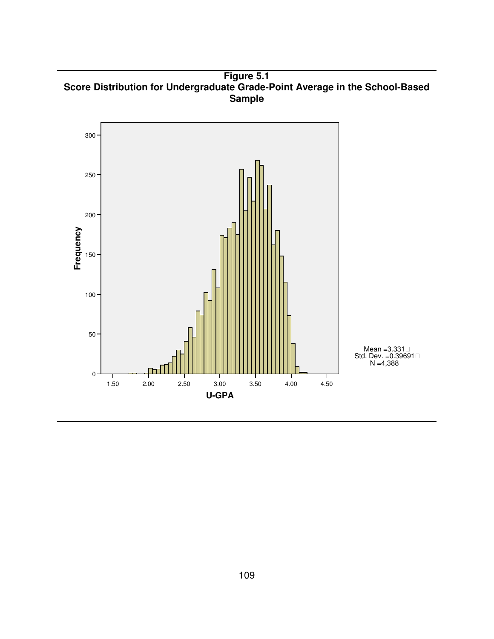**Figure 5.1 Score Distribution for Undergraduate Grade-Point Average in the School-Based Sample**

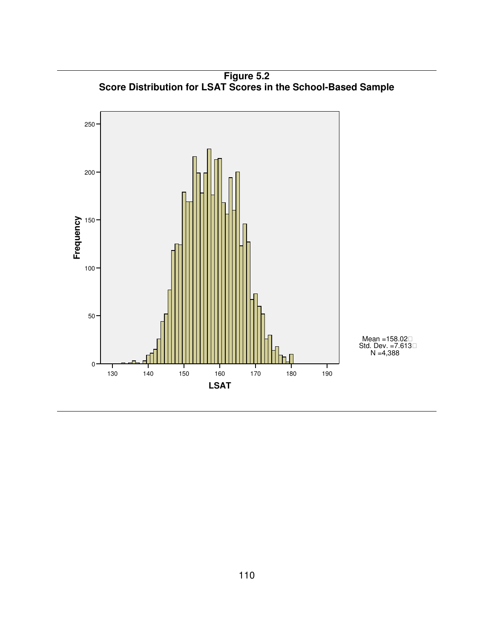

**Figure 5.2 Score Distribution for LSAT Scores in the School-Based Sample**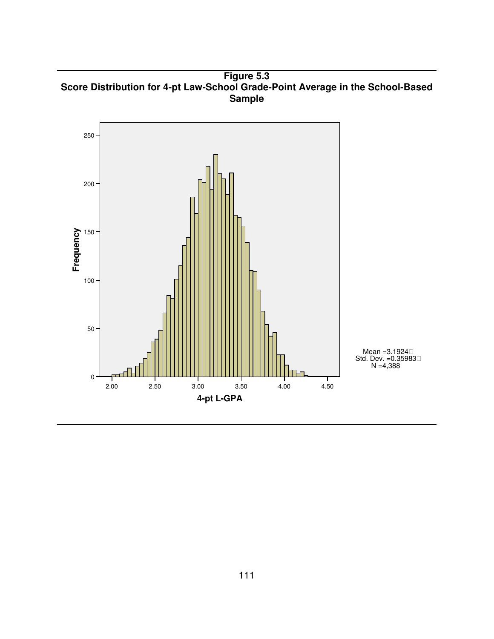**Figure 5.3 Score Distribution for 4-pt Law-School Grade-Point Average in the School-Based Sample**

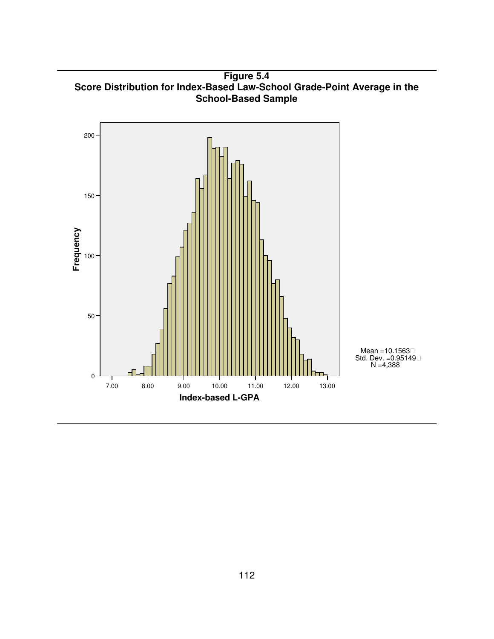**Figure 5.4 Score Distribution for Index-Based Law-School Grade-Point Average in the School-Based Sample**

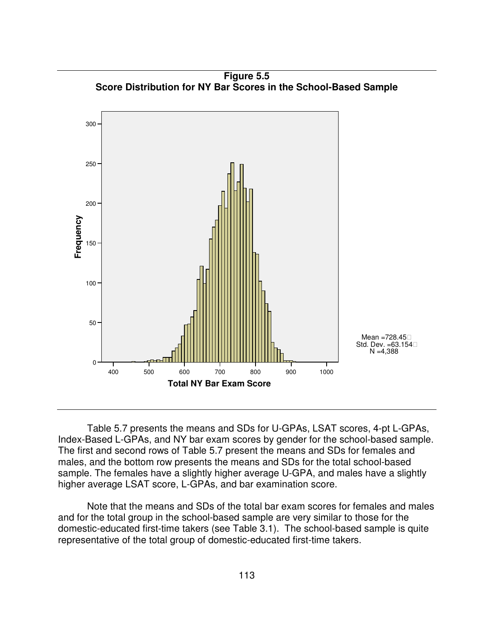

**Figure 5.5 Score Distribution for NY Bar Scores in the School-Based Sample**

Table 5.7 presents the means and SDs for U-GPAs, LSAT scores, 4-pt L-GPAs, Index-Based L-GPAs, and NY bar exam scores by gender for the school-based sample. The first and second rows of Table 5.7 present the means and SDs for females and males, and the bottom row presents the means and SDs for the total school-based sample. The females have a slightly higher average U-GPA, and males have a slightly higher average LSAT score, L-GPAs, and bar examination score.

Note that the means and SDs of the total bar exam scores for females and males and for the total group in the school-based sample are very similar to those for the domestic-educated first-time takers (see Table 3.1). The school-based sample is quite representative of the total group of domestic-educated first-time takers.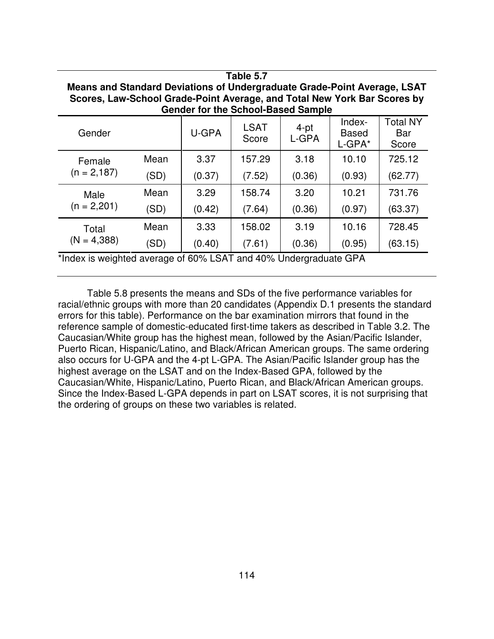| rapie 5.7                                                                                                                                                                                         |      |                 |                      |                  |                                  |                                 |  |  |
|---------------------------------------------------------------------------------------------------------------------------------------------------------------------------------------------------|------|-----------------|----------------------|------------------|----------------------------------|---------------------------------|--|--|
| Means and Standard Deviations of Undergraduate Grade-Point Average, LSAT<br>Scores, Law-School Grade-Point Average, and Total New York Bar Scores by<br><b>Gender for the School-Based Sample</b> |      |                 |                      |                  |                                  |                                 |  |  |
| Gender                                                                                                                                                                                            |      | U-GPA           | <b>LSAT</b><br>Score | $4$ -pt<br>L-GPA | Index-<br><b>Based</b><br>L-GPA* | <b>Total NY</b><br>Bar<br>Score |  |  |
| Female<br>$(n = 2, 187)$                                                                                                                                                                          | Mean | 3.37            | 157.29               | 3.18             | 10.10                            | 725.12                          |  |  |
|                                                                                                                                                                                                   | (SD) | (0.37)          | (7.52)               | (0.36)           | (0.93)                           | (62.77)                         |  |  |
| Male<br>$(n = 2,201)$                                                                                                                                                                             | Mean | 3.29            | 158.74               | 3.20             | 10.21                            | 731.76                          |  |  |
|                                                                                                                                                                                                   | (SD) | (0.42)          | (7.64)               | (0.36)           | (0.97)                           | (63.37)                         |  |  |
| Total<br>$(N = 4,388)$                                                                                                                                                                            | Mean | 3.33            | 158.02               | 3.19             | 10.16                            | 728.45                          |  |  |
|                                                                                                                                                                                                   | (SD) | (0.40)          | (7.61)               | (0.36)           | (0.95)                           | (63.15)                         |  |  |
| 東北 いけい しきょうしょうせいせい けいし                                                                                                                                                                            |      | $(0.001)$ $0.1$ |                      |                  |                                  |                                 |  |  |

**Table 5.7**

\*Index is weighted average of 60% LSAT and 40% Undergraduate GPA

Table 5.8 presents the means and SDs of the five performance variables for racial/ethnic groups with more than 20 candidates (Appendix D.1 presents the standard errors for this table). Performance on the bar examination mirrors that found in the reference sample of domestic-educated first-time takers as described in Table 3.2. The Caucasian/White group has the highest mean, followed by the Asian/Pacific Islander, Puerto Rican, Hispanic/Latino, and Black/African American groups. The same ordering also occurs for U-GPA and the 4-pt L-GPA. The Asian/Pacific Islander group has the highest average on the LSAT and on the Index-Based GPA, followed by the Caucasian/White, Hispanic/Latino, Puerto Rican, and Black/African American groups. Since the Index-Based L-GPA depends in part on LSAT scores, it is not surprising that the ordering of groups on these two variables is related.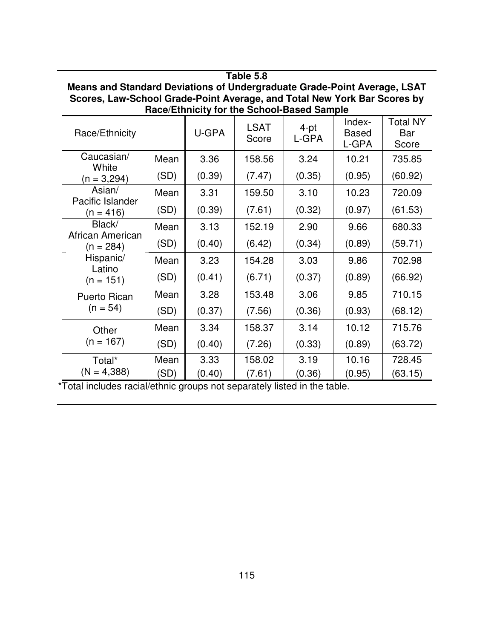| Means and Standard Deviations of Undergraduate Grade-Point Average, LSAT<br>Scores, Law-School Grade-Point Average, and Total New York Bar Scores by<br>Race/Ethnicity for the School-Based Sample |                       |        |                           |                                         |                                 |                                 |  |  |
|----------------------------------------------------------------------------------------------------------------------------------------------------------------------------------------------------|-----------------------|--------|---------------------------|-----------------------------------------|---------------------------------|---------------------------------|--|--|
| Race/Ethnicity                                                                                                                                                                                     |                       | U-GPA  | <b>LSAT</b><br>Score      | 4-pt<br>L-GPA                           | Index-<br><b>Based</b><br>L-GPA | <b>Total NY</b><br>Bar<br>Score |  |  |
| Caucasian/<br>White                                                                                                                                                                                | Mean                  | 3.36   | 158.56                    | 3.24                                    | 10.21                           | 735.85                          |  |  |
| $(n = 3,294)$                                                                                                                                                                                      | (SD)                  | (0.39) | (7.47)                    | (0.35)                                  | (0.95)                          | (60.92)                         |  |  |
| Asian/                                                                                                                                                                                             | Mean                  | 3.31   | 159.50                    | 3.10                                    | 10.23                           | 720.09                          |  |  |
| Pacific Islander<br>$(n = 416)$                                                                                                                                                                    | (SD)                  | (0.39) | (7.61)                    | (0.32)                                  | (0.97)                          | (61.53)                         |  |  |
| Black/                                                                                                                                                                                             | Mean                  | 3.13   | 152.19                    | 2.90                                    | 9.66                            | 680.33                          |  |  |
| African American<br>(n = 284)                                                                                                                                                                      | (SD)                  | (0.40) | (6.42)                    | (0.34)                                  | (0.89)                          | (59.71)                         |  |  |
| Hispanic/<br>Latino                                                                                                                                                                                | Mean                  | 3.23   | 154.28                    | 3.03                                    | 9.86                            | 702.98                          |  |  |
| (n = 151)                                                                                                                                                                                          | (SD)                  | (0.41) | (6.71)                    | (0.37)                                  | (0.89)                          | (66.92)                         |  |  |
| Puerto Rican                                                                                                                                                                                       | Mean                  | 3.28   | 153.48                    | 3.06                                    | 9.85                            | 710.15                          |  |  |
| $(n = 54)$                                                                                                                                                                                         | (SD)                  | (0.37) | (7.56)                    | (0.36)                                  | (0.93)                          | (68.12)                         |  |  |
| Other                                                                                                                                                                                              | Mean                  | 3.34   | 158.37                    | 3.14                                    | 10.12                           | 715.76                          |  |  |
| $(n = 167)$                                                                                                                                                                                        | (SD)                  | (0.40) | (7.26)                    | (0.33)                                  | (0.89)                          | (63.72)                         |  |  |
| Total*                                                                                                                                                                                             | Mean                  | 3.33   | 158.02                    | 3.19                                    | 10.16                           | 728.45                          |  |  |
| $(N = 4,388)$                                                                                                                                                                                      | (SD)<br>$1 - 11 - 11$ | (0.40) | (7.61)<br>المسائل والمارة | (0.36)<br>الملقات وبالتلاء<br>والماسطين | (0.95)                          | (63.15)                         |  |  |

**Table 5.8**

\*Total includes racial/ethnic groups not separately listed in the table.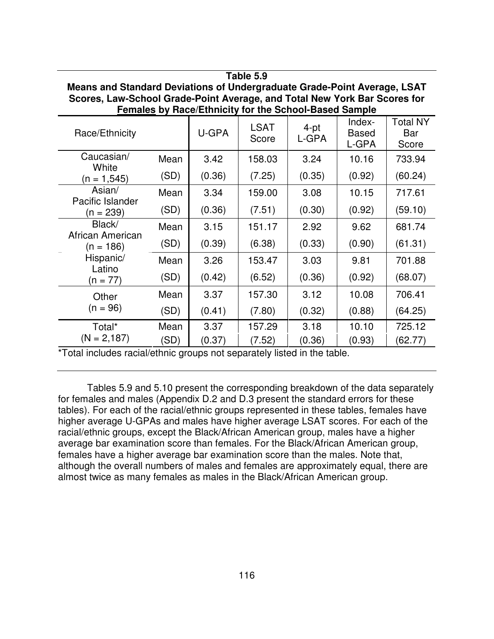| Means and Standard Deviations of Undergraduate Grade-Politic Average, LSAT<br>Scores, Law-School Grade-Point Average, and Total New York Bar Scores for<br><b>Females by Race/Ethnicity for the School-Based Sample</b> |      |        |                      |               |                                 |                                 |  |
|-------------------------------------------------------------------------------------------------------------------------------------------------------------------------------------------------------------------------|------|--------|----------------------|---------------|---------------------------------|---------------------------------|--|
| Race/Ethnicity                                                                                                                                                                                                          |      | U-GPA  | <b>LSAT</b><br>Score | 4-pt<br>L-GPA | Index-<br><b>Based</b><br>L-GPA | <b>Total NY</b><br>Bar<br>Score |  |
| Caucasian/<br>White                                                                                                                                                                                                     | Mean | 3.42   | 158.03               | 3.24          | 10.16                           | 733.94                          |  |
| $(n = 1, 545)$                                                                                                                                                                                                          | (SD) | (0.36) | (7.25)               | (0.35)        | (0.92)                          | (60.24)                         |  |
| Asian/<br>Pacific Islander                                                                                                                                                                                              | Mean | 3.34   | 159.00               | 3.08          | 10.15                           | 717.61                          |  |
| (n = 239)                                                                                                                                                                                                               | (SD) | (0.36) | (7.51)               | (0.30)        | (0.92)                          | (59.10)                         |  |
| Black/<br>African American                                                                                                                                                                                              | Mean | 3.15   | 151.17               | 2.92          | 9.62                            | 681.74                          |  |
| (n = 186)                                                                                                                                                                                                               | (SD) | (0.39) | (6.38)               | (0.33)        | (0.90)                          | (61.31)                         |  |
| Hispanic/<br>Latino                                                                                                                                                                                                     | Mean | 3.26   | 153.47               | 3.03          | 9.81                            | 701.88                          |  |
| (n = 77)                                                                                                                                                                                                                | (SD) | (0.42) | (6.52)               | (0.36)        | (0.92)                          | (68.07)                         |  |
| Other                                                                                                                                                                                                                   | Mean | 3.37   | 157.30               | 3.12          | 10.08                           | 706.41                          |  |
| $(n = 96)$                                                                                                                                                                                                              | (SD) | (0.41) | (7.80)               | (0.32)        | (0.88)                          | (64.25)                         |  |
| Total*                                                                                                                                                                                                                  | Mean | 3.37   | 157.29               | 3.18          | 10.10                           | 725.12                          |  |
| $(N = 2,187)$                                                                                                                                                                                                           | (SD) | (0.37) | (7.52)               | (0.36)        | (0.93)                          | (62.77)                         |  |

**Means and Standard Deviations of Undergraduate Grade-Point Average, LSAT**

**Table 5.9**

\*Total includes racial/ethnic groups not separately listed in the table.

Tables 5.9 and 5.10 present the corresponding breakdown of the data separately for females and males (Appendix D.2 and D.3 present the standard errors for these tables). For each of the racial/ethnic groups represented in these tables, females have higher average U-GPAs and males have higher average LSAT scores. For each of the racial/ethnic groups, except the Black/African American group, males have a higher average bar examination score than females. For the Black/African American group, females have a higher average bar examination score than the males. Note that, although the overall numbers of males and females are approximately equal, there are almost twice as many females as males in the Black/African American group.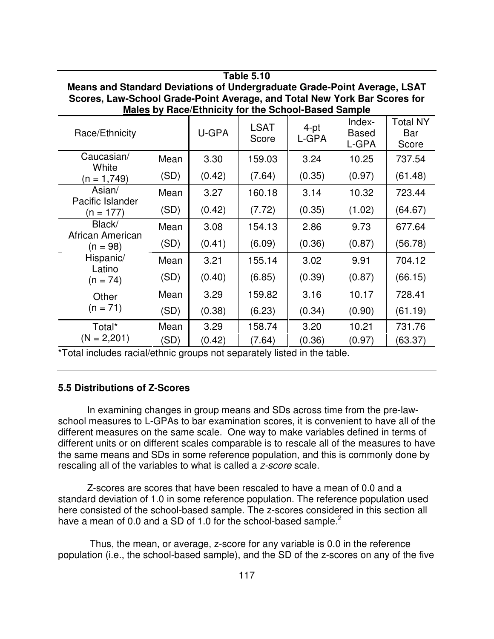| Means and Standard Deviations of Undergraduate Grade-Point Average, LSAT<br>Scores, Law-School Grade-Point Average, and Total New York Bar Scores for<br><b>Males by Race/Ethnicity for the School-Based Sample</b> |      |        |                      |                  |                                 |                                 |  |
|---------------------------------------------------------------------------------------------------------------------------------------------------------------------------------------------------------------------|------|--------|----------------------|------------------|---------------------------------|---------------------------------|--|
| Race/Ethnicity                                                                                                                                                                                                      |      | U-GPA  | <b>LSAT</b><br>Score | $4$ -pt<br>L-GPA | Index-<br><b>Based</b><br>L-GPA | <b>Total NY</b><br>Bar<br>Score |  |
| Caucasian/<br>White                                                                                                                                                                                                 | Mean | 3.30   | 159.03               | 3.24             | 10.25                           | 737.54                          |  |
| $(n = 1,749)$                                                                                                                                                                                                       | (SD) | (0.42) | (7.64)               | (0.35)           | (0.97)                          | (61.48)                         |  |
| Asian/                                                                                                                                                                                                              | Mean | 3.27   | 160.18               | 3.14             | 10.32                           | 723.44                          |  |
| Pacific Islander<br>$(n = 177)$                                                                                                                                                                                     | (SD) | (0.42) | (7.72)               | (0.35)           | (1.02)                          | (64.67)                         |  |
| Black/                                                                                                                                                                                                              | Mean | 3.08   | 154.13               | 2.86             | 9.73                            | 677.64                          |  |
| African American<br>(n = 98)                                                                                                                                                                                        | (SD) | (0.41) | (6.09)               | (0.36)           | (0.87)                          | (56.78)                         |  |
| Hispanic/                                                                                                                                                                                                           | Mean | 3.21   | 155.14               | 3.02             | 9.91                            | 704.12                          |  |
| Latino<br>$(n = 74)$                                                                                                                                                                                                | (SD) | (0.40) | (6.85)               | (0.39)           | (0.87)                          | (66.15)                         |  |
| Other                                                                                                                                                                                                               | Mean | 3.29   | 159.82               | 3.16             | 10.17                           | 728.41                          |  |
| $(n = 71)$                                                                                                                                                                                                          | (SD) | (0.38) | (6.23)               | (0.34)           | (0.90)                          | (61.19)                         |  |
| Total*                                                                                                                                                                                                              | Mean | 3.29   | 158.74               | 3.20             | 10.21                           | 731.76                          |  |
| $(N = 2,201)$                                                                                                                                                                                                       | (SD) | (0.42) | (7.64)               | (0.36)           | (0.97)                          | (63.37)                         |  |

**Table 5.10**

\*Total includes racial/ethnic groups not separately listed in the table.

#### **5.5 Distributions of Z-Scores**

In examining changes in group means and SDs across time from the pre-lawschool measures to L-GPAs to bar examination scores, it is convenient to have all of the different measures on the same scale. One way to make variables defined in terms of different units or on different scales comparable is to rescale all of the measures to have the same means and SDs in some reference population, and this is commonly done by rescaling all of the variables to what is called a *z-score* scale.

Z-scores are scores that have been rescaled to have a mean of 0.0 and a standard deviation of 1.0 in some reference population. The reference population used here consisted of the school-based sample. The z-scores considered in this section all have a mean of 0.0 and a SD of 1.0 for the school-based sample.<sup>2</sup>

Thus, the mean, or average, z-score for any variable is 0.0 in the reference population (i.e., the school-based sample), and the SD of the z-scores on any of the five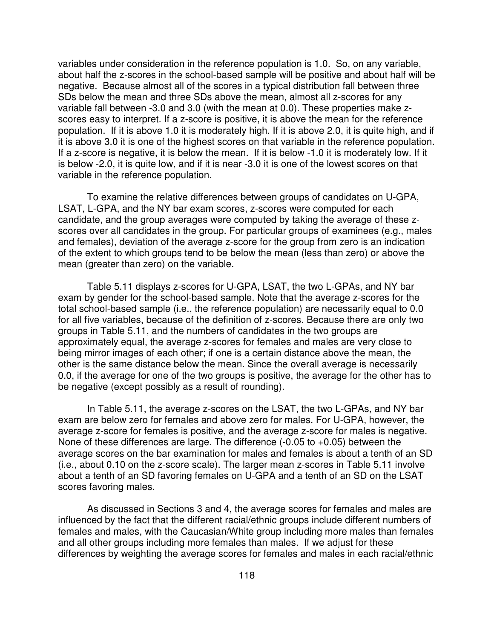variables under consideration in the reference population is 1.0. So, on any variable, about half the z-scores in the school-based sample will be positive and about half will be negative. Because almost all of the scores in a typical distribution fall between three SDs below the mean and three SDs above the mean, almost all z-scores for any variable fall between -3.0 and 3.0 (with the mean at 0.0). These properties make zscores easy to interpret. If a z-score is positive, it is above the mean for the reference population. If it is above 1.0 it is moderately high. If it is above 2.0, it is quite high, and if it is above 3.0 it is one of the highest scores on that variable in the reference population. If a z-score is negative, it is below the mean. If it is below -1.0 it is moderately low. If it is below -2.0, it is quite low, and if it is near -3.0 it is one of the lowest scores on that variable in the reference population.

To examine the relative differences between groups of candidates on U-GPA, LSAT, L-GPA, and the NY bar exam scores, z-scores were computed for each candidate, and the group averages were computed by taking the average of these zscores over all candidates in the group. For particular groups of examinees (e.g., males and females), deviation of the average z-score for the group from zero is an indication of the extent to which groups tend to be below the mean (less than zero) or above the mean (greater than zero) on the variable.

Table 5.11 displays z-scores for U-GPA, LSAT, the two L-GPAs, and NY bar exam by gender for the school-based sample. Note that the average z-scores for the total school-based sample (i.e., the reference population) are necessarily equal to 0.0 for all five variables, because of the definition of z-scores. Because there are only two groups in Table 5.11, and the numbers of candidates in the two groups are approximately equal, the average z-scores for females and males are very close to being mirror images of each other; if one is a certain distance above the mean, the other is the same distance below the mean. Since the overall average is necessarily 0.0, if the average for one of the two groups is positive, the average for the other has to be negative (except possibly as a result of rounding).

In Table 5.11, the average z-scores on the LSAT, the two L-GPAs, and NY bar exam are below zero for females and above zero for males. For U-GPA, however, the average z-score for females is positive, and the average z-score for males is negative. None of these differences are large. The difference (-0.05 to +0.05) between the average scores on the bar examination for males and females is about a tenth of an SD (i.e., about 0.10 on the z-score scale). The larger mean z-scores in Table 5.11 involve about a tenth of an SD favoring females on U-GPA and a tenth of an SD on the LSAT scores favoring males.

As discussed in Sections 3 and 4, the average scores for females and males are influenced by the fact that the different racial/ethnic groups include different numbers of females and males, with the Caucasian/White group including more males than females and all other groups including more females than males. If we adjust for these differences by weighting the average scores for females and males in each racial/ethnic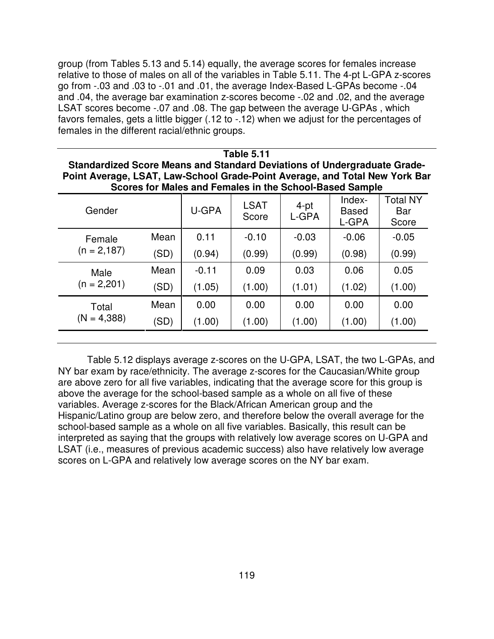group (from Tables 5.13 and 5.14) equally, the average scores for females increase relative to those of males on all of the variables in Table 5.11. The 4-pt L-GPA z-scores go from -.03 and .03 to -.01 and .01, the average Index-Based L-GPAs become -.04 and .04, the average bar examination z-scores become -.02 and .02, and the average LSAT scores become -.07 and .08. The gap between the average U-GPAs , which favors females, gets a little bigger (.12 to -.12) when we adjust for the percentages of females in the different racial/ethnic groups.

|                                                                             |  | Table 5.11 |  |  |                          |  |
|-----------------------------------------------------------------------------|--|------------|--|--|--------------------------|--|
| Standardized Score Means and Standard Deviations of Undergraduate Grade-    |  |            |  |  |                          |  |
| Point Average, LSAT, Law-School Grade-Point Average, and Total New York Bar |  |            |  |  |                          |  |
| Scores for Males and Females in the School-Based Sample                     |  |            |  |  |                          |  |
|                                                                             |  |            |  |  | $T_{\text{eff}}$ and $N$ |  |

| Gender                 |      | U-GPA   | <b>LSAT</b><br>Score | 4-pt<br>L-GPA | Index-<br><b>Based</b><br>L-GPA | Total NY<br>Bar<br>Score |
|------------------------|------|---------|----------------------|---------------|---------------------------------|--------------------------|
| Female                 | Mean | 0.11    | $-0.10$              | $-0.03$       | $-0.06$                         | $-0.05$                  |
| $(n = 2, 187)$         | (SD) | (0.94)  | (0.99)               | (0.99)        | (0.98)                          | (0.99)                   |
| Male                   | Mean | $-0.11$ | 0.09                 | 0.03          | 0.06                            | 0.05                     |
| $(n = 2,201)$          | (SD) | (1.05)  | (1.00)               | (1.01)        | (1.02)                          | (1.00)                   |
| Total<br>$(N = 4,388)$ | Mean | 0.00    | 0.00                 | 0.00          | 0.00                            | 0.00                     |
|                        | (SD) | (1.00)  | (1.00)               | (1.00)        | (1.00)                          | (1.00)                   |
|                        |      |         |                      |               |                                 |                          |

Table 5.12 displays average z-scores on the U-GPA, LSAT, the two L-GPAs, and NY bar exam by race/ethnicity. The average z-scores for the Caucasian/White group are above zero for all five variables, indicating that the average score for this group is above the average for the school-based sample as a whole on all five of these variables. Average z-scores for the Black/African American group and the Hispanic/Latino group are below zero, and therefore below the overall average for the school-based sample as a whole on all five variables. Basically, this result can be interpreted as saying that the groups with relatively low average scores on U-GPA and LSAT (i.e., measures of previous academic success) also have relatively low average scores on L-GPA and relatively low average scores on the NY bar exam.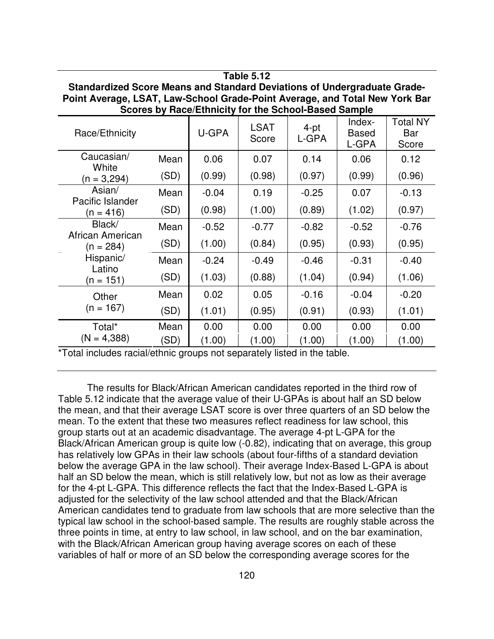| Standardized Score Means and Standard Deviations of Undergraduate Grade-<br>Point Average, LSAT, Law-School Grade-Point Average, and Total New York Bar<br>Scores by Race/Ethnicity for the School-Based Sample |      |         |                      |               |                                 |                          |  |  |
|-----------------------------------------------------------------------------------------------------------------------------------------------------------------------------------------------------------------|------|---------|----------------------|---------------|---------------------------------|--------------------------|--|--|
| Race/Ethnicity                                                                                                                                                                                                  |      | U-GPA   | <b>LSAT</b><br>Score | 4-pt<br>L-GPA | Index-<br><b>Based</b><br>L-GPA | Total NY<br>Bar<br>Score |  |  |
| Caucasian/<br>White                                                                                                                                                                                             | Mean | 0.06    | 0.07                 | 0.14          | 0.06                            | 0.12                     |  |  |
| $(n = 3,294)$                                                                                                                                                                                                   | (SD) | (0.99)  | (0.98)               | (0.97)        | (0.99)                          | (0.96)                   |  |  |
| Asian/                                                                                                                                                                                                          | Mean | $-0.04$ | 0.19                 | $-0.25$       | 0.07                            | $-0.13$                  |  |  |
| Pacific Islander<br>$(n = 416)$                                                                                                                                                                                 | (SD) | (0.98)  | (1.00)               | (0.89)        | (1.02)                          | (0.97)                   |  |  |
| Black/                                                                                                                                                                                                          | Mean | $-0.52$ | $-0.77$              | $-0.82$       | $-0.52$                         | $-0.76$                  |  |  |
| African American<br>$(n = 284)$                                                                                                                                                                                 | (SD) | (1.00)  | (0.84)               | (0.95)        | (0.93)                          | (0.95)                   |  |  |
| Hispanic/                                                                                                                                                                                                       | Mean | $-0.24$ | $-0.49$              | $-0.46$       | $-0.31$                         | $-0.40$                  |  |  |
| Latino<br>$(n = 151)$                                                                                                                                                                                           | (SD) | (1.03)  | (0.88)               | (1.04)        | (0.94)                          | (1.06)                   |  |  |
| Other                                                                                                                                                                                                           | Mean | 0.02    | 0.05                 | $-0.16$       | $-0.04$                         | $-0.20$                  |  |  |
| $(n = 167)$                                                                                                                                                                                                     | (SD) | (1.01)  | (0.95)               | (0.91)        | (0.93)                          | (1.01)                   |  |  |
| Total*                                                                                                                                                                                                          | Mean | 0.00    | 0.00                 | 0.00          | 0.00                            | 0.00                     |  |  |
| $(N = 4,388)$                                                                                                                                                                                                   | (SD) | (1.00)  | (1.00)               | (1.00)        | (1.00)                          | (1.00)                   |  |  |

**Table 5.12**

\*Total includes racial/ethnic groups not separately listed in the table.

The results for Black/African American candidates reported in the third row of Table 5.12 indicate that the average value of their U-GPAs is about half an SD below the mean, and that their average LSAT score is over three quarters of an SD below the mean. To the extent that these two measures reflect readiness for law school, this group starts out at an academic disadvantage. The average 4-pt L-GPA for the Black/African American group is quite low (-0.82), indicating that on average, this group has relatively low GPAs in their law schools (about four-fifths of a standard deviation below the average GPA in the law school). Their average Index-Based L-GPA is about half an SD below the mean, which is still relatively low, but not as low as their average for the 4-pt L-GPA. This difference reflects the fact that the Index-Based L-GPA is adjusted for the selectivity of the law school attended and that the Black/African American candidates tend to graduate from law schools that are more selective than the typical law school in the school-based sample. The results are roughly stable across the three points in time, at entry to law school, in law school, and on the bar examination, with the Black/African American group having average scores on each of these variables of half or more of an SD below the corresponding average scores for the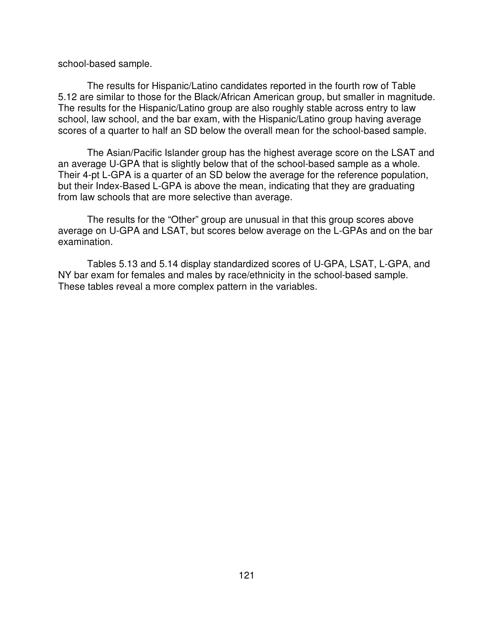school-based sample.

The results for Hispanic/Latino candidates reported in the fourth row of Table 5.12 are similar to those for the Black/African American group, but smaller in magnitude. The results for the Hispanic/Latino group are also roughly stable across entry to law school, law school, and the bar exam, with the Hispanic/Latino group having average scores of a quarter to half an SD below the overall mean for the school-based sample.

The Asian/Pacific Islander group has the highest average score on the LSAT and an average U-GPA that is slightly below that of the school-based sample as a whole. Their 4-pt L-GPA is a quarter of an SD below the average for the reference population, but their Index-Based L-GPA is above the mean, indicating that they are graduating from law schools that are more selective than average.

The results for the "Other" group are unusual in that this group scores above average on U-GPA and LSAT, but scores below average on the L-GPAs and on the bar examination.

Tables 5.13 and 5.14 display standardized scores of U-GPA, LSAT, L-GPA, and NY bar exam for females and males by race/ethnicity in the school-based sample. These tables reveal a more complex pattern in the variables.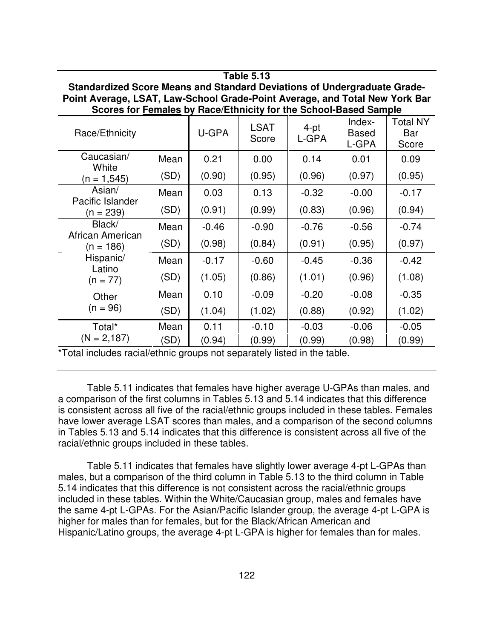| Standardized Score Means and Standard Deviations of Undergraduate Grade-<br>Point Average, LSAT, Law-School Grade-Point Average, and Total New York Bar<br>Scores for Females by Race/Ethnicity for the School-Based Sample |      |         |                      |               |                                 |                                 |  |
|-----------------------------------------------------------------------------------------------------------------------------------------------------------------------------------------------------------------------------|------|---------|----------------------|---------------|---------------------------------|---------------------------------|--|
| Race/Ethnicity                                                                                                                                                                                                              |      | U-GPA   | <b>LSAT</b><br>Score | 4-pt<br>L-GPA | Index-<br><b>Based</b><br>L-GPA | <b>Total NY</b><br>Bar<br>Score |  |
| Caucasian/<br>White                                                                                                                                                                                                         | Mean | 0.21    | 0.00                 | 0.14          | 0.01                            | 0.09                            |  |
| $(n = 1, 545)$                                                                                                                                                                                                              | (SD) | (0.90)  | (0.95)               | (0.96)        | (0.97)                          | (0.95)                          |  |
| Asian/<br>Pacific Islander                                                                                                                                                                                                  | Mean | 0.03    | 0.13                 | $-0.32$       | $-0.00$                         | $-0.17$                         |  |
| $(n = 239)$                                                                                                                                                                                                                 | (SD) | (0.91)  | (0.99)               | (0.83)        | (0.96)                          | (0.94)                          |  |
| Black/                                                                                                                                                                                                                      | Mean | $-0.46$ | $-0.90$              | $-0.76$       | $-0.56$                         | $-0.74$                         |  |
| African American<br>$(n = 186)$                                                                                                                                                                                             | (SD) | (0.98)  | (0.84)               | (0.91)        | (0.95)                          | (0.97)                          |  |
| Hispanic/<br>Latino                                                                                                                                                                                                         | Mean | $-0.17$ | $-0.60$              | $-0.45$       | $-0.36$                         | $-0.42$                         |  |
| $(n = 77)$                                                                                                                                                                                                                  | (SD) | (1.05)  | (0.86)               | (1.01)        | (0.96)                          | (1.08)                          |  |
| Other                                                                                                                                                                                                                       | Mean | 0.10    | $-0.09$              | $-0.20$       | $-0.08$                         | $-0.35$                         |  |
| $(n = 96)$                                                                                                                                                                                                                  | (SD) | (1.04)  | (1.02)               | (0.88)        | (0.92)                          | (1.02)                          |  |
| Total*                                                                                                                                                                                                                      | Mean | 0.11    | $-0.10$              | $-0.03$       | $-0.06$                         | $-0.05$                         |  |
| $(N = 2,187)$                                                                                                                                                                                                               | (SD) | (0.94)  | (0.99)               | (0.99)        | (0.98)                          | (0.99)                          |  |

**Table 5.13**

\*Total includes racial/ethnic groups not separately listed in the table.

Table 5.11 indicates that females have higher average U-GPAs than males, and a comparison of the first columns in Tables 5.13 and 5.14 indicates that this difference is consistent across all five of the racial/ethnic groups included in these tables. Females have lower average LSAT scores than males, and a comparison of the second columns in Tables 5.13 and 5.14 indicates that this difference is consistent across all five of the racial/ethnic groups included in these tables.

Table 5.11 indicates that females have slightly lower average 4-pt L-GPAs than males, but a comparison of the third column in Table 5.13 to the third column in Table 5.14 indicates that this difference is not consistent across the racial/ethnic groups included in these tables. Within the White/Caucasian group, males and females have the same 4-pt L-GPAs. For the Asian/Pacific Islander group, the average 4-pt L-GPA is higher for males than for females, but for the Black/African American and Hispanic/Latino groups, the average 4-pt L-GPA is higher for females than for males.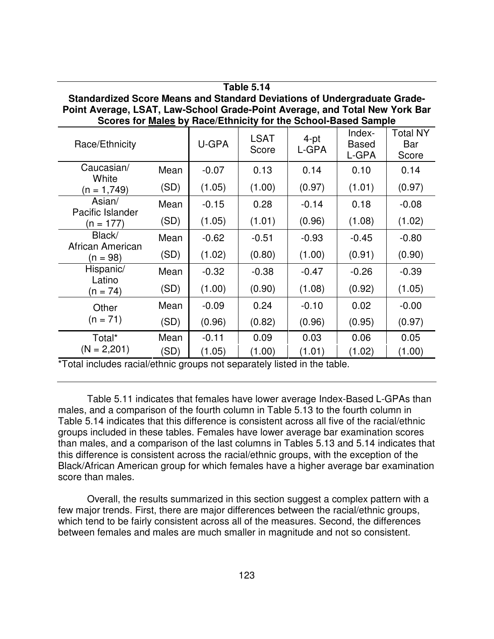| 18016 5.14<br>Standardized Score Means and Standard Deviations of Undergraduate Grade-<br>Point Average, LSAT, Law-School Grade-Point Average, and Total New York Bar<br>Scores for Males by Race/Ethnicity for the School-Based Sample |                 |         |                      |                   |                                 |                                 |  |
|-----------------------------------------------------------------------------------------------------------------------------------------------------------------------------------------------------------------------------------------|-----------------|---------|----------------------|-------------------|---------------------------------|---------------------------------|--|
| Race/Ethnicity                                                                                                                                                                                                                          |                 | U-GPA   | <b>LSAT</b><br>Score | $4$ -pt<br>L-GPA  | Index-<br><b>Based</b><br>L-GPA | <b>Total NY</b><br>Bar<br>Score |  |
| Caucasian/<br>White                                                                                                                                                                                                                     | Mean            | $-0.07$ | 0.13                 | 0.14              | 0.10                            | 0.14                            |  |
| $(n = 1,749)$                                                                                                                                                                                                                           | (SD)            | (1.05)  | (1.00)               | (0.97)            | (1.01)                          | (0.97)                          |  |
| Asian/                                                                                                                                                                                                                                  | Mean            | $-0.15$ | 0.28                 | $-0.14$           | 0.18                            | $-0.08$                         |  |
| Pacific Islander<br>$(n = 177)$                                                                                                                                                                                                         | (SD)            | (1.05)  | (1.01)               | (0.96)            | (1.08)                          | (1.02)                          |  |
| Black/                                                                                                                                                                                                                                  | Mean            | $-0.62$ | $-0.51$              | $-0.93$           | $-0.45$                         | $-0.80$                         |  |
| African American<br>$(n = 98)$                                                                                                                                                                                                          | (SD)            | (1.02)  | (0.80)               | (1.00)            | (0.91)                          | (0.90)                          |  |
| Hispanic/                                                                                                                                                                                                                               | Mean            | $-0.32$ | $-0.38$              | $-0.47$           | $-0.26$                         | $-0.39$                         |  |
| Latino<br>(n = 74)                                                                                                                                                                                                                      | (SD)            | (1.00)  | (0.90)               | (1.08)            | (0.92)                          | (1.05)                          |  |
| Other                                                                                                                                                                                                                                   | Mean            | $-0.09$ | 0.24                 | $-0.10$           | 0.02                            | $-0.00$                         |  |
| $(n = 71)$                                                                                                                                                                                                                              | (SD)            | (0.96)  | (0.82)               | (0.96)            | (0.95)                          | (0.97)                          |  |
| Total*                                                                                                                                                                                                                                  | Mean            | $-0.11$ | 0.09                 | 0.03              | 0.06                            | 0.05                            |  |
| $(N = 2,201)$<br>$+$ T $+$ $+$ $+$ $+$ $+$                                                                                                                                                                                              | (SD)<br>1.11.11 | (1.05)  | (1.00)               | (1.01)<br>$-1.11$ | (1.02)                          | (1.00)                          |  |

**Table 5.14**

Total includes racial/ethnic groups not separately listed in the table.

Table 5.11 indicates that females have lower average Index-Based L-GPAs than males, and a comparison of the fourth column in Table 5.13 to the fourth column in Table 5.14 indicates that this difference is consistent across all five of the racial/ethnic groups included in these tables. Females have lower average bar examination scores than males, and a comparison of the last columns in Tables 5.13 and 5.14 indicates that this difference is consistent across the racial/ethnic groups, with the exception of the Black/African American group for which females have a higher average bar examination score than males.

Overall, the results summarized in this section suggest a complex pattern with a few major trends. First, there are major differences between the racial/ethnic groups, which tend to be fairly consistent across all of the measures. Second, the differences between females and males are much smaller in magnitude and not so consistent.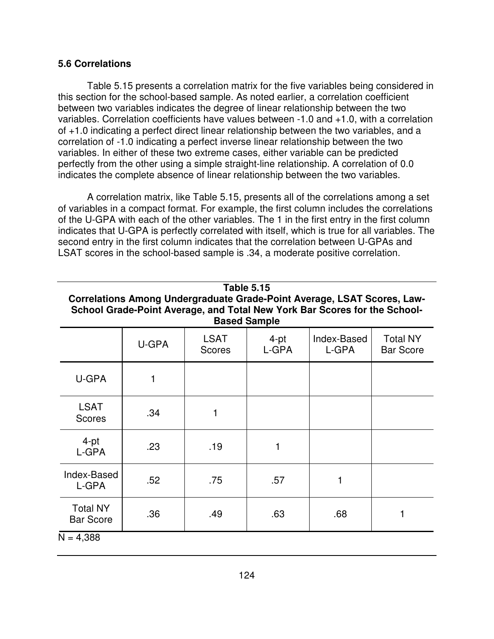#### **5.6 Correlations**

Table 5.15 presents a correlation matrix for the five variables being considered in this section for the school-based sample. As noted earlier, a correlation coefficient between two variables indicates the degree of linear relationship between the two variables. Correlation coefficients have values between -1.0 and +1.0, with a correlation of +1.0 indicating a perfect direct linear relationship between the two variables, and a correlation of -1.0 indicating a perfect inverse linear relationship between the two variables. In either of these two extreme cases, either variable can be predicted perfectly from the other using a simple straight-line relationship. A correlation of 0.0 indicates the complete absence of linear relationship between the two variables.

A correlation matrix, like Table 5.15, presents all of the correlations among a set of variables in a compact format. For example, the first column includes the correlations of the U-GPA with each of the other variables. The 1 in the first entry in the first column indicates that U-GPA is perfectly correlated with itself, which is true for all variables. The second entry in the first column indicates that the correlation between U-GPAs and LSAT scores in the school-based sample is .34, a moderate positive correlation.

| <b>Table 5.15</b><br>Correlations Among Undergraduate Grade-Point Average, LSAT Scores, Law-<br>School Grade-Point Average, and Total New York Bar Scores for the School-<br><b>Based Sample</b> |       |                       |               |                      |                                     |  |  |  |
|--------------------------------------------------------------------------------------------------------------------------------------------------------------------------------------------------|-------|-----------------------|---------------|----------------------|-------------------------------------|--|--|--|
|                                                                                                                                                                                                  | U-GPA | LSAT<br><b>Scores</b> | 4-pt<br>L-GPA | Index-Based<br>L-GPA | <b>Total NY</b><br><b>Bar Score</b> |  |  |  |
| U-GPA                                                                                                                                                                                            |       |                       |               |                      |                                     |  |  |  |
| <b>LSAT</b><br><b>Scores</b>                                                                                                                                                                     | .34   |                       |               |                      |                                     |  |  |  |
| $4-pt$<br>L-GPA                                                                                                                                                                                  | .23   | .19                   |               |                      |                                     |  |  |  |
| Index-Based<br>L-GPA                                                                                                                                                                             | .52   | .75                   | .57           |                      |                                     |  |  |  |
| <b>Total NY</b><br><b>Bar Score</b>                                                                                                                                                              | .36   | .49                   | .63           | .68                  |                                     |  |  |  |

 $N = 4,388$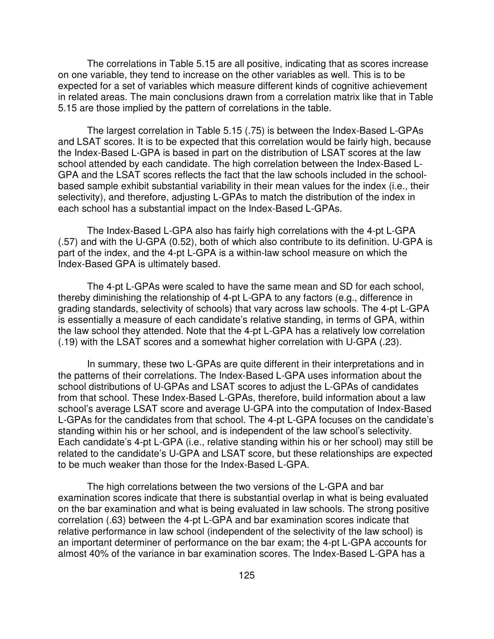The correlations in Table 5.15 are all positive, indicating that as scores increase on one variable, they tend to increase on the other variables as well. This is to be expected for a set of variables which measure different kinds of cognitive achievement in related areas. The main conclusions drawn from a correlation matrix like that in Table 5.15 are those implied by the pattern of correlations in the table.

The largest correlation in Table 5.15 (.75) is between the Index-Based L-GPAs and LSAT scores. It is to be expected that this correlation would be fairly high, because the Index-Based L-GPA is based in part on the distribution of LSAT scores at the law school attended by each candidate. The high correlation between the Index-Based L-GPA and the LSAT scores reflects the fact that the law schools included in the schoolbased sample exhibit substantial variability in their mean values for the index (i.e., their selectivity), and therefore, adjusting L-GPAs to match the distribution of the index in each school has a substantial impact on the Index-Based L-GPAs.

The Index-Based L-GPA also has fairly high correlations with the 4-pt L-GPA (.57) and with the U-GPA (0.52), both of which also contribute to its definition. U-GPA is part of the index, and the 4-pt L-GPA is a within-law school measure on which the Index-Based GPA is ultimately based.

The 4-pt L-GPAs were scaled to have the same mean and SD for each school, thereby diminishing the relationship of 4-pt L-GPA to any factors (e.g., difference in grading standards, selectivity of schools) that vary across law schools. The 4-pt L-GPA is essentially a measure of each candidate's relative standing, in terms of GPA, within the law school they attended. Note that the 4-pt L-GPA has a relatively low correlation (.19) with the LSAT scores and a somewhat higher correlation with U-GPA (.23).

In summary, these two L-GPAs are quite different in their interpretations and in the patterns of their correlations. The Index-Based L-GPA uses information about the school distributions of U-GPAs and LSAT scores to adjust the L-GPAs of candidates from that school. These Index-Based L-GPAs, therefore, build information about a law school's average LSAT score and average U-GPA into the computation of Index-Based L-GPAs for the candidates from that school. The 4-pt L-GPA focuses on the candidate's standing within his or her school, and is independent of the law school's selectivity. Each candidate's 4-pt L-GPA (i.e., relative standing within his or her school) may still be related to the candidate's U-GPA and LSAT score, but these relationships are expected to be much weaker than those for the Index-Based L-GPA.

The high correlations between the two versions of the L-GPA and bar examination scores indicate that there is substantial overlap in what is being evaluated on the bar examination and what is being evaluated in law schools. The strong positive correlation (.63) between the 4-pt L-GPA and bar examination scores indicate that relative performance in law school (independent of the selectivity of the law school) is an important determiner of performance on the bar exam; the 4-pt L-GPA accounts for almost 40% of the variance in bar examination scores. The Index-Based L-GPA has a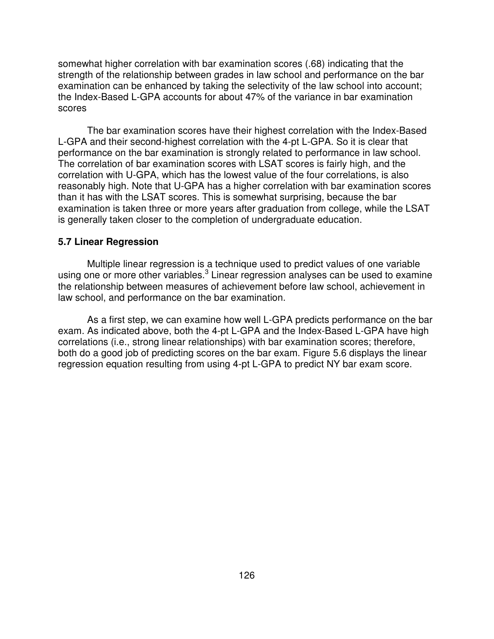somewhat higher correlation with bar examination scores (.68) indicating that the strength of the relationship between grades in law school and performance on the bar examination can be enhanced by taking the selectivity of the law school into account; the Index-Based L-GPA accounts for about 47% of the variance in bar examination scores

The bar examination scores have their highest correlation with the Index-Based L-GPA and their second-highest correlation with the 4-pt L-GPA. So it is clear that performance on the bar examination is strongly related to performance in law school. The correlation of bar examination scores with LSAT scores is fairly high, and the correlation with U-GPA, which has the lowest value of the four correlations, is also reasonably high. Note that U-GPA has a higher correlation with bar examination scores than it has with the LSAT scores. This is somewhat surprising, because the bar examination is taken three or more years after graduation from college, while the LSAT is generally taken closer to the completion of undergraduate education.

#### **5.7 Linear Regression**

Multiple linear regression is a technique used to predict values of one variable using one or more other variables.<sup>3</sup> Linear regression analyses can be used to examine the relationship between measures of achievement before law school, achievement in law school, and performance on the bar examination.

As a first step, we can examine how well L-GPA predicts performance on the bar exam. As indicated above, both the 4-pt L-GPA and the Index-Based L-GPA have high correlations (i.e., strong linear relationships) with bar examination scores; therefore, both do a good job of predicting scores on the bar exam. Figure 5.6 displays the linear regression equation resulting from using 4-pt L-GPA to predict NY bar exam score.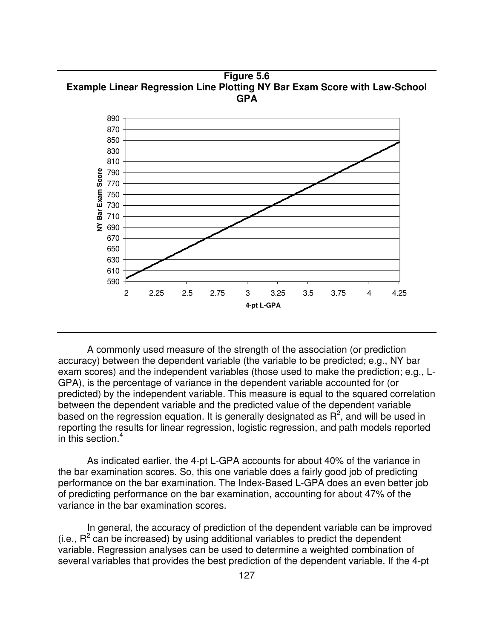**Figure 5.6 Example Linear Regression Line Plotting NY Bar Exam Score with Law-School GPA**



A commonly used measure of the strength of the association (or prediction accuracy) between the dependent variable (the variable to be predicted; e.g., NY bar exam scores) and the independent variables (those used to make the prediction; e.g., L-GPA), is the percentage of variance in the dependent variable accounted for (or predicted) by the independent variable. This measure is equal to the squared correlation between the dependent variable and the predicted value of the dependent variable based on the regression equation. It is generally designated as  $R^2$ , and will be used in reporting the results for linear regression, logistic regression, and path models reported in this section. 4

As indicated earlier, the 4-pt L-GPA accounts for about 40% of the variance in the bar examination scores. So, this one variable does a fairly good job of predicting performance on the bar examination. The Index-Based L-GPA does an even better job of predicting performance on the bar examination, accounting for about 47% of the variance in the bar examination scores.

In general, the accuracy of prediction of the dependent variable can be improved  $(i.e., R<sup>2</sup>$  can be increased) by using additional variables to predict the dependent variable. Regression analyses can be used to determine a weighted combination of several variables that provides the best prediction of the dependent variable. If the 4-pt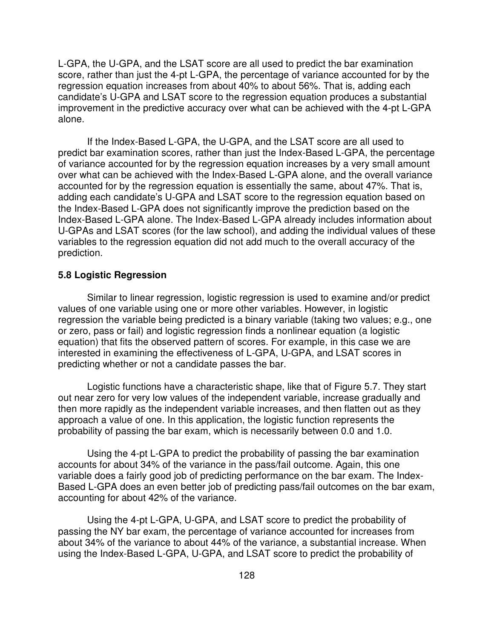L-GPA, the U-GPA, and the LSAT score are all used to predict the bar examination score, rather than just the 4-pt L-GPA, the percentage of variance accounted for by the regression equation increases from about 40% to about 56%. That is, adding each candidate's U-GPA and LSAT score to the regression equation produces a substantial improvement in the predictive accuracy over what can be achieved with the 4-pt L-GPA alone.

If the Index-Based L-GPA, the U-GPA, and the LSAT score are all used to predict bar examination scores, rather than just the Index-Based L-GPA, the percentage of variance accounted for by the regression equation increases by a very small amount over what can be achieved with the Index-Based L-GPA alone, and the overall variance accounted for by the regression equation is essentially the same, about 47%. That is, adding each candidate's U-GPA and LSAT score to the regression equation based on the Index-Based L-GPA does not significantly improve the prediction based on the Index-Based L-GPA alone. The Index-Based L-GPA already includes information about U-GPAs and LSAT scores (for the law school), and adding the individual values of these variables to the regression equation did not add much to the overall accuracy of the prediction.

#### **5.8 Logistic Regression**

Similar to linear regression, logistic regression is used to examine and/or predict values of one variable using one or more other variables. However, in logistic regression the variable being predicted is a binary variable (taking two values; e.g., one or zero, pass or fail) and logistic regression finds a nonlinear equation (a logistic equation) that fits the observed pattern of scores. For example, in this case we are interested in examining the effectiveness of L-GPA, U-GPA, and LSAT scores in predicting whether or not a candidate passes the bar.

Logistic functions have a characteristic shape, like that of Figure 5.7. They start out near zero for very low values of the independent variable, increase gradually and then more rapidly as the independent variable increases, and then flatten out as they approach a value of one. In this application, the logistic function represents the probability of passing the bar exam, which is necessarily between 0.0 and 1.0.

Using the 4-pt L-GPA to predict the probability of passing the bar examination accounts for about 34% of the variance in the pass/fail outcome. Again, this one variable does a fairly good job of predicting performance on the bar exam. The Index-Based L-GPA does an even better job of predicting pass/fail outcomes on the bar exam, accounting for about 42% of the variance.

Using the 4-pt L-GPA, U-GPA, and LSAT score to predict the probability of passing the NY bar exam, the percentage of variance accounted for increases from about 34% of the variance to about 44% of the variance, a substantial increase. When using the Index-Based L-GPA, U-GPA, and LSAT score to predict the probability of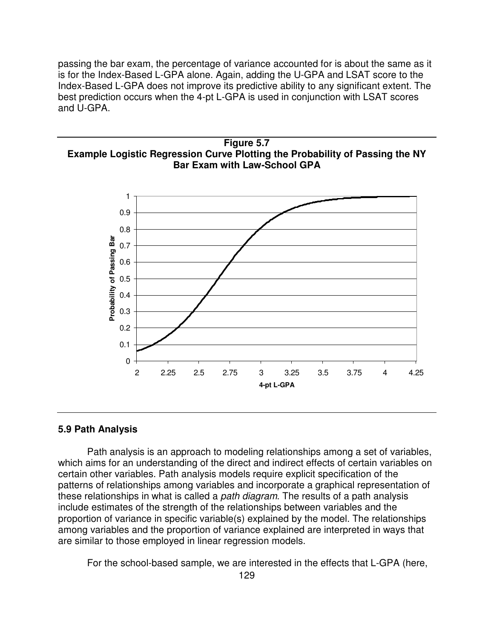passing the bar exam, the percentage of variance accounted for is about the same as it is for the Index-Based L-GPA alone. Again, adding the U-GPA and LSAT score to the Index-Based L-GPA does not improve its predictive ability to any significant extent. The best prediction occurs when the 4-pt L-GPA is used in conjunction with LSAT scores and U-GPA.





#### **5.9 Path Analysis**

Path analysis is an approach to modeling relationships among a set of variables, which aims for an understanding of the direct and indirect effects of certain variables on certain other variables. Path analysis models require explicit specification of the patterns of relationships among variables and incorporate a graphical representation of these relationships in what is called a *path diagram*. The results of a path analysis include estimates of the strength of the relationships between variables and the proportion of variance in specific variable(s) explained by the model. The relationships among variables and the proportion of variance explained are interpreted in ways that are similar to those employed in linear regression models.

For the school-based sample, we are interested in the effects that L-GPA (here,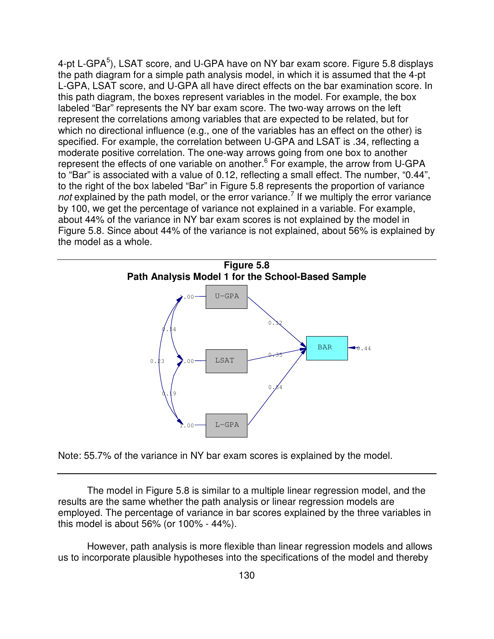4-pt L-GPA<sup>5</sup>), LSAT score, and U-GPA have on NY bar exam score. Figure 5.8 displays the path diagram for a simple path analysis model, in which it is assumed that the 4-pt L-GPA, LSAT score, and U-GPA all have direct effects on the bar examination score. In this path diagram, the boxes represent variables in the model. For example, the box labeled "Bar" represents the NY bar exam score. The two-way arrows on the left represent the correlations among variables that are expected to be related, but for which no directional influence (e.g., one of the variables has an effect on the other) is specified. For example, the correlation between U-GPA and LSAT is .34, reflecting a moderate positive correlation. The one-way arrows going from one box to another represent the effects of one variable on another.<sup>6</sup> For example, the arrow from U-GPA to "Bar" is associated with a value of 0.12, reflecting a small effect. The number, "0.44", to the right of the box labeled "Bar" in Figure 5.8 represents the proportion of variance not explained by the path model, or the error variance.<sup>7</sup> If we multiply the error variance by 100, we get the percentage of variance not explained in a variable. For example, about 44% of the variance in NY bar exam scores is not explained by the model in Figure 5.8. Since about 44% of the variance is not explained, about 56% is explained by the model as a whole.



Note: 55.7% of the variance in NY bar exam scores is explained by the model.

The model in Figure 5.8 is similar to a multiple linear regression model, and the results are the same whether the path analysis or linear regression models are employed. The percentage of variance in bar scores explained by the three variables in this model is about 56% (or 100% - 44%).

However, path analysis is more flexible than linear regression models and allows us to incorporate plausible hypotheses into the specifications of the model and thereby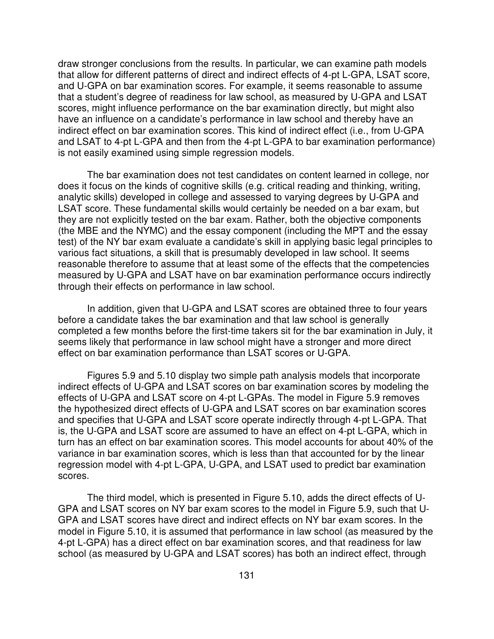draw stronger conclusions from the results. In particular, we can examine path models that allow for different patterns of direct and indirect effects of 4-pt L-GPA, LSAT score, and U-GPA on bar examination scores. For example, it seems reasonable to assume that a student's degree of readiness for law school, as measured by U-GPA and LSAT scores, might influence performance on the bar examination directly, but might also have an influence on a candidate's performance in law school and thereby have an indirect effect on bar examination scores. This kind of indirect effect (i.e., from U-GPA and LSAT to 4-pt L-GPA and then from the 4-pt L-GPA to bar examination performance) is not easily examined using simple regression models.

The bar examination does not test candidates on content learned in college, nor does it focus on the kinds of cognitive skills (e.g. critical reading and thinking, writing, analytic skills) developed in college and assessed to varying degrees by U-GPA and LSAT score. These fundamental skills would certainly be needed on a bar exam, but they are not explicitly tested on the bar exam. Rather, both the objective components (the MBE and the NYMC) and the essay component (including the MPT and the essay test) of the NY bar exam evaluate a candidate's skill in applying basic legal principles to various fact situations, a skill that is presumably developed in law school. It seems reasonable therefore to assume that at least some of the effects that the competencies measured by U-GPA and LSAT have on bar examination performance occurs indirectly through their effects on performance in law school.

In addition, given that U-GPA and LSAT scores are obtained three to four years before a candidate takes the bar examination and that law school is generally completed a few months before the first-time takers sit for the bar examination in July, it seems likely that performance in law school might have a stronger and more direct effect on bar examination performance than LSAT scores or U-GPA.

Figures 5.9 and 5.10 display two simple path analysis models that incorporate indirect effects of U-GPA and LSAT scores on bar examination scores by modeling the effects of U-GPA and LSAT score on 4-pt L-GPAs. The model in Figure 5.9 removes the hypothesized direct effects of U-GPA and LSAT scores on bar examination scores and specifies that U-GPA and LSAT score operate indirectly through 4-pt L-GPA. That is, the U-GPA and LSAT score are assumed to have an effect on 4-pt L-GPA, which in turn has an effect on bar examination scores. This model accounts for about 40% of the variance in bar examination scores, which is less than that accounted for by the linear regression model with 4-pt L-GPA, U-GPA, and LSAT used to predict bar examination scores.

The third model, which is presented in Figure 5.10, adds the direct effects of U-GPA and LSAT scores on NY bar exam scores to the model in Figure 5.9, such that U-GPA and LSAT scores have direct and indirect effects on NY bar exam scores. In the model in Figure 5.10, it is assumed that performance in law school (as measured by the 4-pt L-GPA) has a direct effect on bar examination scores, and that readiness for law school (as measured by U-GPA and LSAT scores) has both an indirect effect, through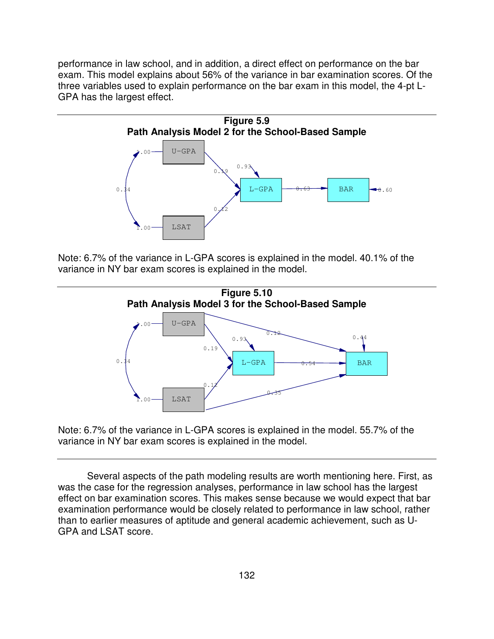performance in law school, and in addition, a direct effect on performance on the bar exam. This model explains about 56% of the variance in bar examination scores. Of the three variables used to explain performance on the bar exam in this model, the 4-pt L-GPA has the largest effect.



Note: 6.7% of the variance in L-GPA scores is explained in the model. 40.1% of the variance in NY bar exam scores is explained in the model.



Note: 6.7% of the variance in L-GPA scores is explained in the model. 55.7% of the variance in NY bar exam scores is explained in the model.

Several aspects of the path modeling results are worth mentioning here. First, as was the case for the regression analyses, performance in law school has the largest effect on bar examination scores. This makes sense because we would expect that bar examination performance would be closely related to performance in law school, rather than to earlier measures of aptitude and general academic achievement, such as U-GPA and LSAT score.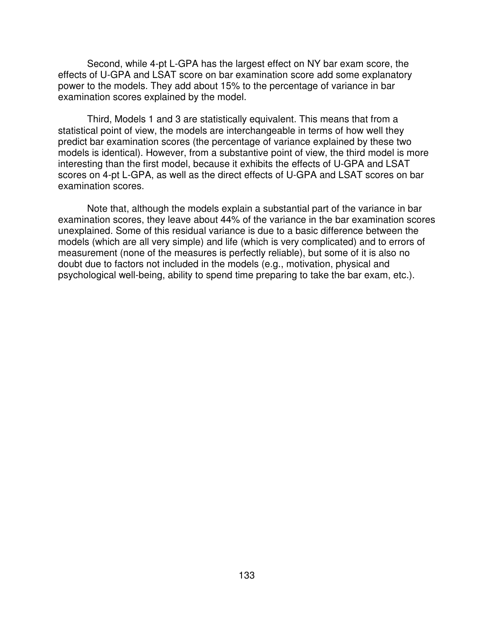Second, while 4-pt L-GPA has the largest effect on NY bar exam score, the effects of U-GPA and LSAT score on bar examination score add some explanatory power to the models. They add about 15% to the percentage of variance in bar examination scores explained by the model.

Third, Models 1 and 3 are statistically equivalent. This means that from a statistical point of view, the models are interchangeable in terms of how well they predict bar examination scores (the percentage of variance explained by these two models is identical). However, from a substantive point of view, the third model is more interesting than the first model, because it exhibits the effects of U-GPA and LSAT scores on 4-pt L-GPA, as well as the direct effects of U-GPA and LSAT scores on bar examination scores.

Note that, although the models explain a substantial part of the variance in bar examination scores, they leave about 44% of the variance in the bar examination scores unexplained. Some of this residual variance is due to a basic difference between the models (which are all very simple) and life (which is very complicated) and to errors of measurement (none of the measures is perfectly reliable), but some of it is also no doubt due to factors not included in the models (e.g., motivation, physical and psychological well-being, ability to spend time preparing to take the bar exam, etc.).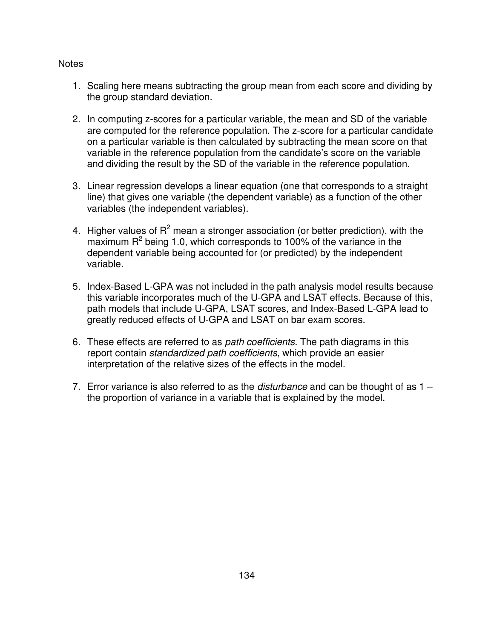#### **Notes**

- 1. Scaling here means subtracting the group mean from each score and dividing by the group standard deviation.
- 2. In computing z-scores for a particular variable, the mean and SD of the variable are computed for the reference population. The z-score for a particular candidate on a particular variable is then calculated by subtracting the mean score on that variable in the reference population from the candidate's score on the variable and dividing the result by the SD of the variable in the reference population.
- 3. Linear regression develops a linear equation (one that corresponds to a straight line) that gives one variable (the dependent variable) as a function of the other variables (the independent variables).
- 4. Higher values of  $R^2$  mean a stronger association (or better prediction), with the maximum  $R^2$  being 1.0, which corresponds to 100% of the variance in the dependent variable being accounted for (or predicted) by the independent variable.
- 5. Index-Based L-GPA was not included in the path analysis model results because this variable incorporates much of the U-GPA and LSAT effects. Because of this, path models that include U-GPA, LSAT scores, and Index-Based L-GPA lead to greatly reduced effects of U-GPA and LSAT on bar exam scores.
- 6. These effects are referred to as *path coefficients*. The path diagrams in this report contain *standardized path coefficients*, which provide an easier interpretation of the relative sizes of the effects in the model.
- 7. Error variance is also referred to as the *disturbance* and can be thought of as 1 the proportion of variance in a variable that is explained by the model.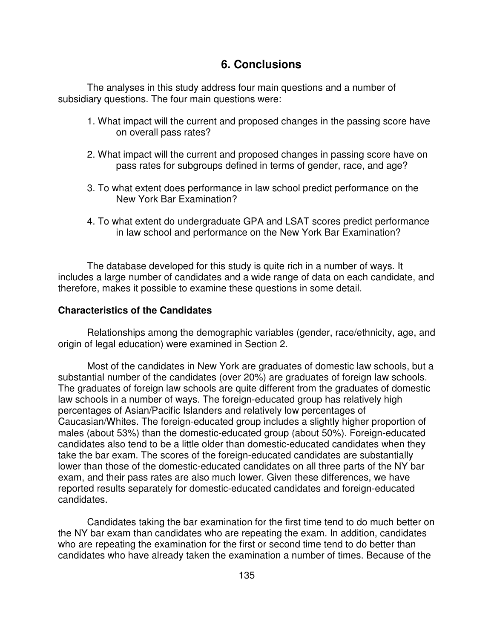### **6. Conclusions**

The analyses in this study address four main questions and a number of subsidiary questions. The four main questions were:

- 1. What impact will the current and proposed changes in the passing score have on overall pass rates?
- 2. What impact will the current and proposed changes in passing score have on pass rates for subgroups defined in terms of gender, race, and age?
- 3. To what extent does performance in law school predict performance on the New York Bar Examination?
- 4. To what extent do undergraduate GPA and LSAT scores predict performance in law school and performance on the New York Bar Examination?

The database developed for this study is quite rich in a number of ways. It includes a large number of candidates and a wide range of data on each candidate, and therefore, makes it possible to examine these questions in some detail.

#### **Characteristics of the Candidates**

Relationships among the demographic variables (gender, race/ethnicity, age, and origin of legal education) were examined in Section 2.

Most of the candidates in New York are graduates of domestic law schools, but a substantial number of the candidates (over 20%) are graduates of foreign law schools. The graduates of foreign law schools are quite different from the graduates of domestic law schools in a number of ways. The foreign-educated group has relatively high percentages of Asian/Pacific Islanders and relatively low percentages of Caucasian/Whites. The foreign-educated group includes a slightly higher proportion of males (about 53%) than the domestic-educated group (about 50%). Foreign-educated candidates also tend to be a little older than domestic-educated candidates when they take the bar exam. The scores of the foreign-educated candidates are substantially lower than those of the domestic-educated candidates on all three parts of the NY bar exam, and their pass rates are also much lower. Given these differences, we have reported results separately for domestic-educated candidates and foreign-educated candidates.

Candidates taking the bar examination for the first time tend to do much better on the NY bar exam than candidates who are repeating the exam. In addition, candidates who are repeating the examination for the first or second time tend to do better than candidates who have already taken the examination a number of times. Because of the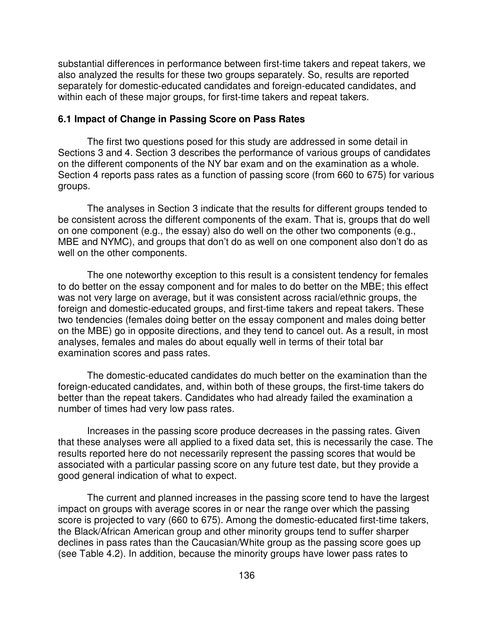substantial differences in performance between first-time takers and repeat takers, we also analyzed the results for these two groups separately. So, results are reported separately for domestic-educated candidates and foreign-educated candidates, and within each of these major groups, for first-time takers and repeat takers.

#### **6.1 Impact of Change in Passing Score on Pass Rates**

The first two questions posed for this study are addressed in some detail in Sections 3 and 4. Section 3 describes the performance of various groups of candidates on the different components of the NY bar exam and on the examination as a whole. Section 4 reports pass rates as a function of passing score (from 660 to 675) for various groups.

The analyses in Section 3 indicate that the results for different groups tended to be consistent across the different components of the exam. That is, groups that do well on one component (e.g., the essay) also do well on the other two components (e.g., MBE and NYMC), and groups that don't do as well on one component also don't do as well on the other components.

The one noteworthy exception to this result is a consistent tendency for females to do better on the essay component and for males to do better on the MBE; this effect was not very large on average, but it was consistent across racial/ethnic groups, the foreign and domestic-educated groups, and first-time takers and repeat takers. These two tendencies (females doing better on the essay component and males doing better on the MBE) go in opposite directions, and they tend to cancel out. As a result, in most analyses, females and males do about equally well in terms of their total bar examination scores and pass rates.

The domestic-educated candidates do much better on the examination than the foreign-educated candidates, and, within both of these groups, the first-time takers do better than the repeat takers. Candidates who had already failed the examination a number of times had very low pass rates.

Increases in the passing score produce decreases in the passing rates. Given that these analyses were all applied to a fixed data set, this is necessarily the case. The results reported here do not necessarily represent the passing scores that would be associated with a particular passing score on any future test date, but they provide a good general indication of what to expect.

The current and planned increases in the passing score tend to have the largest impact on groups with average scores in or near the range over which the passing score is projected to vary (660 to 675). Among the domestic-educated first-time takers, the Black/African American group and other minority groups tend to suffer sharper declines in pass rates than the Caucasian/White group as the passing score goes up (see Table 4.2). In addition, because the minority groups have lower pass rates to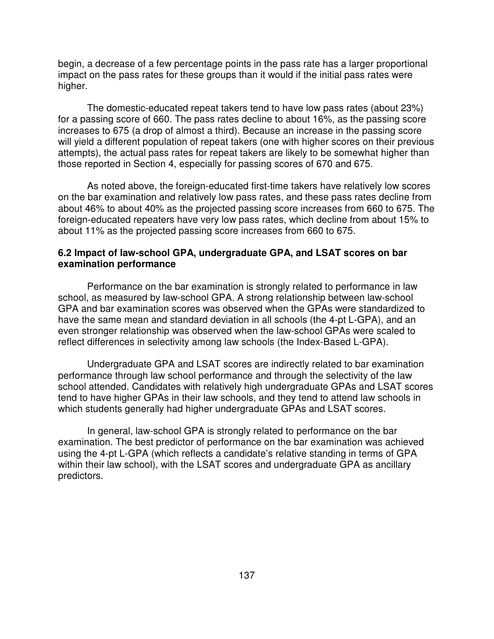begin, a decrease of a few percentage points in the pass rate has a larger proportional impact on the pass rates for these groups than it would if the initial pass rates were higher.

The domestic-educated repeat takers tend to have low pass rates (about 23%) for a passing score of 660. The pass rates decline to about 16%, as the passing score increases to 675 (a drop of almost a third). Because an increase in the passing score will yield a different population of repeat takers (one with higher scores on their previous attempts), the actual pass rates for repeat takers are likely to be somewhat higher than those reported in Section 4, especially for passing scores of 670 and 675.

As noted above, the foreign-educated first-time takers have relatively low scores on the bar examination and relatively low pass rates, and these pass rates decline from about 46% to about 40% as the projected passing score increases from 660 to 675. The foreign-educated repeaters have very low pass rates, which decline from about 15% to about 11% as the projected passing score increases from 660 to 675.

#### **6.2 Impact of law-school GPA, undergraduate GPA, and LSAT scores on bar examination performance**

Performance on the bar examination is strongly related to performance in law school, as measured by law-school GPA. A strong relationship between law-school GPA and bar examination scores was observed when the GPAs were standardized to have the same mean and standard deviation in all schools (the 4-pt L-GPA), and an even stronger relationship was observed when the law-school GPAs were scaled to reflect differences in selectivity among law schools (the Index-Based L-GPA).

Undergraduate GPA and LSAT scores are indirectly related to bar examination performance through law school performance and through the selectivity of the law school attended. Candidates with relatively high undergraduate GPAs and LSAT scores tend to have higher GPAs in their law schools, and they tend to attend law schools in which students generally had higher undergraduate GPAs and LSAT scores.

In general, law-school GPA is strongly related to performance on the bar examination. The best predictor of performance on the bar examination was achieved using the 4-pt L-GPA (which reflects a candidate's relative standing in terms of GPA within their law school), with the LSAT scores and undergraduate GPA as ancillary predictors.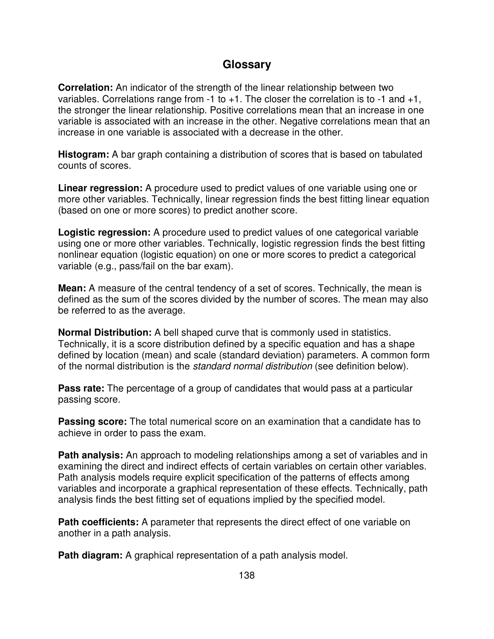### **Glossary**

**Correlation:** An indicator of the strength of the linear relationship between two variables. Correlations range from  $-1$  to  $+1$ . The closer the correlation is to  $-1$  and  $+1$ , the stronger the linear relationship. Positive correlations mean that an increase in one variable is associated with an increase in the other. Negative correlations mean that an increase in one variable is associated with a decrease in the other.

**Histogram:** A bar graph containing a distribution of scores that is based on tabulated counts of scores.

**Linear regression:** A procedure used to predict values of one variable using one or more other variables. Technically, linear regression finds the best fitting linear equation (based on one or more scores) to predict another score.

**Logistic regression:** A procedure used to predict values of one categorical variable using one or more other variables. Technically, logistic regression finds the best fitting nonlinear equation (logistic equation) on one or more scores to predict a categorical variable (e.g., pass/fail on the bar exam).

**Mean:** A measure of the central tendency of a set of scores. Technically, the mean is defined as the sum of the scores divided by the number of scores. The mean may also be referred to as the average.

**Normal Distribution:** A bell shaped curve that is commonly used in statistics. Technically, it is a score distribution defined by a specific equation and has a shape defined by location (mean) and scale (standard deviation) parameters. A common form of the normal distribution is the *standard normal distribution* (see definition below).

**Pass rate:** The percentage of a group of candidates that would pass at a particular passing score.

**Passing score:** The total numerical score on an examination that a candidate has to achieve in order to pass the exam.

**Path analysis:** An approach to modeling relationships among a set of variables and in examining the direct and indirect effects of certain variables on certain other variables. Path analysis models require explicit specification of the patterns of effects among variables and incorporate a graphical representation of these effects. Technically, path analysis finds the best fitting set of equations implied by the specified model.

**Path coefficients:** A parameter that represents the direct effect of one variable on another in a path analysis.

**Path diagram:** A graphical representation of a path analysis model.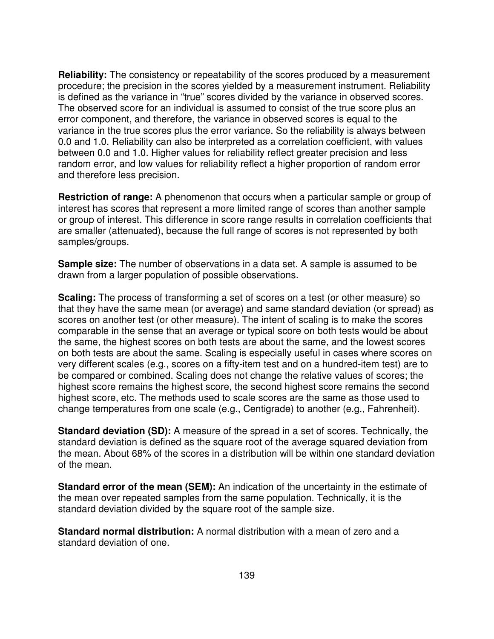**Reliability:** The consistency or repeatability of the scores produced by a measurement procedure; the precision in the scores yielded by a measurement instrument. Reliability is defined as the variance in "true" scores divided by the variance in observed scores. The observed score for an individual is assumed to consist of the true score plus an error component, and therefore, the variance in observed scores is equal to the variance in the true scores plus the error variance. So the reliability is always between 0.0 and 1.0. Reliability can also be interpreted as a correlation coefficient, with values between 0.0 and 1.0. Higher values for reliability reflect greater precision and less random error, and low values for reliability reflect a higher proportion of random error and therefore less precision.

**Restriction of range:** A phenomenon that occurs when a particular sample or group of interest has scores that represent a more limited range of scores than another sample or group of interest. This difference in score range results in correlation coefficients that are smaller (attenuated), because the full range of scores is not represented by both samples/groups.

**Sample size:** The number of observations in a data set. A sample is assumed to be drawn from a larger population of possible observations.

**Scaling:** The process of transforming a set of scores on a test (or other measure) so that they have the same mean (or average) and same standard deviation (or spread) as scores on another test (or other measure). The intent of scaling is to make the scores comparable in the sense that an average or typical score on both tests would be about the same, the highest scores on both tests are about the same, and the lowest scores on both tests are about the same. Scaling is especially useful in cases where scores on very different scales (e.g., scores on a fifty-item test and on a hundred-item test) are to be compared or combined. Scaling does not change the relative values of scores; the highest score remains the highest score, the second highest score remains the second highest score, etc. The methods used to scale scores are the same as those used to change temperatures from one scale (e.g., Centigrade) to another (e.g., Fahrenheit).

**Standard deviation (SD):** A measure of the spread in a set of scores. Technically, the standard deviation is defined as the square root of the average squared deviation from the mean. About 68% of the scores in a distribution will be within one standard deviation of the mean.

**Standard error of the mean (SEM):** An indication of the uncertainty in the estimate of the mean over repeated samples from the same population. Technically, it is the standard deviation divided by the square root of the sample size.

**Standard normal distribution:** A normal distribution with a mean of zero and a standard deviation of one.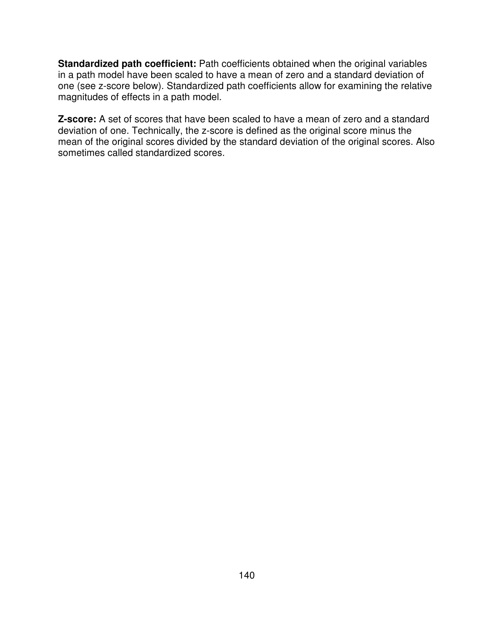**Standardized path coefficient:** Path coefficients obtained when the original variables in a path model have been scaled to have a mean of zero and a standard deviation of one (see z-score below). Standardized path coefficients allow for examining the relative magnitudes of effects in a path model.

**Z-score:** A set of scores that have been scaled to have a mean of zero and a standard deviation of one. Technically, the z-score is defined as the original score minus the mean of the original scores divided by the standard deviation of the original scores. Also sometimes called standardized scores.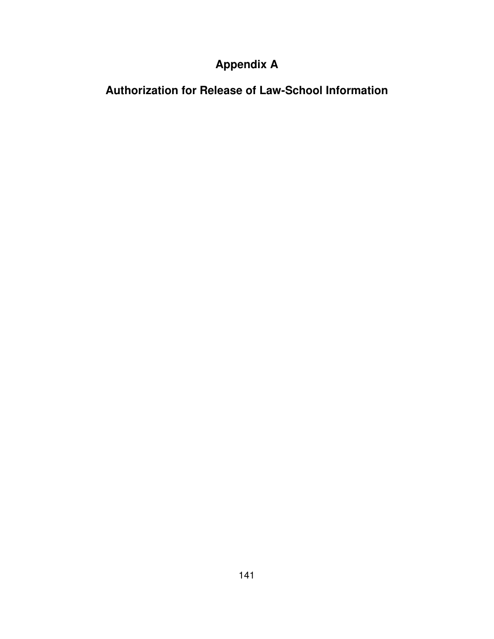# **Appendix A**

**Authorization for Release of Law-School Information**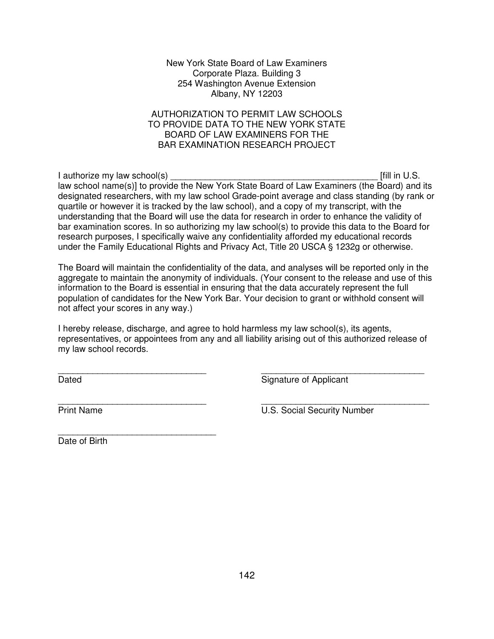#### New York State Board of Law Examiners Corporate Plaza. Building 3 254 Washington Avenue Extension Albany, NY 12203

#### AUTHORIZATION TO PERMIT LAW SCHOOLS TO PROVIDE DATA TO THE NEW YORK STATE BOARD OF LAW EXAMINERS FOR THE BAR EXAMINATION RESEARCH PROJECT

I authorize my law school(s)  $\blacksquare$ law school name(s)] to provide the New York State Board of Law Examiners (the Board) and its designated researchers, with my law school Grade-point average and class standing (by rank or quartile or however it is tracked by the law school), and a copy of my transcript, with the understanding that the Board will use the data for research in order to enhance the validity of bar examination scores. In so authorizing my law school(s) to provide this data to the Board for research purposes, I specifically waive any confidentiality afforded my educational records under the Family Educational Rights and Privacy Act, Title 20 USCA § 1232g or otherwise.

The Board will maintain the confidentiality of the data, and analyses will be reported only in the aggregate to maintain the anonymity of individuals. (Your consent to the release and use of this information to the Board is essential in ensuring that the data accurately represent the full population of candidates for the New York Bar. Your decision to grant or withhold consent will not affect your scores in any way.)

I hereby release, discharge, and agree to hold harmless my law school(s), its agents, representatives, or appointees from any and all liability arising out of this authorized release of my law school records.

\_\_\_\_\_\_\_\_\_\_\_\_\_\_\_\_\_\_\_\_\_\_\_\_\_\_\_\_\_\_ \_\_\_\_\_\_\_\_\_\_\_\_\_\_\_\_\_\_\_\_\_\_\_\_\_\_\_\_\_\_\_\_\_ Dated **Signature of Applicant** 

\_\_\_\_\_\_\_\_\_\_\_\_\_\_\_\_\_\_\_\_\_\_\_\_\_\_\_\_\_\_ \_\_\_\_\_\_\_\_\_\_\_\_\_\_\_\_\_\_\_\_\_\_\_\_\_\_\_\_\_\_\_\_\_\_ Print Name **U.S. Social Security Number** 

\_\_\_\_\_\_\_\_\_\_\_\_\_\_\_\_\_\_\_\_\_\_\_\_\_\_\_\_\_\_\_\_ Date of Birth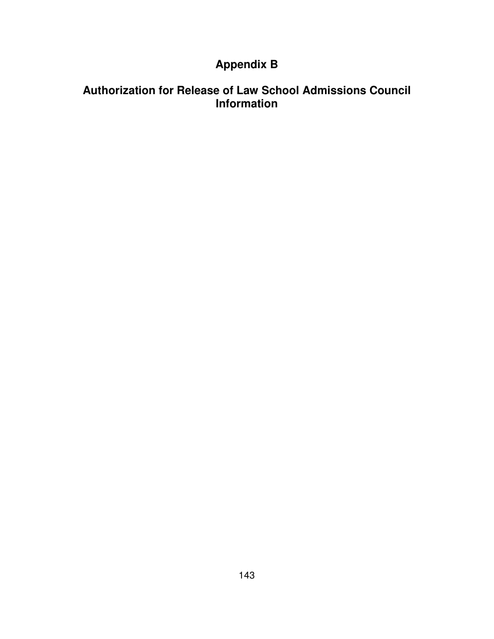## **Appendix B**

## **Authorization for Release of Law School Admissions Council Information**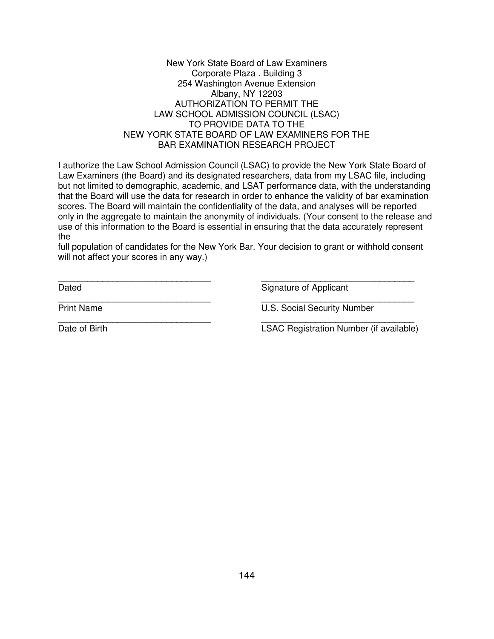#### New York State Board of Law Examiners Corporate Plaza . Building 3 254 Washington Avenue Extension Albany, NY 12203 AUTHORIZATION TO PERMIT THE LAW SCHOOL ADMISSION COUNCIL (LSAC) TO PROVIDE DATA TO THE NEW YORK STATE BOARD OF LAW EXAMINERS FOR THE BAR EXAMINATION RESEARCH PROJECT

I authorize the Law School Admission Council (LSAC) to provide the New York State Board of Law Examiners (the Board) and its designated researchers, data from my LSAC file, including but not limited to demographic, academic, and LSAT performance data, with the understanding that the Board will use the data for research in order to enhance the validity of bar examination scores. The Board will maintain the confidentiality of the data, and analyses will be reported only in the aggregate to maintain the anonymity of individuals. (Your consent to the release and use of this information to the Board is essential in ensuring that the data accurately represent the

full population of candidates for the New York Bar. Your decision to grant or withhold consent will not affect your scores in any way.)

\_\_\_\_\_\_\_\_\_\_\_\_\_\_\_\_\_\_\_\_\_\_\_\_\_\_\_\_\_\_\_ \_\_\_\_\_\_\_\_\_\_\_\_\_\_\_\_\_\_\_\_\_\_\_\_\_\_\_\_\_\_\_

\_\_\_\_\_\_\_\_\_\_\_\_\_\_\_\_\_\_\_\_\_\_\_\_\_\_\_\_\_\_\_ \_\_\_\_\_\_\_\_\_\_\_\_\_\_\_\_\_\_\_\_\_\_\_\_\_\_\_\_\_\_\_

\_\_\_\_\_\_\_\_\_\_\_\_\_\_\_\_\_\_\_\_\_\_\_\_\_\_\_\_\_\_\_ \_\_\_\_\_\_\_\_\_\_\_\_\_\_\_\_\_\_\_\_\_\_\_\_\_\_\_\_\_\_\_

Dated **Signature of Applicant** 

Print Name U.S. Social Security Number

Date of Birth **Date of Birth LSAC Registration Number** (if available)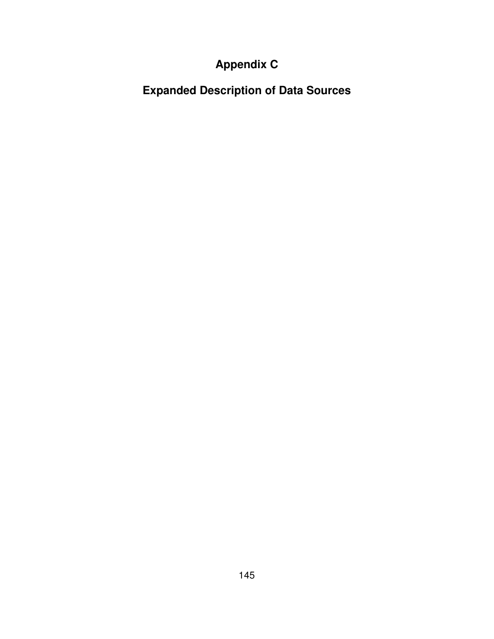# **Appendix C**

**Expanded Description of Data Sources**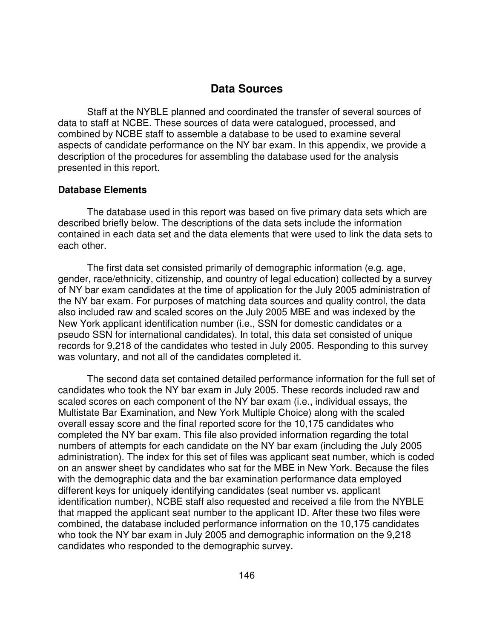### **Data Sources**

Staff at the NYBLE planned and coordinated the transfer of several sources of data to staff at NCBE. These sources of data were catalogued, processed, and combined by NCBE staff to assemble a database to be used to examine several aspects of candidate performance on the NY bar exam. In this appendix, we provide a description of the procedures for assembling the database used for the analysis presented in this report.

#### **Database Elements**

The database used in this report was based on five primary data sets which are described briefly below. The descriptions of the data sets include the information contained in each data set and the data elements that were used to link the data sets to each other.

The first data set consisted primarily of demographic information (e.g. age, gender, race/ethnicity, citizenship, and country of legal education) collected by a survey of NY bar exam candidates at the time of application for the July 2005 administration of the NY bar exam. For purposes of matching data sources and quality control, the data also included raw and scaled scores on the July 2005 MBE and was indexed by the New York applicant identification number (i.e., SSN for domestic candidates or a pseudo SSN for international candidates). In total, this data set consisted of unique records for 9,218 of the candidates who tested in July 2005. Responding to this survey was voluntary, and not all of the candidates completed it.

The second data set contained detailed performance information for the full set of candidates who took the NY bar exam in July 2005. These records included raw and scaled scores on each component of the NY bar exam (i.e., individual essays, the Multistate Bar Examination, and New York Multiple Choice) along with the scaled overall essay score and the final reported score for the 10,175 candidates who completed the NY bar exam. This file also provided information regarding the total numbers of attempts for each candidate on the NY bar exam (including the July 2005 administration). The index for this set of files was applicant seat number, which is coded on an answer sheet by candidates who sat for the MBE in New York. Because the files with the demographic data and the bar examination performance data employed different keys for uniquely identifying candidates (seat number vs. applicant identification number), NCBE staff also requested and received a file from the NYBLE that mapped the applicant seat number to the applicant ID. After these two files were combined, the database included performance information on the 10,175 candidates who took the NY bar exam in July 2005 and demographic information on the 9,218 candidates who responded to the demographic survey.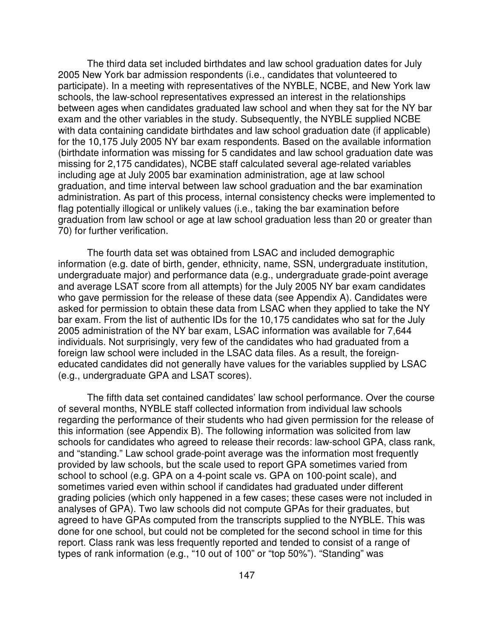The third data set included birthdates and law school graduation dates for July 2005 New York bar admission respondents (i.e., candidates that volunteered to participate). In a meeting with representatives of the NYBLE, NCBE, and New York law schools, the law-school representatives expressed an interest in the relationships between ages when candidates graduated law school and when they sat for the NY bar exam and the other variables in the study. Subsequently, the NYBLE supplied NCBE with data containing candidate birthdates and law school graduation date (if applicable) for the 10,175 July 2005 NY bar exam respondents. Based on the available information (birthdate information was missing for 5 candidates and law school graduation date was missing for 2,175 candidates), NCBE staff calculated several age-related variables including age at July 2005 bar examination administration, age at law school graduation, and time interval between law school graduation and the bar examination administration. As part of this process, internal consistency checks were implemented to flag potentially illogical or unlikely values (i.e., taking the bar examination before graduation from law school or age at law school graduation less than 20 or greater than 70) for further verification.

The fourth data set was obtained from LSAC and included demographic information (e.g. date of birth, gender, ethnicity, name, SSN, undergraduate institution, undergraduate major) and performance data (e.g., undergraduate grade-point average and average LSAT score from all attempts) for the July 2005 NY bar exam candidates who gave permission for the release of these data (see Appendix A). Candidates were asked for permission to obtain these data from LSAC when they applied to take the NY bar exam. From the list of authentic IDs for the 10,175 candidates who sat for the July 2005 administration of the NY bar exam, LSAC information was available for 7,644 individuals. Not surprisingly, very few of the candidates who had graduated from a foreign law school were included in the LSAC data files. As a result, the foreigneducated candidates did not generally have values for the variables supplied by LSAC (e.g., undergraduate GPA and LSAT scores).

The fifth data set contained candidates' law school performance. Over the course of several months, NYBLE staff collected information from individual law schools regarding the performance of their students who had given permission for the release of this information (see Appendix B). The following information was solicited from law schools for candidates who agreed to release their records: law-school GPA, class rank, and "standing." Law school grade-point average was the information most frequently provided by law schools, but the scale used to report GPA sometimes varied from school to school (e.g. GPA on a 4-point scale vs. GPA on 100-point scale), and sometimes varied even within school if candidates had graduated under different grading policies (which only happened in a few cases; these cases were not included in analyses of GPA). Two law schools did not compute GPAs for their graduates, but agreed to have GPAs computed from the transcripts supplied to the NYBLE. This was done for one school, but could not be completed for the second school in time for this report. Class rank was less frequently reported and tended to consist of a range of types of rank information (e.g., "10 out of 100" or "top 50%"). "Standing" was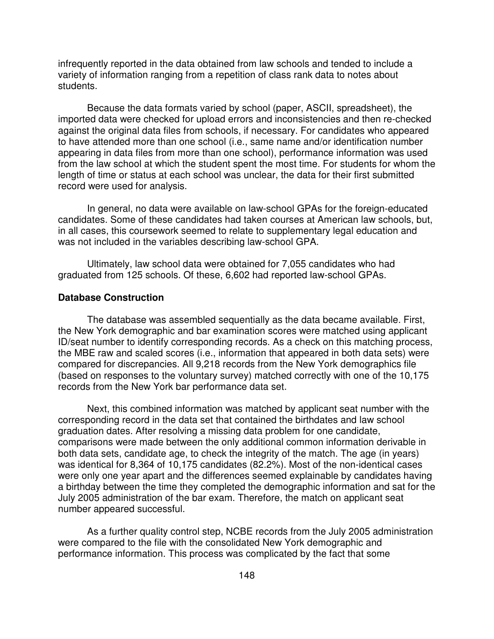infrequently reported in the data obtained from law schools and tended to include a variety of information ranging from a repetition of class rank data to notes about students.

Because the data formats varied by school (paper, ASCII, spreadsheet), the imported data were checked for upload errors and inconsistencies and then re-checked against the original data files from schools, if necessary. For candidates who appeared to have attended more than one school (i.e., same name and/or identification number appearing in data files from more than one school), performance information was used from the law school at which the student spent the most time. For students for whom the length of time or status at each school was unclear, the data for their first submitted record were used for analysis.

In general, no data were available on law-school GPAs for the foreign-educated candidates. Some of these candidates had taken courses at American law schools, but, in all cases, this coursework seemed to relate to supplementary legal education and was not included in the variables describing law-school GPA.

Ultimately, law school data were obtained for 7,055 candidates who had graduated from 125 schools. Of these, 6,602 had reported law-school GPAs.

#### **Database Construction**

The database was assembled sequentially as the data became available. First, the New York demographic and bar examination scores were matched using applicant ID/seat number to identify corresponding records. As a check on this matching process, the MBE raw and scaled scores (i.e., information that appeared in both data sets) were compared for discrepancies. All 9,218 records from the New York demographics file (based on responses to the voluntary survey) matched correctly with one of the 10,175 records from the New York bar performance data set.

Next, this combined information was matched by applicant seat number with the corresponding record in the data set that contained the birthdates and law school graduation dates. After resolving a missing data problem for one candidate, comparisons were made between the only additional common information derivable in both data sets, candidate age, to check the integrity of the match. The age (in years) was identical for 8,364 of 10,175 candidates (82.2%). Most of the non-identical cases were only one year apart and the differences seemed explainable by candidates having a birthday between the time they completed the demographic information and sat for the July 2005 administration of the bar exam. Therefore, the match on applicant seat number appeared successful.

As a further quality control step, NCBE records from the July 2005 administration were compared to the file with the consolidated New York demographic and performance information. This process was complicated by the fact that some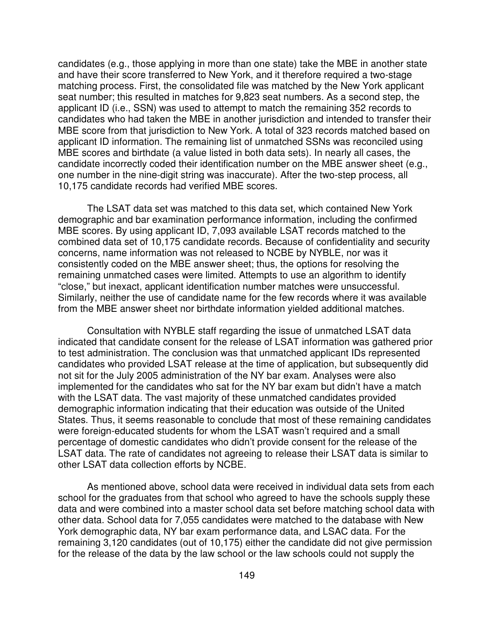candidates (e.g., those applying in more than one state) take the MBE in another state and have their score transferred to New York, and it therefore required a two-stage matching process. First, the consolidated file was matched by the New York applicant seat number; this resulted in matches for 9,823 seat numbers. As a second step, the applicant ID (i.e., SSN) was used to attempt to match the remaining 352 records to candidates who had taken the MBE in another jurisdiction and intended to transfer their MBE score from that jurisdiction to New York. A total of 323 records matched based on applicant ID information. The remaining list of unmatched SSNs was reconciled using MBE scores and birthdate (a value listed in both data sets). In nearly all cases, the candidate incorrectly coded their identification number on the MBE answer sheet (e.g., one number in the nine-digit string was inaccurate). After the two-step process, all 10,175 candidate records had verified MBE scores.

The LSAT data set was matched to this data set, which contained New York demographic and bar examination performance information, including the confirmed MBE scores. By using applicant ID, 7,093 available LSAT records matched to the combined data set of 10,175 candidate records. Because of confidentiality and security concerns, name information was not released to NCBE by NYBLE, nor was it consistently coded on the MBE answer sheet; thus, the options for resolving the remaining unmatched cases were limited. Attempts to use an algorithm to identify "close," but inexact, applicant identification number matches were unsuccessful. Similarly, neither the use of candidate name for the few records where it was available from the MBE answer sheet nor birthdate information yielded additional matches.

Consultation with NYBLE staff regarding the issue of unmatched LSAT data indicated that candidate consent for the release of LSAT information was gathered prior to test administration. The conclusion was that unmatched applicant IDs represented candidates who provided LSAT release at the time of application, but subsequently did not sit for the July 2005 administration of the NY bar exam. Analyses were also implemented for the candidates who sat for the NY bar exam but didn't have a match with the LSAT data. The vast majority of these unmatched candidates provided demographic information indicating that their education was outside of the United States. Thus, it seems reasonable to conclude that most of these remaining candidates were foreign-educated students for whom the LSAT wasn't required and a small percentage of domestic candidates who didn't provide consent for the release of the LSAT data. The rate of candidates not agreeing to release their LSAT data is similar to other LSAT data collection efforts by NCBE.

As mentioned above, school data were received in individual data sets from each school for the graduates from that school who agreed to have the schools supply these data and were combined into a master school data set before matching school data with other data. School data for 7,055 candidates were matched to the database with New York demographic data, NY bar exam performance data, and LSAC data. For the remaining 3,120 candidates (out of 10,175) either the candidate did not give permission for the release of the data by the law school or the law schools could not supply the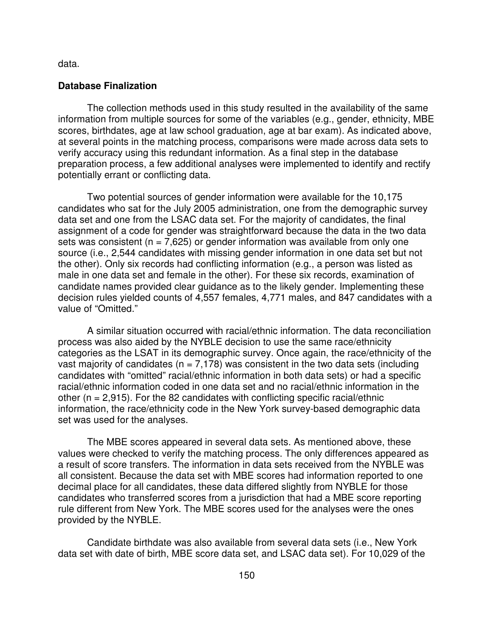data.

#### **Database Finalization**

The collection methods used in this study resulted in the availability of the same information from multiple sources for some of the variables (e.g., gender, ethnicity, MBE scores, birthdates, age at law school graduation, age at bar exam). As indicated above, at several points in the matching process, comparisons were made across data sets to verify accuracy using this redundant information. As a final step in the database preparation process, a few additional analyses were implemented to identify and rectify potentially errant or conflicting data.

Two potential sources of gender information were available for the 10,175 candidates who sat for the July 2005 administration, one from the demographic survey data set and one from the LSAC data set. For the majority of candidates, the final assignment of a code for gender was straightforward because the data in the two data sets was consistent ( $n = 7.625$ ) or gender information was available from only one source (i.e., 2,544 candidates with missing gender information in one data set but not the other). Only six records had conflicting information (e.g., a person was listed as male in one data set and female in the other). For these six records, examination of candidate names provided clear guidance as to the likely gender. Implementing these decision rules yielded counts of 4,557 females, 4,771 males, and 847 candidates with a value of "Omitted."

A similar situation occurred with racial/ethnic information. The data reconciliation process was also aided by the NYBLE decision to use the same race/ethnicity categories as the LSAT in its demographic survey. Once again, the race/ethnicity of the vast majority of candidates ( $n = 7,178$ ) was consistent in the two data sets (including candidates with "omitted" racial/ethnic information in both data sets) or had a specific racial/ethnic information coded in one data set and no racial/ethnic information in the other  $(n = 2,915)$ . For the 82 candidates with conflicting specific racial/ethnic information, the race/ethnicity code in the New York survey-based demographic data set was used for the analyses.

The MBE scores appeared in several data sets. As mentioned above, these values were checked to verify the matching process. The only differences appeared as a result of score transfers. The information in data sets received from the NYBLE was all consistent. Because the data set with MBE scores had information reported to one decimal place for all candidates, these data differed slightly from NYBLE for those candidates who transferred scores from a jurisdiction that had a MBE score reporting rule different from New York. The MBE scores used for the analyses were the ones provided by the NYBLE.

Candidate birthdate was also available from several data sets (i.e., New York data set with date of birth, MBE score data set, and LSAC data set). For 10,029 of the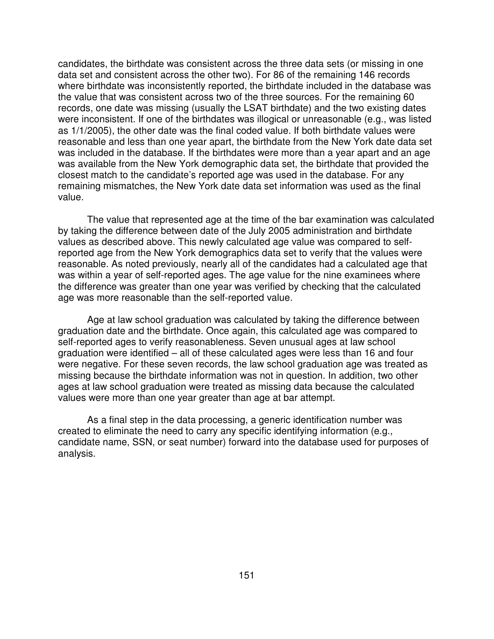candidates, the birthdate was consistent across the three data sets (or missing in one data set and consistent across the other two). For 86 of the remaining 146 records where birthdate was inconsistently reported, the birthdate included in the database was the value that was consistent across two of the three sources. For the remaining 60 records, one date was missing (usually the LSAT birthdate) and the two existing dates were inconsistent. If one of the birthdates was illogical or unreasonable (e.g., was listed as 1/1/2005), the other date was the final coded value. If both birthdate values were reasonable and less than one year apart, the birthdate from the New York date data set was included in the database. If the birthdates were more than a year apart and an age was available from the New York demographic data set, the birthdate that provided the closest match to the candidate's reported age was used in the database. For any remaining mismatches, the New York date data set information was used as the final value.

The value that represented age at the time of the bar examination was calculated by taking the difference between date of the July 2005 administration and birthdate values as described above. This newly calculated age value was compared to selfreported age from the New York demographics data set to verify that the values were reasonable. As noted previously, nearly all of the candidates had a calculated age that was within a year of self-reported ages. The age value for the nine examinees where the difference was greater than one year was verified by checking that the calculated age was more reasonable than the self-reported value.

Age at law school graduation was calculated by taking the difference between graduation date and the birthdate. Once again, this calculated age was compared to self-reported ages to verify reasonableness. Seven unusual ages at law school graduation were identified – all of these calculated ages were less than 16 and four were negative. For these seven records, the law school graduation age was treated as missing because the birthdate information was not in question. In addition, two other ages at law school graduation were treated as missing data because the calculated values were more than one year greater than age at bar attempt.

As a final step in the data processing, a generic identification number was created to eliminate the need to carry any specific identifying information (e.g., candidate name, SSN, or seat number) forward into the database used for purposes of analysis.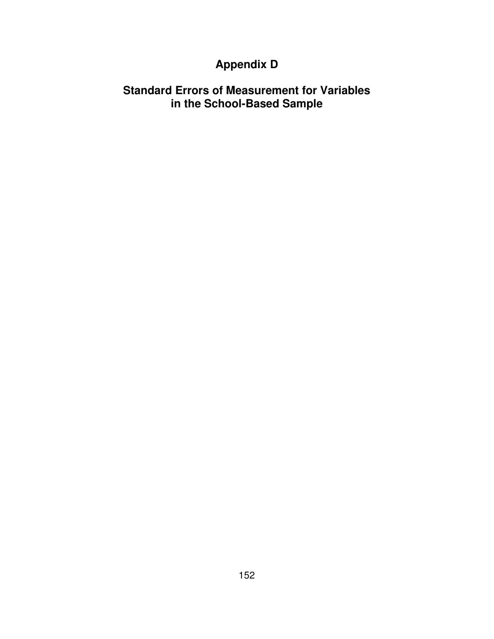## **Appendix D**

### **Standard Errors of Measurement for Variables in the School-Based Sample**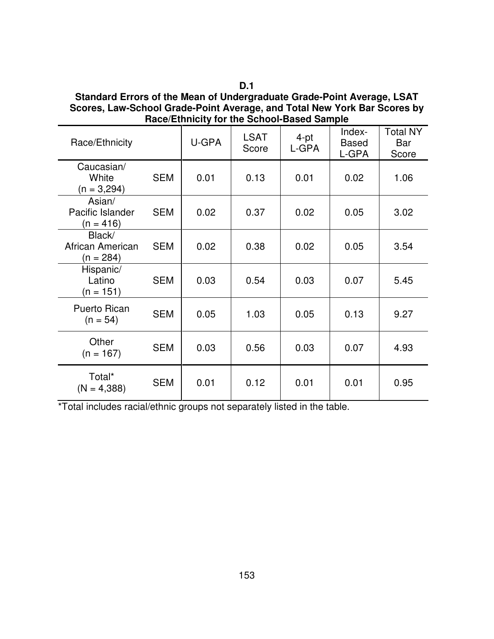**D.1**

**Standard Errors of the Mean of Undergraduate Grade-Point Average, LSAT Scores, Law-School Grade-Point Average, and Total New York Bar Scores by Race/Ethnicity for the School-Based Sample**

| Race/Ethnicity                            |            | U-GPA | <b>LSAT</b><br>Score | 4-pt<br>L-GPA | Index-<br><b>Based</b><br>L-GPA | <b>Total NY</b><br>Bar<br>Score |
|-------------------------------------------|------------|-------|----------------------|---------------|---------------------------------|---------------------------------|
| Caucasian/<br>White<br>$(n = 3,294)$      | <b>SEM</b> | 0.01  | 0.13                 | 0.01          | 0.02                            | 1.06                            |
| Asian/<br>Pacific Islander<br>$(n = 416)$ | <b>SEM</b> | 0.02  | 0.37                 | 0.02          | 0.05                            | 3.02                            |
| Black/<br>African American<br>$(n = 284)$ | <b>SEM</b> | 0.02  | 0.38                 | 0.02          | 0.05                            | 3.54                            |
| Hispanic/<br>Latino<br>$(n = 151)$        | <b>SEM</b> | 0.03  | 0.54                 | 0.03          | 0.07                            | 5.45                            |
| <b>Puerto Rican</b><br>$(n = 54)$         | <b>SEM</b> | 0.05  | 1.03                 | 0.05          | 0.13                            | 9.27                            |
| Other<br>$(n = 167)$                      | <b>SEM</b> | 0.03  | 0.56                 | 0.03          | 0.07                            | 4.93                            |
| Total*<br>$(N = 4,388)$                   | <b>SEM</b> | 0.01  | 0.12                 | 0.01          | 0.01                            | 0.95                            |

\*Total includes racial/ethnic groups not separately listed in the table.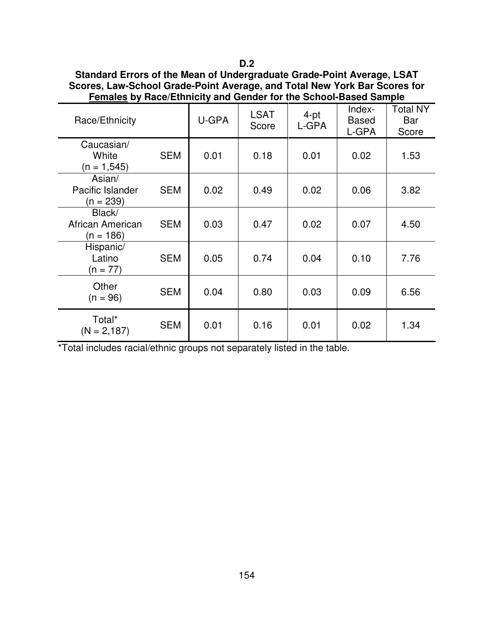| Standard Errors of the Mean of Undergraduate Grade-Point Average, LSAT    |
|---------------------------------------------------------------------------|
| Scores, Law-School Grade-Point Average, and Total New York Bar Scores for |
| Females by Race/Ethnicity and Gender for the School-Based Sample          |

| Race/Ethnicity                            |            | U-GPA | <b>LSAT</b><br>Score | 4-pt<br>L-GPA | Index-<br><b>Based</b><br>L-GPA | <b>Total NY</b><br>Bar<br>Score |
|-------------------------------------------|------------|-------|----------------------|---------------|---------------------------------|---------------------------------|
| Caucasian/<br>White<br>$(n = 1, 545)$     | <b>SEM</b> | 0.01  | 0.18                 | 0.01          | 0.02                            | 1.53                            |
| Asian/<br>Pacific Islander<br>$(n = 239)$ | <b>SEM</b> | 0.02  | 0.49                 | 0.02          | 0.06                            | 3.82                            |
| Black/<br>African American<br>$(n = 186)$ | <b>SEM</b> | 0.03  | 0.47                 | 0.02          | 0.07                            | 4.50                            |
| Hispanic/<br>Latino<br>$(n = 77)$         | <b>SEM</b> | 0.05  | 0.74                 | 0.04          | 0.10                            | 7.76                            |
| Other<br>$(n = 96)$                       | <b>SEM</b> | 0.04  | 0.80                 | 0.03          | 0.09                            | 6.56                            |
| Total*<br>$(N = 2, 187)$                  | <b>SEM</b> | 0.01  | 0.16                 | 0.01          | 0.02                            | 1.34                            |

\*Total includes racial/ethnic groups not separately listed in the table.